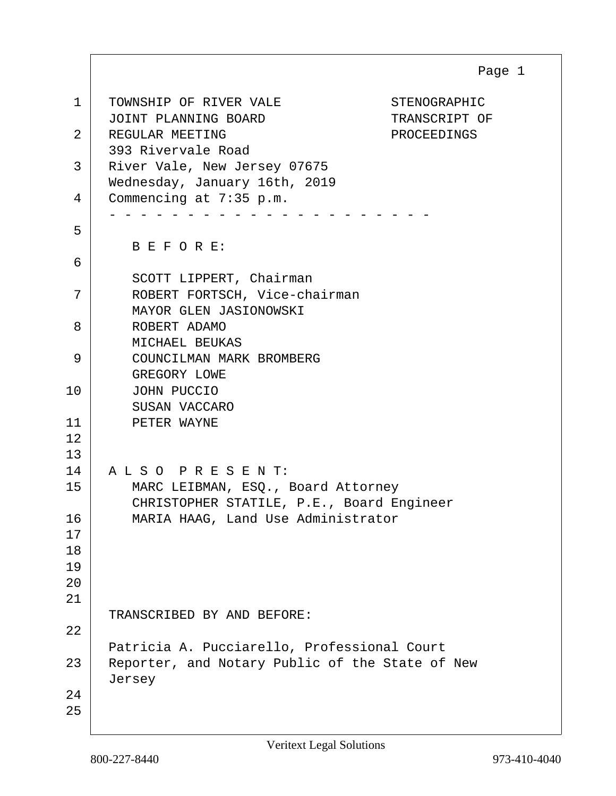| $\mathbf 1$                | TOWNSHIP OF RIVER VALE<br>STENOGRAPHIC<br>JOINT PLANNING BOARD<br>TRANSCRIPT OF                          |
|----------------------------|----------------------------------------------------------------------------------------------------------|
| 2                          | REGULAR MEETING<br>PROCEEDINGS<br>393 Rivervale Road                                                     |
| 3                          | River Vale, New Jersey 07675<br>Wednesday, January 16th, 2019                                            |
| 4                          | Commencing at 7:35 p.m.                                                                                  |
| 5                          | BEFORE:                                                                                                  |
| 6                          | SCOTT LIPPERT, Chairman                                                                                  |
| 7                          | ROBERT FORTSCH, Vice-chairman<br>MAYOR GLEN JASIONOWSKI                                                  |
| 8                          | ROBERT ADAMO<br>MICHAEL BEUKAS                                                                           |
| 9                          | COUNCILMAN MARK BROMBERG<br>GREGORY LOWE                                                                 |
| 10                         | JOHN PUCCIO<br>SUSAN VACCARO                                                                             |
| 11<br>12<br>13             | PETER WAYNE                                                                                              |
| 14                         | ALSO PRESENT:                                                                                            |
| 15                         | MARC LEIBMAN, ESQ., Board Attorney<br>CHRISTOPHER STATILE, P.E., Board Engineer                          |
| 16<br>17<br>18<br>19<br>20 | MARIA HAAG, Land Use Administrator                                                                       |
| 21                         |                                                                                                          |
| 22                         | TRANSCRIBED BY AND BEFORE:                                                                               |
| 23                         | Patricia A. Pucciarello, Professional Court<br>Reporter, and Notary Public of the State of New<br>Jersey |
| 24<br>25                   |                                                                                                          |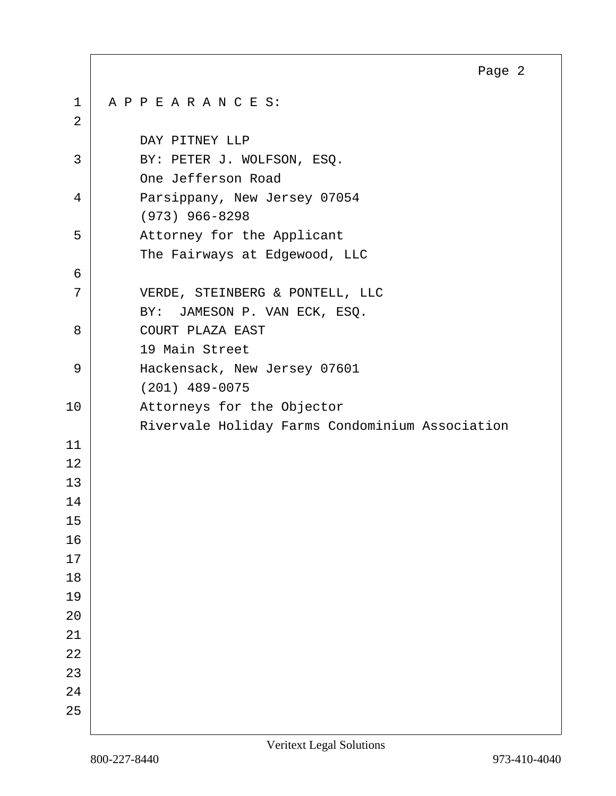|             | Page 2                                          |
|-------------|-------------------------------------------------|
| $\mathbf 1$ | APPEARANCES:                                    |
| 2           |                                                 |
|             | DAY PITNEY LLP                                  |
| 3           | BY: PETER J. WOLFSON, ESQ.                      |
|             | One Jefferson Road                              |
| 4           | Parsippany, New Jersey 07054                    |
|             | $(973)$ 966-8298                                |
| 5           | Attorney for the Applicant                      |
|             | The Fairways at Edgewood, LLC                   |
| 6           |                                                 |
| 7           | VERDE, STEINBERG & PONTELL, LLC                 |
|             | BY: JAMESON P. VAN ECK, ESQ.                    |
| 8           | COURT PLAZA EAST                                |
|             | 19 Main Street                                  |
| 9           | Hackensack, New Jersey 07601                    |
|             | $(201)$ 489-0075                                |
| 10          | Attorneys for the Objector                      |
|             | Rivervale Holiday Farms Condominium Association |
| 11          |                                                 |
| 12          |                                                 |
| 13          |                                                 |
| 14          |                                                 |
| 15          |                                                 |
| 16          |                                                 |
| 17          |                                                 |
| 18          |                                                 |
| 19          |                                                 |
| 20          |                                                 |
| 21          |                                                 |
| 22          |                                                 |
| 23          |                                                 |
| 24          |                                                 |
| 25          |                                                 |

Г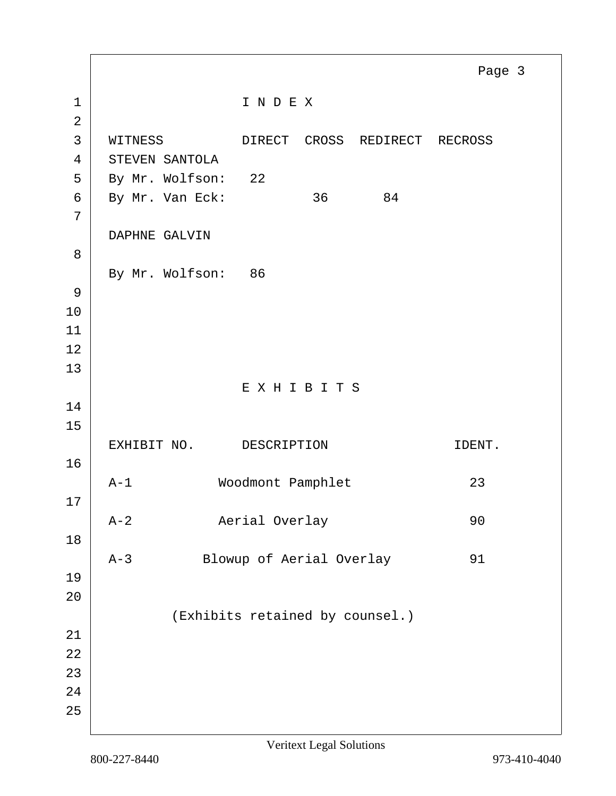1 | INDEX 2 3 WITNESS DIRECT CROSS REDIRECT RECROSS 4 STEVEN SANTOLA 5 By Mr. Wolfson: 22 6 By Mr. Van Eck: 36 84 7 DAPHNE GALVIN 8 By Mr. Wolfson: 86 9 10 11 12 13 E X H I B I T S 14 15 EXHIBIT NO. DESCRIPTION DESTRIPSED DENT. 16 A-1 Woodmont Pamphlet 23 17 A-2 Aerial Overlay 90 18 A-3 Blowup of Aerial Overlay 91 19 20 (Exhibits retained by counsel.) 21 22 23 24 25 Page 3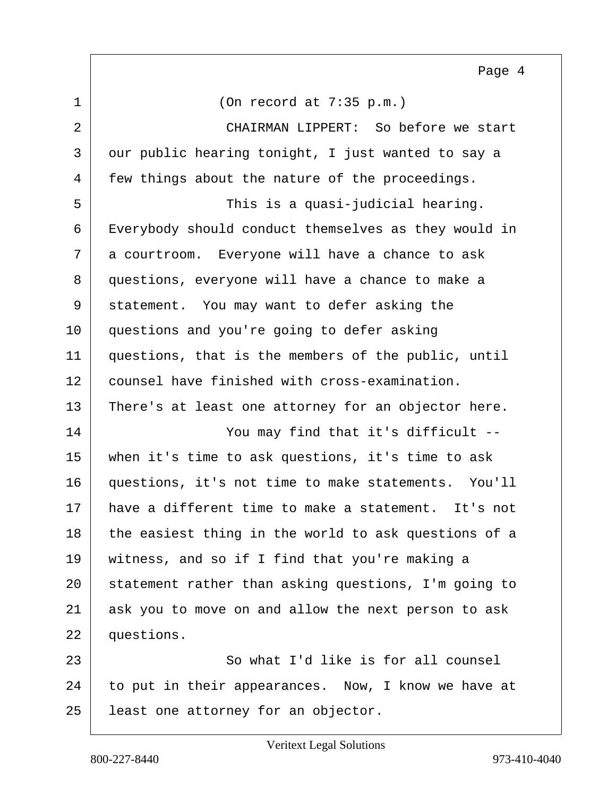$1$  (On record at 7:35 p.m.) 2 CHAIRMAN LIPPERT: So before we start 3 | our public hearing tonight, I just wanted to say a 4 few things about the nature of the proceedings. 5 | This is a quasi-judicial hearing. 6 Everybody should conduct themselves as they would in  $7$  a courtroom. Everyone will have a chance to ask 8 questions, everyone will have a chance to make a 9 statement. You may want to defer asking the 10 questions and you're going to defer asking 11 questions, that is the members of the public, until 12 counsel have finished with cross-examination. 13 There's at least one attorney for an objector here. 14 | You may find that it's difficult --15 when it's time to ask questions, it's time to ask 16 questions, it's not time to make statements. You'll 17 have a different time to make a statement. It's not 18 the easiest thing in the world to ask questions of a 19 witness, and so if I find that you're making a 20 | statement rather than asking questions, I'm going to 21 ask you to move on and allow the next person to ask 22 questions. 23 So what I'd like is for all counsel  $24$  to put in their appearances. Now, I know we have at 25 | least one attorney for an objector. Page 4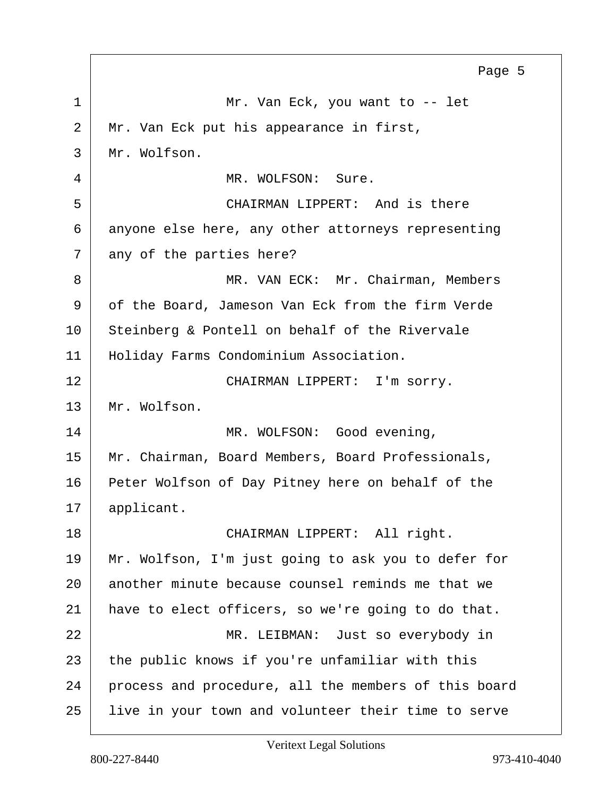1 Mr. Van Eck, you want to -- let 2 Mr. Van Eck put his appearance in first, 3 Mr. Wolfson. 4 MR. WOLFSON: Sure. 5 CHAIRMAN LIPPERT: And is there 6 anyone else here, any other attorneys representing  $7$  any of the parties here? 8 MR. VAN ECK: Mr. Chairman, Members 9 of the Board, Jameson Van Eck from the firm Verde 10 Steinberg & Pontell on behalf of the Rivervale 11 | Holiday Farms Condominium Association. 12 CHAIRMAN LIPPERT: I'm sorry. 13 Mr. Wolfson. 14 MR. WOLFSON: Good evening, 15 | Mr. Chairman, Board Members, Board Professionals, 16 Peter Wolfson of Day Pitney here on behalf of the 17 | applicant. 18 CHAIRMAN LIPPERT: All right. 19 Mr. Wolfson, I'm just going to ask you to defer for 20 another minute because counsel reminds me that we 21 have to elect officers, so we're going to do that. 22 | MR. LEIBMAN: Just so everybody in 23 the public knows if you're unfamiliar with this 24 process and procedure, all the members of this board 25 live in your town and volunteer their time to serve Page 5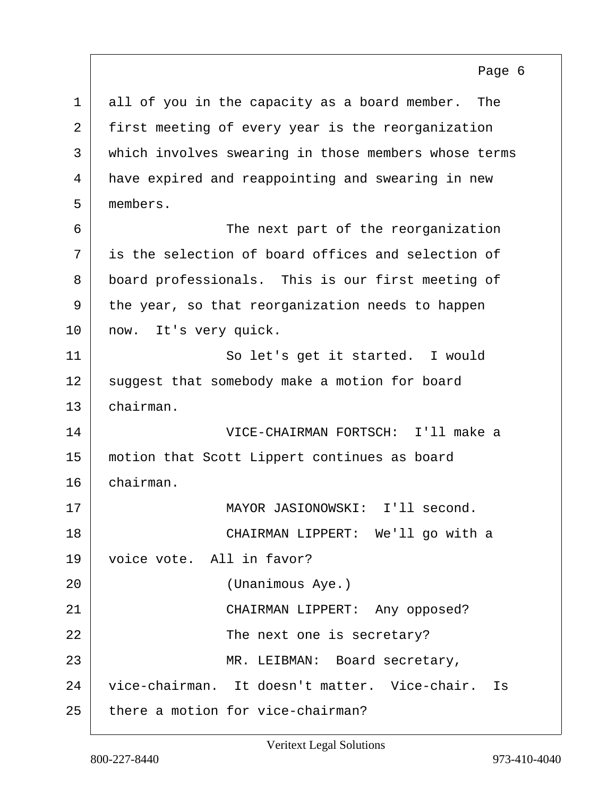1 all of you in the capacity as a board member. The 2 first meeting of every year is the reorganization 3 | which involves swearing in those members whose terms 4 have expired and reappointing and swearing in new 5 members. 6 | The next part of the reorganization  $7<sup>1</sup>$  is the selection of board offices and selection of 8 board professionals. This is our first meeting of 9 the year, so that reorganization needs to happen 10 | now. It's very quick. 11 So let's get it started. I would 12 suggest that somebody make a motion for board 13 chairman. 14 VICE-CHAIRMAN FORTSCH: I'll make a 15 motion that Scott Lippert continues as board 16 chairman. 17 MAYOR JASIONOWSKI: I'll second. 18 CHAIRMAN LIPPERT: We'll go with a 19 voice vote. All in favor? 20 (Unanimous Aye.) 21 CHAIRMAN LIPPERT: Any opposed? 22 The next one is secretary? 23 MR. LEIBMAN: Board secretary, 24 vice-chairman. It doesn't matter. Vice-chair. Is

 $25$  there a motion for vice-chairman?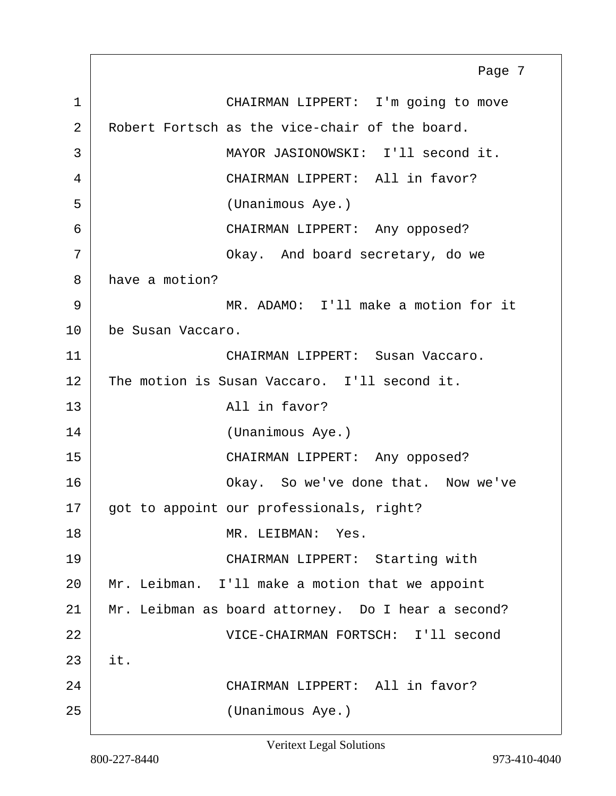1 CHAIRMAN LIPPERT: I'm going to move 2 Robert Fortsch as the vice-chair of the board. 3 MAYOR JASIONOWSKI: I'll second it. 4 CHAIRMAN LIPPERT: All in favor? 5 (Unanimous Aye.) 6 CHAIRMAN LIPPERT: Any opposed? 7 | Chay. And board secretary, do we 8 have a motion? 9 MR. ADAMO: I'll make a motion for it 10 be Susan Vaccaro. 11 CHAIRMAN LIPPERT: Susan Vaccaro. 12 The motion is Susan Vaccaro. I'll second it. 13 All in favor? 14 (Unanimous Aye.) 15 CHAIRMAN LIPPERT: Any opposed? 16 Okay. So we've done that. Now we've 17 got to appoint our professionals, right? 18 MR. LEIBMAN: Yes. 19 CHAIRMAN LIPPERT: Starting with 20 Mr. Leibman. I'll make a motion that we appoint 21 Mr. Leibman as board attorney. Do I hear a second? 22 VICE-CHAIRMAN FORTSCH: I'll second  $23$  it. 24 CHAIRMAN LIPPERT: All in favor? 25 (Unanimous Aye.) Page 7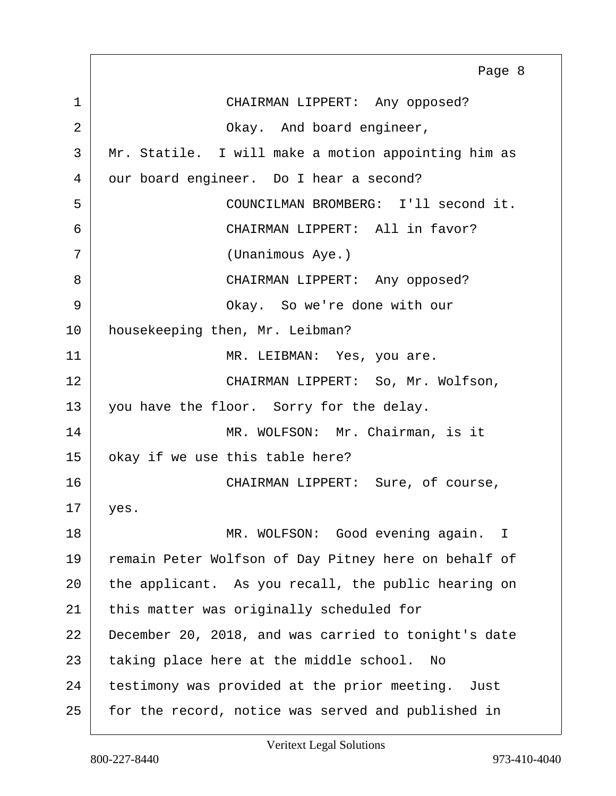1 CHAIRMAN LIPPERT: Any opposed? 2 Ckay. And board engineer, 3 Mr. Statile. I will make a motion appointing him as 4 our board engineer. Do I hear a second? 5 COUNCILMAN BROMBERG: I'll second it. 6 CHAIRMAN LIPPERT: All in favor? 7 (Unanimous Aye.) 8 CHAIRMAN LIPPERT: Any opposed? 9 Okay. So we're done with our 10 | housekeeping then, Mr. Leibman? 11 | MR. LEIBMAN: Yes, you are. 12 CHAIRMAN LIPPERT: So, Mr. Wolfson, 13 you have the floor. Sorry for the delay. 14 MR. WOLFSON: Mr. Chairman, is it 15 okay if we use this table here? 16 CHAIRMAN LIPPERT: Sure, of course,  $17$  yes. 18 MR. WOLFSON: Good evening again. I 19 remain Peter Wolfson of Day Pitney here on behalf of 20 the applicant. As you recall, the public hearing on 21 this matter was originally scheduled for 22 December 20, 2018, and was carried to tonight's date 23 taking place here at the middle school. No 24 testimony was provided at the prior meeting. Just 25 for the record, notice was served and published in Page 8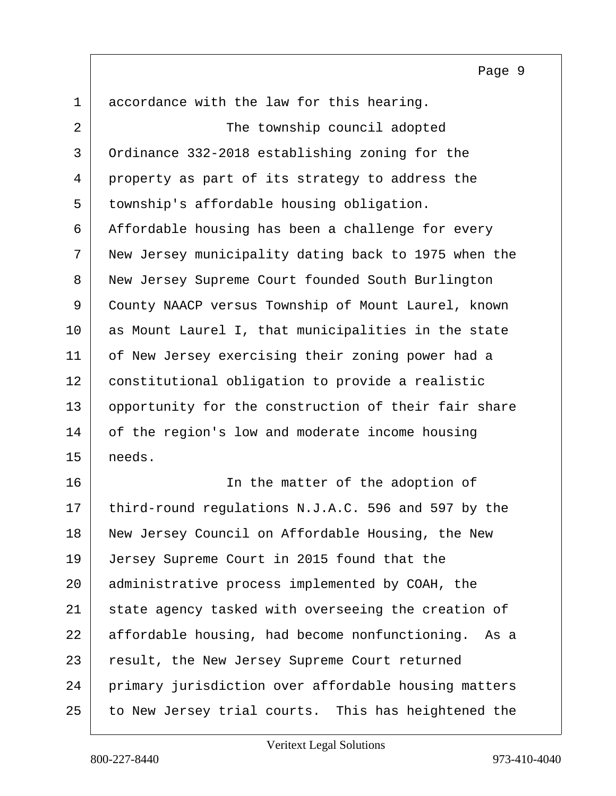1 accordance with the law for this hearing.

2 The township council adopted 3 Ordinance 332-2018 establishing zoning for the 4 property as part of its strategy to address the 5 township's affordable housing obligation. 6 Affordable housing has been a challenge for every 7 New Jersey municipality dating back to 1975 when the 8 New Jersey Supreme Court founded South Burlington 9 County NAACP versus Township of Mount Laurel, known 10 as Mount Laurel I, that municipalities in the state 11 of New Jersey exercising their zoning power had a 12 constitutional obligation to provide a realistic 13 opportunity for the construction of their fair share 14 of the region's low and moderate income housing 15 needs.

16 | The matter of the adoption of 17 third-round regulations N.J.A.C. 596 and 597 by the 18 New Jersey Council on Affordable Housing, the New 19 Jersey Supreme Court in 2015 found that the 20 administrative process implemented by COAH, the 21 state agency tasked with overseeing the creation of 22 affordable housing, had become nonfunctioning. As a 23 result, the New Jersey Supreme Court returned 24 primary jurisdiction over affordable housing matters 25 to New Jersey trial courts. This has heightened the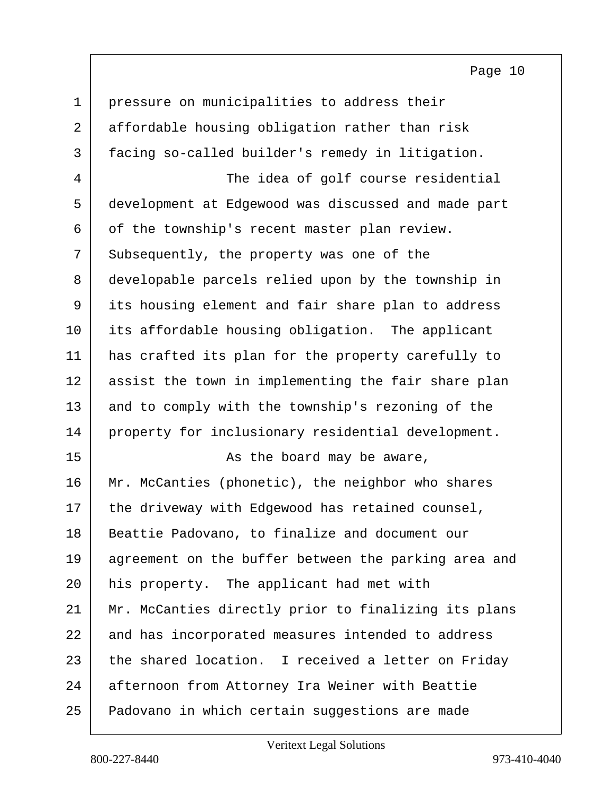1 pressure on municipalities to address their 2 affordable housing obligation rather than risk 3 facing so-called builder's remedy in litigation. 4 The idea of golf course residential 5 development at Edgewood was discussed and made part 6 of the township's recent master plan review. 7 Subsequently, the property was one of the 8 developable parcels relied upon by the township in 9 its housing element and fair share plan to address 10 its affordable housing obligation. The applicant 11 has crafted its plan for the property carefully to 12 assist the town in implementing the fair share plan 13 and to comply with the township's rezoning of the 14 property for inclusionary residential development. 15 as the board may be aware, 16 Mr. McCanties (phonetic), the neighbor who shares 17 the driveway with Edgewood has retained counsel, 18 | Beattie Padovano, to finalize and document our 19 agreement on the buffer between the parking area and 20 his property. The applicant had met with 21 | Mr. McCanties directly prior to finalizing its plans 22 and has incorporated measures intended to address 23 the shared location. I received a letter on Friday 24 afternoon from Attorney Ira Weiner with Beattie 25 Padovano in which certain suggestions are made

Veritext Legal Solutions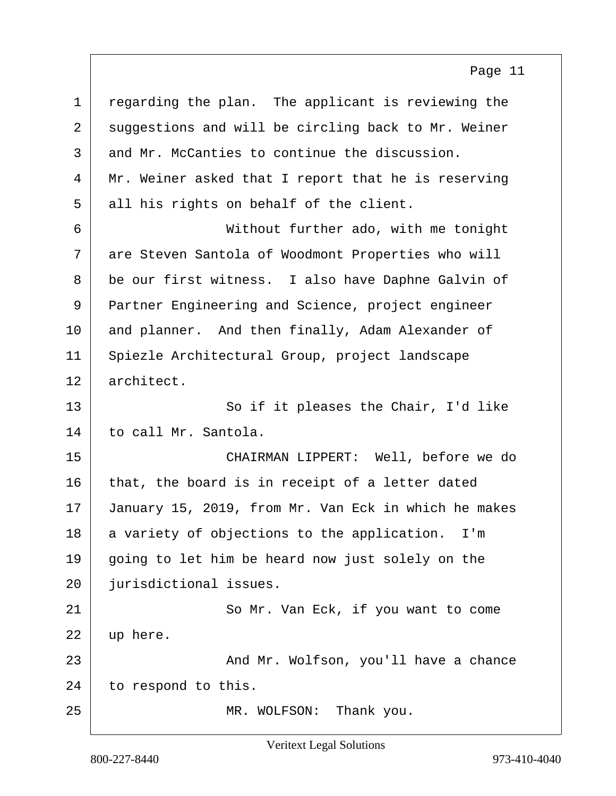| $\mathbf 1$ | regarding the plan. The applicant is reviewing the   |
|-------------|------------------------------------------------------|
| 2           | suggestions and will be circling back to Mr. Weiner  |
| 3           | and Mr. McCanties to continue the discussion.        |
| 4           | Mr. Weiner asked that I report that he is reserving  |
| 5           | all his rights on behalf of the client.              |
| 6           | Without further ado, with me tonight                 |
| 7           | are Steven Santola of Woodmont Properties who will   |
| 8           | be our first witness. I also have Daphne Galvin of   |
| 9           | Partner Engineering and Science, project engineer    |
| 10          | and planner. And then finally, Adam Alexander of     |
| 11          | Spiezle Architectural Group, project landscape       |
| 12          | architect.                                           |
| 13          | So if it pleases the Chair, I'd like                 |
| 14          | to call Mr. Santola.                                 |
| 15          | CHAIRMAN LIPPERT: Well, before we do                 |
| 16          | that, the board is in receipt of a letter dated      |
| 17          | January 15, 2019, from Mr. Van Eck in which he makes |
| 18          | a variety of objections to the application. I'm      |
| 19          | going to let him be heard now just solely on the     |
| 20          | jurisdictional issues.                               |
| 21          | So Mr. Van Eck, if you want to come                  |
| 22          | up here.                                             |
| 23          | And Mr. Wolfson, you'll have a chance                |
| 24          | to respond to this.                                  |
| 25          | Thank you.<br>MR. WOLFSON:                           |

Veritext Legal Solutions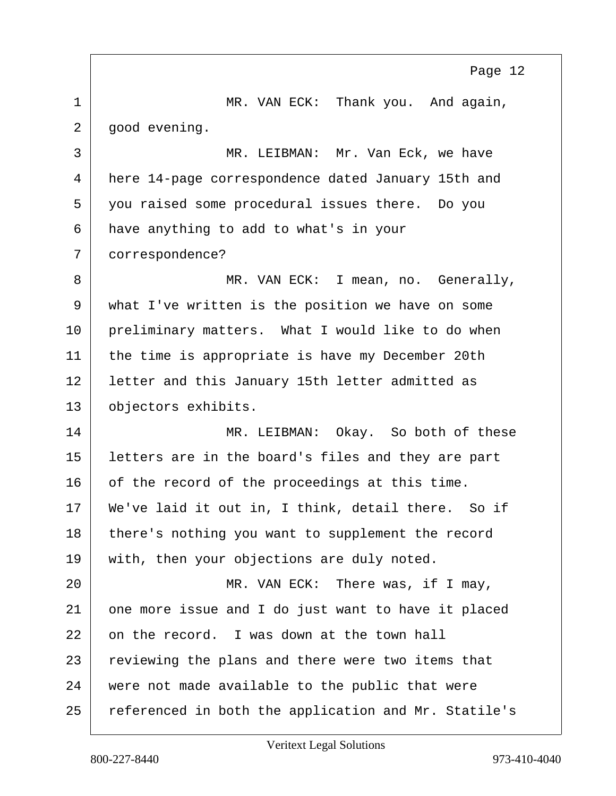1 MR. VAN ECK: Thank you. And again,  $2 |$  good evening. 3 MR. LEIBMAN: Mr. Van Eck, we have 4 here 14-page correspondence dated January 15th and 5 you raised some procedural issues there. Do you 6 have anything to add to what's in your 7 correspondence? 8 MR. VAN ECK: I mean, no. Generally, 9 what I've written is the position we have on some 10 preliminary matters. What I would like to do when 11 | the time is appropriate is have my December 20th 12 | letter and this January 15th letter admitted as 13 objectors exhibits. 14 MR. LEIBMAN: Okay. So both of these 15 letters are in the board's files and they are part 16 of the record of the proceedings at this time. 17 | We've laid it out in, I think, detail there. So if 18 there's nothing you want to supplement the record 19 with, then your objections are duly noted. 20 MR. VAN ECK: There was, if I may, 21 one more issue and I do just want to have it placed 22 on the record. I was down at the town hall 23 reviewing the plans and there were two items that 24 were not made available to the public that were 25 referenced in both the application and Mr. Statile's Page 12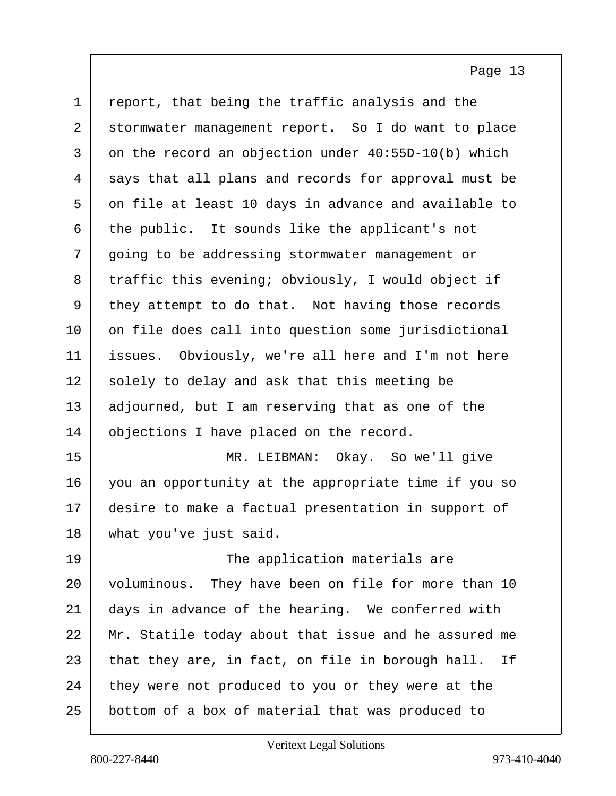| $\mathbf 1$ | report, that being the traffic analysis and the        |
|-------------|--------------------------------------------------------|
| 2           | stormwater management report. So I do want to place    |
| 3           | on the record an objection under 40:55D-10(b) which    |
| 4           | says that all plans and records for approval must be   |
| 5           | on file at least 10 days in advance and available to   |
| 6           | the public. It sounds like the applicant's not         |
| 7           | going to be addressing stormwater management or        |
| 8           | traffic this evening; obviously, I would object if     |
| 9           | they attempt to do that. Not having those records      |
| $10 \,$     | on file does call into question some jurisdictional    |
| 11          | issues. Obviously, we're all here and I'm not here     |
| 12          | solely to delay and ask that this meeting be           |
| 13          | adjourned, but I am reserving that as one of the       |
| 14          | objections I have placed on the record.                |
| 15          | MR. LEIBMAN: Okay. So we'll give                       |
| 16          | you an opportunity at the appropriate time if you so   |
| 17          | desire to make a factual presentation in support of    |
| 18          | what you've just said.                                 |
| 19          | The application materials are                          |
| 20          | voluminous. They have been on file for more than 10    |
| 21          | days in advance of the hearing. We conferred with      |
| 22          | Mr. Statile today about that issue and he assured me   |
| 23          | that they are, in fact, on file in borough hall.<br>Ιf |
| 24          | they were not produced to you or they were at the      |
| 25          | bottom of a box of material that was produced to       |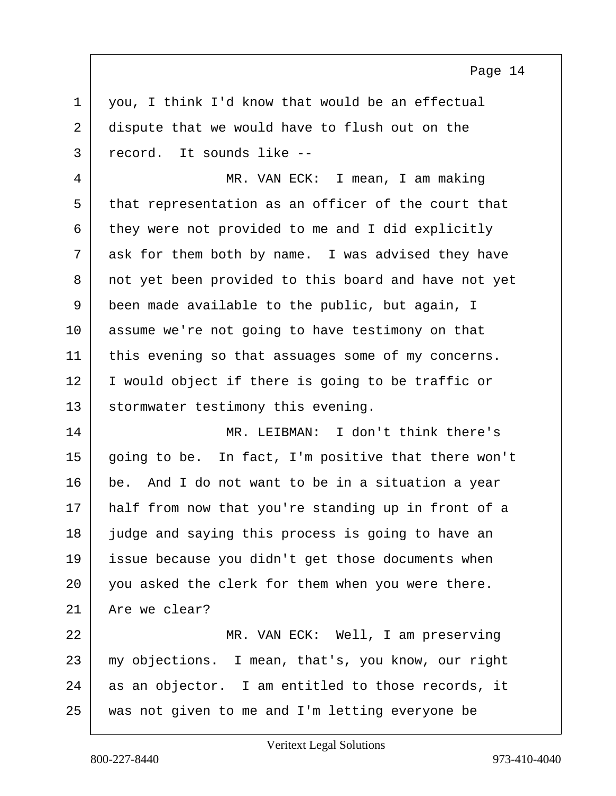$1 \mid$  you, I think I'd know that would be an effectual 2 dispute that we would have to flush out on the 3 record. It sounds like --

4 MR. VAN ECK: I mean, I am making 5 that representation as an officer of the court that  $6$  they were not provided to me and I did explicitly  $7$  ask for them both by name. I was advised they have 8 | not yet been provided to this board and have not yet 9 been made available to the public, but again, I 10 assume we're not going to have testimony on that 11 this evening so that assuages some of my concerns. 12 I would object if there is going to be traffic or 13 Stormwater testimony this evening.

14 MR. LEIBMAN: I don't think there's  $15$  going to be. In fact, I'm positive that there won't 16 be. And I do not want to be in a situation a year 17 | half from now that you're standing up in front of a 18 judge and saying this process is going to have an 19 issue because you didn't get those documents when 20 you asked the clerk for them when you were there. 21 Are we clear?

22 | MR. VAN ECK: Well, I am preserving 23 my objections. I mean, that's, you know, our right 24 as an objector. I am entitled to those records, it 25 was not given to me and I'm letting everyone be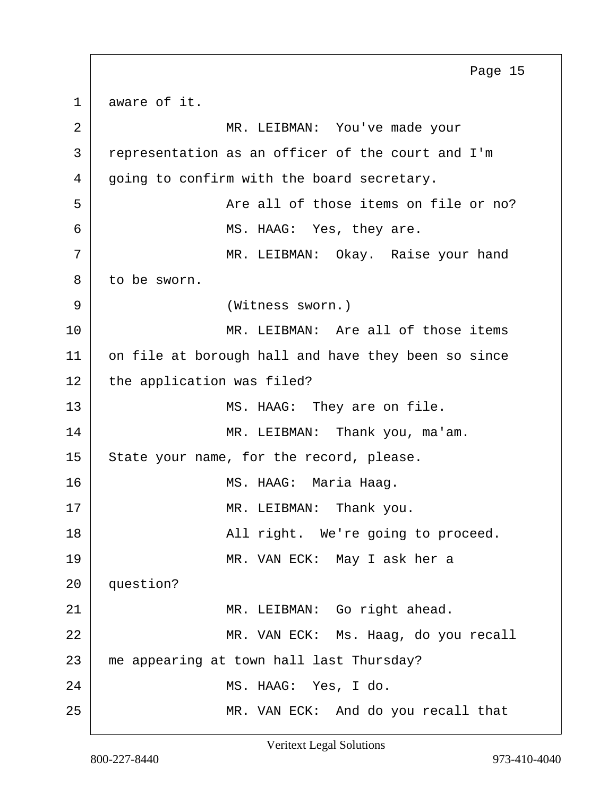1 aware of it. 2 MR. LEIBMAN: You've made your 3 representation as an officer of the court and I'm  $4 |$  going to confirm with the board secretary. 5 | The all of those items on file or no? 6 MS. HAAG: Yes, they are. 7 MR. LEIBMAN: Okay. Raise your hand 8 to be sworn. 9 (Witness sworn.) 10 MR. LEIBMAN: Are all of those items 11 on file at borough hall and have they been so since  $12$  the application was filed? 13 MS. HAAG: They are on file. 14 MR. LEIBMAN: Thank you, ma'am. 15 State your name, for the record, please. 16 | MS. HAAG: Maria Haaq. 17 | MR. LEIBMAN: Thank you. 18 all right. We're going to proceed. 19 MR. VAN ECK: May I ask her a 20 question? 21 MR. LEIBMAN: Go right ahead. 22 MR. VAN ECK: Ms. Haag, do you recall 23 me appearing at town hall last Thursday? 24 MS. HAAG: Yes, I do. 25 MR. VAN ECK: And do you recall that Page 15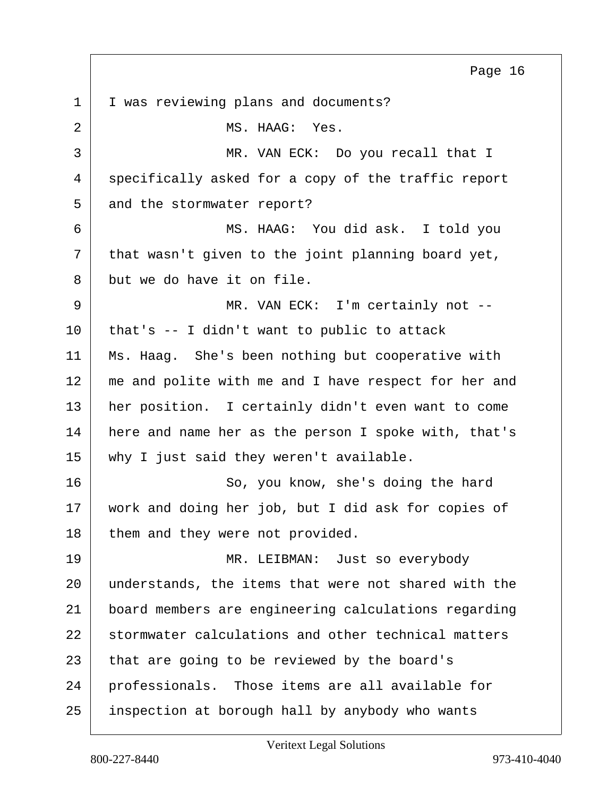1 | I was reviewing plans and documents? 2 MS. HAAG: Yes. 3 MR. VAN ECK: Do you recall that I 4 specifically asked for a copy of the traffic report 5 and the stormwater report? 6 MS. HAAG: You did ask. I told you  $7$  that wasn't given to the joint planning board yet, 8 but we do have it on file. 9 MR. VAN ECK: I'm certainly not -- $10$  that's  $-$  I didn't want to public to attack 11 Ms. Haag. She's been nothing but cooperative with 12 me and polite with me and I have respect for her and 13 her position. I certainly didn't even want to come 14 here and name her as the person I spoke with, that's 15 | why I just said they weren't available. 16 So, you know, she's doing the hard 17 | work and doing her job, but I did ask for copies of 18 them and they were not provided. 19 MR. LEIBMAN: Just so everybody 20 understands, the items that were not shared with the 21 board members are engineering calculations regarding 22 stormwater calculations and other technical matters 23 | that are going to be reviewed by the board's 24 | professionals. Those items are all available for 25 inspection at borough hall by anybody who wants Page 16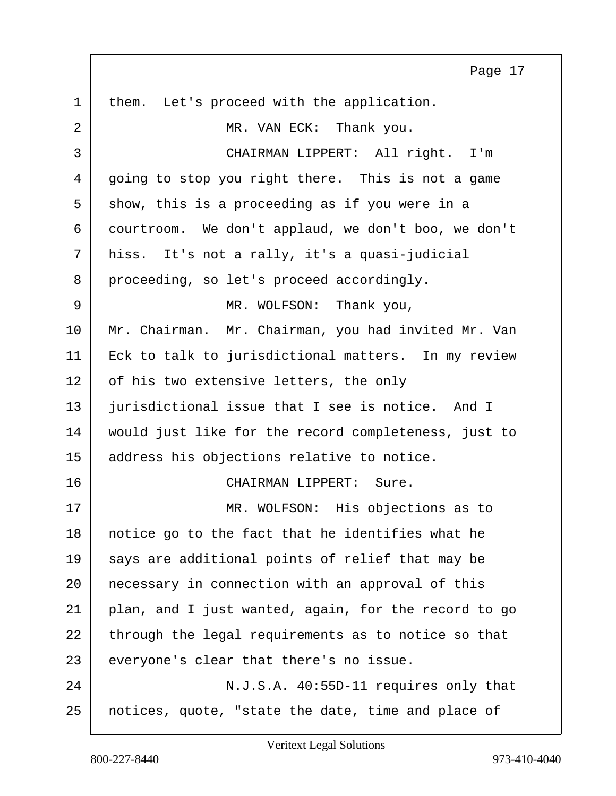1 | them. Let's proceed with the application. 2 MR. VAN ECK: Thank you. 3 CHAIRMAN LIPPERT: All right. I'm 4 going to stop you right there. This is not a game  $5$  show, this is a proceeding as if you were in a 6 courtroom. We don't applaud, we don't boo, we don't 7 hiss. It's not a rally, it's a quasi-judicial 8 proceeding, so let's proceed accordingly. 9 MR. WOLFSON: Thank you, 10 | Mr. Chairman. Mr. Chairman, you had invited Mr. Van 11 Eck to talk to jurisdictional matters. In my review 12 of his two extensive letters, the only 13 jurisdictional issue that I see is notice. And I 14 | would just like for the record completeness, just to 15 | address his objections relative to notice. 16 CHAIRMAN LIPPERT: Sure. 17 | MR. WOLFSON: His objections as to 18 | notice go to the fact that he identifies what he  $19$  says are additional points of relief that may be 20 | necessary in connection with an approval of this  $21$  plan, and I just wanted, again, for the record to go 22 through the legal requirements as to notice so that 23 everyone's clear that there's no issue. 24 N.J.S.A. 40:55D-11 requires only that 25 notices, quote, "state the date, time and place of Page 17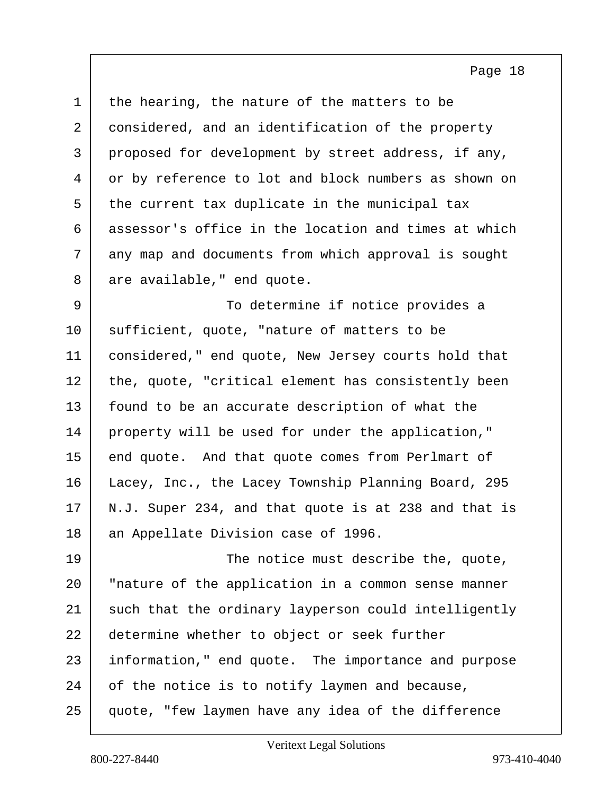$1$  the hearing, the nature of the matters to be 2 considered, and an identification of the property 3 proposed for development by street address, if any, 4 or by reference to lot and block numbers as shown on  $5$  the current tax duplicate in the municipal tax 6 assessor's office in the location and times at which 7 any map and documents from which approval is sought  $8$  are available," end quote.

9 To determine if notice provides a 10 | sufficient, quote, "nature of matters to be 11 considered," end quote, New Jersey courts hold that 12 the, quote, "critical element has consistently been 13 | found to be an accurate description of what the 14 property will be used for under the application," 15 end quote. And that quote comes from Perlmart of 16 Lacey, Inc., the Lacey Township Planning Board, 295  $17$  N.J. Super 234, and that quote is at 238 and that is 18 an Appellate Division case of 1996.

19 The notice must describe the, quote, 20 | "nature of the application in a common sense manner 21 such that the ordinary layperson could intelligently 22 determine whether to object or seek further 23 information," end quote. The importance and purpose 24 of the notice is to notify laymen and because, 25 quote, "few laymen have any idea of the difference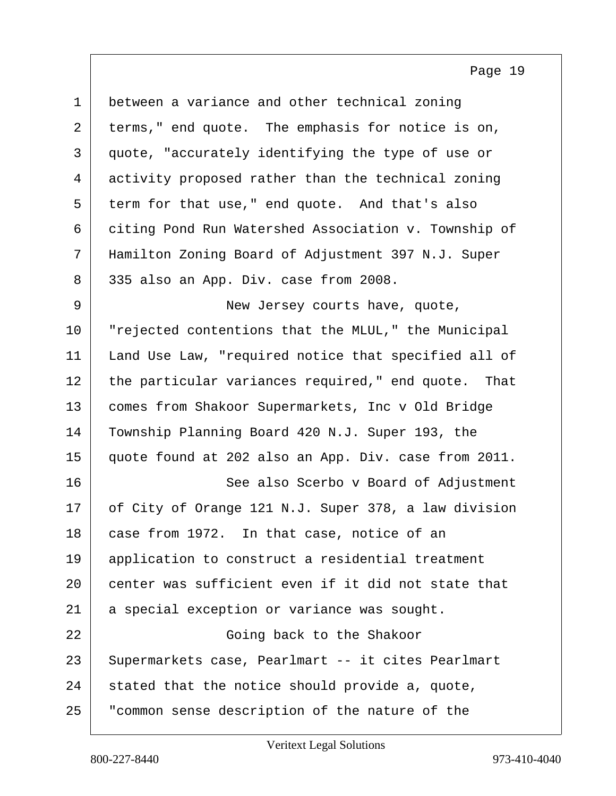| $\mathbf 1$ | between a variance and other technical zoning        |
|-------------|------------------------------------------------------|
| 2           | terms," end quote. The emphasis for notice is on,    |
| 3           | quote, "accurately identifying the type of use or    |
| 4           | activity proposed rather than the technical zoning   |
| 5           | term for that use," end quote. And that's also       |
| 6           | citing Pond Run Watershed Association v. Township of |
| 7           | Hamilton Zoning Board of Adjustment 397 N.J. Super   |
| 8           | 335 also an App. Div. case from 2008.                |
| 9           | New Jersey courts have, quote,                       |
| 10          | "rejected contentions that the MLUL," the Municipal  |
| 11          | Land Use Law, "required notice that specified all of |
| 12          | the particular variances required," end quote. That  |
| 13          | comes from Shakoor Supermarkets, Inc v Old Bridge    |
| 14          | Township Planning Board 420 N.J. Super 193, the      |
| 15          | quote found at 202 also an App. Div. case from 2011. |
| 16          | See also Scerbo v Board of Adjustment                |
| 17          | of City of Orange 121 N.J. Super 378, a law division |
| 18          | case from 1972. In that case, notice of an           |
| 19          | application to construct a residential treatment     |
| 20          | center was sufficient even if it did not state that  |
| 21          | a special exception or variance was sought.          |
| 22          | Going back to the Shakoor                            |
| 23          | Supermarkets case, Pearlmart -- it cites Pearlmart   |
| 24          | stated that the notice should provide a, quote,      |
| 25          | "common sense description of the nature of the       |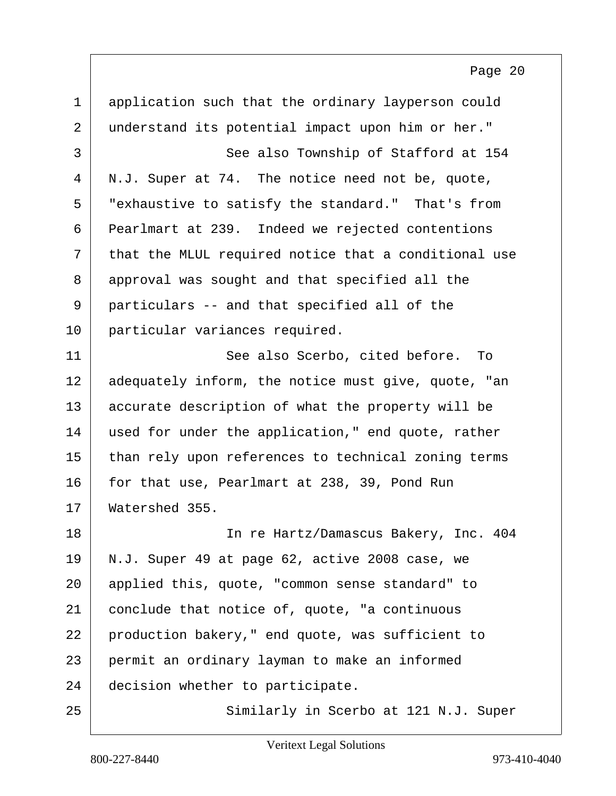1 application such that the ordinary layperson could 2 understand its potential impact upon him or her." 3 | See also Township of Stafford at 154  $4 \mid N.J.$  Super at 74. The notice need not be, quote, 5 "exhaustive to satisfy the standard." That's from 6 Pearlmart at 239. Indeed we rejected contentions  $7$  that the MLUL required notice that a conditional use 8 approval was sought and that specified all the 9 particulars -- and that specified all of the 10 particular variances required. 11 See also Scerbo, cited before. To 12 adequately inform, the notice must give, quote, "an 13 accurate description of what the property will be 14 used for under the application," end quote, rather 15 than rely upon references to technical zoning terms 16 for that use, Pearlmart at 238, 39, Pond Run 17 | Watershed 355. 18 In re Hartz/Damascus Bakery, Inc. 404 19 N.J. Super 49 at page 62, active 2008 case, we 20 applied this, quote, "common sense standard" to 21 conclude that notice of, quote, "a continuous 22 production bakery," end quote, was sufficient to 23 permit an ordinary layman to make an informed 24 decision whether to participate.

25 Similarly in Scerbo at 121 N.J. Super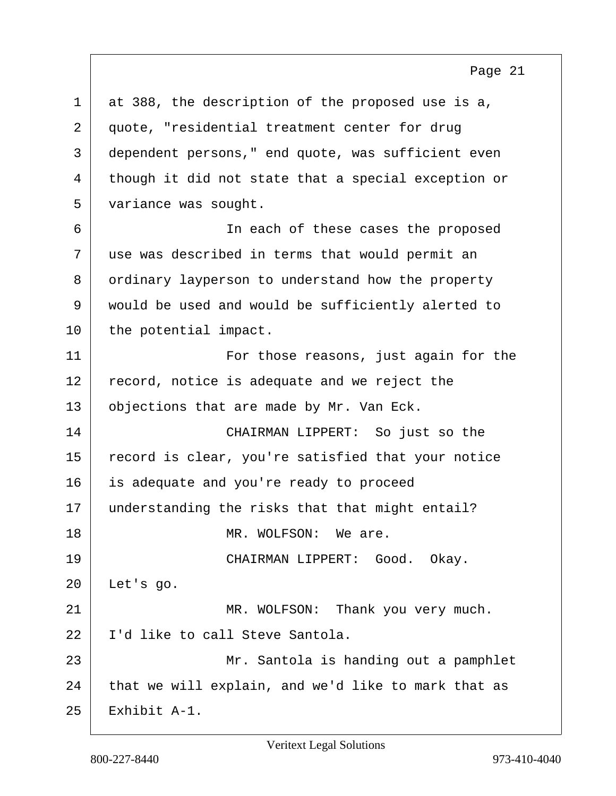1 at 388, the description of the proposed use is a, 2 quote, "residential treatment center for drug 3 dependent persons," end quote, was sufficient even 4 though it did not state that a special exception or 5 variance was sought. 6 In each of these cases the proposed 7 use was described in terms that would permit an 8 ordinary layperson to understand how the property 9 would be used and would be sufficiently alerted to 10 the potential impact. 11 | For those reasons, just again for the  $12$  record, notice is adequate and we reject the 13 | objections that are made by Mr. Van Eck. 14 CHAIRMAN LIPPERT: So just so the 15 record is clear, you're satisfied that your notice 16 is adequate and you're ready to proceed 17 understanding the risks that that might entail? 18 MR. WOLFSON: We are. 19 CHAIRMAN LIPPERT: Good. Okay. 20 Let's go. 21 MR. WOLFSON: Thank you very much. 22 | I'd like to call Steve Santola. 23 | Mr. Santola is handing out a pamphlet  $24$  that we will explain, and we'd like to mark that as 25 Exhibit A-1.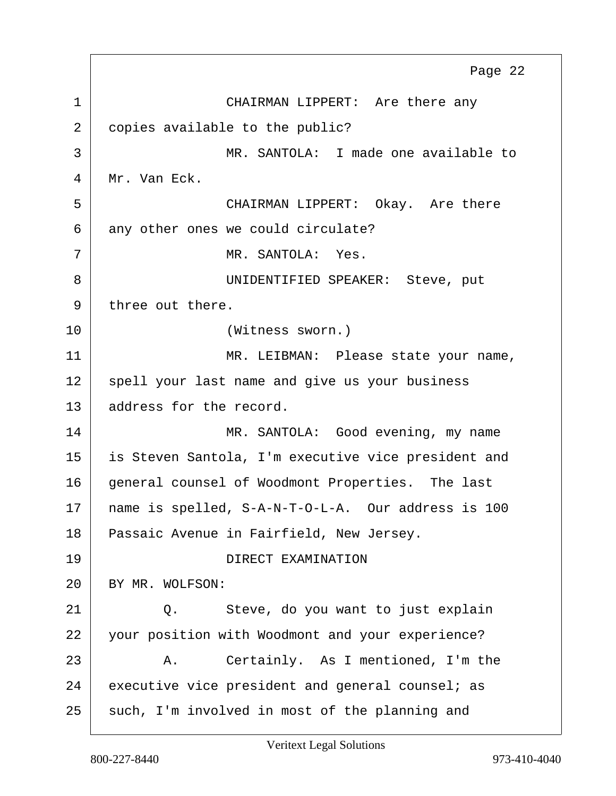1 CHAIRMAN LIPPERT: Are there any 2 copies available to the public? 3 MR. SANTOLA: I made one available to 4 Mr. Van Eck. 5 CHAIRMAN LIPPERT: Okay. Are there 6 any other ones we could circulate? 7 MR. SANTOLA: Yes. 8 | UNIDENTIFIED SPEAKER: Steve, put 9 three out there. 10 (Witness sworn.) 11 | MR. LEIBMAN: Please state your name, 12 spell your last name and give us your business 13 address for the record. 14 MR. SANTOLA: Good evening, my name 15 is Steven Santola, I'm executive vice president and 16 general counsel of Woodmont Properties. The last 17 name is spelled, S-A-N-T-O-L-A. Our address is 100 18 Passaic Avenue in Fairfield, New Jersey. 19 DIRECT EXAMINATION 20 BY MR. WOLFSON: 21 Q. Steve, do you want to just explain 22 your position with Woodmont and your experience? 23 A. Certainly. As I mentioned, I'm the  $24$  executive vice president and general counsel; as 25 such, I'm involved in most of the planning and Page 22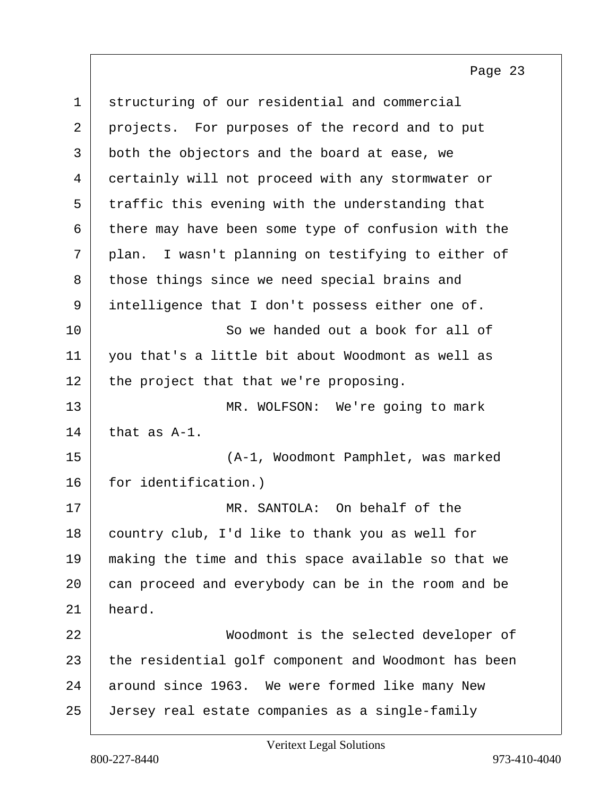| $\mathbf 1$ | structuring of our residential and commercial        |
|-------------|------------------------------------------------------|
| 2           | projects. For purposes of the record and to put      |
| 3           | both the objectors and the board at ease, we         |
| 4           | certainly will not proceed with any stormwater or    |
| 5           | traffic this evening with the understanding that     |
| 6           | there may have been some type of confusion with the  |
| 7           | plan. I wasn't planning on testifying to either of   |
| 8           | those things since we need special brains and        |
| 9           | intelligence that I don't possess either one of.     |
| 10          | So we handed out a book for all of                   |
| 11          | you that's a little bit about Woodmont as well as    |
| 12          | the project that that we're proposing.               |
| 13          | MR. WOLFSON: We're going to mark                     |
| 14          | that as A-1.                                         |
| 15          | (A-1, Woodmont Pamphlet, was marked                  |
| 16          | for identification.)                                 |
| 17          | MR. SANTOLA: On behalf of the                        |
| 18          | country club, I'd like to thank you as well for      |
| 19          | making the time and this space available so that we  |
| 20          | can proceed and everybody can be in the room and be  |
| 21          | heard.                                               |
| 22          | Woodmont is the selected developer of                |
| 23          | the residential golf component and Woodmont has been |
| 24          | around since 1963. We were formed like many New      |
| 25          | Jersey real estate companies as a single-family      |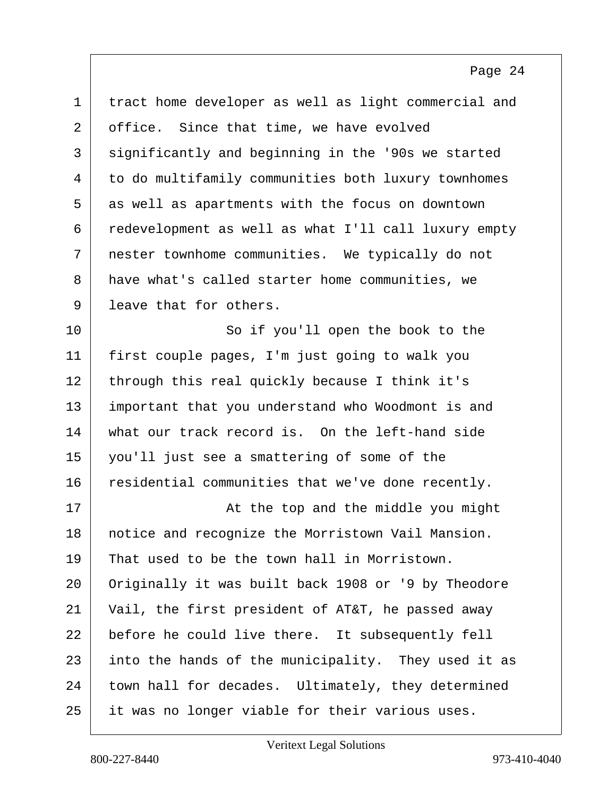| $\mathbf 1$    | tract home developer as well as light commercial and |
|----------------|------------------------------------------------------|
| $\overline{2}$ | office. Since that time, we have evolved             |
| 3              | significantly and beginning in the '90s we started   |
| 4              | to do multifamily communities both luxury townhomes  |
| 5              | as well as apartments with the focus on downtown     |
| 6              | redevelopment as well as what I'll call luxury empty |
| 7              | nester townhome communities. We typically do not     |
| 8              | have what's called starter home communities, we      |
| 9              | leave that for others.                               |
| 10             | So if you'll open the book to the                    |
| 11             | first couple pages, I'm just going to walk you       |
| 12             | through this real quickly because I think it's       |
| 13             | important that you understand who Woodmont is and    |
| 14             | what our track record is. On the left-hand side      |
| 15             | you'll just see a smattering of some of the          |
| 16             | residential communities that we've done recently.    |
| 17             | At the top and the middle you might                  |
| 18             | notice and recognize the Morristown Vail Mansion.    |
| 19             | That used to be the town hall in Morristown.         |
| 20             | Originally it was built back 1908 or '9 by Theodore  |
| 21             | Vail, the first president of AT&T, he passed away    |
| 22             | before he could live there. It subsequently fell     |
| 23             | into the hands of the municipality. They used it as  |
| 24             | town hall for decades. Ultimately, they determined   |
| 25             | it was no longer viable for their various uses.      |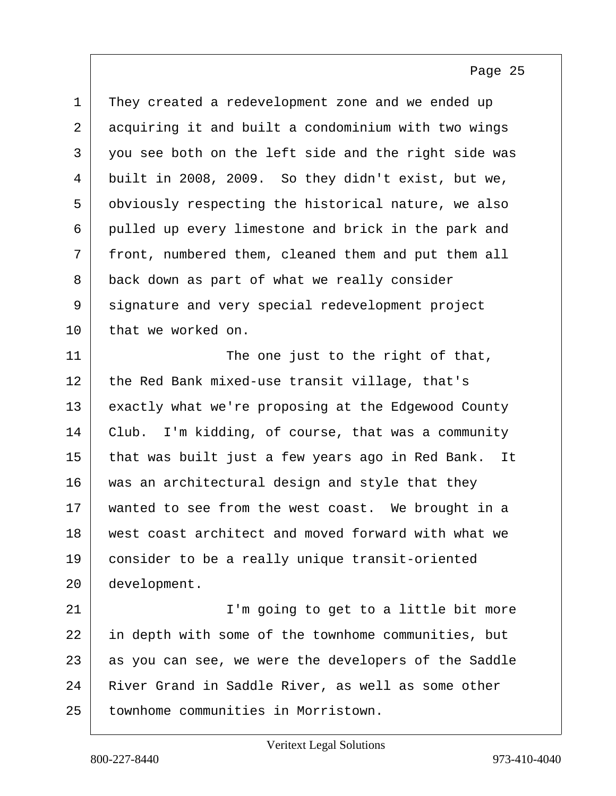1 They created a redevelopment zone and we ended up 2 acquiring it and built a condominium with two wings 3 you see both on the left side and the right side was 4 built in 2008, 2009. So they didn't exist, but we, 5 obviously respecting the historical nature, we also 6 pulled up every limestone and brick in the park and 7 front, numbered them, cleaned them and put them all 8 back down as part of what we really consider 9 signature and very special redevelopment project 10 that we worked on. 11 The one just to the right of that, 12 the Red Bank mixed-use transit village, that's 13 exactly what we're proposing at the Edgewood County 14 Club. I'm kidding, of course, that was a community 15 that was built just a few years ago in Red Bank. It 16 was an architectural design and style that they 17 | wanted to see from the west coast. We brought in a 18 west coast architect and moved forward with what we 19 consider to be a really unique transit-oriented 20 development. 21 | T'm going to get to a little bit more 22 in depth with some of the townhome communities, but  $23$  as you can see, we were the developers of the Saddle 24 River Grand in Saddle River, as well as some other

25 townhome communities in Morristown.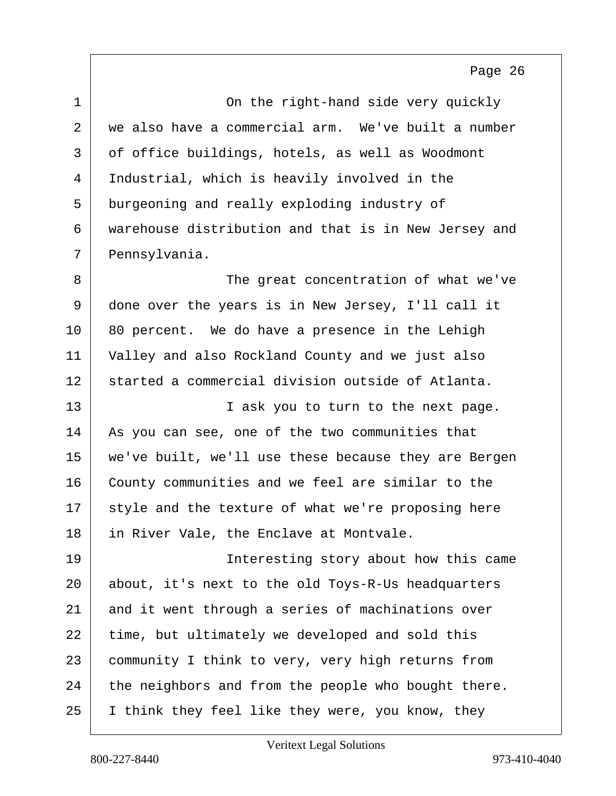| $\mathbf 1$ | On the right-hand side very quickly                  |
|-------------|------------------------------------------------------|
| 2           | we also have a commercial arm. We've built a number  |
| 3           | of office buildings, hotels, as well as Woodmont     |
| 4           | Industrial, which is heavily involved in the         |
| 5           | burgeoning and really exploding industry of          |
| 6           | warehouse distribution and that is in New Jersey and |
| 7           | Pennsylvania.                                        |
| 8           | The great concentration of what we've                |
| 9           | done over the years is in New Jersey, I'll call it   |
| 10          | 80 percent. We do have a presence in the Lehigh      |
| 11          | Valley and also Rockland County and we just also     |
| 12          | started a commercial division outside of Atlanta.    |
| 13          | I ask you to turn to the next page.                  |
| 14          | As you can see, one of the two communities that      |
| 15          | we've built, we'll use these because they are Bergen |
| 16          | County communities and we feel are similar to the    |
| 17          | style and the texture of what we're proposing here   |
| 18          | in River Vale, the Enclave at Montvale.              |
| 19          | Interesting story about how this came                |
| 20          | about, it's next to the old Toys-R-Us headquarters   |
| 21          | and it went through a series of machinations over    |
| 22          | time, but ultimately we developed and sold this      |
| 23          | community I think to very, very high returns from    |
| 24          | the neighbors and from the people who bought there.  |
| 25          | I think they feel like they were, you know, they     |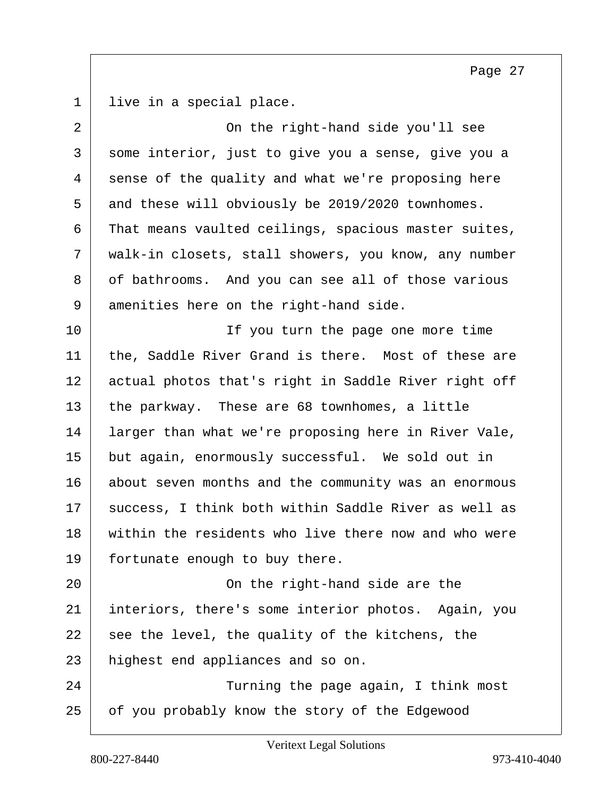live in a special place.

| $\overline{2}$ | On the right-hand side you'll see                    |
|----------------|------------------------------------------------------|
| 3              | some interior, just to give you a sense, give you a  |
| 4              | sense of the quality and what we're proposing here   |
| 5              | and these will obviously be 2019/2020 townhomes.     |
| 6              | That means vaulted ceilings, spacious master suites, |
| 7              | walk-in closets, stall showers, you know, any number |
| 8              | of bathrooms. And you can see all of those various   |
| 9              | amenities here on the right-hand side.               |
| 10             | If you turn the page one more time                   |
| 11             | the, Saddle River Grand is there. Most of these are  |
| 12             | actual photos that's right in Saddle River right off |
| 13             | the parkway. These are 68 townhomes, a little        |
| 14             | larger than what we're proposing here in River Vale, |
| 15             | but again, enormously successful. We sold out in     |
| 16             | about seven months and the community was an enormous |
| 17             | success, I think both within Saddle River as well as |
| 18             | within the residents who live there now and who were |
| 19             | fortunate enough to buy there.                       |
| 20             | On the right-hand side are the                       |
| 21             | interiors, there's some interior photos. Again, you  |
| 22             | see the level, the quality of the kitchens, the      |
| 23             | highest end appliances and so on.                    |
| 24             | Turning the page again, I think most                 |
| 25             | of you probably know the story of the Edgewood       |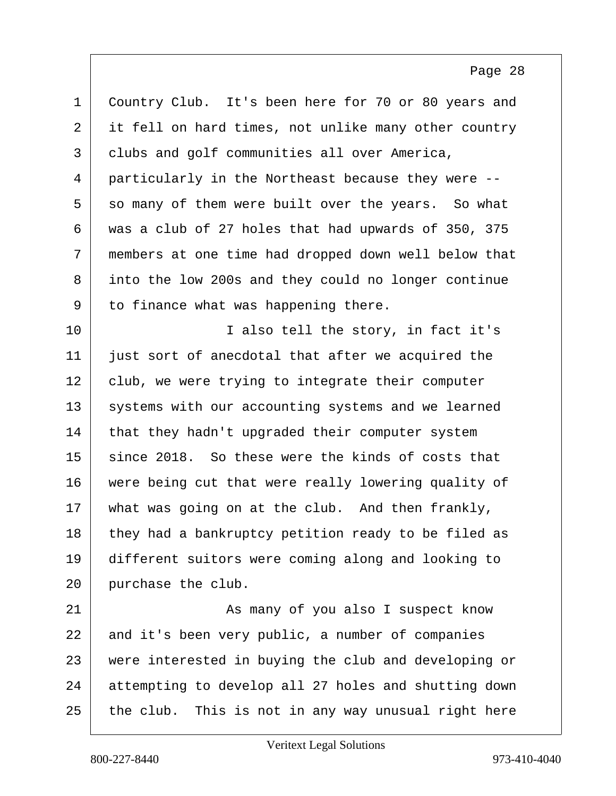1 Country Club. It's been here for 70 or 80 years and 2 it fell on hard times, not unlike many other country 3 clubs and golf communities all over America, 4 particularly in the Northeast because they were -- 5 so many of them were built over the years. So what 6 was a club of 27 holes that had upwards of 350, 375 7 members at one time had dropped down well below that 8 into the low 200s and they could no longer continue 9 to finance what was happening there. 10 | T also tell the story, in fact it's 11 just sort of anecdotal that after we acquired the  $12$  club, we were trying to integrate their computer 13 systems with our accounting systems and we learned 14 that they hadn't upgraded their computer system 15 since 2018. So these were the kinds of costs that 16 were being cut that were really lowering quality of 17 | what was going on at the club. And then frankly, 18 they had a bankruptcy petition ready to be filed as 19 different suitors were coming along and looking to 20 purchase the club. 21 | As many of you also I suspect know 22 and it's been very public, a number of companies 23 were interested in buying the club and developing or 24 attempting to develop all 27 holes and shutting down  $25$  the club. This is not in any way unusual right here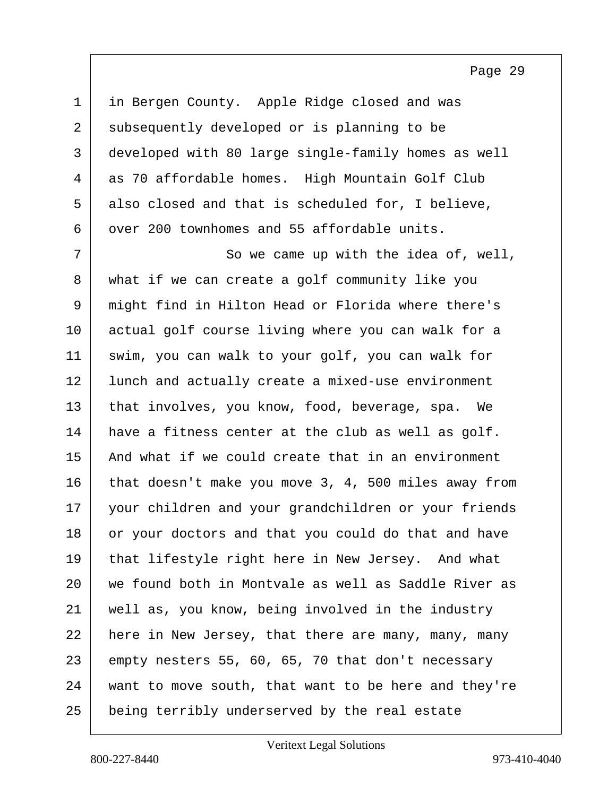| $\mathbf 1$ | in Bergen County. Apple Ridge closed and was         |
|-------------|------------------------------------------------------|
| 2           | subsequently developed or is planning to be          |
| 3           | developed with 80 large single-family homes as well  |
| 4           | as 70 affordable homes. High Mountain Golf Club      |
| 5           | also closed and that is scheduled for, I believe,    |
| 6           | over 200 townhomes and 55 affordable units.          |
| 7           | So we came up with the idea of, well,                |
| 8           | what if we can create a golf community like you      |
| 9           | might find in Hilton Head or Florida where there's   |
| 10          | actual golf course living where you can walk for a   |
| 11          | swim, you can walk to your golf, you can walk for    |
| 12          | lunch and actually create a mixed-use environment    |
| 13          | that involves, you know, food, beverage, spa. We     |
| 14          | have a fitness center at the club as well as golf.   |
| 15          | And what if we could create that in an environment   |
| 16          | that doesn't make you move 3, 4, 500 miles away from |
| 17          | your children and your grandchildren or your friends |
| 18          | or your doctors and that you could do that and have  |
| 19          | that lifestyle right here in New Jersey. And what    |
| 20          | we found both in Montvale as well as Saddle River as |
| 21          | well as, you know, being involved in the industry    |
| 22          | here in New Jersey, that there are many, many, many  |
| 23          | empty nesters 55, 60, 65, 70 that don't necessary    |
| 24          | want to move south, that want to be here and they're |
| 25          | being terribly underserved by the real estate        |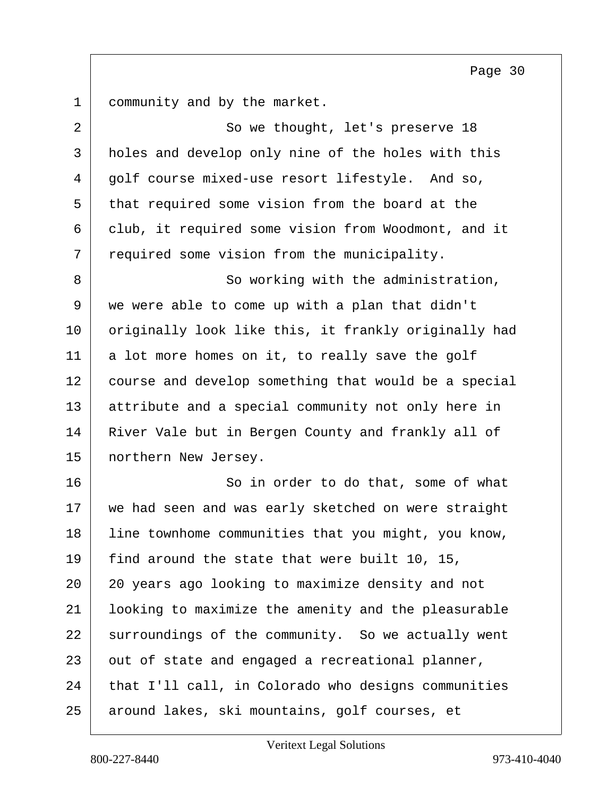1 community and by the market.

| 2  | So we thought, let's preserve 18                     |
|----|------------------------------------------------------|
| 3  | holes and develop only nine of the holes with this   |
| 4  | golf course mixed-use resort lifestyle. And so,      |
| 5  | that required some vision from the board at the      |
| 6  | club, it required some vision from Woodmont, and it  |
| 7  | required some vision from the municipality.          |
| 8  | So working with the administration,                  |
| 9  | we were able to come up with a plan that didn't      |
| 10 | originally look like this, it frankly originally had |
| 11 | a lot more homes on it, to really save the golf      |
| 12 | course and develop something that would be a special |
| 13 | attribute and a special community not only here in   |
| 14 | River Vale but in Bergen County and frankly all of   |
| 15 | northern New Jersey.                                 |
| 16 | So in order to do that, some of what                 |
| 17 | we had seen and was early sketched on were straight  |
| 18 | line townhome communities that you might, you know,  |
| 19 | find around the state that were built 10, 15,        |
| 20 | 20 years ago looking to maximize density and not     |
| 21 | looking to maximize the amenity and the pleasurable  |
| 22 | surroundings of the community. So we actually went   |
| 23 | out of state and engaged a recreational planner,     |
| 24 | that I'll call, in Colorado who designs communities  |
| 25 | around lakes, ski mountains, golf courses, et        |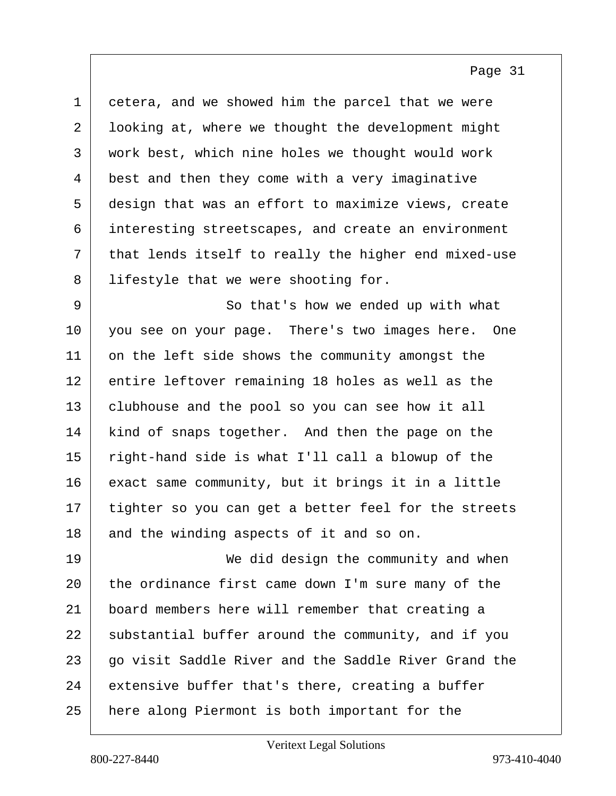1 cetera, and we showed him the parcel that we were 2 looking at, where we thought the development might 3 work best, which nine holes we thought would work 4 best and then they come with a very imaginative 5 design that was an effort to maximize views, create 6 interesting streetscapes, and create an environment  $7$  that lends itself to really the higher end mixed-use 8 | lifestyle that we were shooting for. 9 So that's how we ended up with what

10 you see on your page. There's two images here. One 11 on the left side shows the community amongst the 12 entire leftover remaining 18 holes as well as the 13 | clubhouse and the pool so you can see how it all 14 kind of snaps together. And then the page on the 15 right-hand side is what I'll call a blowup of the 16 exact same community, but it brings it in a little 17 tighter so you can get a better feel for the streets 18 and the winding aspects of it and so on.

19 We did design the community and when 20 the ordinance first came down I'm sure many of the 21 board members here will remember that creating a 22 | substantial buffer around the community, and if you 23 go visit Saddle River and the Saddle River Grand the  $24$  extensive buffer that's there, creating a buffer 25 here along Piermont is both important for the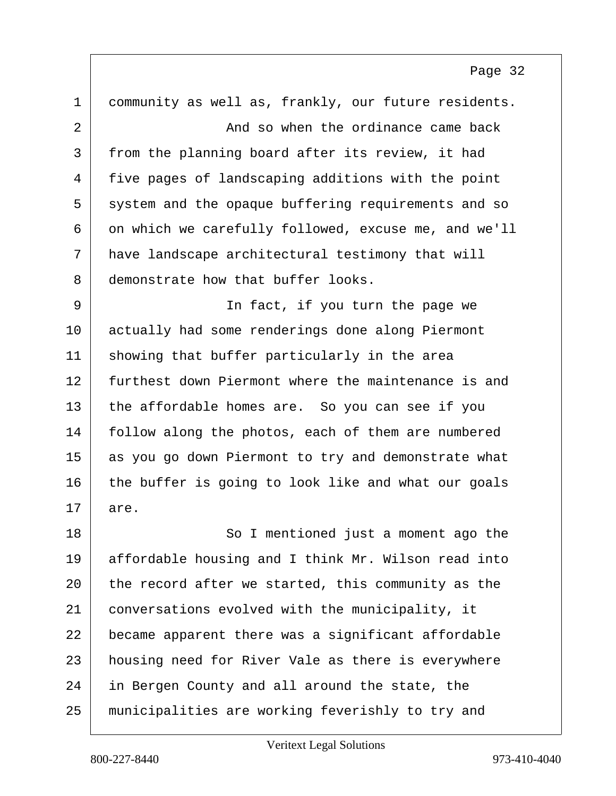1 community as well as, frankly, our future residents. 2 and so when the ordinance came back 3 from the planning board after its review, it had 4 five pages of landscaping additions with the point 5 system and the opaque buffering requirements and so 6 on which we carefully followed, excuse me, and we'll 7 have landscape architectural testimony that will 8 demonstrate how that buffer looks. 9 | Southern Theorem In fact, if you turn the page we 10 actually had some renderings done along Piermont 11 | showing that buffer particularly in the area 12 furthest down Piermont where the maintenance is and 13 the affordable homes are. So you can see if you 14 follow along the photos, each of them are numbered 15 as you go down Piermont to try and demonstrate what 16 the buffer is going to look like and what our goals 17 are. 18 So I mentioned just a moment ago the 19 affordable housing and I think Mr. Wilson read into 20 the record after we started, this community as the 21 conversations evolved with the municipality, it 22 became apparent there was a significant affordable 23 housing need for River Vale as there is everywhere 24 in Bergen County and all around the state, the 25 municipalities are working feverishly to try and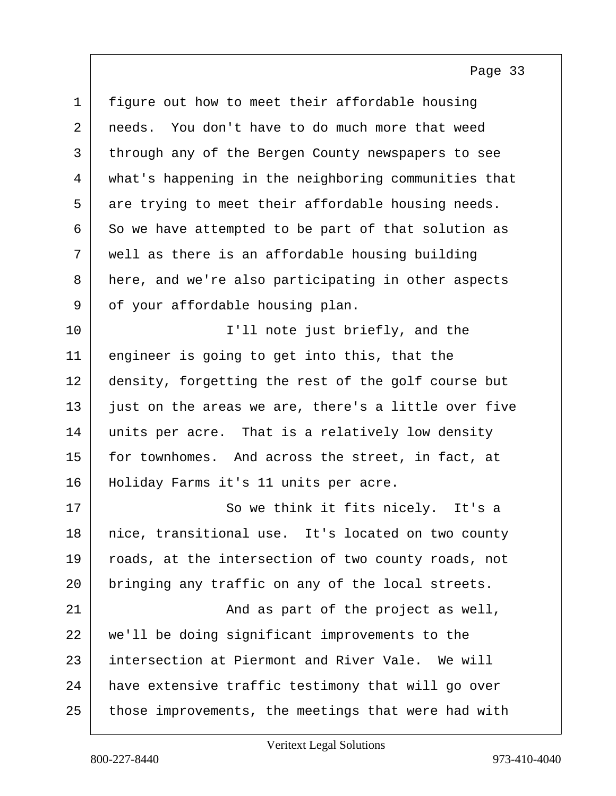1 figure out how to meet their affordable housing 2 needs. You don't have to do much more that weed 3 through any of the Bergen County newspapers to see 4 what's happening in the neighboring communities that  $5$  are trying to meet their affordable housing needs.  $6 \mid$  So we have attempted to be part of that solution as  $7$  well as there is an affordable housing building 8 here, and we're also participating in other aspects 9 of your affordable housing plan. 10 | T'll note just briefly, and the 11 engineer is going to get into this, that the 12 density, forgetting the rest of the golf course but  $13$  just on the areas we are, there's a little over five 14 units per acre. That is a relatively low density 15 for townhomes. And across the street, in fact, at 16 | Holiday Farms it's 11 units per acre. 17 | So we think it fits nicely. It's a 18 | nice, transitional use. It's located on two county 19 roads, at the intersection of two county roads, not 20 bringing any traffic on any of the local streets. 21 and as part of the project as well, 22 we'll be doing significant improvements to the 23 intersection at Piermont and River Vale. We will 24 have extensive traffic testimony that will go over 25 those improvements, the meetings that were had with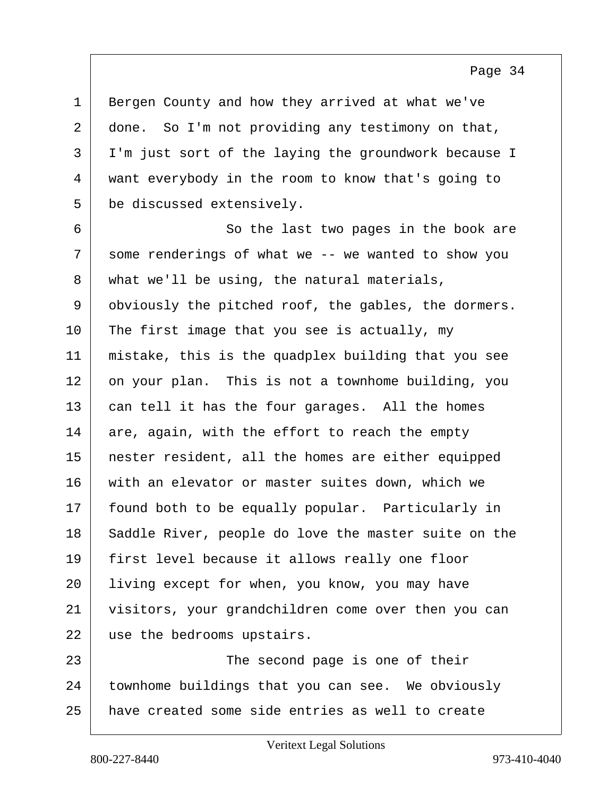1 Bergen County and how they arrived at what we've  $2 \mid$  done. So I'm not providing any testimony on that, 3 I'm just sort of the laying the groundwork because I 4 want everybody in the room to know that's going to 5 be discussed extensively.

6 So the last two pages in the book are  $7$  some renderings of what we -- we wanted to show you 8 what we'll be using, the natural materials, 9 obviously the pitched roof, the gables, the dormers.  $10$  The first image that you see is actually, my 11 mistake, this is the quadplex building that you see 12 on your plan. This is not a townhome building, you 13 can tell it has the four garages. All the homes  $14$  are, again, with the effort to reach the empty 15 nester resident, all the homes are either equipped 16 with an elevator or master suites down, which we 17 | found both to be equally popular. Particularly in 18 Saddle River, people do love the master suite on the 19 first level because it allows really one floor 20 | living except for when, you know, you may have 21 visitors, your grandchildren come over then you can 22 use the bedrooms upstairs.

23 The second page is one of their 24 townhome buildings that you can see. We obviously 25 have created some side entries as well to create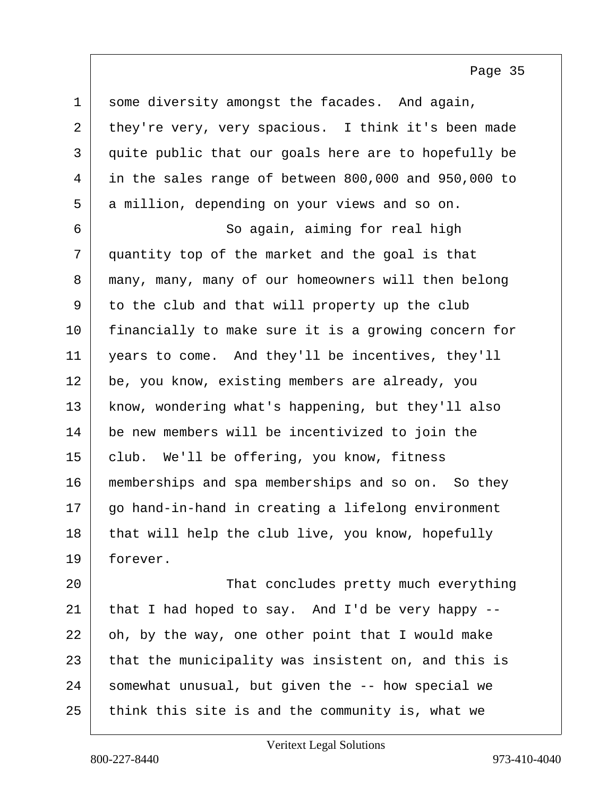$1$  some diversity amongst the facades. And again, 2 they're very, very spacious. I think it's been made 3 quite public that our goals here are to hopefully be 4 in the sales range of between 800,000 and 950,000 to 5 a million, depending on your views and so on. 6 So again, aiming for real high 7 quantity top of the market and the goal is that 8 many, many, many of our homeowners will then belong 9 to the club and that will property up the club 10 | financially to make sure it is a growing concern for 11 years to come. And they'll be incentives, they'll 12 be, you know, existing members are already, you 13 | know, wondering what's happening, but they'll also 14 be new members will be incentivized to join the 15 club. We'll be offering, you know, fitness 16 | memberships and spa memberships and so on. So they 17 go hand-in-hand in creating a lifelong environment 18 that will help the club live, you know, hopefully 19 forever.

20 | That concludes pretty much everything 21 that I had hoped to say. And I'd be very happy  $22$  oh, by the way, one other point that I would make  $23$  that the municipality was insistent on, and this is 24 somewhat unusual, but given the -- how special we  $25$  think this site is and the community is, what we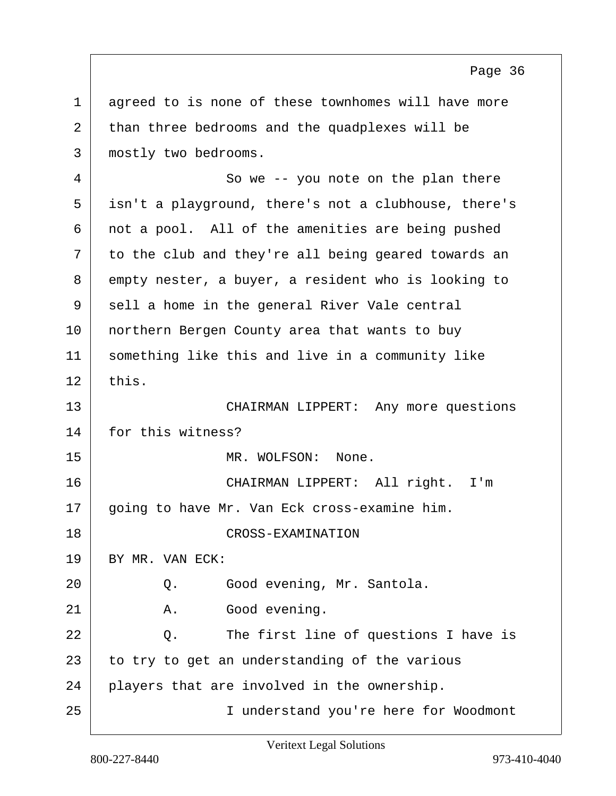1 agreed to is none of these townhomes will have more 2 than three bedrooms and the quadplexes will be 3 mostly two bedrooms. 4 So we -- you note on the plan there 5 isn't a playground, there's not a clubhouse, there's 6 not a pool. All of the amenities are being pushed 7 to the club and they're all being geared towards an 8 empty nester, a buyer, a resident who is looking to 9 sell a home in the general River Vale central 10 | northern Bergen County area that wants to buy 11 something like this and live in a community like  $12$  this. 13 CHAIRMAN LIPPERT: Any more questions 14 for this witness? 15 MR. WOLFSON: None. 16 CHAIRMAN LIPPERT: All right. I'm 17 | going to have Mr. Van Eck cross-examine him. 18 CROSS-EXAMINATION 19 BY MR. VAN ECK: 20 Q. Good evening, Mr. Santola. 21 A. Good evening.  $22$  Q. The first line of questions I have is  $23$  to try to get an understanding of the various 24 players that are involved in the ownership. 25 I understand you're here for Woodmont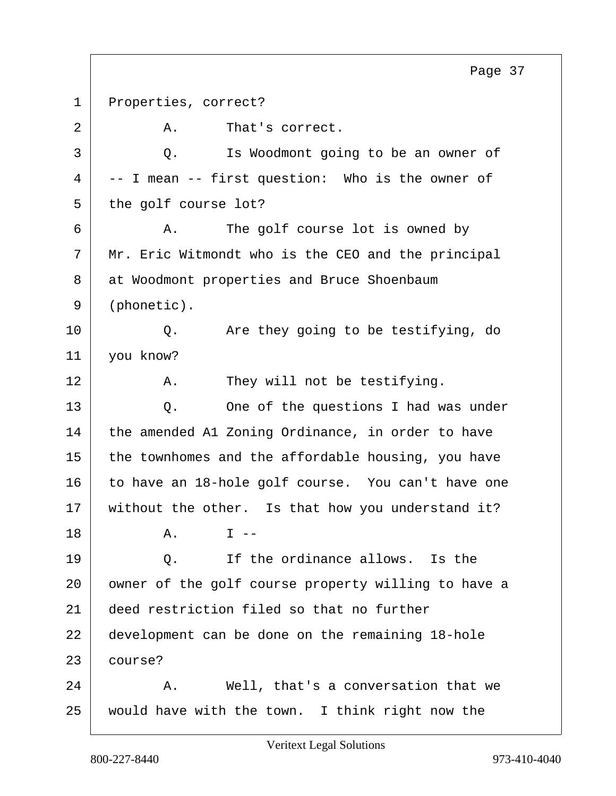1 Properties, correct? 2 A. That's correct. 3 Q. Is Woodmont going to be an owner of  $4$  -- I mean -- first question: Who is the owner of 5 the golf course lot? 6 A. The golf course lot is owned by  $7$  Mr. Eric Witmondt who is the CEO and the principal 8 at Woodmont properties and Bruce Shoenbaum 9 (phonetic). 10 | Q. Are they going to be testifying, do 11 you know? 12 A. They will not be testifying. 13 Q. One of the questions I had was under 14 the amended A1 Zoning Ordinance, in order to have  $15$  the townhomes and the affordable housing, you have 16 to have an 18-hole golf course. You can't have one 17 without the other. Is that how you understand it?  $18$  A.  $T$  --19 O. If the ordinance allows. Is the 20 | owner of the golf course property willing to have a 21 deed restriction filed so that no further 22 development can be done on the remaining 18-hole 23 course?  $24$  A. Well, that's a conversation that we 25 would have with the town. I think right now the Page 37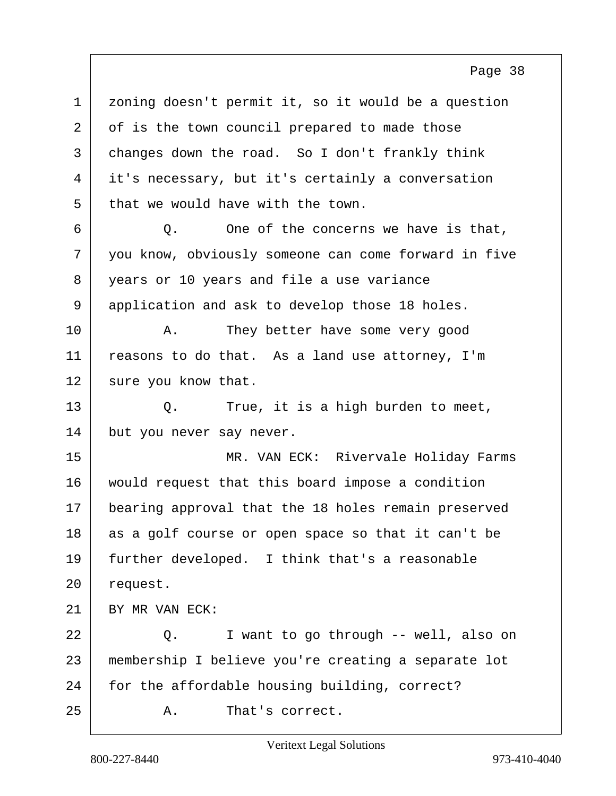1 | zoning doesn't permit it, so it would be a question 2 of is the town council prepared to made those 3 changes down the road. So I don't frankly think 4 it's necessary, but it's certainly a conversation  $5$  that we would have with the town.

 Q. One of the concerns we have is that, you know, obviously someone can come forward in five 8 vears or 10 years and file a use variance application and ask to develop those 18 holes.

10 | A. They better have some very good 11 reasons to do that. As a land use attorney, I'm 12 sure you know that.

13 Q. True, it is a high burden to meet, 14 but you never say never.

15 MR. VAN ECK: Rivervale Holiday Farms 16 would request that this board impose a condition 17 | bearing approval that the 18 holes remain preserved 18 as a golf course or open space so that it can't be 19 further developed. I think that's a reasonable 20 request.

21 BY MR VAN ECK:

22 Q. I want to go through -- well, also on 23 membership I believe you're creating a separate lot 24 for the affordable housing building, correct?

25 A. That's correct.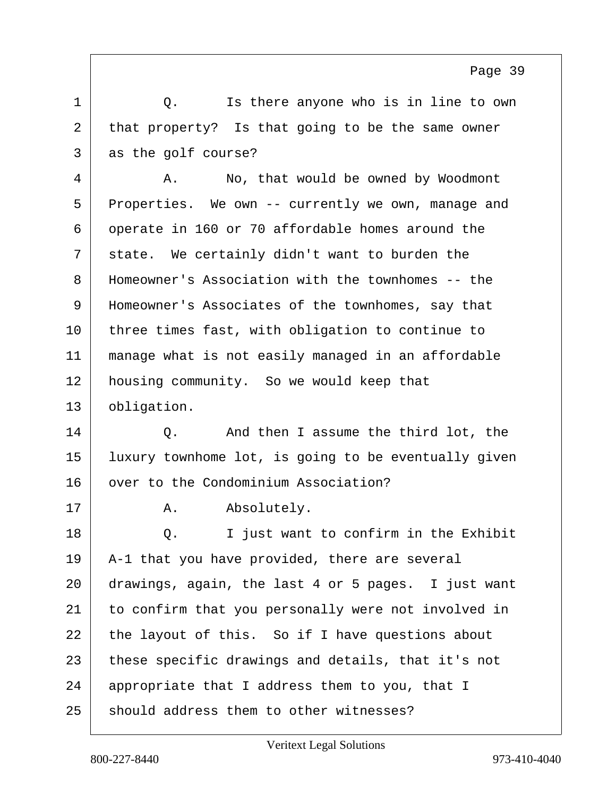1 1 O. Is there anyone who is in line to own 2 that property? Is that going to be the same owner 3 as the golf course?

4 A. No, that would be owned by Woodmont 5 Properties. We own -- currently we own, manage and 6 operate in 160 or 70 affordable homes around the  $7$  state. We certainly didn't want to burden the 8 Homeowner's Association with the townhomes -- the 9 Homeowner's Associates of the townhomes, say that 10 | three times fast, with obligation to continue to 11 manage what is not easily managed in an affordable 12 housing community. So we would keep that 13 obligation.

14 O. And then I assume the third lot, the 15 luxury townhome lot, is going to be eventually given 16 over to the Condominium Association?

17 | A. Absolutely. 18 | Q. I just want to confirm in the Exhibit 19 A-1 that you have provided, there are several 20 drawings, again, the last 4 or 5 pages. I just want 21 to confirm that you personally were not involved in  $22$  the layout of this. So if I have questions about 23 these specific drawings and details, that it's not 24 appropriate that I address them to you, that I  $25$  should address them to other witnesses?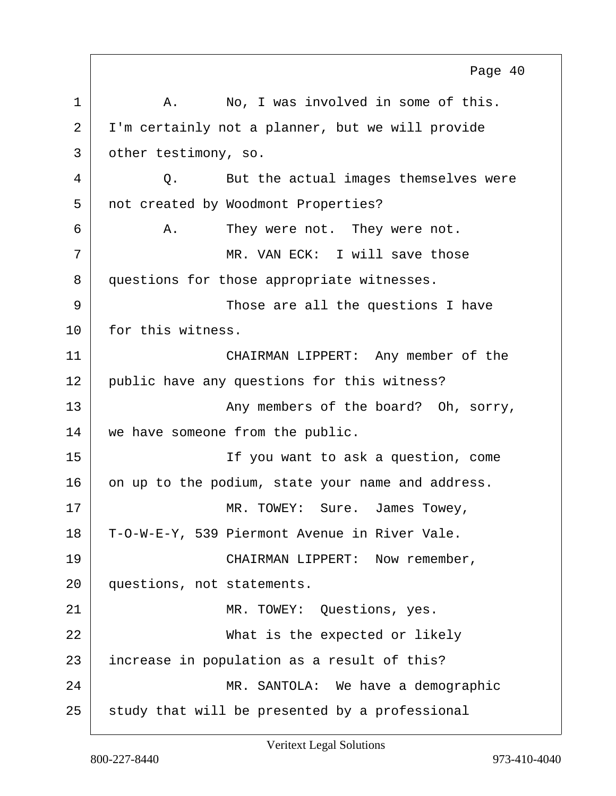1 A. No, I was involved in some of this. 2 I'm certainly not a planner, but we will provide 3 other testimony, so. 4 Q. But the actual images themselves were 5 not created by Woodmont Properties? 6 A. They were not. They were not. 7 MR. VAN ECK: I will save those 8 questions for those appropriate witnesses. 9 Those are all the questions I have 10 for this witness. 11 CHAIRMAN LIPPERT: Any member of the 12 public have any questions for this witness? 13 | Any members of the board? Oh, sorry, 14 we have someone from the public. 15 If you want to ask a question, come 16 on up to the podium, state your name and address. 17 MR. TOWEY: Sure. James Towey, 18 T-O-W-E-Y, 539 Piermont Avenue in River Vale. 19 CHAIRMAN LIPPERT: Now remember, 20 questions, not statements. 21 MR. TOWEY: Ouestions, yes. 22 What is the expected or likely 23 increase in population as a result of this? 24 MR. SANTOLA: We have a demographic  $25$  study that will be presented by a professional Page 40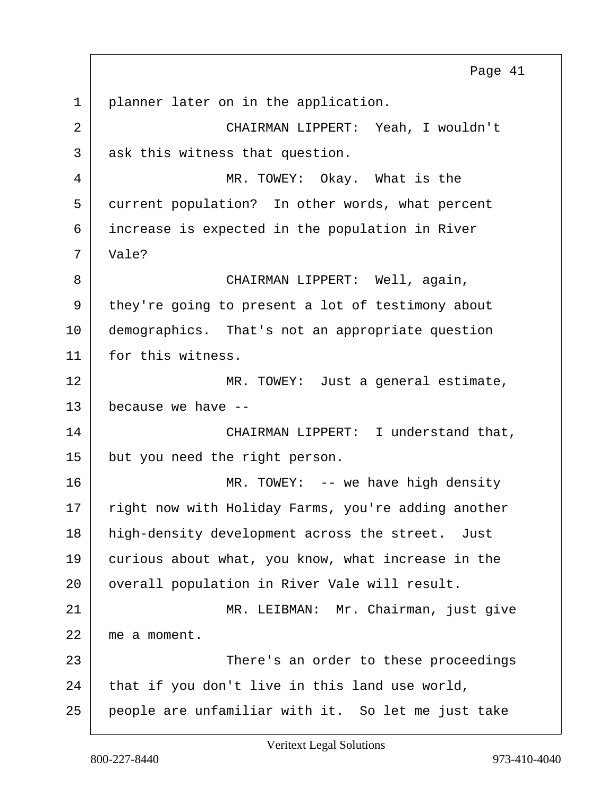1 | planner later on in the application. 2 CHAIRMAN LIPPERT: Yeah, I wouldn't 3 ask this witness that question. 4 MR. TOWEY: Okay. What is the 5 current population? In other words, what percent 6 increase is expected in the population in River 7 | Vale? 8 | CHAIRMAN LIPPERT: Well, again, 9 they're going to present a lot of testimony about 10 demographics. That's not an appropriate question 11 for this witness. 12 MR. TOWEY: Just a general estimate,  $13$  because we have  $-$ 14 CHAIRMAN LIPPERT: I understand that, 15 but you need the right person. 16 MR. TOWEY: -- we have high density 17 | right now with Holiday Farms, you're adding another 18 high-density development across the street. Just 19 curious about what, you know, what increase in the 20 | overall population in River Vale will result. 21 | MR. LEIBMAN: Mr. Chairman, just qive 22 me a moment. 23 | There's an order to these proceedings  $24$  that if you don't live in this land use world, 25 people are unfamiliar with it. So let me just take Page 41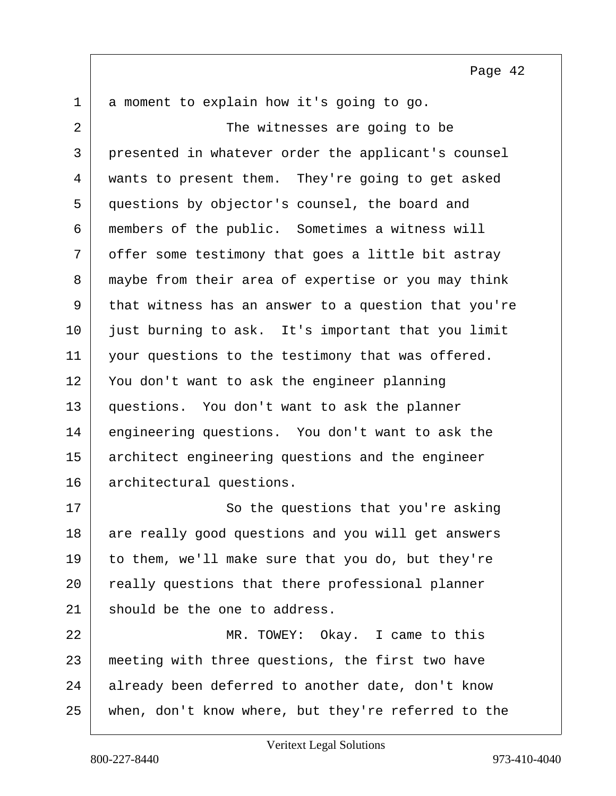$1$  a moment to explain how it's going to go.

2 The witnesses are going to be 3 presented in whatever order the applicant's counsel 4 wants to present them. They're going to get asked 5 questions by objector's counsel, the board and 6 members of the public. Sometimes a witness will 7 offer some testimony that goes a little bit astray 8 maybe from their area of expertise or you may think 9 that witness has an answer to a question that you're 10 just burning to ask. It's important that you limit 11 your questions to the testimony that was offered. 12 You don't want to ask the engineer planning 13 questions. You don't want to ask the planner 14 engineering questions. You don't want to ask the 15 architect engineering questions and the engineer 16 architectural questions.

17 So the questions that you're asking 18 are really good questions and you will get answers 19 to them, we'll make sure that you do, but they're 20 | really questions that there professional planner 21 should be the one to address.

22 MR. TOWEY: Okay. I came to this 23 meeting with three questions, the first two have 24 already been deferred to another date, don't know 25 when, don't know where, but they're referred to the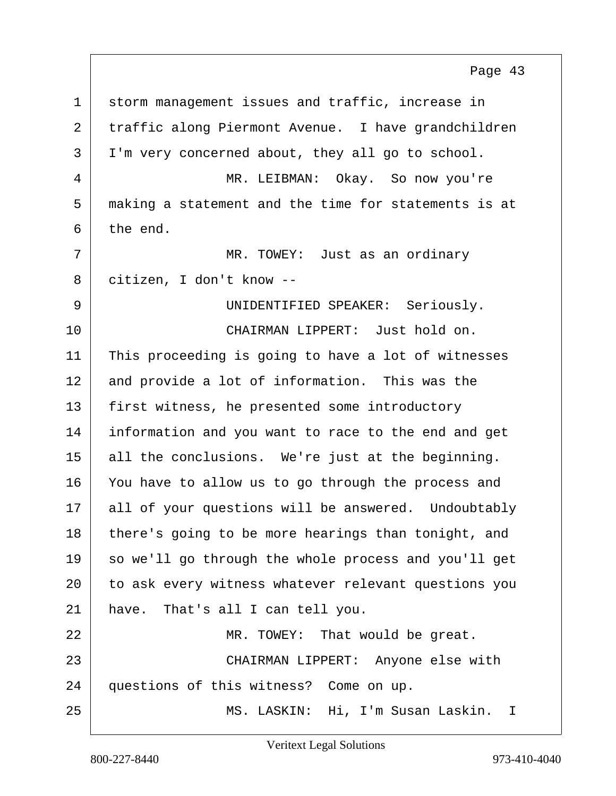1 storm management issues and traffic, increase in 2 traffic along Piermont Avenue. I have grandchildren 3 | I'm very concerned about, they all go to school. 4 MR. LEIBMAN: Okay. So now you're 5 making a statement and the time for statements is at  $6$  the end. 7 MR. TOWEY: Just as an ordinary 8 citizen, I don't know -- 9 UNIDENTIFIED SPEAKER: Seriously. 10 CHAIRMAN LIPPERT: Just hold on. 11 This proceeding is going to have a lot of witnesses 12 and provide a lot of information. This was the 13 | first witness, he presented some introductory 14 information and you want to race to the end and get 15 all the conclusions. We're just at the beginning. 16 You have to allow us to go through the process and 17 all of your questions will be answered. Undoubtably 18 there's going to be more hearings than tonight, and 19 so we'll go through the whole process and you'll get 20 to ask every witness whatever relevant questions you 21 have. That's all I can tell you. 22 MR. TOWEY: That would be great. 23 CHAIRMAN LIPPERT: Anyone else with 24 questions of this witness? Come on up. 25 MS. LASKIN: Hi, I'm Susan Laskin. I Page 43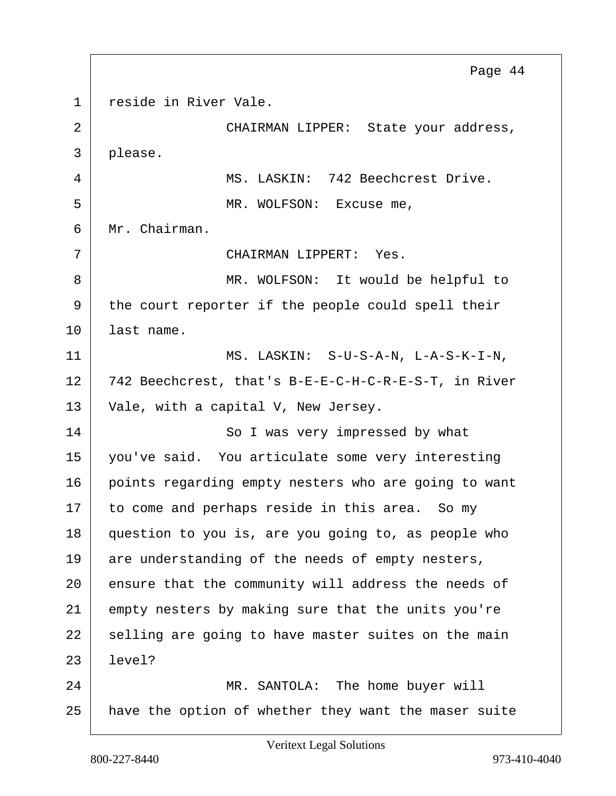1 reside in River Vale. 2 CHAIRMAN LIPPER: State your address, 3 please. 4 MS. LASKIN: 742 Beechcrest Drive. 5 MR. WOLFSON: Excuse me, 6 Mr. Chairman. 7 CHAIRMAN LIPPERT: Yes. 8 MR. WOLFSON: It would be helpful to 9 the court reporter if the people could spell their 10 last name. 11 MS. LASKIN: S-U-S-A-N, L-A-S-K-I-N, 12 742 Beechcrest, that's B-E-E-C-H-C-R-E-S-T, in River  $13$  Vale, with a capital V, New Jersey. 14 So I was very impressed by what 15 you've said. You articulate some very interesting 16 points regarding empty nesters who are going to want 17 to come and perhaps reside in this area. So my 18 question to you is, are you going to, as people who  $19$  are understanding of the needs of empty nesters, 20 ensure that the community will address the needs of 21 empty nesters by making sure that the units you're 22 selling are going to have master suites on the main 23 level? 24 MR. SANTOLA: The home buyer will 25 have the option of whether they want the maser suite Page 44

Veritext Legal Solutions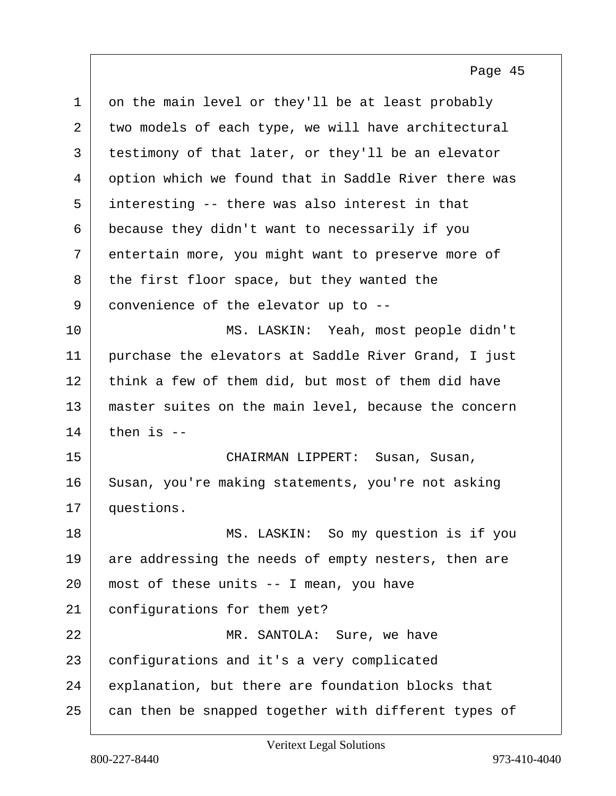| $\mathbf 1$ | on the main level or they'll be at least probably    |
|-------------|------------------------------------------------------|
| 2           | two models of each type, we will have architectural  |
| 3           | testimony of that later, or they'll be an elevator   |
| 4           | option which we found that in Saddle River there was |
| 5           | interesting -- there was also interest in that       |
| 6           | because they didn't want to necessarily if you       |
| 7           | entertain more, you might want to preserve more of   |
| 8           | the first floor space, but they wanted the           |
| 9           | convenience of the elevator up to --                 |
| 10          | MS. LASKIN: Yeah, most people didn't                 |
| 11          | purchase the elevators at Saddle River Grand, I just |
| 12          | think a few of them did, but most of them did have   |
| 13          | master suites on the main level, because the concern |
| 14          | then is $-$                                          |
| 15          | CHAIRMAN LIPPERT: Susan, Susan,                      |
| 16          | Susan, you're making statements, you're not asking   |
| 17          | questions.                                           |
| 18          | MS. LASKIN: So my question is if you                 |
| 19          | are addressing the needs of empty nesters, then are  |
| 20          | most of these units -- I mean, you have              |
| 21          | configurations for them yet?                         |
| 22          | MR. SANTOLA: Sure, we have                           |
| 23          | configurations and it's a very complicated           |
| 24          | explanation, but there are foundation blocks that    |
| 25          | can then be snapped together with different types of |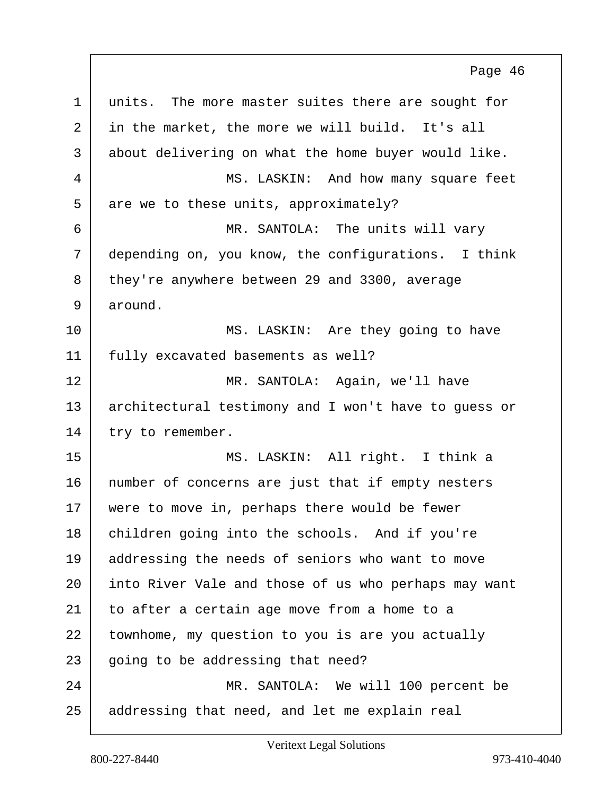1 units. The more master suites there are sought for 2 in the market, the more we will build. It's all 3 about delivering on what the home buyer would like. 4 MS. LASKIN: And how many square feet  $5$  are we to these units, approximately? 6 MR. SANTOLA: The units will vary 7 depending on, you know, the configurations. I think 8 they're anywhere between 29 and 3300, average 9 around. 10 MS. LASKIN: Are they going to have 11 | fully excavated basements as well? 12 MR. SANTOLA: Again, we'll have 13 architectural testimony and I won't have to guess or 14 try to remember. 15 MS. LASKIN: All right. I think a 16 | number of concerns are just that if empty nesters 17 | were to move in, perhaps there would be fewer 18 children going into the schools. And if you're 19 addressing the needs of seniors who want to move 20 into River Vale and those of us who perhaps may want  $21$  to after a certain age move from a home to a 22 townhome, my question to you is are you actually  $23$  going to be addressing that need? 24 MR. SANTOLA: We will 100 percent be 25 addressing that need, and let me explain real Page 46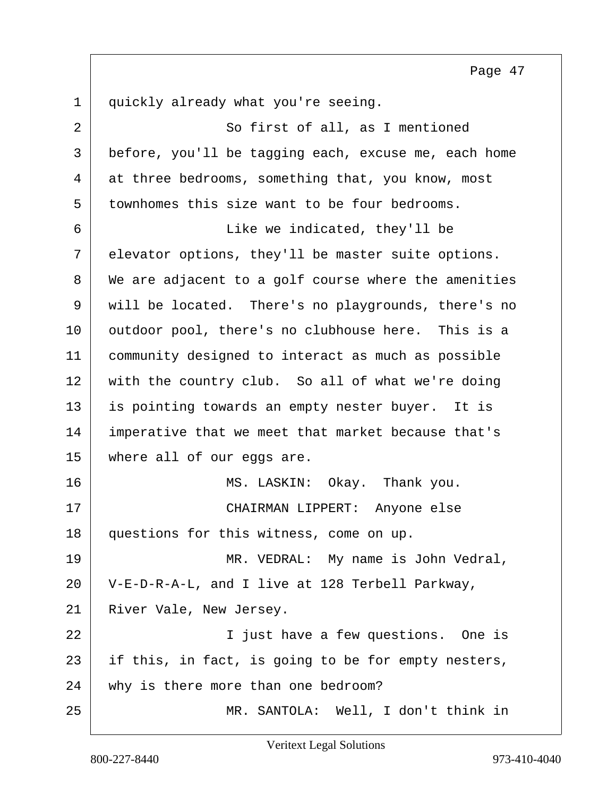1 quickly already what you're seeing. 2 So first of all, as I mentioned 3 before, you'll be tagging each, excuse me, each home 4 at three bedrooms, something that, you know, most 5 townhomes this size want to be four bedrooms. 6 Like we indicated, they'll be 7 elevator options, they'll be master suite options. 8 We are adjacent to a golf course where the amenities 9 will be located. There's no playgrounds, there's no 10 | outdoor pool, there's no clubhouse here. This is a 11 community designed to interact as much as possible 12 with the country club. So all of what we're doing 13 is pointing towards an empty nester buyer. It is 14 imperative that we meet that market because that's 15 where all of our eggs are. 16 MS. LASKIN: Okay. Thank you. 17 CHAIRMAN LIPPERT: Anyone else 18 questions for this witness, come on up. 19 MR. VEDRAL: My name is John Vedral, 20 V-E-D-R-A-L, and I live at 128 Terbell Parkway, 21 River Vale, New Jersey.

22 | South London I just have a few questions. One is 23 if this, in fact, is going to be for empty nesters, 24 why is there more than one bedroom?

25 MR. SANTOLA: Well, I don't think in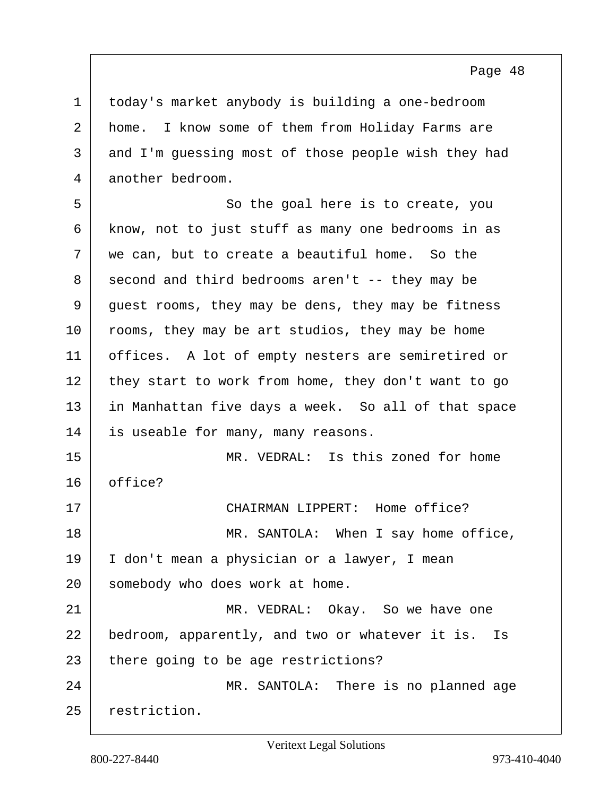today's market anybody is building a one-bedroom home. I know some of them from Holiday Farms are and I'm guessing most of those people wish they had another bedroom.

5 So the goal here is to create, you 6 know, not to just stuff as many one bedrooms in as  $7$  we can, but to create a beautiful home. So the  $8$  second and third bedrooms aren't -- they may be 9 guest rooms, they may be dens, they may be fitness 10 rooms, they may be art studios, they may be home 11 offices. A lot of empty nesters are semiretired or 12 they start to work from home, they don't want to go 13 in Manhattan five days a week. So all of that space 14 is useable for many, many reasons. 15 MR. VEDRAL: Is this zoned for home 16 office? 17 CHAIRMAN LIPPERT: Home office? 18 MR. SANTOLA: When I say home office, 19 I don't mean a physician or a lawyer, I mean 20 somebody who does work at home.

21 MR. VEDRAL: Okay. So we have one 22 bedroom, apparently, and two or whatever it is. Is 23 there going to be age restrictions?

24 MR. SANTOLA: There is no planned age 25 restriction.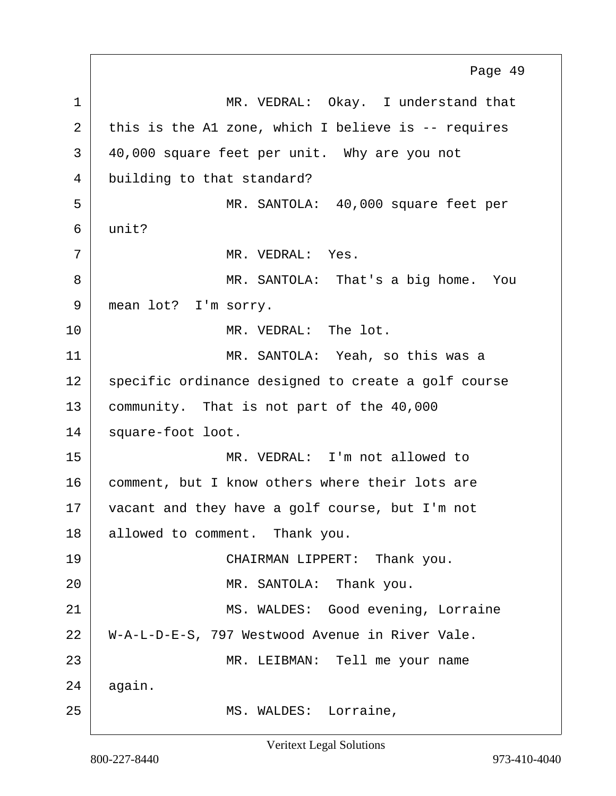1 MR. VEDRAL: Okay. I understand that 2 this is the A1 zone, which I believe is -- requires 3 40,000 square feet per unit. Why are you not 4 building to that standard? 5 MR. SANTOLA: 40,000 square feet per 6 unit? 7 MR. VEDRAL: Yes. 8 MR. SANTOLA: That's a big home. You 9 | mean lot? I'm sorry. 10 MR. VEDRAL: The lot. 11 MR. SANTOLA: Yeah, so this was a 12 specific ordinance designed to create a golf course 13 community. That is not part of the 40,000 14 square-foot loot. 15 MR. VEDRAL: I'm not allowed to 16 comment, but I know others where their lots are 17 vacant and they have a golf course, but I'm not 18 allowed to comment. Thank you. 19 CHAIRMAN LIPPERT: Thank you. 20 | MR. SANTOLA: Thank you. 21 | MS. WALDES: Good evening, Lorraine 22 W-A-L-D-E-S, 797 Westwood Avenue in River Vale. 23 | MR. LEIBMAN: Tell me your name  $24$  again. 25 | MS. WALDES: Lorraine, Page 49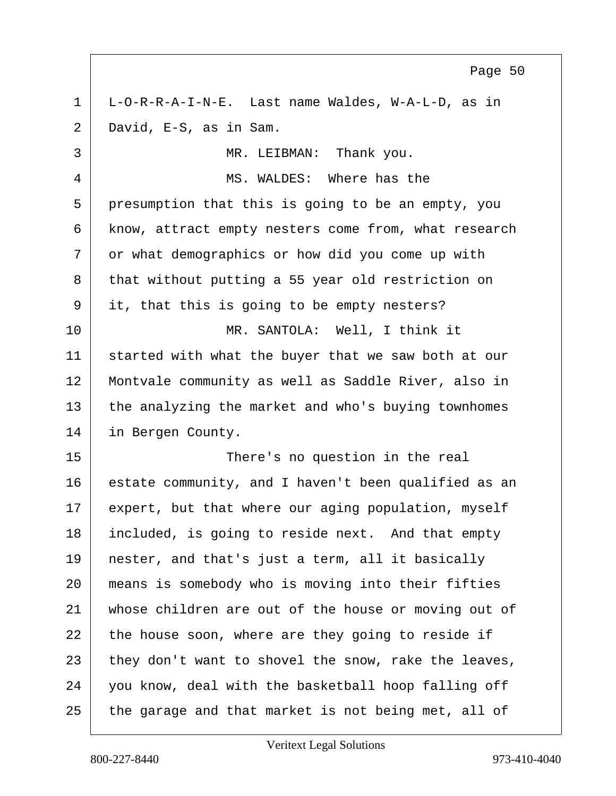1 L-O-R-R-A-I-N-E. Last name Waldes, W-A-L-D, as in 2 David, E-S, as in Sam. 3 MR. LEIBMAN: Thank you. 4 MS. WALDES: Where has the 5 presumption that this is going to be an empty, you 6 | know, attract empty nesters come from, what research 7 or what demographics or how did you come up with 8 that without putting a 55 year old restriction on 9 it, that this is going to be empty nesters? 10 MR. SANTOLA: Well, I think it 11 started with what the buyer that we saw both at our 12 Montvale community as well as Saddle River, also in 13 the analyzing the market and who's buying townhomes 14 in Bergen County. 15 There's no question in the real 16 estate community, and I haven't been qualified as an 17 expert, but that where our aging population, myself 18 included, is going to reside next. And that empty 19 nester, and that's just a term, all it basically 20 means is somebody who is moving into their fifties 21 whose children are out of the house or moving out of  $22$  the house soon, where are they going to reside if  $23$  they don't want to shovel the snow, rake the leaves, 24 you know, deal with the basketball hoop falling off 25 the garage and that market is not being met, all of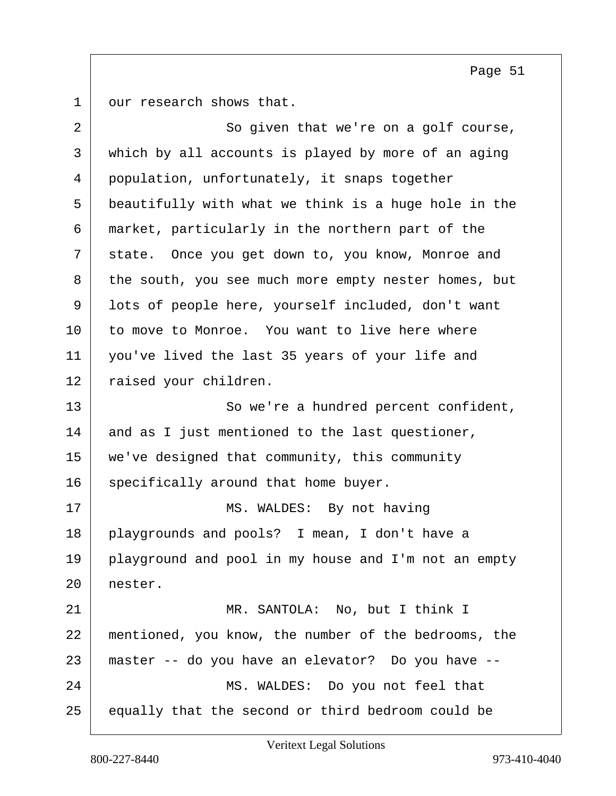our research shows that.

| $\overline{2}$ | So given that we're on a golf course,                |
|----------------|------------------------------------------------------|
| 3              | which by all accounts is played by more of an aging  |
| 4              | population, unfortunately, it snaps together         |
| 5              | beautifully with what we think is a huge hole in the |
| 6              | market, particularly in the northern part of the     |
| 7              | state. Once you get down to, you know, Monroe and    |
| 8              | the south, you see much more empty nester homes, but |
| 9              | lots of people here, yourself included, don't want   |
| 10             | to move to Monroe. You want to live here where       |
| 11             | you've lived the last 35 years of your life and      |
| 12             | raised your children.                                |
| 13             | So we're a hundred percent confident,                |
| 14             | and as I just mentioned to the last questioner,      |
| 15             | we've designed that community, this community        |
| 16             | specifically around that home buyer.                 |
| 17             | MS. WALDES: By not having                            |
| 18             | playgrounds and pools? I mean, I don't have a        |
| 19             | playground and pool in my house and I'm not an empty |
| 20             | nester.                                              |
| 21             | MR. SANTOLA: No, but I think I                       |
| 22             | mentioned, you know, the number of the bedrooms, the |
| 23             | master -- do you have an elevator? Do you have --    |
| 24             | MS. WALDES: Do you not feel that                     |
| 25             | equally that the second or third bedroom could be    |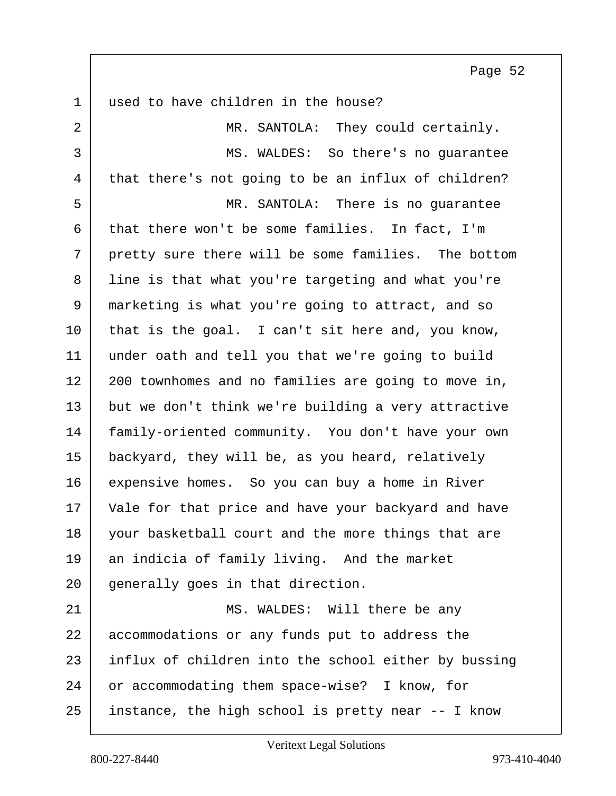1 used to have children in the house? 2 MR. SANTOLA: They could certainly. 3 MS. WALDES: So there's no guarantee 4 that there's not going to be an influx of children? 5 MR. SANTOLA: There is no guarantee  $6$  that there won't be some families. In fact, I'm  $7$  pretty sure there will be some families. The bottom 8 line is that what you're targeting and what you're 9 marketing is what you're going to attract, and so  $10$  that is the goal. I can't sit here and, you know, 11 under oath and tell you that we're going to build 12 200 townhomes and no families are going to move in, 13 but we don't think we're building a very attractive 14 family-oriented community. You don't have your own 15 backyard, they will be, as you heard, relatively 16 expensive homes. So you can buy a home in River 17 | Vale for that price and have your backyard and have 18 your basketball court and the more things that are 19 an indicia of family living. And the market 20 generally goes in that direction. 21 MS. WALDES: Will there be any 22 accommodations or any funds put to address the 23 influx of children into the school either by bussing 24 or accommodating them space-wise? I know, for 25 instance, the high school is pretty near -- I know

800-227-8440 973-410-4040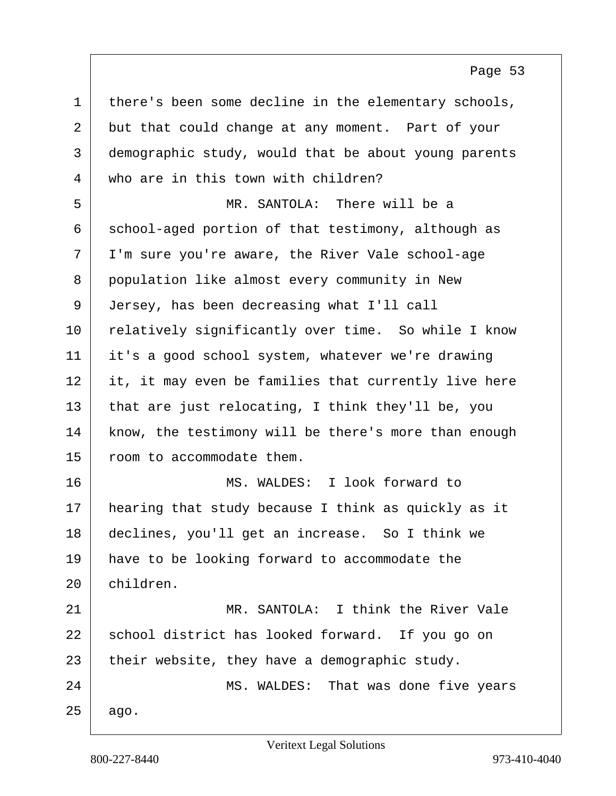| 1  | there's been some decline in the elementary schools, |
|----|------------------------------------------------------|
| 2  | but that could change at any moment. Part of your    |
| 3  | demographic study, would that be about young parents |
| 4  | who are in this town with children?                  |
| 5  | MR. SANTOLA: There will be a                         |
| 6  | school-aged portion of that testimony, although as   |
| 7  | I'm sure you're aware, the River Vale school-age     |
| 8  | population like almost every community in New        |
| 9  | Jersey, has been decreasing what I'll call           |
| 10 | relatively significantly over time. So while I know  |
| 11 | it's a good school system, whatever we're drawing    |
| 12 | it, it may even be families that currently live here |
| 13 | that are just relocating, I think they'll be, you    |
| 14 | know, the testimony will be there's more than enough |
| 15 | room to accommodate them.                            |
| 16 | MS. WALDES: I look forward to                        |
| 17 | hearing that study because I think as quickly as it  |
| 18 | declines, you'll get an increase. So I think we      |
| 19 | have to be looking forward to accommodate the        |
| 20 | children.                                            |
| 21 | MR. SANTOLA: I think the River Vale                  |
| 22 | school district has looked forward. If you go on     |
| 23 | their website, they have a demographic study.        |
| 24 | MS. WALDES: That was done five years                 |
| 25 | ago.                                                 |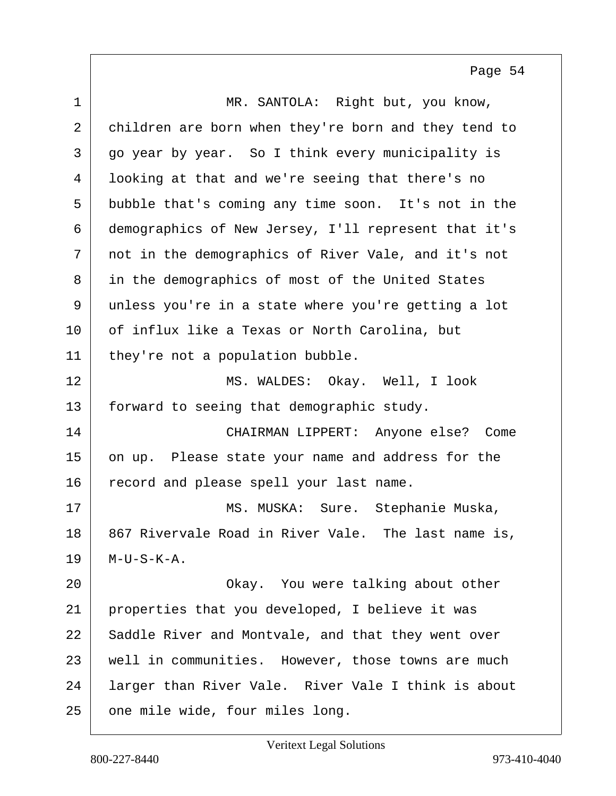| $\mathbf 1$ | MR. SANTOLA: Right but, you know,                    |
|-------------|------------------------------------------------------|
| 2           | children are born when they're born and they tend to |
| 3           | go year by year. So I think every municipality is    |
| 4           | looking at that and we're seeing that there's no     |
| 5           | bubble that's coming any time soon. It's not in the  |
| 6           | demographics of New Jersey, I'll represent that it's |
| 7           | not in the demographics of River Vale, and it's not  |
| 8           | in the demographics of most of the United States     |
| 9           | unless you're in a state where you're getting a lot  |
| 10          | of influx like a Texas or North Carolina, but        |
| 11          | they're not a population bubble.                     |
| 12          | MS. WALDES: Okay. Well, I look                       |
| 13          | forward to seeing that demographic study.            |
| 14          | CHAIRMAN LIPPERT: Anyone else? Come                  |
| 15          | on up. Please state your name and address for the    |
| 16          | record and please spell your last name.              |
| 17          | MS. MUSKA: Sure. Stephanie Muska,                    |
| 18          | 867 Rivervale Road in River Vale. The last name is,  |
| 19          | $M-U-S-K-A.$                                         |
| 20          | Okay. You were talking about other                   |
| 21          | properties that you developed, I believe it was      |
| 22          | Saddle River and Montvale, and that they went over   |
| 23          | well in communities. However, those towns are much   |
| 24          | larger than River Vale. River Vale I think is about  |
| 25          | one mile wide, four miles long.                      |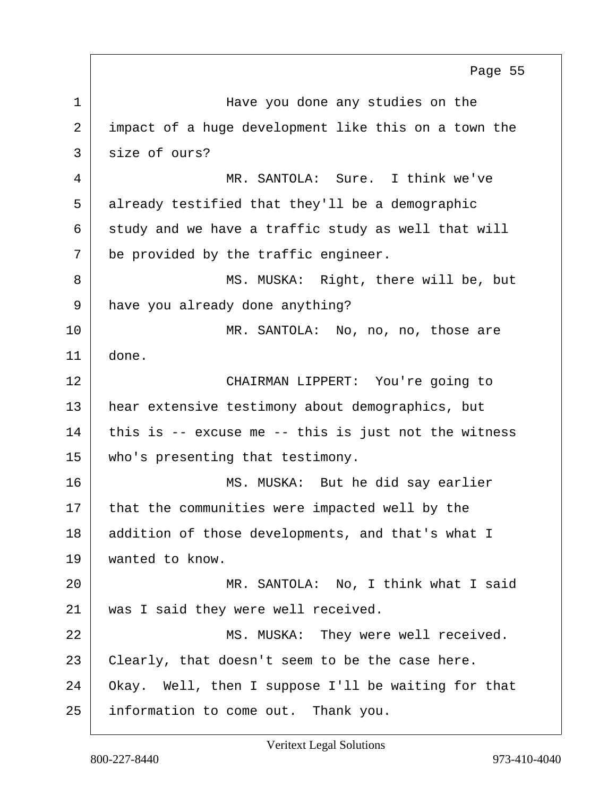1 1 Have you done any studies on the 2 impact of a huge development like this on a town the 3 size of ours? 4 MR. SANTOLA: Sure. I think we've 5 already testified that they'll be a demographic  $6$  study and we have a traffic study as well that will  $7$  be provided by the traffic engineer. 8 MS. MUSKA: Right, there will be, but 9 have you already done anything? 10 MR. SANTOLA: No, no, no, those are 11 done. 12 CHAIRMAN LIPPERT: You're going to 13 | hear extensive testimony about demographics, but  $14$  this is -- excuse me -- this is just not the witness 15 who's presenting that testimony. 16 MS. MUSKA: But he did say earlier 17 that the communities were impacted well by the 18 addition of those developments, and that's what I 19 wanted to know. 20 MR. SANTOLA: No, I think what I said 21 | was I said they were well received. 22 MS. MUSKA: They were well received.  $23$  Clearly, that doesn't seem to be the case here. 24 Okay. Well, then I suppose I'll be waiting for that 25 information to come out. Thank you. Page 55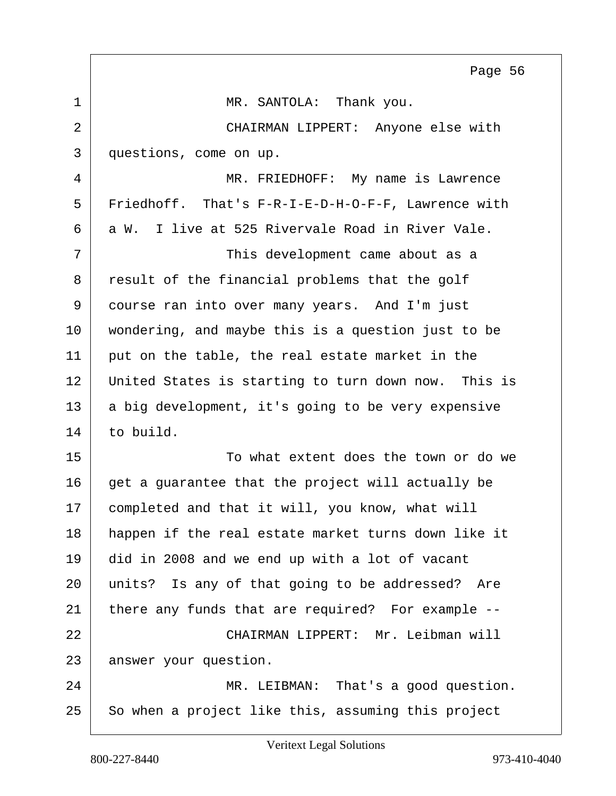1 MR. SANTOLA: Thank you. 2 CHAIRMAN LIPPERT: Anyone else with 3 questions, come on up. 4 MR. FRIEDHOFF: My name is Lawrence 5 Friedhoff. That's F-R-I-E-D-H-O-F-F, Lawrence with  $6$  a W. I live at 525 Rivervale Road in River Vale. 7 This development came about as a 8 result of the financial problems that the golf 9 course ran into over many years. And I'm just 10 wondering, and maybe this is a question just to be 11 | put on the table, the real estate market in the 12 United States is starting to turn down now. This is 13 a big development, it's going to be very expensive

Page 56

14 to build. 15 To what extent does the town or do we  $16$  get a guarantee that the project will actually be 17 completed and that it will, you know, what will 18 happen if the real estate market turns down like it 19 did in 2008 and we end up with a lot of vacant 20 units? Is any of that going to be addressed? Are 21 there any funds that are required? For example --22 CHAIRMAN LIPPERT: Mr. Leibman will 23 answer your question.

24 MR. LEIBMAN: That's a good question.  $25$  So when a project like this, assuming this project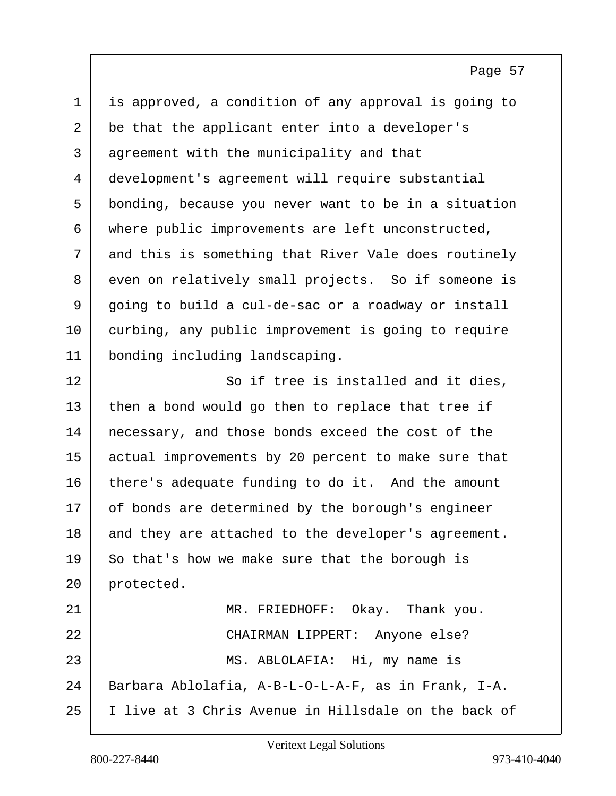1 is approved, a condition of any approval is going to 2 be that the applicant enter into a developer's 3 agreement with the municipality and that 4 development's agreement will require substantial 5 bonding, because you never want to be in a situation 6 where public improvements are left unconstructed, 7 and this is something that River Vale does routinely 8 even on relatively small projects. So if someone is 9 going to build a cul-de-sac or a roadway or install 10 curbing, any public improvement is going to require 11 bonding including landscaping. 12 So if tree is installed and it dies, 13 then a bond would go then to replace that tree if 14 | necessary, and those bonds exceed the cost of the 15 actual improvements by 20 percent to make sure that 16 there's adequate funding to do it. And the amount 17 of bonds are determined by the borough's engineer 18 and they are attached to the developer's agreement. 19 So that's how we make sure that the borough is 20 protected. 21 MR. FRIEDHOFF: Okay. Thank you. 22 | CHAIRMAN LIPPERT: Anyone else? 23 MS. ABLOLAFIA: Hi, my name is 24 Barbara Ablolafia, A-B-L-O-L-A-F, as in Frank, I-A. 25 I live at 3 Chris Avenue in Hillsdale on the back of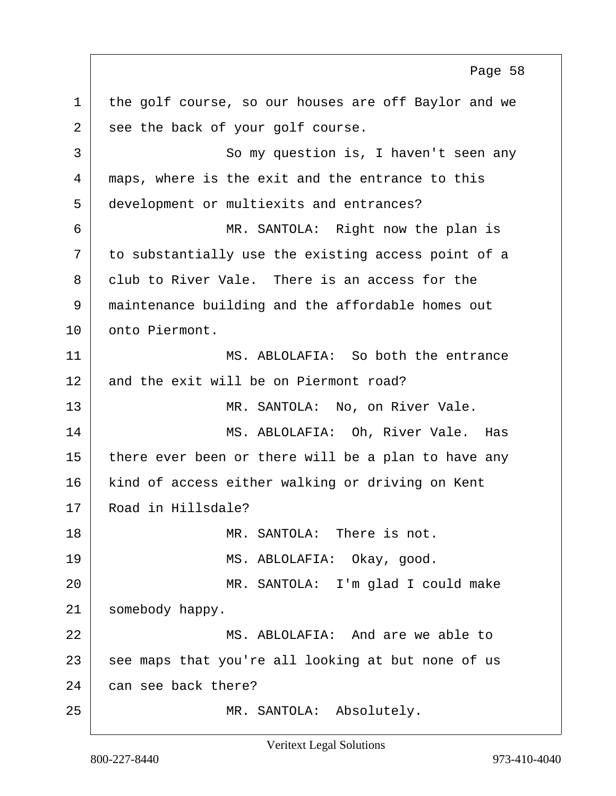1 the golf course, so our houses are off Baylor and we 2 see the back of your golf course. 3 So my question is, I haven't seen any 4 maps, where is the exit and the entrance to this 5 development or multiexits and entrances? 6 MR. SANTOLA: Right now the plan is 7 to substantially use the existing access point of a 8 club to River Vale. There is an access for the 9 maintenance building and the affordable homes out 10 onto Piermont. 11 MS. ABLOLAFIA: So both the entrance 12 and the exit will be on Piermont road? 13 MR. SANTOLA: No, on River Vale. 14 MS. ABLOLAFIA: Oh, River Vale. Has 15 there ever been or there will be a plan to have any 16 kind of access either walking or driving on Kent 17 Road in Hillsdale? 18 MR. SANTOLA: There is not. 19 MS. ABLOLAFIA: Okay, qood. 20 MR. SANTOLA: I'm glad I could make 21 | somebody happy. 22 MS. ABLOLAFIA: And are we able to 23 see maps that you're all looking at but none of us 24 can see back there? 25 | MR. SANTOLA: Absolutely. Page 58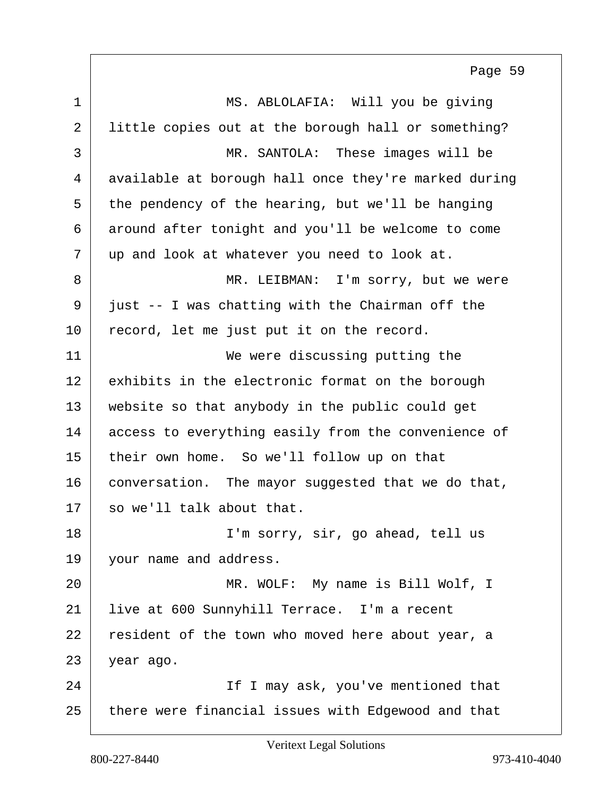1 MS. ABLOLAFIA: Will you be giving 2 little copies out at the borough hall or something? 3 MR. SANTOLA: These images will be 4 available at borough hall once they're marked during  $5$  the pendency of the hearing, but we'll be hanging 6 around after tonight and you'll be welcome to come 7 up and look at whatever you need to look at. 8 MR. LEIBMAN: I'm sorry, but we were  $9$  just -- I was chatting with the Chairman off the 10 record, let me just put it on the record. 11 We were discussing putting the 12 exhibits in the electronic format on the borough 13 website so that anybody in the public could get 14 access to everything easily from the convenience of 15 their own home. So we'll follow up on that 16 conversation. The mayor suggested that we do that,  $17$  so we'll talk about that. 18 I'm sorry, sir, go ahead, tell us 19 vour name and address. 20 | MR. WOLF: My name is Bill Wolf, I 21 live at 600 Sunnyhill Terrace. I'm a recent 22 resident of the town who moved here about year, a 23 year ago. 24 If I may ask, you've mentioned that 25 there were financial issues with Edgewood and that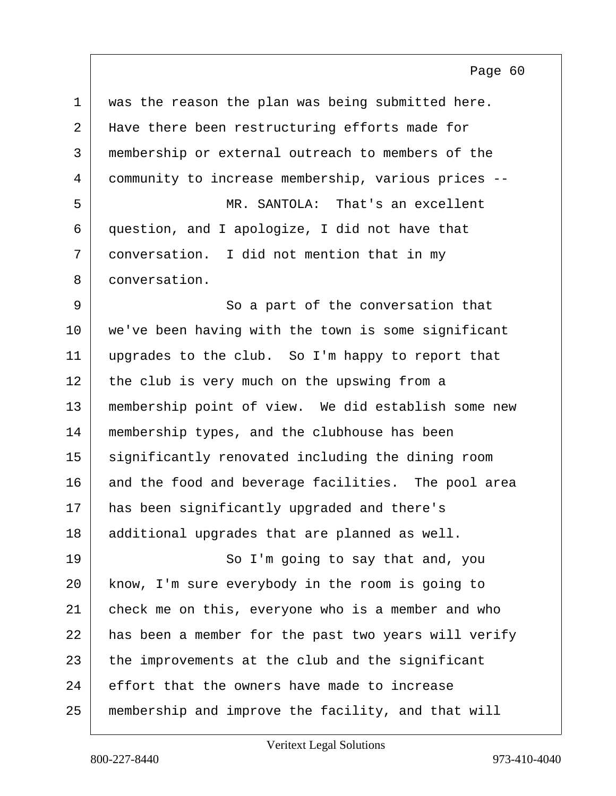| $\mathbf 1$ | was the reason the plan was being submitted here.    |
|-------------|------------------------------------------------------|
| 2           | Have there been restructuring efforts made for       |
| 3           | membership or external outreach to members of the    |
| 4           | community to increase membership, various prices --  |
| 5           | MR. SANTOLA: That's an excellent                     |
| 6           | question, and I apologize, I did not have that       |
| 7           | conversation. I did not mention that in my           |
| 8           | conversation.                                        |
| 9           | So a part of the conversation that                   |
| 10          | we've been having with the town is some significant  |
| 11          | upgrades to the club. So I'm happy to report that    |
| 12          | the club is very much on the upswing from a          |
| 13          | membership point of view. We did establish some new  |
| 14          | membership types, and the clubhouse has been         |
| 15          | significantly renovated including the dining room    |
| 16          | and the food and beverage facilities. The pool area  |
| 17          | has been significantly upgraded and there's          |
| 18          | additional upgrades that are planned as well.        |
| 19          | So I'm going to say that and, you                    |
| 20          | know, I'm sure everybody in the room is going to     |
| 21          | check me on this, everyone who is a member and who   |
| 22          | has been a member for the past two years will verify |
| 23          | the improvements at the club and the significant     |
| 24          | effort that the owners have made to increase         |
| 25          | membership and improve the facility, and that will   |

Veritext Legal Solutions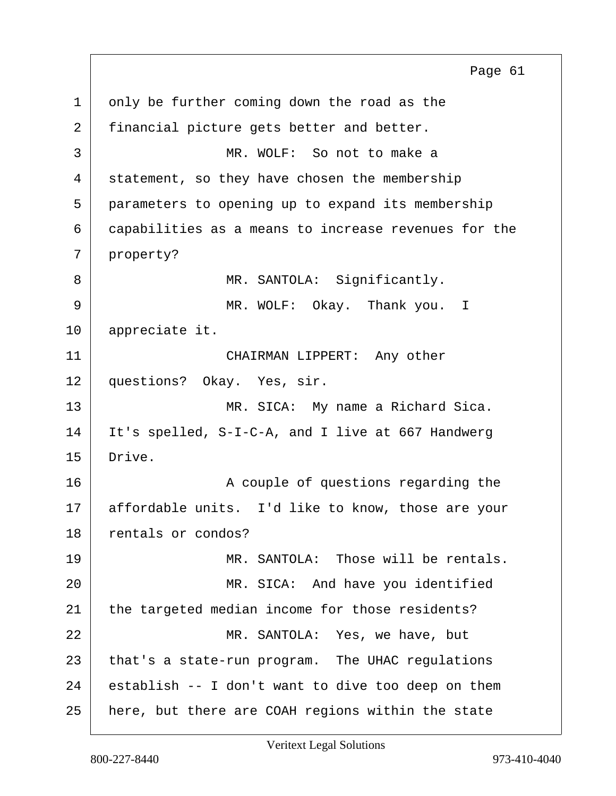$1$  only be further coming down the road as the 2 financial picture gets better and better. 3 MR. WOLF: So not to make a 4 statement, so they have chosen the membership 5 parameters to opening up to expand its membership 6 capabilities as a means to increase revenues for the 7 property? 8 MR. SANTOLA: Significantly. 9 MR. WOLF: Okay. Thank you. I 10 appreciate it. 11 CHAIRMAN LIPPERT: Any other 12 questions? Okay. Yes, sir. 13 MR. SICA: My name a Richard Sica. 14 It's spelled, S-I-C-A, and I live at 667 Handwerg 15 Drive. 16 A couple of questions regarding the 17 | affordable units. I'd like to know, those are your 18 rentals or condos? 19 | MR. SANTOLA: Those will be rentals. 20 | MR. SICA: And have you identified 21 the targeted median income for those residents? 22 MR. SANTOLA: Yes, we have, but 23 that's a state-run program. The UHAC regulations  $24$  establish -- I don't want to dive too deep on them 25 here, but there are COAH regions within the state Page 61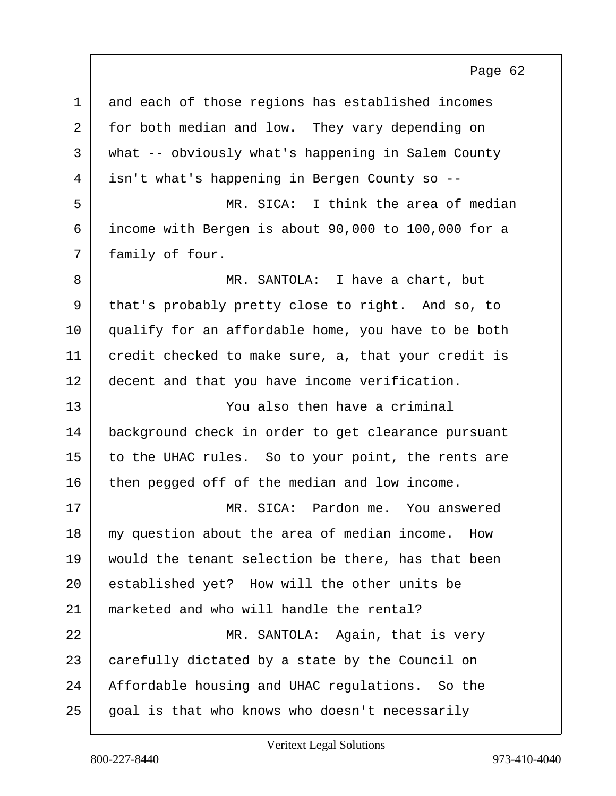| $\mathbf 1$    | and each of those regions has established incomes   |
|----------------|-----------------------------------------------------|
| $\overline{a}$ | for both median and low. They vary depending on     |
| 3              | what -- obviously what's happening in Salem County  |
| 4              | isn't what's happening in Bergen County so --       |
| 5              | MR. SICA: I think the area of median                |
| 6              | income with Bergen is about 90,000 to 100,000 for a |
| 7              | family of four.                                     |
| 8              | MR. SANTOLA: I have a chart, but                    |
| 9              | that's probably pretty close to right. And so, to   |
| 10             | qualify for an affordable home, you have to be both |
| 11             | credit checked to make sure, a, that your credit is |
| 12             | decent and that you have income verification.       |
| 13             | You also then have a criminal                       |
| 14             | background check in order to get clearance pursuant |
| 15             | to the UHAC rules. So to your point, the rents are  |
| 16             | then pegged off of the median and low income.       |
| 17             | MR. SICA: Pardon me. You answered                   |
| 18             | my question about the area of median income.<br>How |
| 19             | would the tenant selection be there, has that been  |
| 20             | established yet? How will the other units be        |
| 21             | marketed and who will handle the rental?            |
| 22             | MR. SANTOLA: Again, that is very                    |
| 23             | carefully dictated by a state by the Council on     |
| 24             | Affordable housing and UHAC regulations. So the     |
| 25             | goal is that who knows who doesn't necessarily      |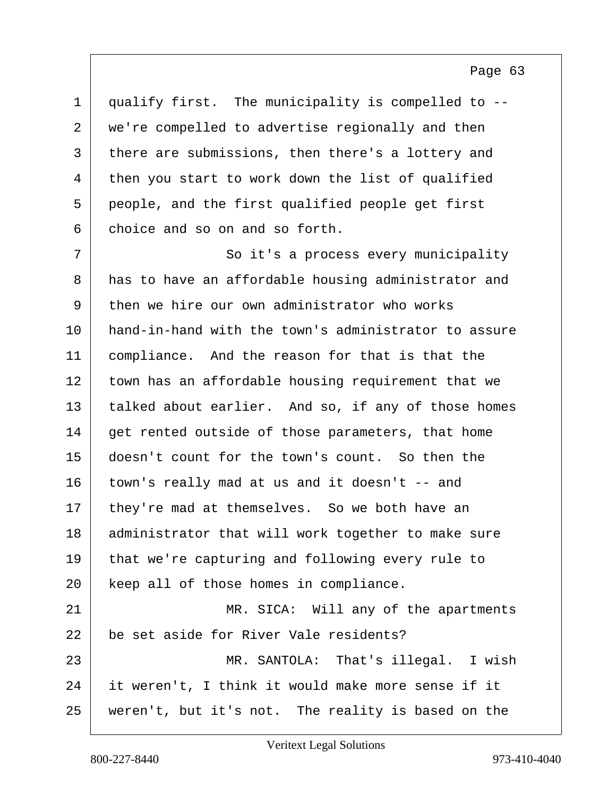| $\mathbf 1$    | qualify first. The municipality is compelled to --   |
|----------------|------------------------------------------------------|
| $\overline{2}$ | we're compelled to advertise regionally and then     |
| 3              | there are submissions, then there's a lottery and    |
| 4              | then you start to work down the list of qualified    |
| 5              | people, and the first qualified people get first     |
| 6              | choice and so on and so forth.                       |
| 7              | So it's a process every municipality                 |
| 8              | has to have an affordable housing administrator and  |
| 9              | then we hire our own administrator who works         |
| 10             | hand-in-hand with the town's administrator to assure |
| 11             | compliance. And the reason for that is that the      |
| 12             | town has an affordable housing requirement that we   |
| 13             | talked about earlier. And so, if any of those homes  |
| 14             | get rented outside of those parameters, that home    |
| 15             | doesn't count for the town's count. So then the      |
| 16             | town's really mad at us and it doesn't -- and        |
| 17             | they're mad at themselves. So we both have an        |
| 18             | administrator that will work together to make sure   |
| 19             | that we're capturing and following every rule to     |
| 20             | keep all of those homes in compliance.               |
| 21             | MR. SICA: Will any of the apartments                 |
| 22             | be set aside for River Vale residents?               |
| 23             | MR. SANTOLA: That's illegal. I wish                  |
| 24             | it weren't, I think it would make more sense if it   |
| 25             | weren't, but it's not. The reality is based on the   |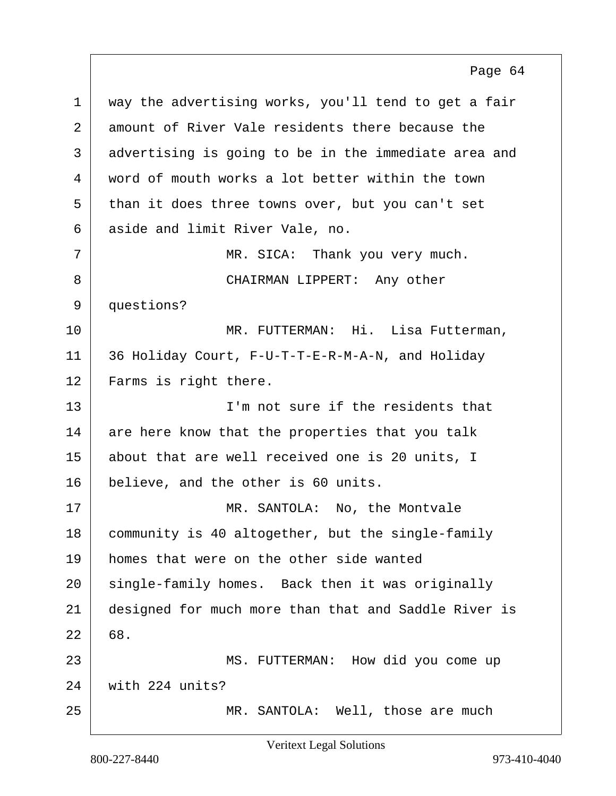1 way the advertising works, you'll tend to get a fair 2 amount of River Vale residents there because the 3 advertising is going to be in the immediate area and 4 word of mouth works a lot better within the town 5 than it does three towns over, but you can't set 6 aside and limit River Vale, no. 7 MR. SICA: Thank you very much. 8 CHAIRMAN LIPPERT: Any other 9 questions? 10 MR. FUTTERMAN: Hi. Lisa Futterman, 11 36 Holiday Court, F-U-T-T-E-R-M-A-N, and Holiday 12 Farms is right there. 13 I'm not sure if the residents that 14 are here know that the properties that you talk 15 about that are well received one is 20 units, I 16 believe, and the other is 60 units. 17 MR. SANTOLA: No, the Montvale 18 community is 40 altogether, but the single-family 19 homes that were on the other side wanted 20 | single-family homes. Back then it was originally 21 designed for much more than that and Saddle River is  $22 | 68.$ 23 | MS. FUTTERMAN: How did you come up 24 with 224 units? 25 | MR. SANTOLA: Well, those are much Page 64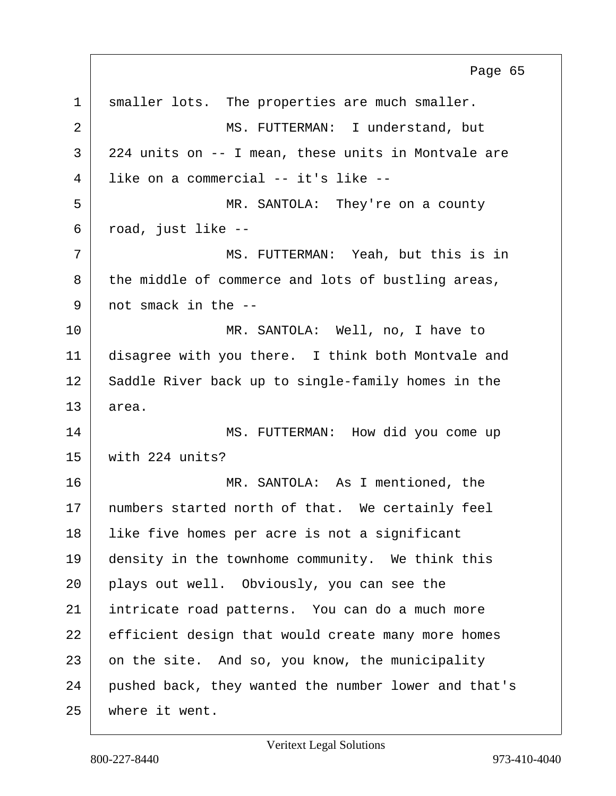1 smaller lots. The properties are much smaller. 2 MS. FUTTERMAN: I understand, but 3 224 units on -- I mean, these units in Montvale are 4 like on a commercial -- it's like -- 5 | MR. SANTOLA: They're on a county  $6$  road, just like  $-$ 7 MS. FUTTERMAN: Yeah, but this is in  $8$  the middle of commerce and lots of bustling areas,  $9$  not smack in the  $-$ 10 MR. SANTOLA: Well, no, I have to 11 disagree with you there. I think both Montvale and 12 Saddle River back up to single-family homes in the 13 area. 14 MS. FUTTERMAN: How did you come up 15 with 224 units? 16 MR. SANTOLA: As I mentioned, the 17 | numbers started north of that. We certainly feel 18 | like five homes per acre is not a significant 19 density in the townhome community. We think this 20 plays out well. Obviously, you can see the 21 intricate road patterns. You can do a much more 22 efficient design that would create many more homes 23 on the site. And so, you know, the municipality 24 pushed back, they wanted the number lower and that's 25 where it went. Page 65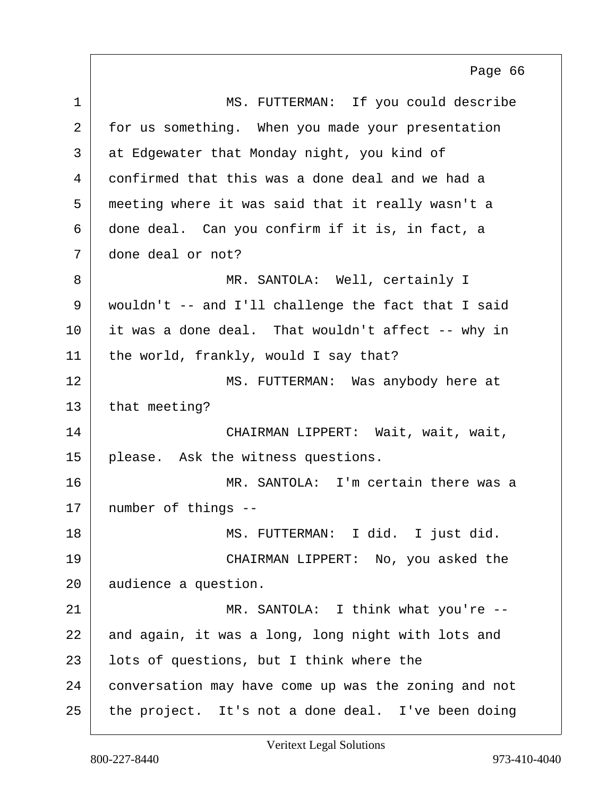1 MS. FUTTERMAN: If you could describe 2 for us something. When you made your presentation 3 | at Edgewater that Monday night, you kind of 4 confirmed that this was a done deal and we had a 5 meeting where it was said that it really wasn't a 6 done deal. Can you confirm if it is, in fact, a 7 done deal or not? 8 MR. SANTOLA: Well, certainly I 9 wouldn't -- and I'll challenge the fact that I said 10 it was a done deal. That wouldn't affect -- why in 11 | the world, frankly, would I say that? 12 MS. FUTTERMAN: Was anybody here at  $13$  that meeting? 14 CHAIRMAN LIPPERT: Wait, wait, wait, 15 please. Ask the witness questions. 16 MR. SANTOLA: I'm certain there was a 17 | number of things --18 | MS. FUTTERMAN: I did. I just did. 19 CHAIRMAN LIPPERT: No, you asked the 20 audience a question. 21 MR. SANTOLA: I think what you're --22 and again, it was a long, long night with lots and 23 | lots of questions, but I think where the 24 conversation may have come up was the zoning and not 25 the project. It's not a done deal. I've been doing Page 66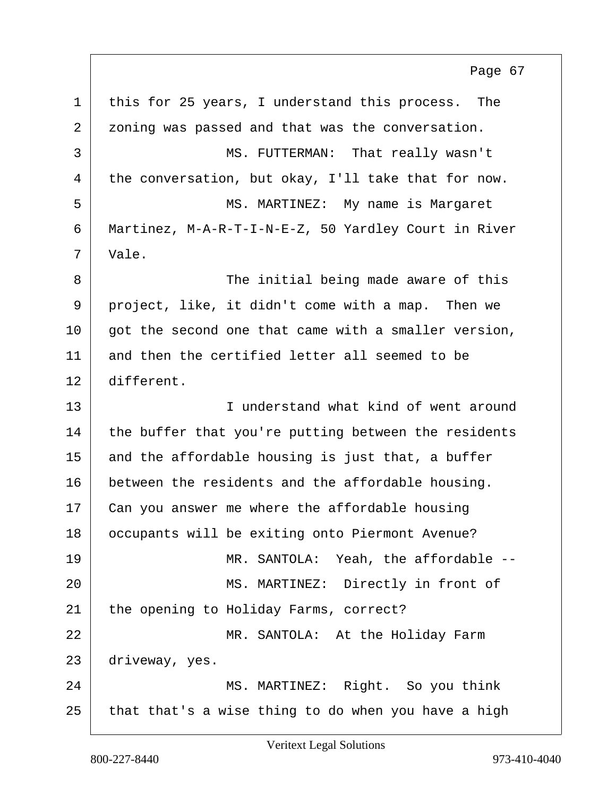1 this for 25 years, I understand this process. The 2 zoning was passed and that was the conversation. 3 MS. FUTTERMAN: That really wasn't 4 the conversation, but okay, I'll take that for now. 5 | MS. MARTINEZ: My name is Margaret 6 Martinez, M-A-R-T-I-N-E-Z, 50 Yardley Court in River 7 Vale. 8 The initial being made aware of this 9 project, like, it didn't come with a map. Then we  $10$  got the second one that came with a smaller version, 11 and then the certified letter all seemed to be 12 different. 13 I understand what kind of went around 14 the buffer that you're putting between the residents  $15$  and the affordable housing is just that, a buffer 16 between the residents and the affordable housing. 17 | Can you answer me where the affordable housing 18 occupants will be exiting onto Piermont Avenue? 19 MR. SANTOLA: Yeah, the affordable --20 MS. MARTINEZ: Directly in front of 21 the opening to Holiday Farms, correct? 22 MR. SANTOLA: At the Holiday Farm 23 driveway, yes. 24 MS. MARTINEZ: Right. So you think  $25$  that that's a wise thing to do when you have a high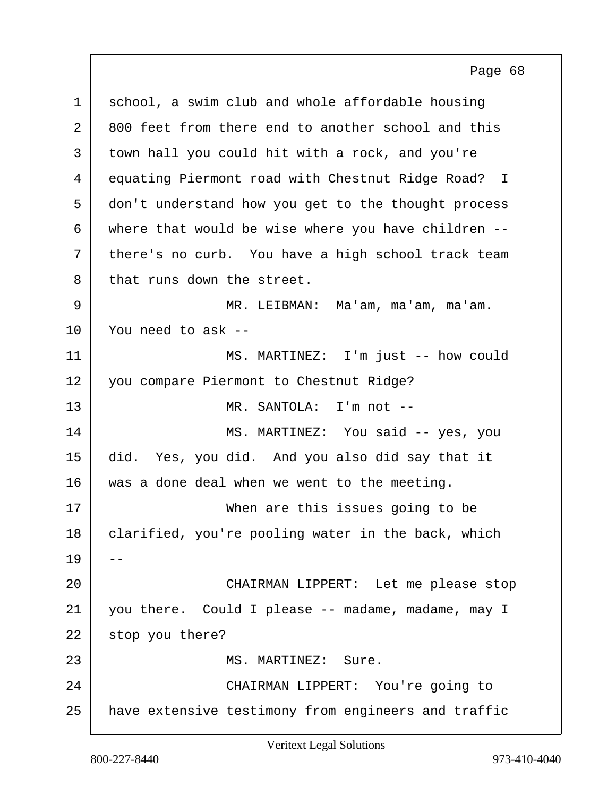| $\mathbf 1$ | school, a swim club and whole affordable housing    |
|-------------|-----------------------------------------------------|
| 2           | 800 feet from there end to another school and this  |
| 3           | town hall you could hit with a rock, and you're     |
| 4           | equating Piermont road with Chestnut Ridge Road? I  |
| 5           | don't understand how you get to the thought process |
| 6           | where that would be wise where you have children -- |
| 7           | there's no curb. You have a high school track team  |
| 8           | that runs down the street.                          |
| 9           | MR. LEIBMAN: Ma'am, ma'am, ma'am.                   |
| 10          | You need to ask --                                  |
| 11          | MS. MARTINEZ: I'm just -- how could                 |
| 12          | you compare Piermont to Chestnut Ridge?             |
| 13          | MR. SANTOLA: I'm not --                             |
| 14          | MS. MARTINEZ: You said -- yes, you                  |
| 15          | did. Yes, you did. And you also did say that it     |
| 16          | was a done deal when we went to the meeting.        |
| 17          | When are this issues going to be                    |
| 18          | clarified, you're pooling water in the back, which  |
| 19          |                                                     |
| 20          | CHAIRMAN LIPPERT: Let me please stop                |
| 21          | you there. Could I please -- madame, madame, may I  |
| 22          | stop you there?                                     |
| 23          | MS. MARTINEZ: Sure.                                 |
| 24          | CHAIRMAN LIPPERT: You're going to                   |
| 25          | have extensive testimony from engineers and traffic |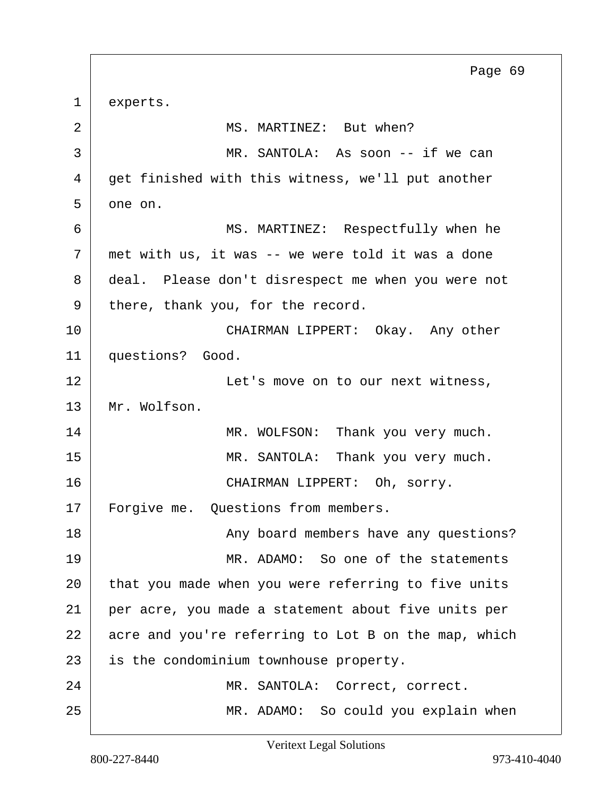1 experts. 2 MS. MARTINEZ: But when? 3 | MR. SANTOLA: As soon -- if we can 4 get finished with this witness, we'll put another  $5$  one on. 6 MS. MARTINEZ: Respectfully when he  $7$  met with us, it was -- we were told it was a done 8 deal. Please don't disrespect me when you were not 9 there, thank you, for the record. 10 CHAIRMAN LIPPERT: Okay. Any other 11 questions? Good. 12 | **Let's move on to our next witness**, 13 Mr. Wolfson. 14 MR. WOLFSON: Thank you very much. 15 MR. SANTOLA: Thank you very much. 16 CHAIRMAN LIPPERT: Oh, sorry. 17 | Forgive me. Questions from members. 18 | Any board members have any questions? 19 MR. ADAMO: So one of the statements 20 that you made when you were referring to five units 21 per acre, you made a statement about five units per  $22$  acre and you're referring to Lot B on the map, which 23 is the condominium townhouse property. 24 MR. SANTOLA: Correct, correct. 25 MR. ADAMO: So could you explain when Page 69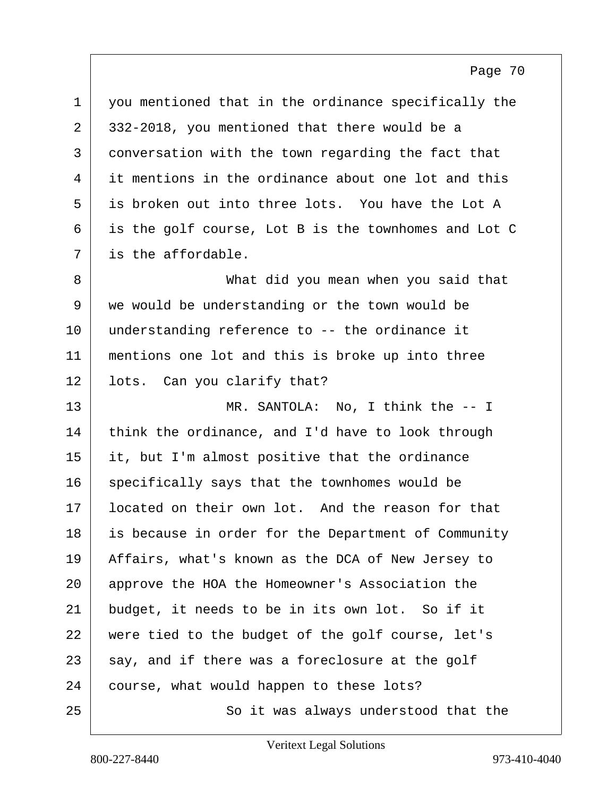| $\mathbf 1$ | you mentioned that in the ordinance specifically the |
|-------------|------------------------------------------------------|
| 2           | 332-2018, you mentioned that there would be a        |
| 3           | conversation with the town regarding the fact that   |
| 4           | it mentions in the ordinance about one lot and this  |
| 5           | is broken out into three lots. You have the Lot A    |
| 6           | is the golf course, Lot B is the townhomes and Lot C |
| 7           | is the affordable.                                   |
| 8           | What did you mean when you said that                 |
| 9           | we would be understanding or the town would be       |
| 10          | understanding reference to -- the ordinance it       |
| 11          | mentions one lot and this is broke up into three     |
| 12          | lots. Can you clarify that?                          |
| 13          | MR. SANTOLA: No, I think the -- I                    |
| 14          | think the ordinance, and I'd have to look through    |
| 15          | it, but I'm almost positive that the ordinance       |
| 16          | specifically says that the townhomes would be        |
| 17          | located on their own lot. And the reason for that    |
| 18          | is because in order for the Department of Community  |
| 19          | Affairs, what's known as the DCA of New Jersey to    |
| 20          | approve the HOA the Homeowner's Association the      |
| 21          | budget, it needs to be in its own lot. So if it      |
| 22          | were tied to the budget of the golf course, let's    |
| 23          | say, and if there was a foreclosure at the golf      |
| 24          | course, what would happen to these lots?             |
| 25          | So it was always understood that the                 |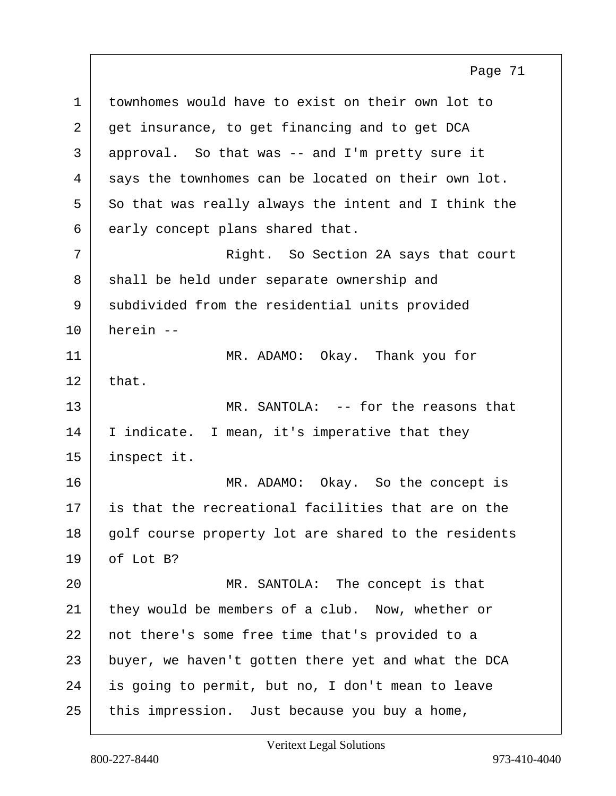1 townhomes would have to exist on their own lot to 2 get insurance, to get financing and to get DCA 3 approval. So that was -- and I'm pretty sure it  $4$  says the townhomes can be located on their own lot.  $5$  So that was really always the intent and I think the  $6$  early concept plans shared that. 7 Right. So Section 2A says that court 8 shall be held under separate ownership and 9 subdivided from the residential units provided 10 herein -- 11 MR. ADAMO: Okay. Thank you for  $12$  that. 13 MR. SANTOLA: -- for the reasons that 14 | I indicate. I mean, it's imperative that they 15 inspect it. 16 MR. ADAMO: Okay. So the concept is 17 is that the recreational facilities that are on the 18 | golf course property lot are shared to the residents  $19$  of Lot B? 20 | MR. SANTOLA: The concept is that 21 they would be members of a club. Now, whether or 22 not there's some free time that's provided to a 23 buyer, we haven't gotten there yet and what the DCA 24 is going to permit, but no, I don't mean to leave 25 this impression. Just because you buy a home, Page 71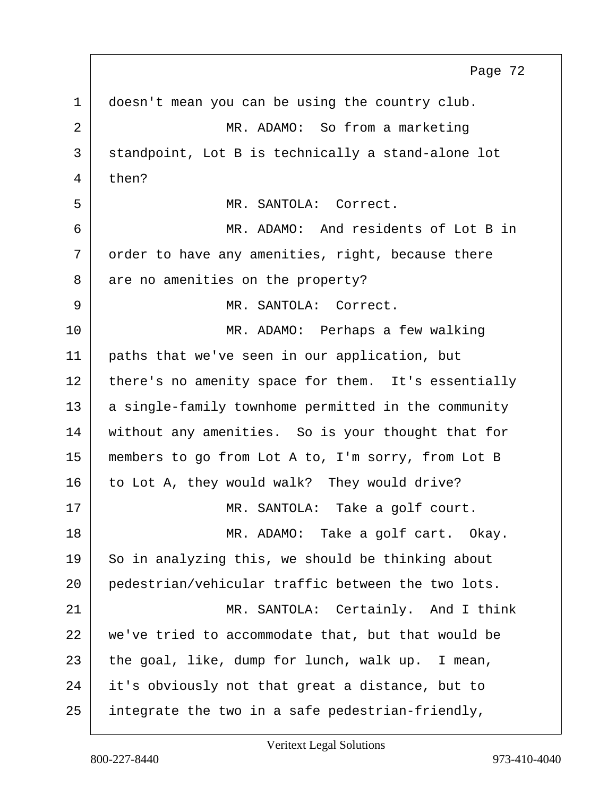1 doesn't mean you can be using the country club. 2 MR. ADAMO: So from a marketing 3 standpoint, Lot B is technically a stand-alone lot  $4$  then? 5 MR. SANTOLA: Correct. 6 MR. ADAMO: And residents of Lot B in  $7$  order to have any amenities, right, because there 8 are no amenities on the property? 9 MR. SANTOLA: Correct. 10 MR. ADAMO: Perhaps a few walking 11 | paths that we've seen in our application, but 12 there's no amenity space for them. It's essentially 13 a single-family townhome permitted in the community 14 without any amenities. So is your thought that for 15 members to go from Lot A to, I'm sorry, from Lot B 16 to Lot A, they would walk? They would drive? 17 | MR. SANTOLA: Take a golf court. 18 MR. ADAMO: Take a golf cart. Okay.  $19$  So in analyzing this, we should be thinking about 20 pedestrian/vehicular traffic between the two lots. 21 MR. SANTOLA: Certainly. And I think 22 we've tried to accommodate that, but that would be 23 the goal, like, dump for lunch, walk up. I mean, 24 it's obviously not that great a distance, but to 25 integrate the two in a safe pedestrian-friendly, Page 72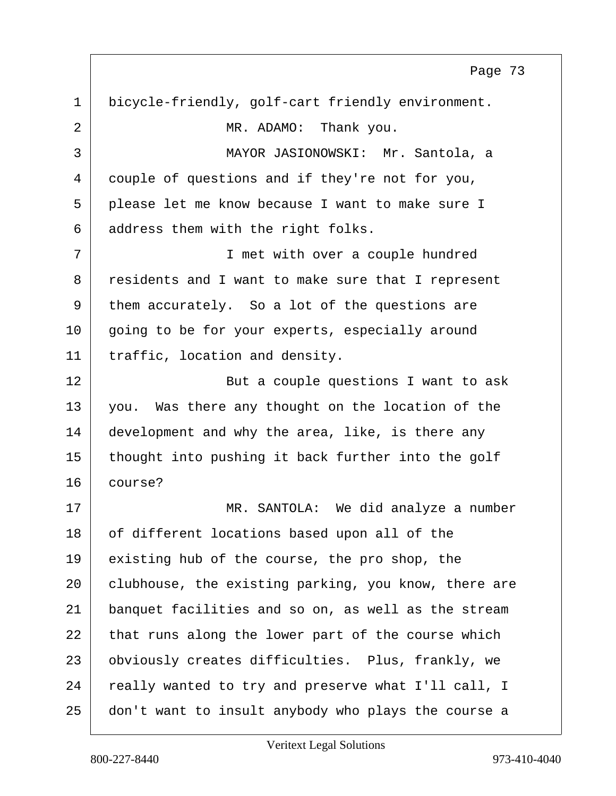1 bicycle-friendly, golf-cart friendly environment. 2 MR. ADAMO: Thank you. 3 MAYOR JASIONOWSKI: Mr. Santola, a 4 couple of questions and if they're not for you, 5 please let me know because I want to make sure I 6 address them with the right folks. 7 I met with over a couple hundred 8 residents and I want to make sure that I represent 9 them accurately. So a lot of the questions are 10 going to be for your experts, especially around 11 | traffic, location and density. 12 But a couple questions I want to ask 13 you. Was there any thought on the location of the 14 development and why the area, like, is there any 15 thought into pushing it back further into the golf 16 course? 17 | MR. SANTOLA: We did analyze a number 18 of different locations based upon all of the 19 existing hub of the course, the pro shop, the 20 clubhouse, the existing parking, you know, there are 21 banquet facilities and so on, as well as the stream  $22$  that runs along the lower part of the course which 23 obviously creates difficulties. Plus, frankly, we 24 really wanted to try and preserve what I'll call, I 25 don't want to insult anybody who plays the course a

Veritext Legal Solutions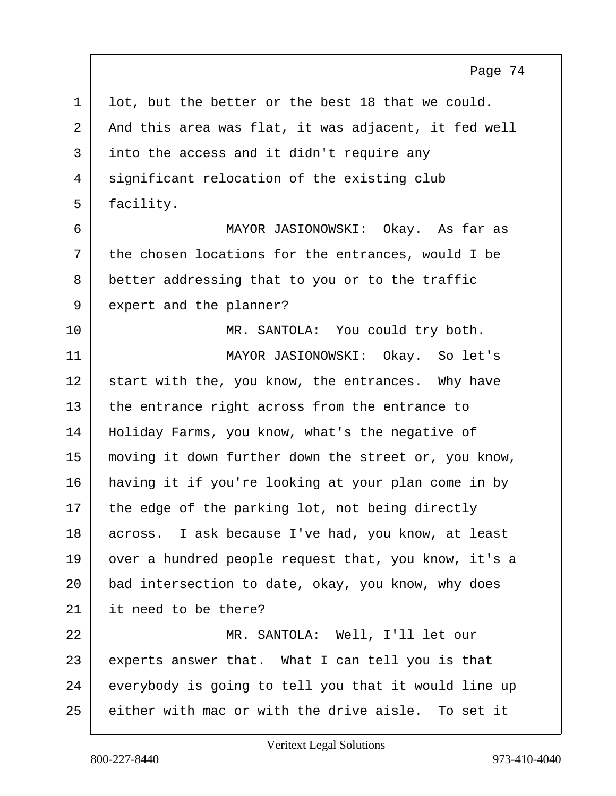$1$  lot, but the better or the best 18 that we could. 2 And this area was flat, it was adjacent, it fed well 3 into the access and it didn't require any 4 significant relocation of the existing club 5 facility. 6 MAYOR JASIONOWSKI: Okay. As far as  $7$  the chosen locations for the entrances, would I be 8 better addressing that to you or to the traffic 9 expert and the planner? 10 | MR. SANTOLA: You could try both. 11 MAYOR JASIONOWSKI: Okay. So let's  $12$  start with the, you know, the entrances. Why have 13 the entrance right across from the entrance to 14 | Holiday Farms, you know, what's the negative of 15 moving it down further down the street or, you know, 16 having it if you're looking at your plan come in by  $17$  the edge of the parking lot, not being directly 18 across. I ask because I've had, you know, at least 19 over a hundred people request that, you know, it's a 20 bad intersection to date, okay, you know, why does 21 it need to be there? 22 MR. SANTOLA: Well, I'll let our 23 experts answer that. What I can tell you is that 24 everybody is going to tell you that it would line up 25 either with mac or with the drive aisle. To set it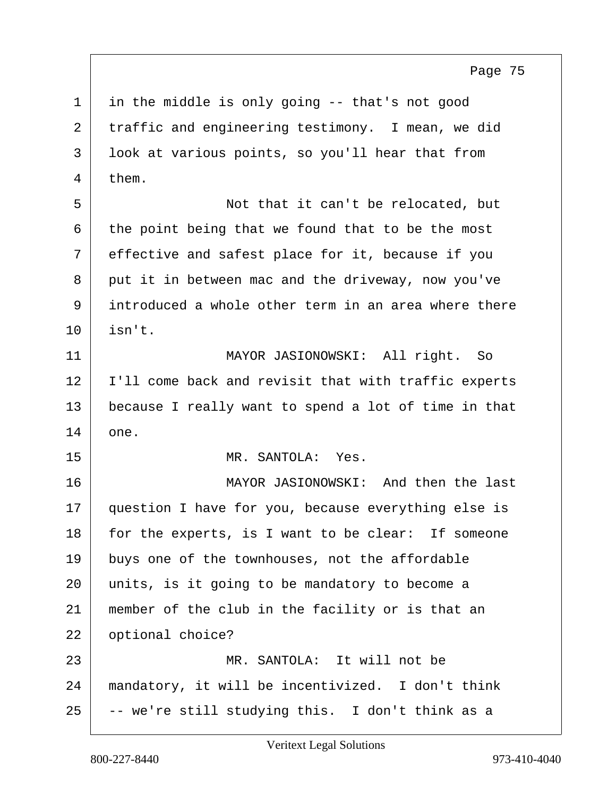1 in the middle is only going -- that's not good 2 traffic and engineering testimony. I mean, we did 3 look at various points, so you'll hear that from 4 them.

5 Not that it can't be relocated, but  $6$  the point being that we found that to be the most 7 effective and safest place for it, because if you 8 put it in between mac and the driveway, now you've 9 introduced a whole other term in an area where there  $10$  isn't.

11 MAYOR JASIONOWSKI: All right. So 12 | I'll come back and revisit that with traffic experts 13 because I really want to spend a lot of time in that 14 one.

15 MR. SANTOLA: Yes.

16 | MAYOR JASIONOWSKI: And then the last 17 question I have for you, because everything else is 18 for the experts, is I want to be clear: If someone 19 buys one of the townhouses, not the affordable 20 units, is it going to be mandatory to become a 21 member of the club in the facility or is that an 22 | optional choice? 23 MR. SANTOLA: It will not be 24 mandatory, it will be incentivized. I don't think

 $25$   $-$  we're still studying this. I don't think as a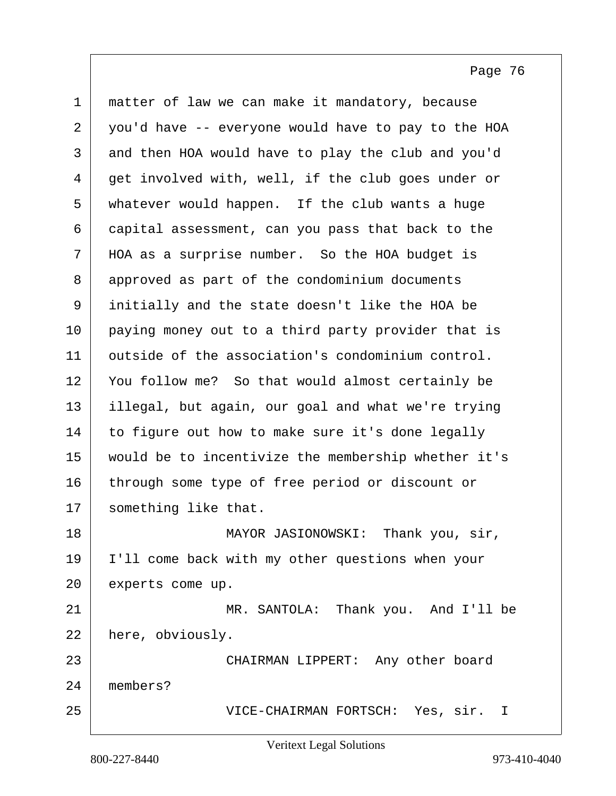| $\mathbf 1$ | matter of law we can make it mandatory, because     |
|-------------|-----------------------------------------------------|
| 2           | you'd have -- everyone would have to pay to the HOA |
| 3           | and then HOA would have to play the club and you'd  |
| 4           | get involved with, well, if the club goes under or  |
| 5           | whatever would happen. If the club wants a huge     |
| 6           | capital assessment, can you pass that back to the   |
| 7           | HOA as a surprise number. So the HOA budget is      |
| 8           | approved as part of the condominium documents       |
| 9           | initially and the state doesn't like the HOA be     |
| 10          | paying money out to a third party provider that is  |
| 11          | outside of the association's condominium control.   |
| 12          | You follow me? So that would almost certainly be    |
| 13          | illegal, but again, our goal and what we're trying  |
| 14          | to figure out how to make sure it's done legally    |
| 15          | would be to incentivize the membership whether it's |
| 16          | through some type of free period or discount or     |
| 17          | something like that.                                |
| 18          | MAYOR JASIONOWSKI:<br>Thank you, sir,               |
| 19          | I'll come back with my other questions when your    |
| 20          | experts come up.                                    |
| 21          | MR. SANTOLA: Thank you. And I'll be                 |
| 22          | here, obviously.                                    |
| 23          | CHAIRMAN LIPPERT: Any other board                   |
| 24          | members?                                            |
| 25          | VICE-CHAIRMAN FORTSCH: Yes, sir. I                  |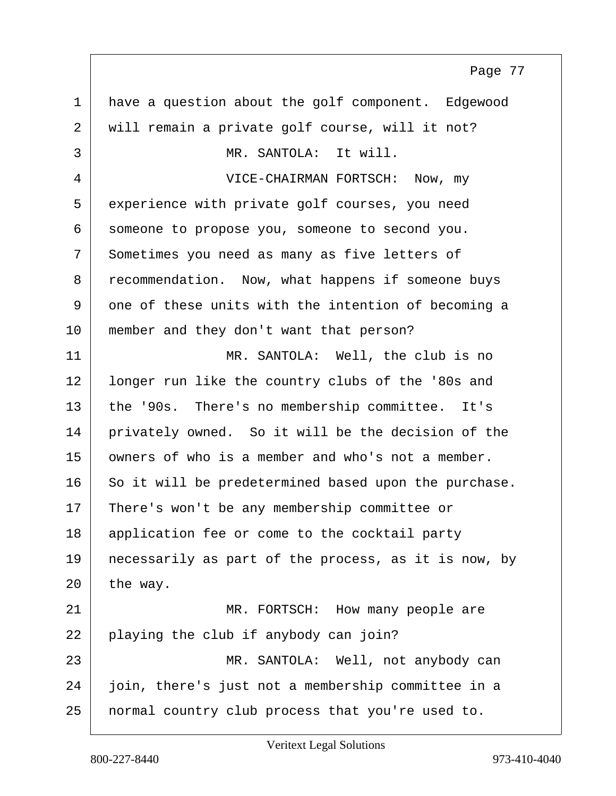1 have a question about the golf component. Edgewood 2 will remain a private golf course, will it not? 3 MR. SANTOLA: It will. 4 VICE-CHAIRMAN FORTSCH: Now, my 5 experience with private golf courses, you need 6 someone to propose you, someone to second you. 7 Sometimes you need as many as five letters of 8 recommendation. Now, what happens if someone buys 9 one of these units with the intention of becoming a 10 | member and they don't want that person? 11 MR. SANTOLA: Well, the club is no 12 | longer run like the country clubs of the '80s and 13 | the '90s. There's no membership committee. It's 14 privately owned. So it will be the decision of the 15 | owners of who is a member and who's not a member. 16 So it will be predetermined based upon the purchase. 17 There's won't be any membership committee or 18 application fee or come to the cocktail party 19 | necessarily as part of the process, as it is now, by  $20$  the way. 21 MR. FORTSCH: How many people are 22 playing the club if anybody can join? 23 MR. SANTOLA: Well, not anybody can 24 join, there's just not a membership committee in a 25 normal country club process that you're used to. Page 77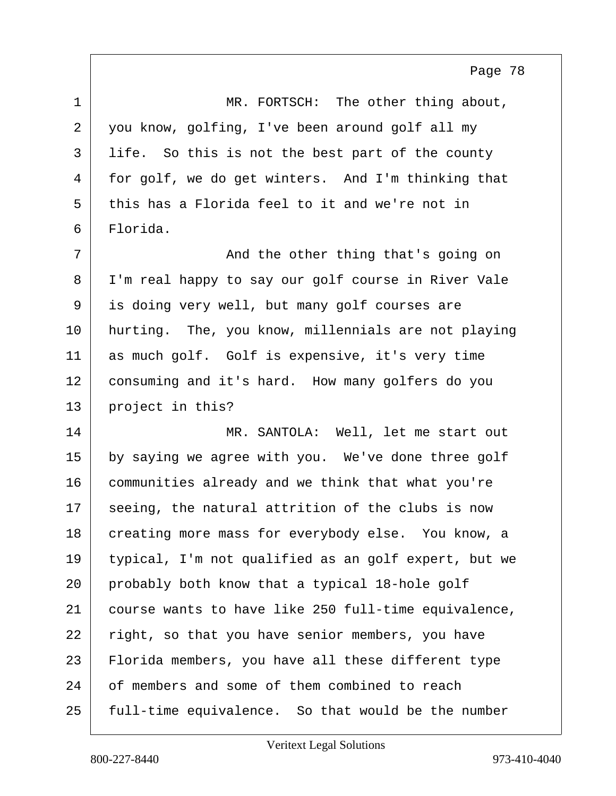1 MR. FORTSCH: The other thing about, 2 you know, golfing, I've been around golf all my 3 life. So this is not the best part of the county 4 for golf, we do get winters. And I'm thinking that 5 this has a Florida feel to it and we're not in 6 Florida. 7 | The other thing that's going on 8 I'm real happy to say our golf course in River Vale 9 is doing very well, but many golf courses are 10 hurting. The, you know, millennials are not playing 11 as much golf. Golf is expensive, it's very time 12 consuming and it's hard. How many golfers do you 13 project in this? 14 MR. SANTOLA: Well, let me start out 15 by saying we agree with you. We've done three golf 16 communities already and we think that what you're 17 seeing, the natural attrition of the clubs is now 18 creating more mass for everybody else. You know, a 19 typical, I'm not qualified as an golf expert, but we 20 probably both know that a typical 18-hole golf 21 course wants to have like 250 full-time equivalence,  $22$  right, so that you have senior members, you have 23 Florida members, you have all these different type 24 of members and some of them combined to reach 25 full-time equivalence. So that would be the number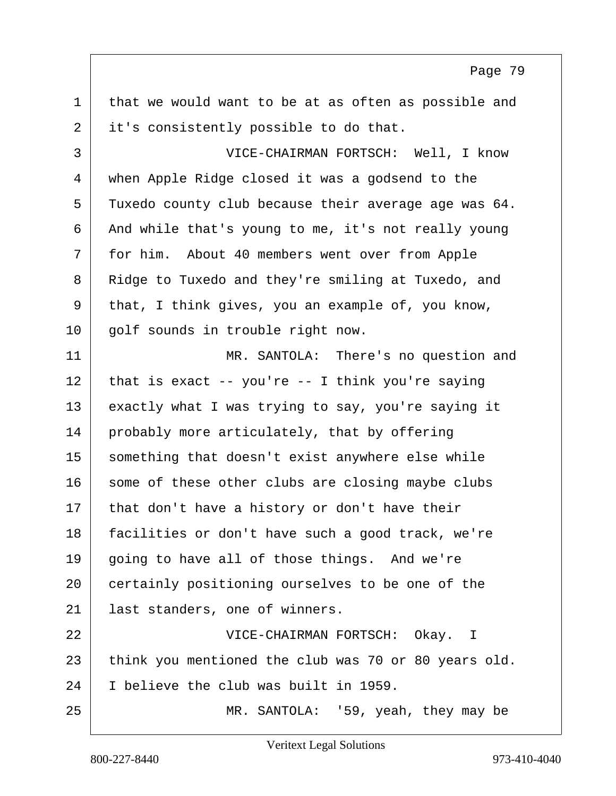1 that we would want to be at as often as possible and 2 it's consistently possible to do that. 3 VICE-CHAIRMAN FORTSCH: Well, I know 4 when Apple Ridge closed it was a godsend to the 5 Tuxedo county club because their average age was 64. 6 And while that's young to me, it's not really young 7 for him. About 40 members went over from Apple 8 Ridge to Tuxedo and they're smiling at Tuxedo, and 9 that, I think gives, you an example of, you know, 10 | golf sounds in trouble right now. 11 MR. SANTOLA: There's no question and  $12$  that is exact -- you're -- I think you're saying 13 exactly what I was trying to say, you're saying it 14 probably more articulately, that by offering 15 something that doesn't exist anywhere else while 16 some of these other clubs are closing maybe clubs  $17$  that don't have a history or don't have their 18 facilities or don't have such a good track, we're  $19$  going to have all of those things. And we're 20 certainly positioning ourselves to be one of the 21 ast standers, one of winners. 22 VICE-CHAIRMAN FORTSCH: Okay. I 23 think you mentioned the club was 70 or 80 years old. 24 I believe the club was built in 1959. 25 MR. SANTOLA: '59, yeah, they may be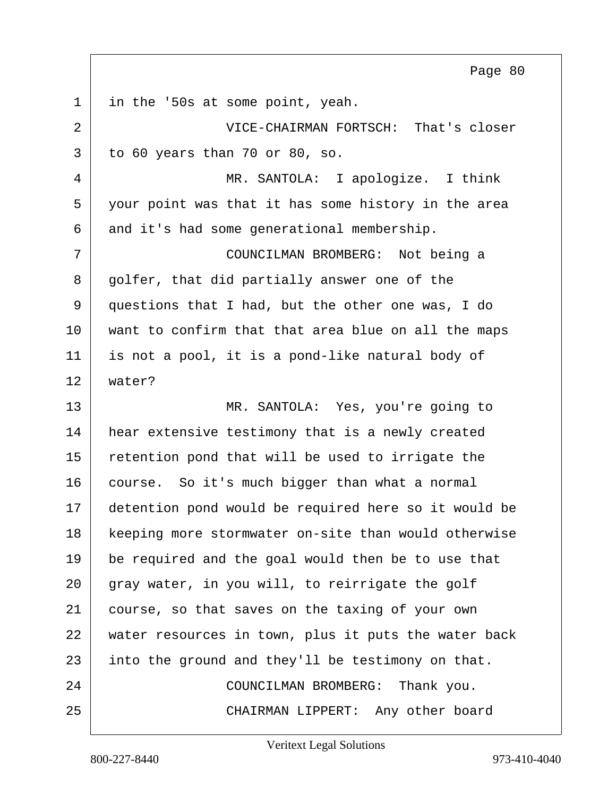1 in the '50s at some point, yeah.

2 VICE-CHAIRMAN FORTSCH: That's closer  $3$  to 60 years than 70 or 80, so.

4 MR. SANTOLA: I apologize. I think 5 your point was that it has some history in the area 6 and it's had some generational membership.

7 COUNCILMAN BROMBERG: Not being a 8 golfer, that did partially answer one of the 9 questions that I had, but the other one was, I do 10 want to confirm that that area blue on all the maps 11 is not a pool, it is a pond-like natural body of 12 water?

13 MR. SANTOLA: Yes, you're going to 14 hear extensive testimony that is a newly created 15 retention pond that will be used to irrigate the 16 course. So it's much bigger than what a normal 17 detention pond would be required here so it would be 18 keeping more stormwater on-site than would otherwise 19 be required and the goal would then be to use that 20 gray water, in you will, to reirrigate the golf 21 course, so that saves on the taxing of your own 22 water resources in town, plus it puts the water back 23 into the ground and they'll be testimony on that. 24 COUNCILMAN BROMBERG: Thank you. 25 CHAIRMAN LIPPERT: Any other board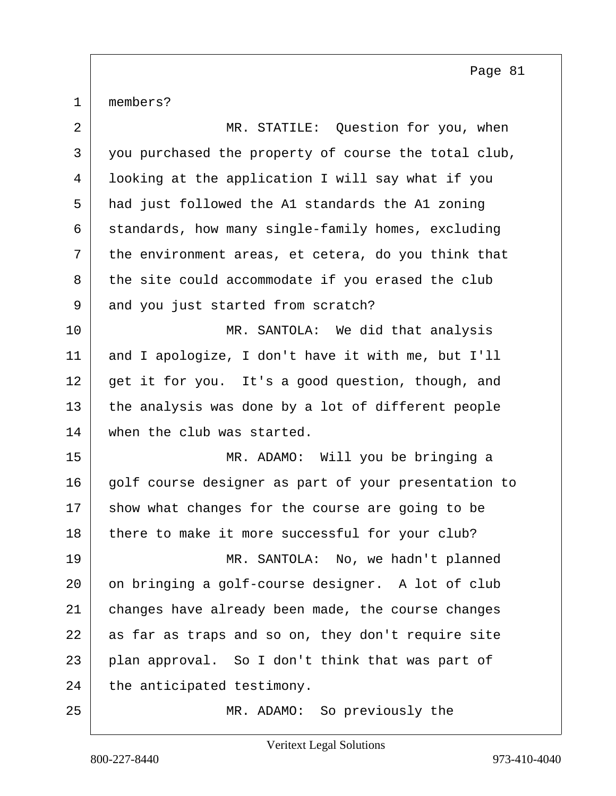1 | members?

| $\overline{a}$ | MR. STATILE: Question for you, when                  |
|----------------|------------------------------------------------------|
| 3              | you purchased the property of course the total club, |
| 4              | looking at the application I will say what if you    |
| 5              | had just followed the A1 standards the A1 zoning     |
| 6              | standards, how many single-family homes, excluding   |
| 7              | the environment areas, et cetera, do you think that  |
| 8              | the site could accommodate if you erased the club    |
| 9              | and you just started from scratch?                   |
| 10             | MR. SANTOLA: We did that analysis                    |
| 11             | and I apologize, I don't have it with me, but I'll   |
| 12             | get it for you. It's a good question, though, and    |
| 13             | the analysis was done by a lot of different people   |
| 14             | when the club was started.                           |
| 15             | MR. ADAMO: Will you be bringing a                    |
| 16             | golf course designer as part of your presentation to |
| 17             | show what changes for the course are going to be     |
| 18             | there to make it more successful for your club?      |
| 19             | MR. SANTOLA: No, we hadn't planned                   |
| 20             | on bringing a golf-course designer. A lot of club    |
| 21             | changes have already been made, the course changes   |
| 22             | as far as traps and so on, they don't require site   |
| 23             | plan approval. So I don't think that was part of     |
| 24             | the anticipated testimony.                           |
| 25             | MR. ADAMO: So previously the                         |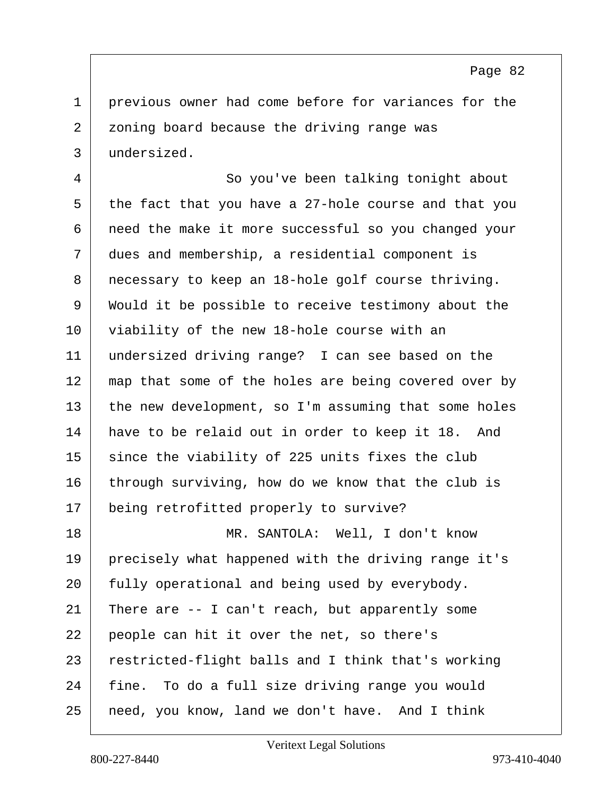1 previous owner had come before for variances for the 2 zoning board because the driving range was 3 undersized.

4 So you've been talking tonight about  $5$  the fact that you have a 27-hole course and that you 6 need the make it more successful so you changed your 7 dues and membership, a residential component is 8 necessary to keep an 18-hole golf course thriving. 9 Would it be possible to receive testimony about the 10 viability of the new 18-hole course with an 11 undersized driving range? I can see based on the 12 map that some of the holes are being covered over by  $13$  the new development, so I'm assuming that some holes 14 have to be relaid out in order to keep it 18. And 15 since the viability of 225 units fixes the club 16 through surviving, how do we know that the club is 17 | being retrofitted properly to survive? 18 MR. SANTOLA: Well, I don't know 19 precisely what happened with the driving range it's 20 fully operational and being used by everybody. 21 There are  $-$  I can't reach, but apparently some 22 people can hit it over the net, so there's 23 restricted-flight balls and I think that's working 24 fine. To do a full size driving range you would 25 need, you know, land we don't have. And I think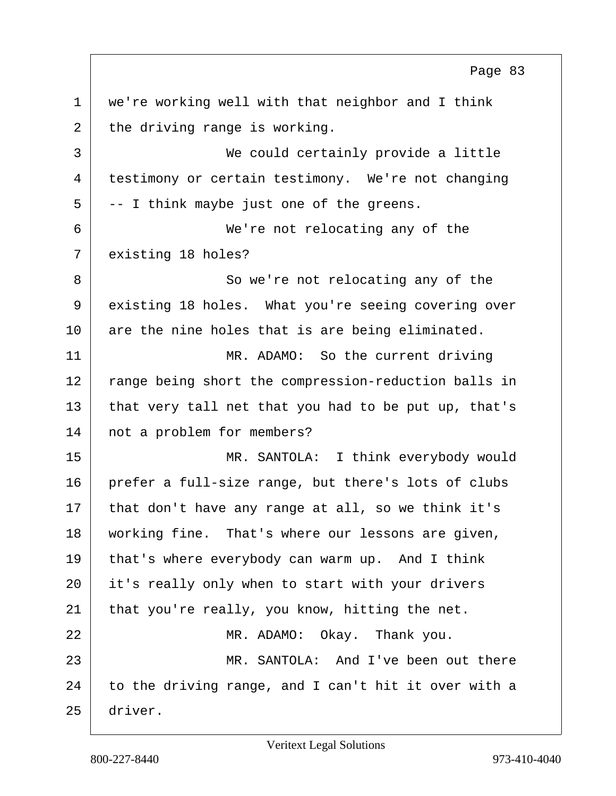1 we're working well with that neighbor and I think  $2$  the driving range is working. 3 We could certainly provide a little 4 testimony or certain testimony. We're not changing  $5$  -- I think maybe just one of the greens. 6 We're not relocating any of the 7 existing 18 holes? 8 So we're not relocating any of the 9 existing 18 holes. What you're seeing covering over  $10$  are the nine holes that is are being eliminated. 11 MR. ADAMO: So the current driving 12 range being short the compression-reduction balls in  $13$  that very tall net that you had to be put up, that's 14 | not a problem for members? 15 MR. SANTOLA: I think everybody would 16 prefer a full-size range, but there's lots of clubs  $17$  that don't have any range at all, so we think it's 18 working fine. That's where our lessons are given, 19 that's where everybody can warm up. And I think 20 it's really only when to start with your drivers 21 | that you're really, you know, hitting the net. 22 MR. ADAMO: Okay. Thank you. 23 MR. SANTOLA: And I've been out there  $24$  to the driving range, and I can't hit it over with a 25 driver.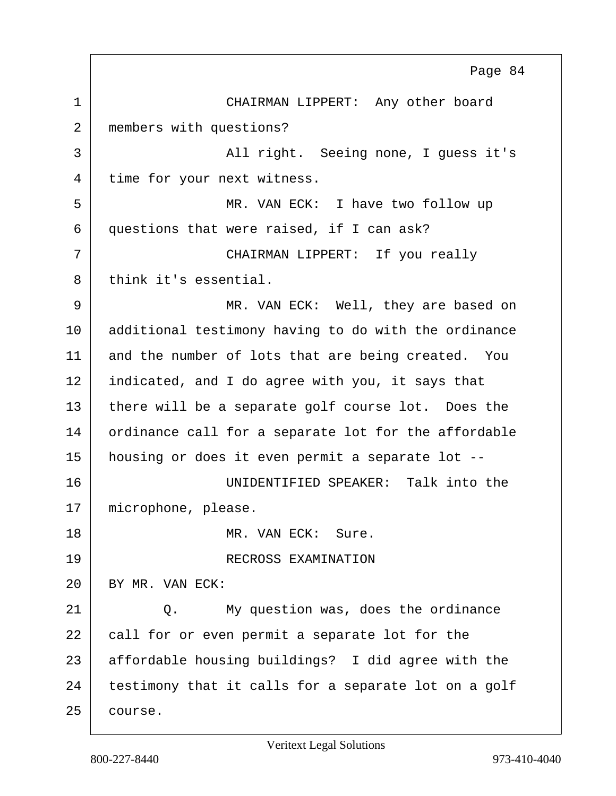1 CHAIRMAN LIPPERT: Any other board 2 members with questions? 3 | All right. Seeing none, I guess it's 4 time for your next witness. 5 MR. VAN ECK: I have two follow up 6 questions that were raised, if I can ask? 7 CHAIRMAN LIPPERT: If you really 8 think it's essential. 9 MR. VAN ECK: Well, they are based on 10 | additional testimony having to do with the ordinance 11 and the number of lots that are being created. You  $12$  indicated, and I do agree with you, it says that 13 there will be a separate golf course lot. Does the 14 ordinance call for a separate lot for the affordable 15 housing or does it even permit a separate lot -- 16 UNIDENTIFIED SPEAKER: Talk into the 17 | microphone, please. 18 MR. VAN ECK: Sure. 19 RECROSS EXAMINATION 20 | BY MR. VAN ECK: 21 O. My question was, does the ordinance 22 call for or even permit a separate lot for the 23 affordable housing buildings? I did agree with the 24 testimony that it calls for a separate lot on a golf 25 course. Page 84

Veritext Legal Solutions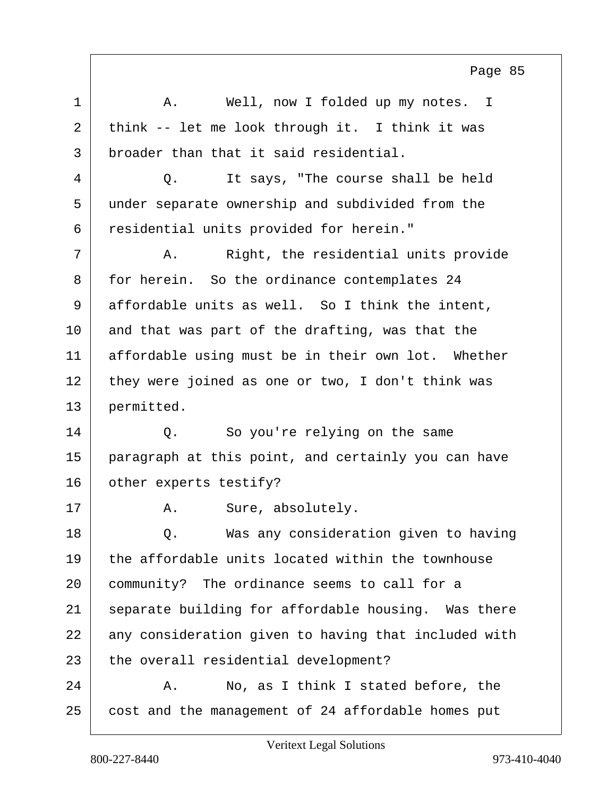1 A. Well, now I folded up my notes. I 2 think -- let me look through it. I think it was 3 broader than that it said residential. 4 Q. It says, "The course shall be held 5 under separate ownership and subdivided from the 6 residential units provided for herein." 7 A. Right, the residential units provide 8 for herein. So the ordinance contemplates 24 9 affordable units as well. So I think the intent, 10 and that was part of the drafting, was that the 11 affordable using must be in their own lot. Whether  $12$  they were joined as one or two, I don't think was 13 permitted. 14 O. So you're relying on the same 15 paragraph at this point, and certainly you can have 16 other experts testify? 17 | A. Sure, absolutely. 18 | C. Was any consideration given to having 19 the affordable units located within the townhouse 20 community? The ordinance seems to call for a 21 | separate building for affordable housing. Was there 22 any consideration given to having that included with 23 the overall residential development? 24 A. No, as I think I stated before, the 25 cost and the management of 24 affordable homes put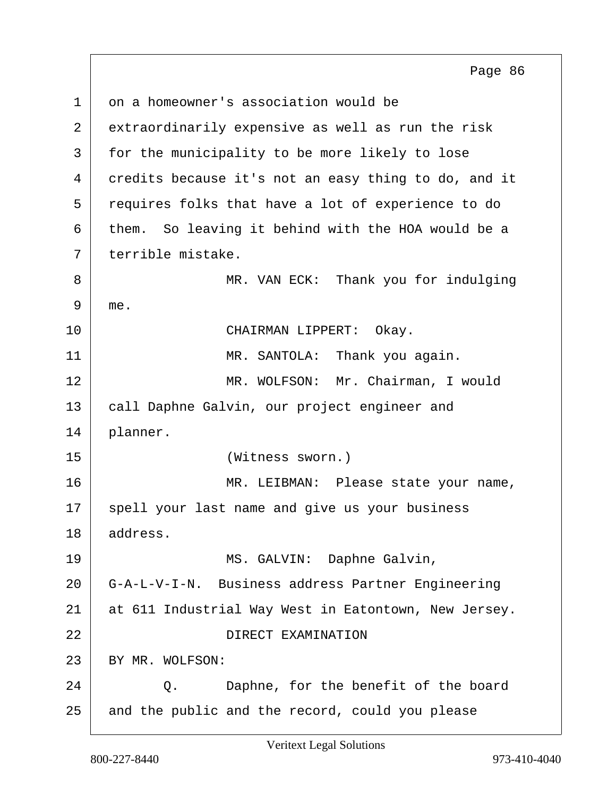$1 \mid$  on a homeowner's association would be 2 extraordinarily expensive as well as run the risk 3 | for the municipality to be more likely to lose 4 credits because it's not an easy thing to do, and it 5 requires folks that have a lot of experience to do 6 them. So leaving it behind with the HOA would be a 7 terrible mistake. 8 MR. VAN ECK: Thank you for indulging 9 me. 10 CHAIRMAN LIPPERT: Okay. 11 | MR. SANTOLA: Thank you again. 12 MR. WOLFSON: Mr. Chairman, I would 13 | call Daphne Galvin, our project engineer and 14 planner. 15 (Witness sworn.) 16 | MR. LEIBMAN: Please state your name, 17 spell your last name and give us your business 18 address. 19 MS. GALVIN: Daphne Galvin, 20 G-A-L-V-I-N. Business address Partner Engineering 21 at 611 Industrial Way West in Eatontown, New Jersey. 22 DIRECT EXAMINATION 23 BY MR. WOLFSON: 24 Q. Daphne, for the benefit of the board 25 and the public and the record, could you please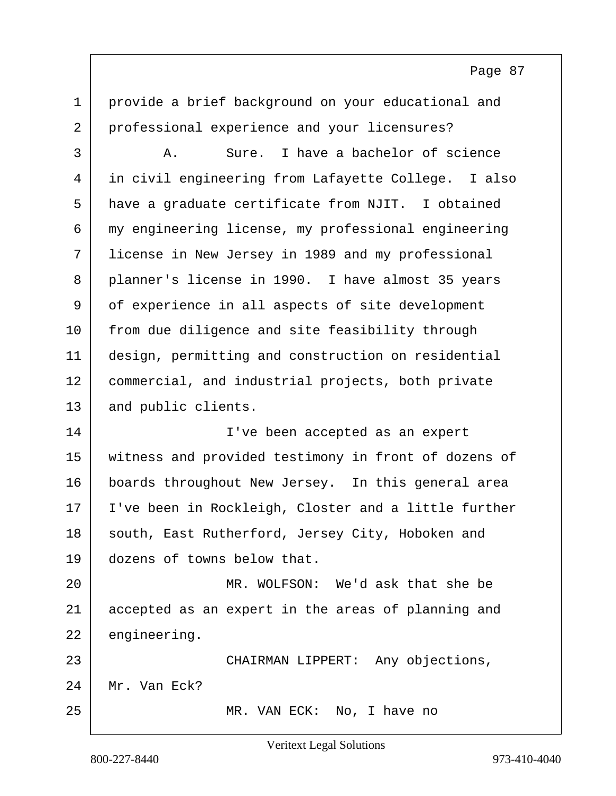1 provide a brief background on your educational and 2 professional experience and your licensures?

3 A. Sure. I have a bachelor of science 4 in civil engineering from Lafayette College. I also 5 have a graduate certificate from NJIT. I obtained 6 my engineering license, my professional engineering 7 license in New Jersey in 1989 and my professional 8 | planner's license in 1990. I have almost 35 years 9 of experience in all aspects of site development 10 from due diligence and site feasibility through 11 design, permitting and construction on residential 12 commercial, and industrial projects, both private 13 and public clients.

14 I've been accepted as an expert 15 witness and provided testimony in front of dozens of 16 boards throughout New Jersey. In this general area 17 | I've been in Rockleigh, Closter and a little further 18 south, East Rutherford, Jersey City, Hoboken and 19 dozens of towns below that.

20 MR. WOLFSON: We'd ask that she be 21 accepted as an expert in the areas of planning and 22 engineering.

23 | CHAIRMAN LIPPERT: Any objections, 24 Mr. Van Eck? 25 MR. VAN ECK: No, I have no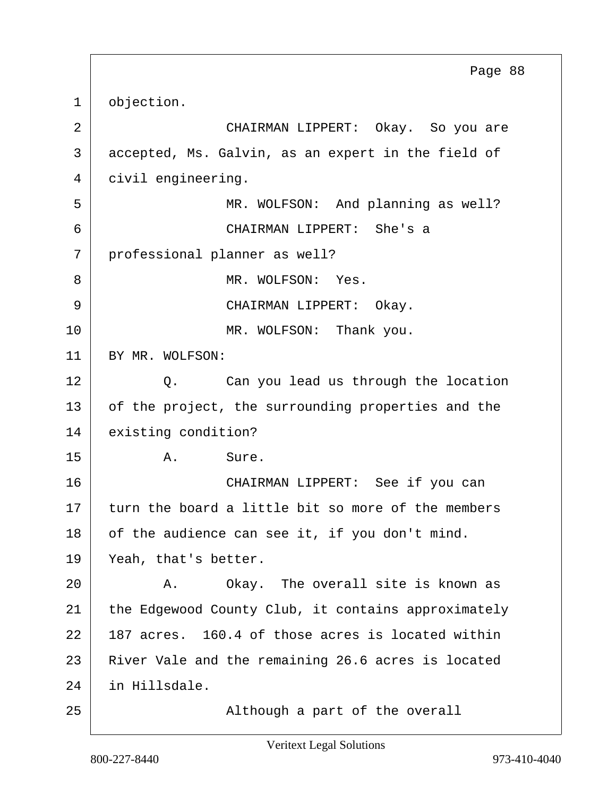1 objection. 2 CHAIRMAN LIPPERT: Okay. So you are 3 accepted, Ms. Galvin, as an expert in the field of 4 civil engineering. 5 | MR. WOLFSON: And planning as well? 6 CHAIRMAN LIPPERT: She's a 7 professional planner as well? 8 MR. WOLFSON: Yes. 9 | CHAIRMAN LIPPERT: Okay. 10 | MR. WOLFSON: Thank you. 11 BY MR. WOLFSON: 12 Q. Can you lead us through the location 13 of the project, the surrounding properties and the 14 existing condition? 15 A. Sure. 16 CHAIRMAN LIPPERT: See if you can 17 turn the board a little bit so more of the members 18 of the audience can see it, if you don't mind. 19 Yeah, that's better. 20 A. Okay. The overall site is known as 21 the Edgewood County Club, it contains approximately  $22$  | 187 acres. 160.4 of those acres is located within 23 River Vale and the remaining 26.6 acres is located 24 in Hillsdale. 25 | Constant Multhough a part of the overall Page 88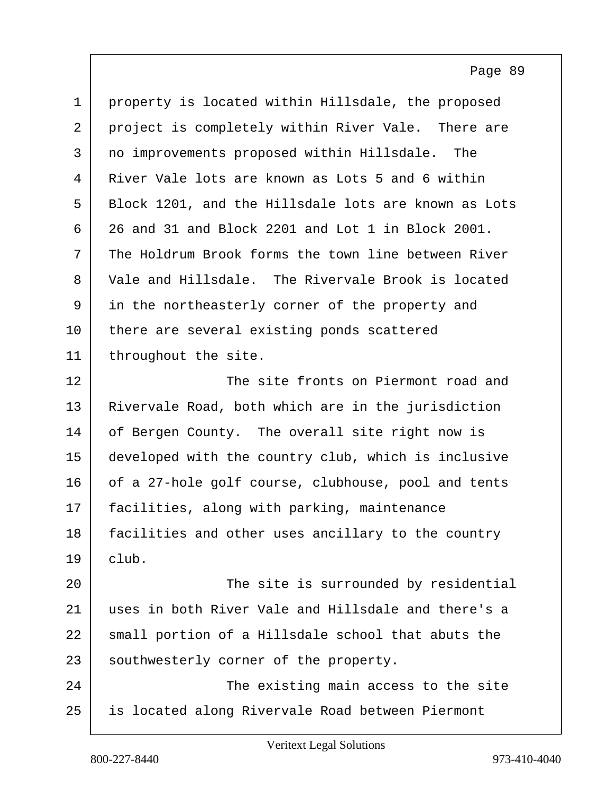| $\mathbf{1}$ | property is located within Hillsdale, the proposed   |
|--------------|------------------------------------------------------|
| 2            | project is completely within River Vale. There are   |
| 3            | no improvements proposed within Hillsdale. The       |
| 4            | River Vale lots are known as Lots 5 and 6 within     |
| 5            | Block 1201, and the Hillsdale lots are known as Lots |
| 6            | 26 and 31 and Block 2201 and Lot 1 in Block 2001.    |
| 7            | The Holdrum Brook forms the town line between River  |
| 8            | Vale and Hillsdale. The Rivervale Brook is located   |
| 9            | in the northeasterly corner of the property and      |
| 10           | there are several existing ponds scattered           |
| 11           | throughout the site.                                 |
| 12           | The site fronts on Piermont road and                 |
| 13           | Rivervale Road, both which are in the jurisdiction   |
| 14           | of Bergen County. The overall site right now is      |
| 15           | developed with the country club, which is inclusive  |
| 16           | of a 27-hole golf course, clubhouse, pool and tents  |
| 17           | facilities, along with parking, maintenance          |
| 18           | facilities and other uses ancillary to the country   |
| 19           | club.                                                |
| 20           | The site is surrounded by residential                |
| 21           | uses in both River Vale and Hillsdale and there's a  |
| 22           | small portion of a Hillsdale school that abuts the   |
| 23           | southwesterly corner of the property.                |
| 24           | The existing main access to the site                 |
| 25           | is located along Rivervale Road between Piermont     |
|              |                                                      |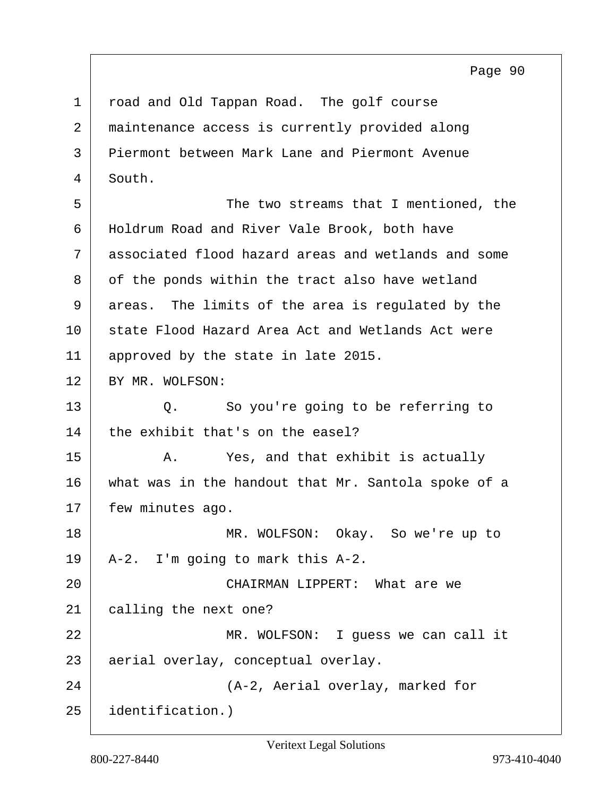1 road and Old Tappan Road. The golf course 2 maintenance access is currently provided along 3 Piermont between Mark Lane and Piermont Avenue 4 South. 5 The two streams that I mentioned, the 6 Holdrum Road and River Vale Brook, both have 7 associated flood hazard areas and wetlands and some 8 of the ponds within the tract also have wetland 9 areas. The limits of the area is regulated by the 10 state Flood Hazard Area Act and Wetlands Act were 11 approved by the state in late 2015. 12 BY MR. WOLFSON: 13 Q. So you're going to be referring to  $14$  the exhibit that's on the easel? 15 A. Yes, and that exhibit is actually 16 what was in the handout that Mr. Santola spoke of a 17 | few minutes ago. 18 MR. WOLFSON: Okay. So we're up to  $19$  | A-2. I'm going to mark this A-2. 20 | CHAIRMAN LIPPERT: What are we 21 calling the next one? 22 MR. WOLFSON: I guess we can call it 23 aerial overlay, conceptual overlay. 24 (A-2, Aerial overlay, marked for 25 identification.)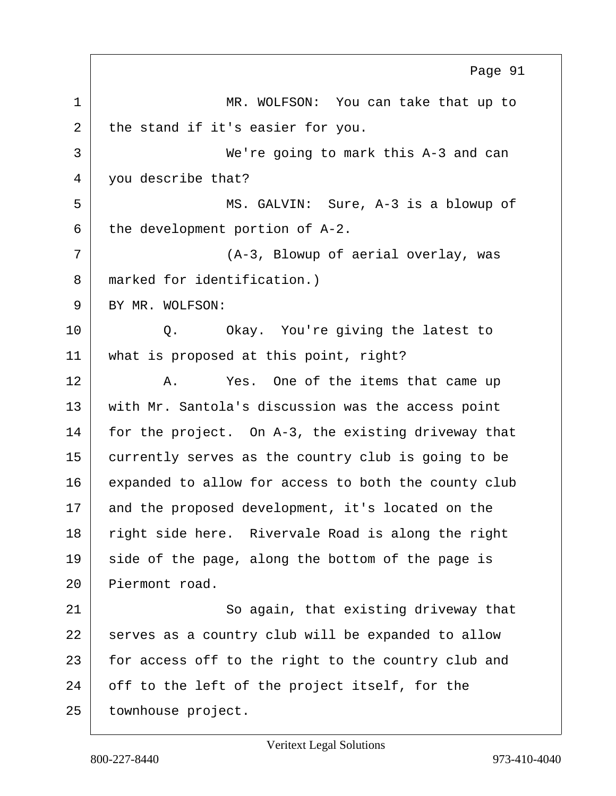1 MR. WOLFSON: You can take that up to  $2$  the stand if it's easier for you. 3 We're going to mark this A-3 and can 4 you describe that? 5 MS. GALVIN: Sure, A-3 is a blowup of  $6$  the development portion of A-2. 7 (A-3, Blowup of aerial overlay, was 8 marked for identification.) 9 BY MR. WOLFSON: 10 Q. Okay. You're giving the latest to 11 what is proposed at this point, right? 12 A. Yes. One of the items that came up 13 with Mr. Santola's discussion was the access point 14 for the project. On A-3, the existing driveway that 15 currently serves as the country club is going to be 16 expanded to allow for access to both the county club 17 and the proposed development, it's located on the 18 right side here. Rivervale Road is along the right  $19$  side of the page, along the bottom of the page is 20 Piermont road. 21 So again, that existing driveway that 22 serves as a country club will be expanded to allow 23 for access off to the right to the country club and 24 off to the left of the project itself, for the 25 | townhouse project. Page 91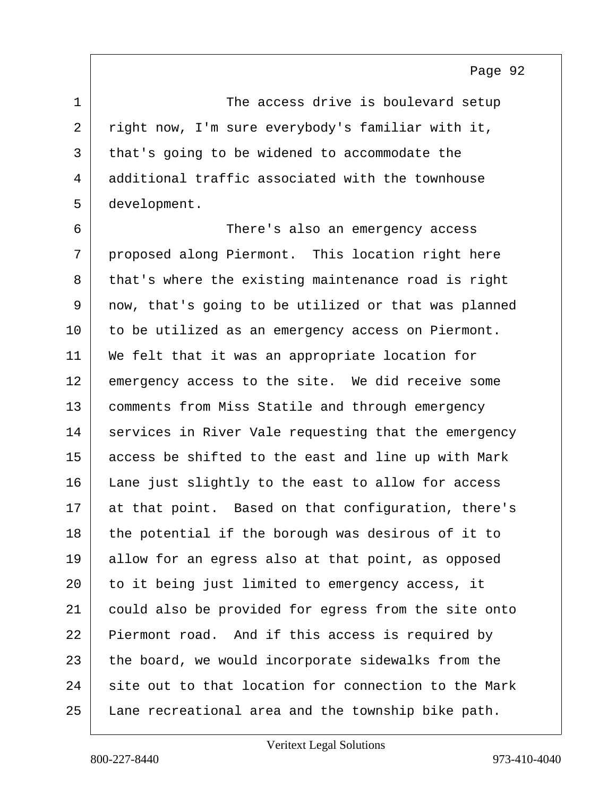1 The access drive is boulevard setup 2 right now, I'm sure everybody's familiar with it, 3 that's going to be widened to accommodate the 4 additional traffic associated with the townhouse 5 development.

6 There's also an emergency access 7 proposed along Piermont. This location right here 8 that's where the existing maintenance road is right 9 now, that's going to be utilized or that was planned 10 to be utilized as an emergency access on Piermont. 11 | We felt that it was an appropriate location for 12 emergency access to the site. We did receive some 13 | comments from Miss Statile and through emergency 14 services in River Vale requesting that the emergency 15 access be shifted to the east and line up with Mark 16 Lane just slightly to the east to allow for access 17 at that point. Based on that configuration, there's 18 the potential if the borough was desirous of it to 19 allow for an egress also at that point, as opposed 20 | to it being just limited to emergency access, it 21 could also be provided for egress from the site onto 22 Piermont road. And if this access is required by 23 the board, we would incorporate sidewalks from the  $24$  site out to that location for connection to the Mark 25 Lane recreational area and the township bike path.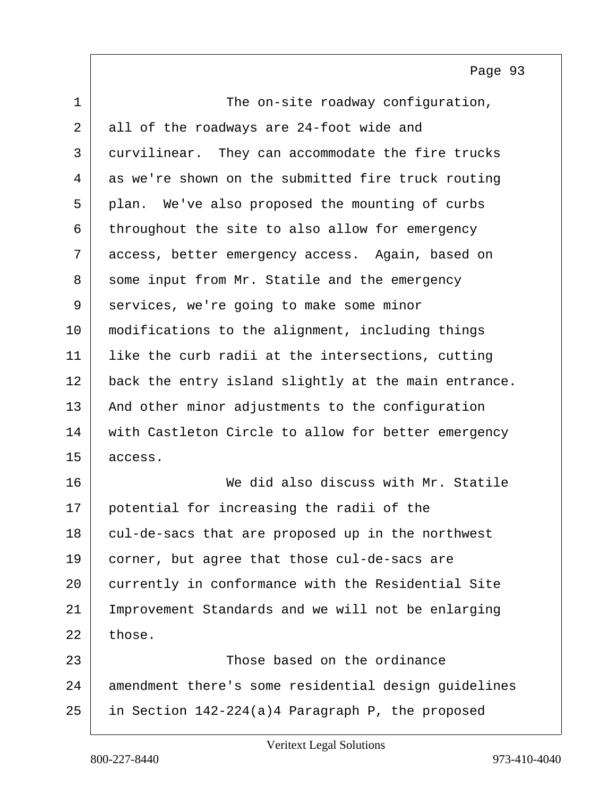| $\mathbf 1$ | The on-site roadway configuration,                   |
|-------------|------------------------------------------------------|
| 2           | all of the roadways are 24-foot wide and             |
| 3           | curvilinear. They can accommodate the fire trucks    |
| 4           | as we're shown on the submitted fire truck routing   |
| 5           | plan. We've also proposed the mounting of curbs      |
| 6           | throughout the site to also allow for emergency      |
| 7           | access, better emergency access. Again, based on     |
| 8           | some input from Mr. Statile and the emergency        |
| 9           | services, we're going to make some minor             |
| 10          | modifications to the alignment, including things     |
| 11          | like the curb radii at the intersections, cutting    |
| 12          | back the entry island slightly at the main entrance. |
| 13          | And other minor adjustments to the configuration     |
| 14          | with Castleton Circle to allow for better emergency  |
| 15          | access.                                              |
| 16          | We did also discuss with Mr. Statile                 |
| 17          | potential for increasing the radii of the            |
| 18          | cul-de-sacs that are proposed up in the northwest    |
| 19          | corner, but agree that those cul-de-sacs are         |
| 20          | currently in conformance with the Residential Site   |
| 21          | Improvement Standards and we will not be enlarging   |
| 22          | those.                                               |
| 23          | Those based on the ordinance                         |
| 24          | amendment there's some residential design guidelines |
| 25          | in Section 142-224(a)4 Paragraph P, the proposed     |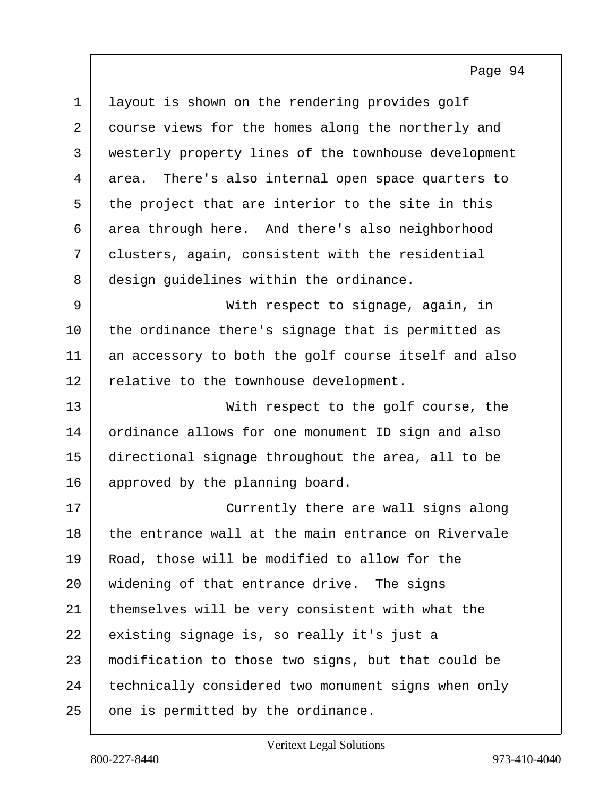| $\mathbf 1$ | layout is shown on the rendering provides golf        |
|-------------|-------------------------------------------------------|
| 2           | course views for the homes along the northerly and    |
| 3           | westerly property lines of the townhouse development  |
| 4           | There's also internal open space quarters to<br>area. |
| 5           | the project that are interior to the site in this     |
| 6           | area through here. And there's also neighborhood      |
| 7           | clusters, again, consistent with the residential      |
| 8           | design guidelines within the ordinance.               |
| $\mathsf 9$ | With respect to signage, again, in                    |
| 10          | the ordinance there's signage that is permitted as    |
| 11          | an accessory to both the golf course itself and also  |
| 12          | relative to the townhouse development.                |
| 13          | With respect to the golf course, the                  |
| 14          | ordinance allows for one monument ID sign and also    |
| 15          | directional signage throughout the area, all to be    |
| 16          | approved by the planning board.                       |
| 17          | Currently there are wall signs along                  |
| 18          | the entrance wall at the main entrance on Rivervale   |
| 19          | Road, those will be modified to allow for the         |
| 20          | widening of that entrance drive. The signs            |
| 21          | themselves will be very consistent with what the      |
| 22          | existing signage is, so really it's just a            |
| 23          | modification to those two signs, but that could be    |
| 24          | technically considered two monument signs when only   |
| 25          | one is permitted by the ordinance.                    |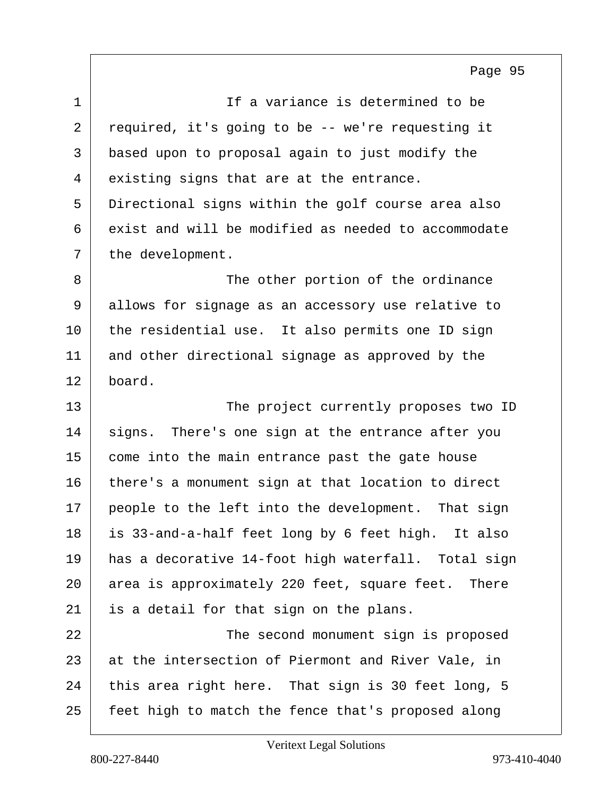| $\mathbf 1$ | If a variance is determined to be                   |
|-------------|-----------------------------------------------------|
| 2           | required, it's going to be -- we're requesting it   |
| 3           | based upon to proposal again to just modify the     |
| 4           | existing signs that are at the entrance.            |
| 5           | Directional signs within the golf course area also  |
| 6           | exist and will be modified as needed to accommodate |
| 7           | the development.                                    |
| 8           | The other portion of the ordinance                  |
| 9           | allows for signage as an accessory use relative to  |
| 10          | the residential use. It also permits one ID sign    |
| 11          | and other directional signage as approved by the    |
| 12          | board.                                              |
| 13          | The project currently proposes two ID               |
| 14          | signs. There's one sign at the entrance after you   |
| 15          | come into the main entrance past the gate house     |
| 16          | there's a monument sign at that location to direct  |
| 17          | people to the left into the development. That sign  |
| 18          | is 33-and-a-half feet long by 6 feet high. It also  |
| 19          | has a decorative 14-foot high waterfall. Total sign |
| 20          | area is approximately 220 feet, square feet. There  |
| 21          | is a detail for that sign on the plans.             |
| 22          | The second monument sign is proposed                |
| 23          | at the intersection of Piermont and River Vale, in  |
| 24          | this area right here. That sign is 30 feet long, 5  |
| 25          | feet high to match the fence that's proposed along  |
|             |                                                     |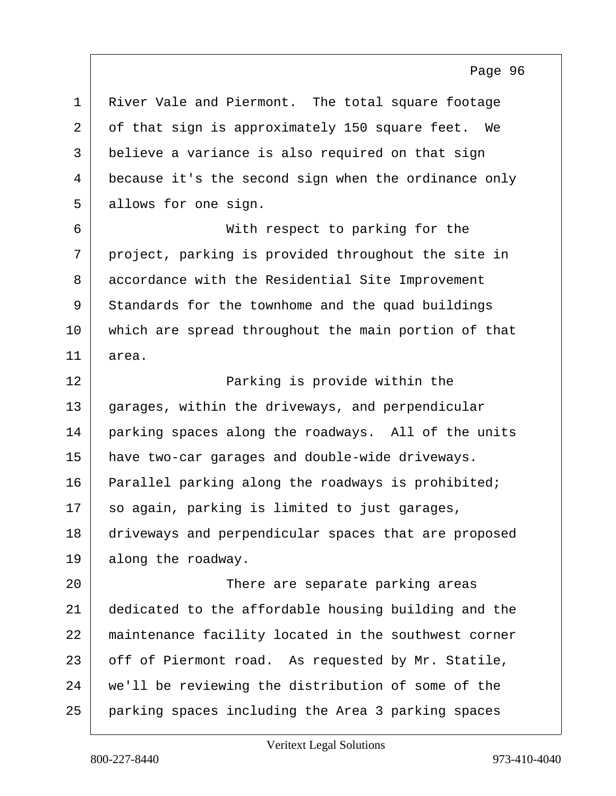| $\mathbf 1$    | River Vale and Piermont. The total square footage    |
|----------------|------------------------------------------------------|
| $\overline{a}$ | of that sign is approximately 150 square feet. We    |
| 3              | believe a variance is also required on that sign     |
| 4              | because it's the second sign when the ordinance only |
| 5              | allows for one sign.                                 |
| 6              | With respect to parking for the                      |
| 7              | project, parking is provided throughout the site in  |
| 8              | accordance with the Residential Site Improvement     |
| 9              | Standards for the townhome and the quad buildings    |
| 10             | which are spread throughout the main portion of that |
| 11             | area.                                                |
| 12             | Parking is provide within the                        |
| 13             | garages, within the driveways, and perpendicular     |
| 14             | parking spaces along the roadways. All of the units  |
| 15             | have two-car garages and double-wide driveways.      |
| 16             | Parallel parking along the roadways is prohibited;   |
| 17             | so again, parking is limited to just garages,        |
| 18             | driveways and perpendicular spaces that are proposed |
| 19             | along the roadway.                                   |
| 20             | There are separate parking areas                     |
| 21             | dedicated to the affordable housing building and the |
| 22             | maintenance facility located in the southwest corner |
| 23             | off of Piermont road. As requested by Mr. Statile,   |
| 24             | we'll be reviewing the distribution of some of the   |
| 25             | parking spaces including the Area 3 parking spaces   |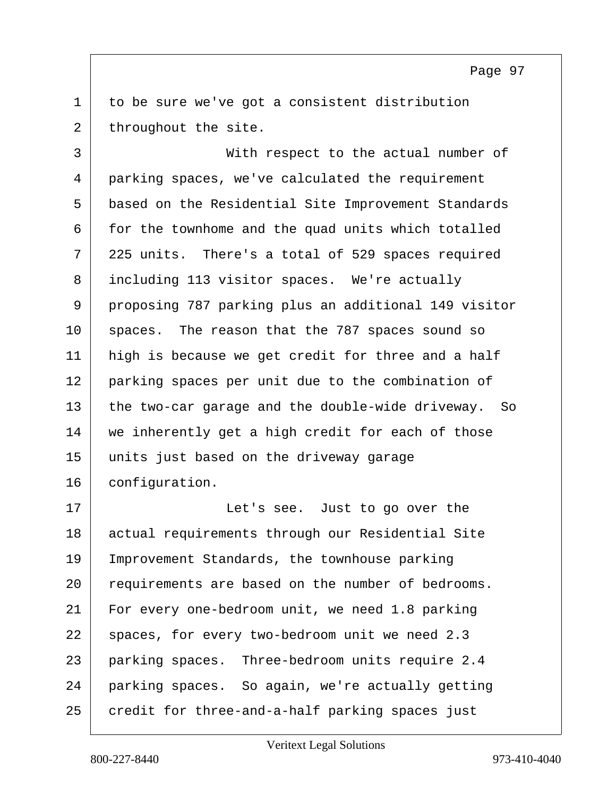$1$  to be sure we've got a consistent distribution  $2$  throughout the site.

3 With respect to the actual number of 4 parking spaces, we've calculated the requirement 5 based on the Residential Site Improvement Standards 6 for the townhome and the quad units which totalled 7 225 units. There's a total of 529 spaces required 8 including 113 visitor spaces. We're actually 9 proposing 787 parking plus an additional 149 visitor 10 spaces. The reason that the 787 spaces sound so 11 high is because we get credit for three and a half 12 parking spaces per unit due to the combination of  $13$  the two-car garage and the double-wide driveway. So 14 we inherently get a high credit for each of those 15 units just based on the driveway garage 16 configuration.

17 | Contracted Let's see. Just to go over the 18 actual requirements through our Residential Site 19 Improvement Standards, the townhouse parking 20 requirements are based on the number of bedrooms. 21 For every one-bedroom unit, we need 1.8 parking 22 | spaces, for every two-bedroom unit we need 2.3 23 parking spaces. Three-bedroom units require 2.4 24 parking spaces. So again, we're actually getting 25 credit for three-and-a-half parking spaces just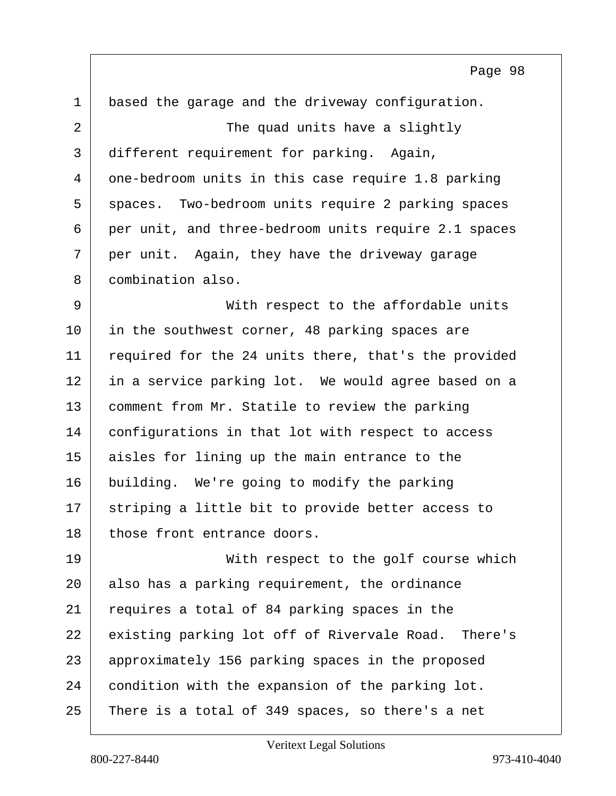| $\mathbf 1$ | based the garage and the driveway configuration.     |
|-------------|------------------------------------------------------|
| 2           | The quad units have a slightly                       |
| 3           | different requirement for parking. Again,            |
| 4           | one-bedroom units in this case require 1.8 parking   |
| 5           | spaces. Two-bedroom units require 2 parking spaces   |
| 6           | per unit, and three-bedroom units require 2.1 spaces |
| 7           | per unit. Again, they have the driveway garage       |
| 8           | combination also.                                    |
| 9           | With respect to the affordable units                 |
| 10          | in the southwest corner, 48 parking spaces are       |
| 11          | required for the 24 units there, that's the provided |
| 12          | in a service parking lot. We would agree based on a  |
| 13          | comment from Mr. Statile to review the parking       |
| 14          | configurations in that lot with respect to access    |
| 15          | aisles for lining up the main entrance to the        |
| 16          | building. We're going to modify the parking          |
| 17          | striping a little bit to provide better access to    |
| 18          | those front entrance doors.                          |
| 19          | With respect to the golf course which                |
| 20          | also has a parking requirement, the ordinance        |
| 21          | requires a total of 84 parking spaces in the         |
| 22          | existing parking lot off of Rivervale Road. There's  |
| 23          | approximately 156 parking spaces in the proposed     |
| 24          | condition with the expansion of the parking lot.     |
| 25          | There is a total of 349 spaces, so there's a net     |

Veritext Legal Solutions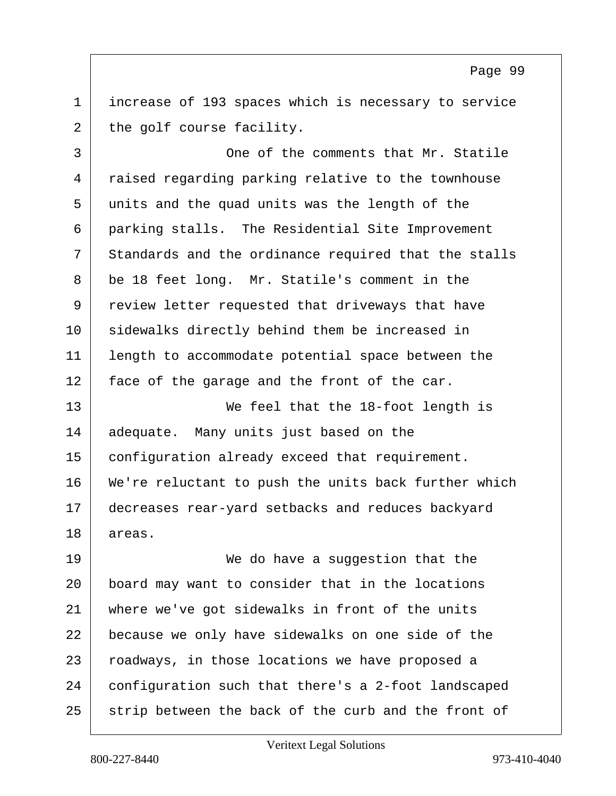1 increase of 193 spaces which is necessary to service  $2$  the golf course facility.

3 One of the comments that Mr. Statile 4 raised regarding parking relative to the townhouse 5 units and the quad units was the length of the 6 parking stalls. The Residential Site Improvement  $7$  Standards and the ordinance required that the stalls 8 be 18 feet long. Mr. Statile's comment in the 9 review letter requested that driveways that have 10 | sidewalks directly behind them be increased in 11 length to accommodate potential space between the  $12$  face of the garage and the front of the car.

13 We feel that the 18-foot length is 14 adequate. Many units just based on the 15 configuration already exceed that requirement. 16 | We're reluctant to push the units back further which 17 decreases rear-yard setbacks and reduces backyard 18 areas.

19 We do have a suqqestion that the 20 board may want to consider that in the locations 21 where we've got sidewalks in front of the units 22 because we only have sidewalks on one side of the 23 | roadways, in those locations we have proposed a 24 configuration such that there's a 2-foot landscaped 25 strip between the back of the curb and the front of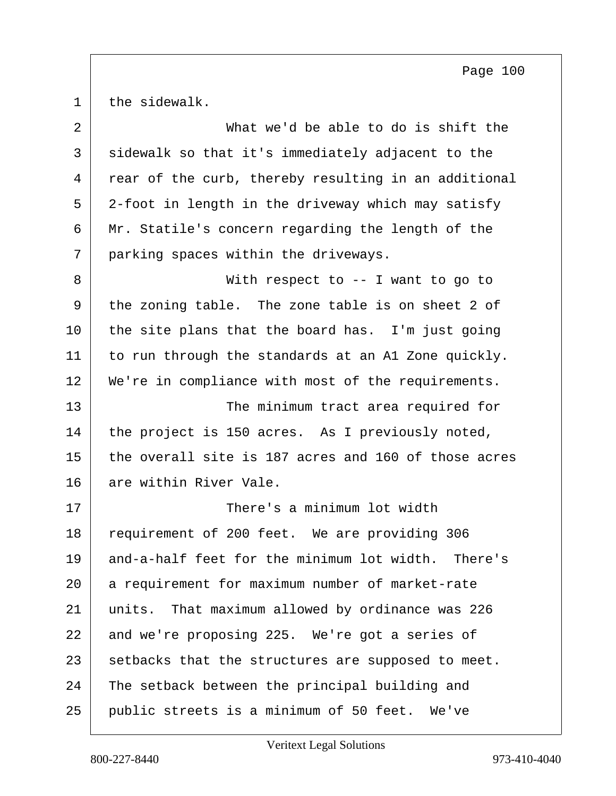the sidewalk.

| $\overline{2}$ | What we'd be able to do is shift the                 |
|----------------|------------------------------------------------------|
| $\mathfrak{Z}$ | sidewalk so that it's immediately adjacent to the    |
| 4              | rear of the curb, thereby resulting in an additional |
| 5              | 2-foot in length in the driveway which may satisfy   |
| 6              | Mr. Statile's concern regarding the length of the    |
| 7              | parking spaces within the driveways.                 |
| 8              | With respect to -- I want to go to                   |
| 9              | the zoning table. The zone table is on sheet 2 of    |
| 10             | the site plans that the board has. I'm just going    |
| 11             | to run through the standards at an A1 Zone quickly.  |
| 12             | We're in compliance with most of the requirements.   |
| 13             | The minimum tract area required for                  |
| 14             | the project is 150 acres. As I previously noted,     |
| 15             | the overall site is 187 acres and 160 of those acres |
| 16             | are within River Vale.                               |
| 17             | There's a minimum lot width                          |
| 18             | requirement of 200 feet. We are providing 306        |
| 19             | and-a-half feet for the minimum lot width. There's   |
| 20             | a requirement for maximum number of market-rate      |
| 21             | units. That maximum allowed by ordinance was 226     |
| 22             | and we're proposing 225. We're got a series of       |
| 23             | setbacks that the structures are supposed to meet.   |
| 24             | The setback between the principal building and       |
| 25             | public streets is a minimum of 50 feet. We've        |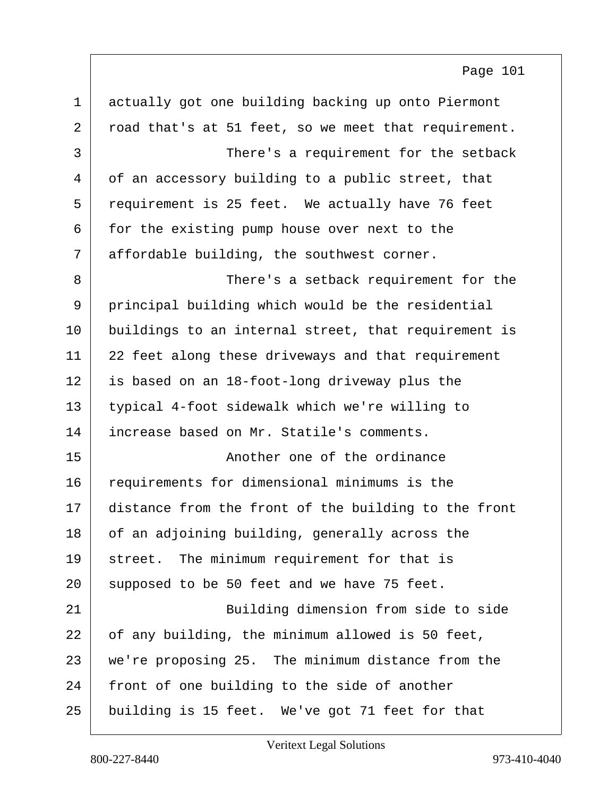| $\mathbf 1$    | actually got one building backing up onto Piermont   |
|----------------|------------------------------------------------------|
| $\overline{2}$ | road that's at 51 feet, so we meet that requirement. |
| 3              | There's a requirement for the setback                |
| 4              | of an accessory building to a public street, that    |
| 5              | requirement is 25 feet. We actually have 76 feet     |
| 6              | for the existing pump house over next to the         |
| 7              | affordable building, the southwest corner.           |
| 8              | There's a setback requirement for the                |
| 9              | principal building which would be the residential    |
| 10             | buildings to an internal street, that requirement is |
| 11             | 22 feet along these driveways and that requirement   |
| 12             | is based on an 18-foot-long driveway plus the        |
| 13             | typical 4-foot sidewalk which we're willing to       |
| 14             | increase based on Mr. Statile's comments.            |
| 15             | Another one of the ordinance                         |
| 16             | requirements for dimensional minimums is the         |
| 17             | distance from the front of the building to the front |
| 18             | of an adjoining building, generally across the       |
| 19             | street. The minimum requirement for that is          |
| 20             | supposed to be 50 feet and we have 75 feet.          |
| 21             | Building dimension from side to side                 |
| 22             | of any building, the minimum allowed is 50 feet,     |
| 23             | we're proposing 25. The minimum distance from the    |
| 24             | front of one building to the side of another         |
| 25             | building is 15 feet. We've got 71 feet for that      |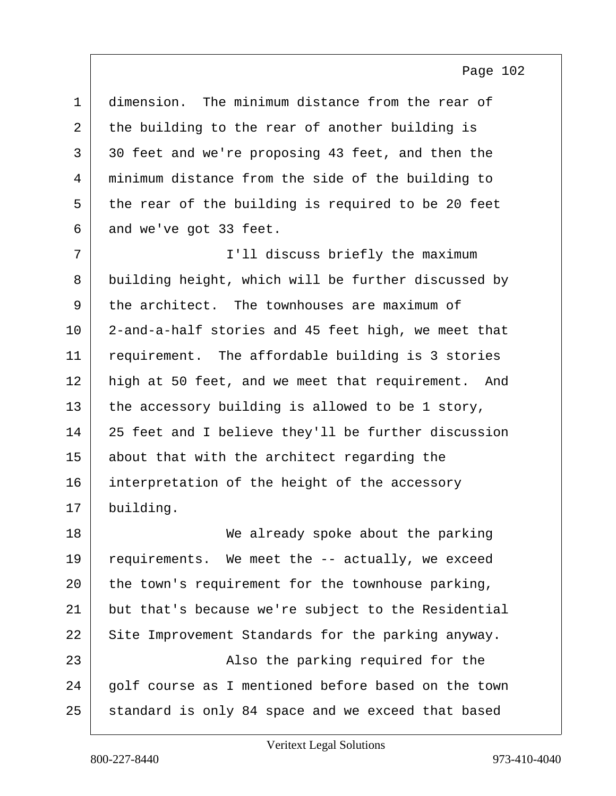| $\mathbf 1$ | dimension. The minimum distance from the rear of    |
|-------------|-----------------------------------------------------|
| 2           | the building to the rear of another building is     |
| 3           | 30 feet and we're proposing 43 feet, and then the   |
| 4           | minimum distance from the side of the building to   |
| 5           | the rear of the building is required to be 20 feet  |
| 6           | and we've got 33 feet.                              |
| 7           | I'll discuss briefly the maximum                    |
| 8           | building height, which will be further discussed by |
| 9           | the architect. The townhouses are maximum of        |
| 10          | 2-and-a-half stories and 45 feet high, we meet that |
| 11          | requirement. The affordable building is 3 stories   |
| 12          | high at 50 feet, and we meet that requirement. And  |
| 13          | the accessory building is allowed to be 1 story,    |
| 14          | 25 feet and I believe they'll be further discussion |
| 15          | about that with the architect regarding the         |
| 16          | interpretation of the height of the accessory       |
| 17          | building.                                           |
| 18          | We already spoke about the parking                  |
| 19          | requirements. We meet the -- actually, we exceed    |
| 20          | the town's requirement for the townhouse parking,   |
| 21          | but that's because we're subject to the Residential |
| 22          | Site Improvement Standards for the parking anyway.  |
| 23          | Also the parking required for the                   |
| 24          | golf course as I mentioned before based on the town |

25 standard is only 84 space and we exceed that based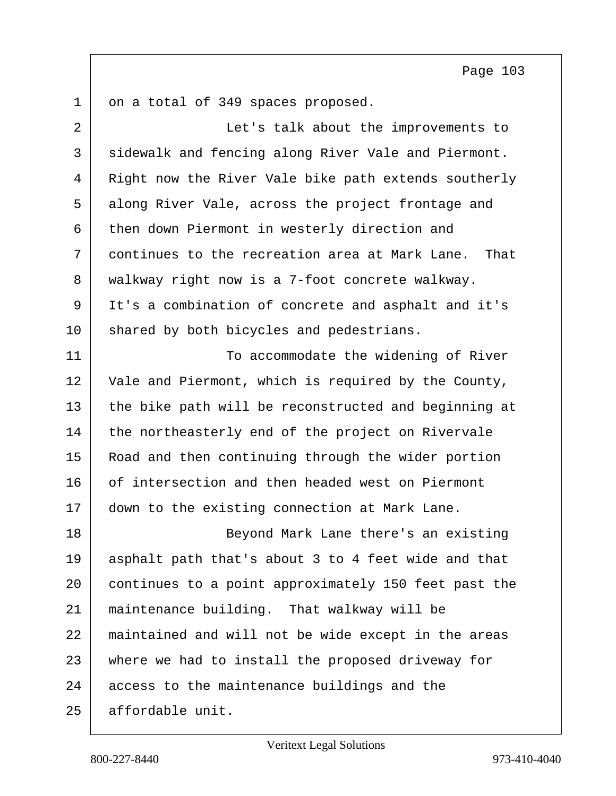on a total of 349 spaces proposed.

| $\overline{2}$ | Let's talk about the improvements to                   |
|----------------|--------------------------------------------------------|
| 3              | sidewalk and fencing along River Vale and Piermont.    |
| 4              | Right now the River Vale bike path extends southerly   |
| 5              | along River Vale, across the project frontage and      |
| 6              | then down Piermont in westerly direction and           |
| 7              | continues to the recreation area at Mark Lane.<br>That |
| 8              | walkway right now is a 7-foot concrete walkway.        |
| 9              | It's a combination of concrete and asphalt and it's    |
| 10             | shared by both bicycles and pedestrians.               |
| 11             | To accommodate the widening of River                   |
| 12             | Vale and Piermont, which is required by the County,    |
| 13             | the bike path will be reconstructed and beginning at   |
| 14             | the northeasterly end of the project on Rivervale      |
| 15             | Road and then continuing through the wider portion     |
| 16             | of intersection and then headed west on Piermont       |
| 17             | down to the existing connection at Mark Lane.          |
| 18             | Beyond Mark Lane there's an existing                   |
| 19             | asphalt path that's about 3 to 4 feet wide and that    |
| 20             | continues to a point approximately 150 feet past the   |
| 21             | maintenance building. That walkway will be             |
| 22             | maintained and will not be wide except in the areas    |
| 23             | where we had to install the proposed driveway for      |
| 24             | access to the maintenance buildings and the            |
| 25             | affordable unit.                                       |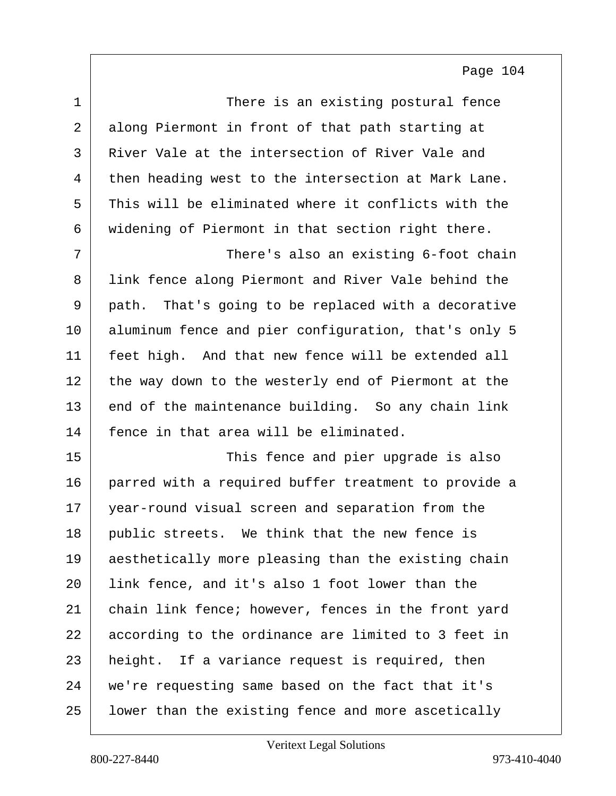| $\mathbf{1}$ | There is an existing postural fence                    |
|--------------|--------------------------------------------------------|
| 2            | along Piermont in front of that path starting at       |
| 3            | River Vale at the intersection of River Vale and       |
| 4            | then heading west to the intersection at Mark Lane.    |
| 5            | This will be eliminated where it conflicts with the    |
| 6            | widening of Piermont in that section right there.      |
| 7            | There's also an existing 6-foot chain                  |
| 8            | link fence along Piermont and River Vale behind the    |
| 9            | That's going to be replaced with a decorative<br>path. |
| 10           | aluminum fence and pier configuration, that's only 5   |
| 11           | feet high. And that new fence will be extended all     |
| 12           | the way down to the westerly end of Piermont at the    |
| 13           | end of the maintenance building. So any chain link     |
| 14           | fence in that area will be eliminated.                 |
| 15           | This fence and pier upgrade is also                    |
| 16           | parred with a required buffer treatment to provide a   |
| 17           | year-round visual screen and separation from the       |
| 18           | public streets. We think that the new fence is         |
| 19           | aesthetically more pleasing than the existing chain    |
| 20           | link fence, and it's also 1 foot lower than the        |
| 21           | chain link fence; however, fences in the front yard    |
| 22           | according to the ordinance are limited to 3 feet in    |
| 23           | height. If a variance request is required, then        |
| 24           | we're requesting same based on the fact that it's      |
| 25           | lower than the existing fence and more ascetically     |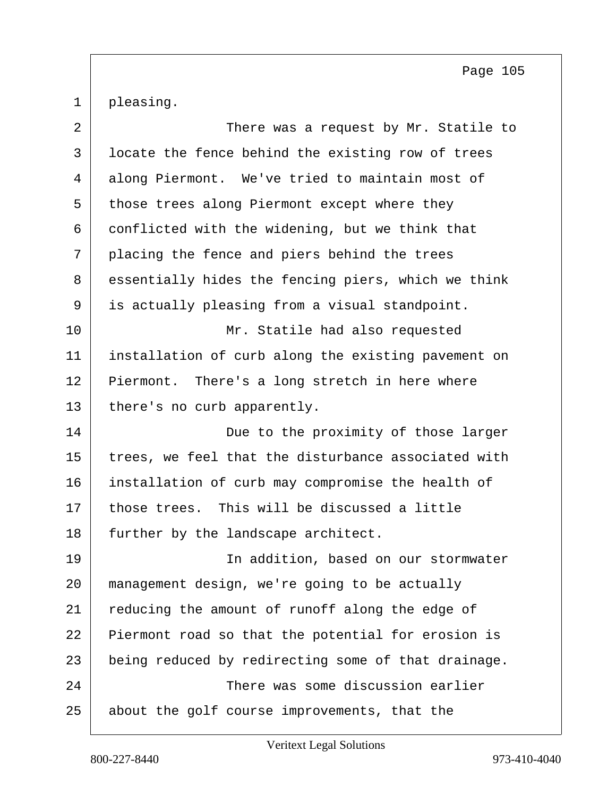1 pleasing.

| 2  | There was a request by Mr. Statile to               |
|----|-----------------------------------------------------|
| 3  | locate the fence behind the existing row of trees   |
| 4  | along Piermont. We've tried to maintain most of     |
| 5  | those trees along Piermont except where they        |
| 6  | conflicted with the widening, but we think that     |
| 7  | placing the fence and piers behind the trees        |
| 8  | essentially hides the fencing piers, which we think |
| 9  | is actually pleasing from a visual standpoint.      |
| 10 | Mr. Statile had also requested                      |
| 11 | installation of curb along the existing pavement on |
| 12 | Piermont. There's a long stretch in here where      |
| 13 | there's no curb apparently.                         |
| 14 | Due to the proximity of those larger                |
| 15 | trees, we feel that the disturbance associated with |
| 16 | installation of curb may compromise the health of   |
| 17 | those trees. This will be discussed a little        |
| 18 | further by the landscape architect.                 |
| 19 | In addition, based on our stormwater                |
| 20 | management design, we're going to be actually       |
| 21 | reducing the amount of runoff along the edge of     |
| 22 | Piermont road so that the potential for erosion is  |
| 23 | being reduced by redirecting some of that drainage. |
| 24 | There was some discussion earlier                   |
| 25 | about the golf course improvements, that the        |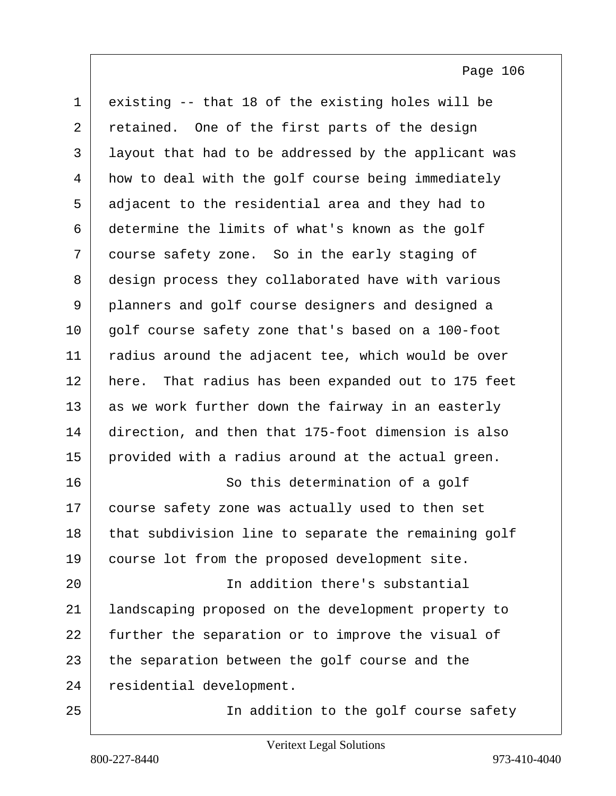1 existing -- that 18 of the existing holes will be 2 retained. One of the first parts of the design 3 layout that had to be addressed by the applicant was 4 how to deal with the golf course being immediately 5 adjacent to the residential area and they had to 6 determine the limits of what's known as the golf 7 course safety zone. So in the early staging of 8 design process they collaborated have with various 9 planners and golf course designers and designed a 10 | golf course safety zone that's based on a 100-foot 11 | radius around the adjacent tee, which would be over 12 here. That radius has been expanded out to 175 feet 13 as we work further down the fairway in an easterly 14 direction, and then that 175-foot dimension is also 15 provided with a radius around at the actual green. 16 So this determination of a golf 17 course safety zone was actually used to then set 18 that subdivision line to separate the remaining golf 19 course lot from the proposed development site. 20 In addition there's substantial 21 landscaping proposed on the development property to 22 further the separation or to improve the visual of 23 the separation between the golf course and the 24 residential development. 25 In addition to the golf course safety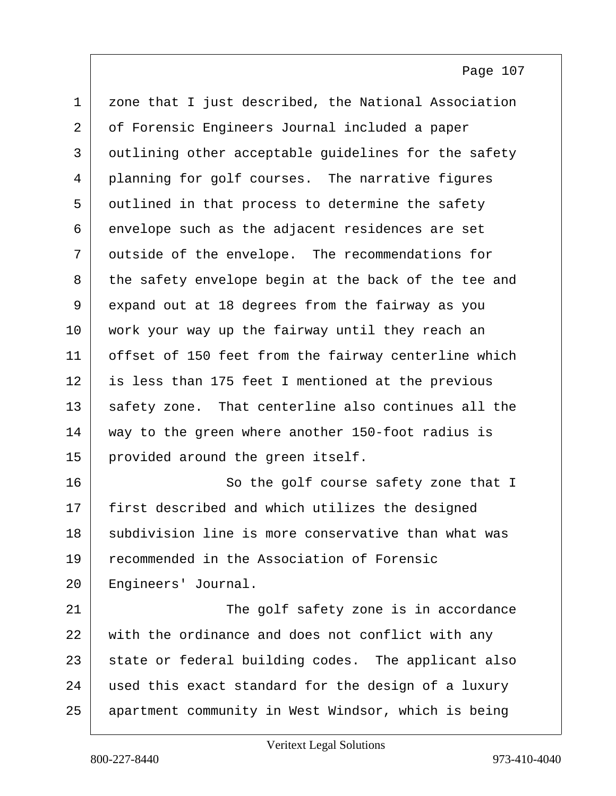1 zone that I just described, the National Association 2 of Forensic Engineers Journal included a paper 3 outlining other acceptable guidelines for the safety 4 planning for golf courses. The narrative figures 5 outlined in that process to determine the safety 6 envelope such as the adjacent residences are set 7 outside of the envelope. The recommendations for 8 the safety envelope begin at the back of the tee and 9 expand out at 18 degrees from the fairway as you 10 work your way up the fairway until they reach an 11 | offset of 150 feet from the fairway centerline which 12 is less than 175 feet I mentioned at the previous 13 safety zone. That centerline also continues all the 14 way to the green where another 150-foot radius is 15 provided around the green itself. 16 So the golf course safety zone that I 17 first described and which utilizes the designed 18 subdivision line is more conservative than what was 19 recommended in the Association of Forensic 20 | Engineers' Journal.

21 The golf safety zone is in accordance 22 with the ordinance and does not conflict with any 23 state or federal building codes. The applicant also 24 used this exact standard for the design of a luxury 25 apartment community in West Windsor, which is being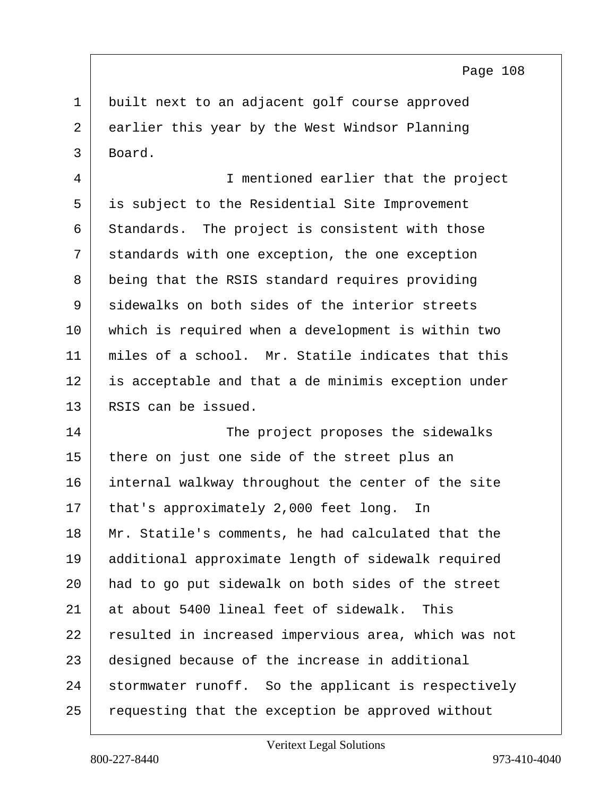1 built next to an adjacent golf course approved 2 earlier this year by the West Windsor Planning 3 Board.

4 I mentioned earlier that the project 5 is subject to the Residential Site Improvement 6 Standards. The project is consistent with those 7 standards with one exception, the one exception 8 being that the RSIS standard requires providing 9 sidewalks on both sides of the interior streets 10 which is required when a development is within two 11 miles of a school. Mr. Statile indicates that this 12 is acceptable and that a de minimis exception under 13 RSIS can be issued.

14 The project proposes the sidewalks 15 there on just one side of the street plus an 16 internal walkway throughout the center of the site 17 | that's approximately 2,000 feet long. In 18 Mr. Statile's comments, he had calculated that the 19 additional approximate length of sidewalk required 20 had to go put sidewalk on both sides of the street 21 at about 5400 lineal feet of sidewalk. This 22 resulted in increased impervious area, which was not 23 designed because of the increase in additional 24 stormwater runoff. So the applicant is respectively 25 | requesting that the exception be approved without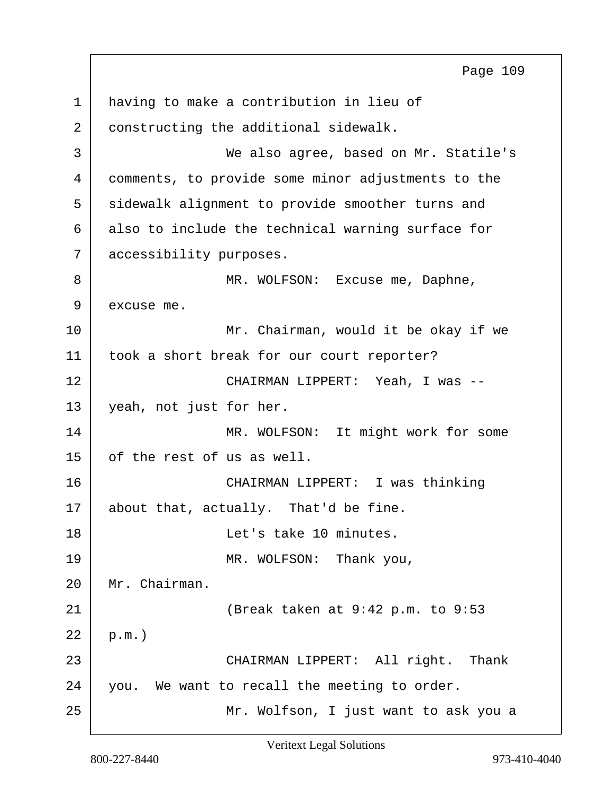1 having to make a contribution in lieu of 2 constructing the additional sidewalk. 3 We also agree, based on Mr. Statile's 4 comments, to provide some minor adjustments to the 5 sidewalk alignment to provide smoother turns and  $6$  also to include the technical warning surface for 7 accessibility purposes. 8 MR. WOLFSON: Excuse me, Daphne, 9 excuse me. 10 Mr. Chairman, would it be okay if we 11 | took a short break for our court reporter? 12 CHAIRMAN LIPPERT: Yeah, I was -- 13 yeah, not just for her. 14 MR. WOLFSON: It might work for some 15 of the rest of us as well. 16 CHAIRMAN LIPPERT: I was thinking 17 about that, actually. That'd be fine. 18 Let's take 10 minutes. 19 MR. WOLFSON: Thank you, 20 Mr. Chairman. 21 (Break taken at 9:42 p.m. to 9:53  $22$  p.m.) 23 CHAIRMAN LIPPERT: All right. Thank 24 you. We want to recall the meeting to order. 25 Mr. Wolfson, I just want to ask you a Page 109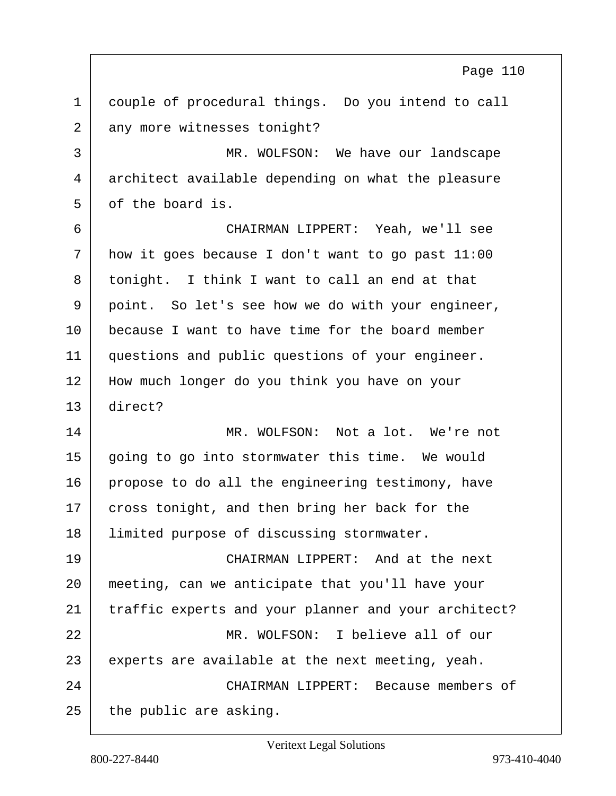1 couple of procedural things. Do you intend to call 2 any more witnesses tonight? 3 MR. WOLFSON: We have our landscape 4 architect available depending on what the pleasure 5 of the board is. 6 CHAIRMAN LIPPERT: Yeah, we'll see  $7$  how it goes because I don't want to go past  $11:00$ 8 tonight. I think I want to call an end at that 9 point. So let's see how we do with your engineer, 10 because I want to have time for the board member 11 questions and public questions of your engineer. 12 | How much longer do you think you have on your 13 direct? 14 MR. WOLFSON: Not a lot. We're not 15 going to go into stormwater this time. We would 16 propose to do all the engineering testimony, have 17 cross tonight, and then bring her back for the 18 Iimited purpose of discussing stormwater. 19 CHAIRMAN LIPPERT: And at the next 20 meeting, can we anticipate that you'll have your 21 traffic experts and your planner and your architect? 22 MR. WOLFSON: I believe all of our  $23$  experts are available at the next meeting, yeah. 24 CHAIRMAN LIPPERT: Because members of  $25$  the public are asking. Page 110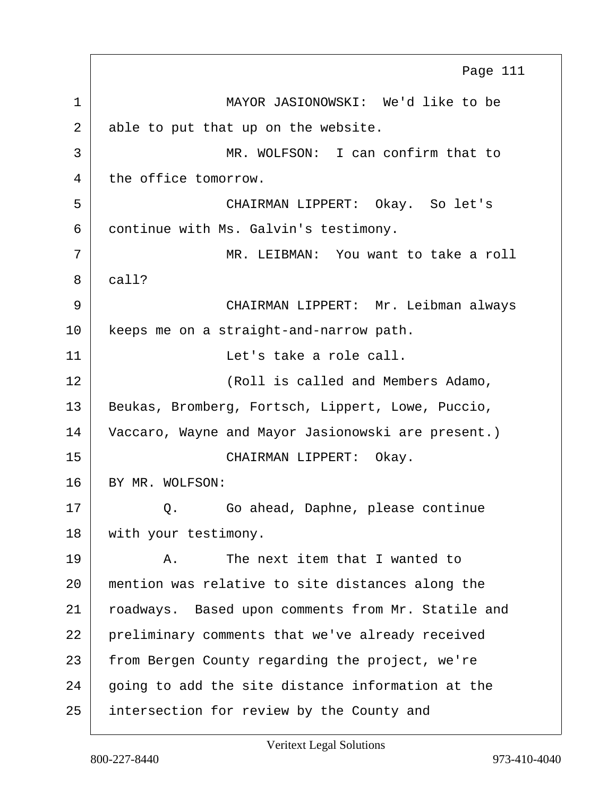1 MAYOR JASIONOWSKI: We'd like to be 2 able to put that up on the website. 3 MR. WOLFSON: I can confirm that to 4 the office tomorrow. 5 CHAIRMAN LIPPERT: Okay. So let's 6 continue with Ms. Galvin's testimony. 7 MR. LEIBMAN: You want to take a roll 8 call? 9 CHAIRMAN LIPPERT: Mr. Leibman always 10 | keeps me on a straight-and-narrow path. 11 | Contractus Let's take a role call. 12 | KROIL is called and Members Adamo, 13 | Beukas, Bromberg, Fortsch, Lippert, Lowe, Puccio, 14 Vaccaro, Wayne and Mayor Jasionowski are present.) 15 CHAIRMAN LIPPERT: Okay. 16 BY MR. WOLFSON: 17 Q. Go ahead, Daphne, please continue 18 | with your testimony. 19 A. The next item that I wanted to 20 mention was relative to site distances along the 21 | roadways. Based upon comments from Mr. Statile and 22 preliminary comments that we've already received 23 from Bergen County regarding the project, we're  $24$  going to add the site distance information at the 25 intersection for review by the County and Page 111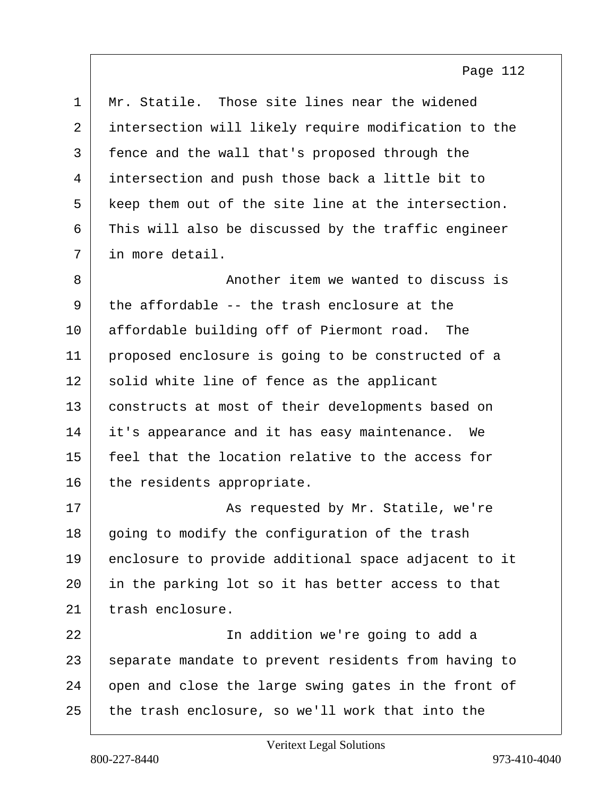| Mr. Statile. Those site lines near the widened       |
|------------------------------------------------------|
| intersection will likely require modification to the |
| fence and the wall that's proposed through the       |
| intersection and push those back a little bit to     |
| keep them out of the site line at the intersection.  |
| This will also be discussed by the traffic engineer  |
| in more detail.                                      |
| Another item we wanted to discuss is                 |
| the affordable -- the trash enclosure at the         |
| affordable building off of Piermont road. The        |
| proposed enclosure is going to be constructed of a   |
| solid white line of fence as the applicant           |
| constructs at most of their developments based on    |
| it's appearance and it has easy maintenance.<br>We   |
| feel that the location relative to the access for    |
| the residents appropriate.                           |
| As requested by Mr. Statile, we're                   |
| going to modify the configuration of the trash       |
| enclosure to provide additional space adjacent to it |
| in the parking lot so it has better access to that   |
| trash enclosure.                                     |
| In addition we're going to add a                     |
| separate mandate to prevent residents from having to |
| open and close the large swing gates in the front of |
| the trash enclosure, so we'll work that into the     |
|                                                      |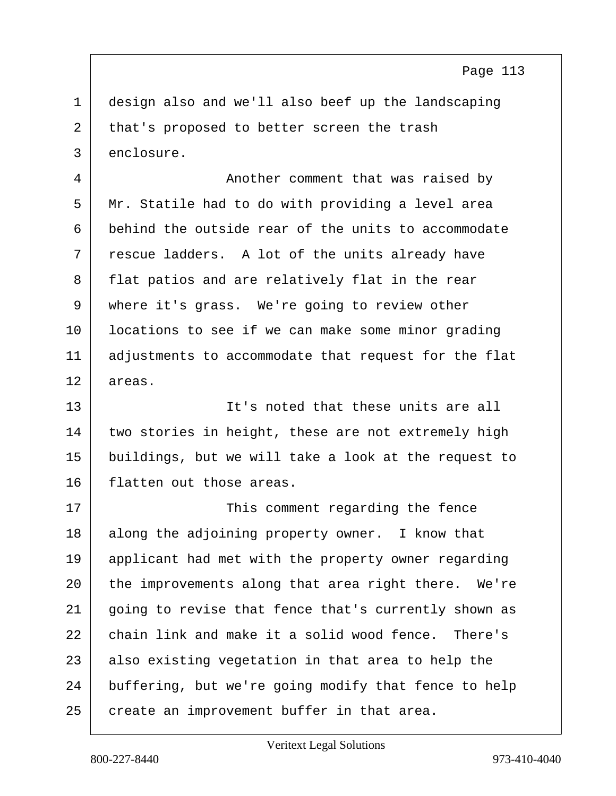1 design also and we'll also beef up the landscaping 2 that's proposed to better screen the trash 3 enclosure.

4 Another comment that was raised by 5 Mr. Statile had to do with providing a level area 6 behind the outside rear of the units to accommodate  $7$   $\vert$  rescue ladders. A lot of the units already have 8 flat patios and are relatively flat in the rear 9 where it's grass. We're going to review other 10 locations to see if we can make some minor grading 11 | adjustments to accommodate that request for the flat 12 areas.

13 It's noted that these units are all 14 two stories in height, these are not extremely high 15 buildings, but we will take a look at the request to 16 flatten out those areas.

17 | This comment regarding the fence 18 along the adjoining property owner. I know that 19 applicant had met with the property owner regarding 20 the improvements along that area right there. We're 21 going to revise that fence that's currently shown as 22 chain link and make it a solid wood fence. There's  $23$  also existing vegetation in that area to help the 24 buffering, but we're going modify that fence to help 25 create an improvement buffer in that area.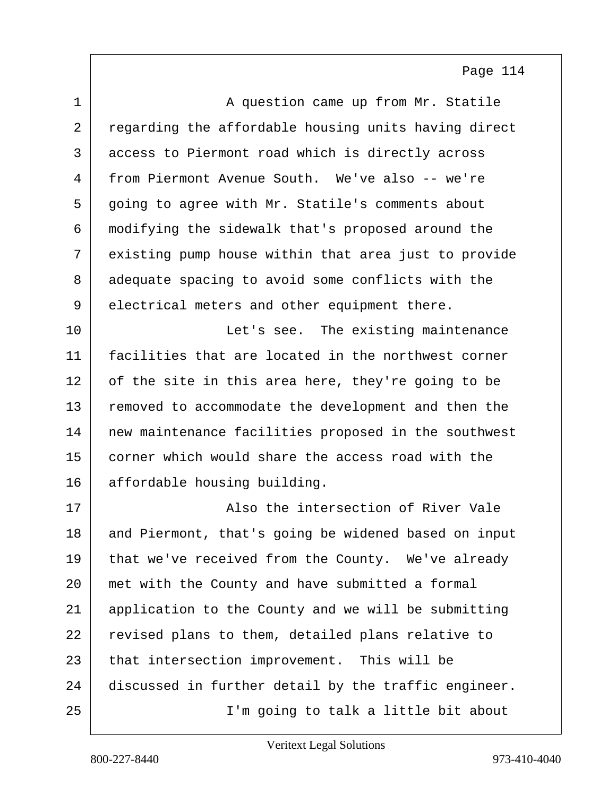| $\mathbf{1}$ | A question came up from Mr. Statile                  |
|--------------|------------------------------------------------------|
| 2            | regarding the affordable housing units having direct |
| 3            | access to Piermont road which is directly across     |
| 4            | from Piermont Avenue South. We've also -- we're      |
| 5            | going to agree with Mr. Statile's comments about     |
| 6            | modifying the sidewalk that's proposed around the    |
| 7            | existing pump house within that area just to provide |
| 8            | adequate spacing to avoid some conflicts with the    |
| 9            | electrical meters and other equipment there.         |
| 10           | Let's see. The existing maintenance                  |
| 11           | facilities that are located in the northwest corner  |
| 12           | of the site in this area here, they're going to be   |
| 13           | removed to accommodate the development and then the  |
| 14           | new maintenance facilities proposed in the southwest |
| 15           | corner which would share the access road with the    |
| 16           | affordable housing building.                         |
| 17           | Also the intersection of River Vale                  |
| 18           | and Piermont, that's going be widened based on input |
| 19           | that we've received from the County. We've already   |
| 20           | met with the County and have submitted a formal      |
| 21           | application to the County and we will be submitting  |
| 22           | revised plans to them, detailed plans relative to    |
| 23           | that intersection improvement. This will be          |
| 24           | discussed in further detail by the traffic engineer. |
| 25           | I'm going to talk a little bit about                 |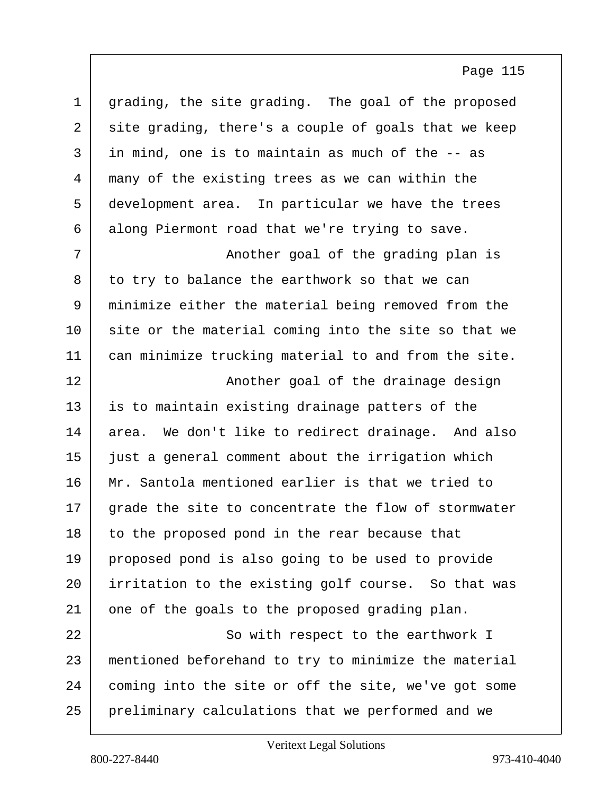| grading, the site grading. The goal of the proposed  |
|------------------------------------------------------|
| site grading, there's a couple of goals that we keep |
| in mind, one is to maintain as much of the -- as     |
| many of the existing trees as we can within the      |
| development area. In particular we have the trees    |
| along Piermont road that we're trying to save.       |
| Another goal of the grading plan is                  |
| to try to balance the earthwork so that we can       |
| minimize either the material being removed from the  |
| site or the material coming into the site so that we |
| can minimize trucking material to and from the site. |
| Another goal of the drainage design                  |
| is to maintain existing drainage patters of the      |
| area. We don't like to redirect drainage. And also   |
| just a general comment about the irrigation which    |
| Mr. Santola mentioned earlier is that we tried to    |
| grade the site to concentrate the flow of stormwater |
| to the proposed pond in the rear because that        |
|                                                      |
| proposed pond is also going to be used to provide    |
| irritation to the existing golf course. So that was  |
| one of the goals to the proposed grading plan.       |
| So with respect to the earthwork I                   |
| mentioned beforehand to try to minimize the material |
| coming into the site or off the site, we've got some |
|                                                      |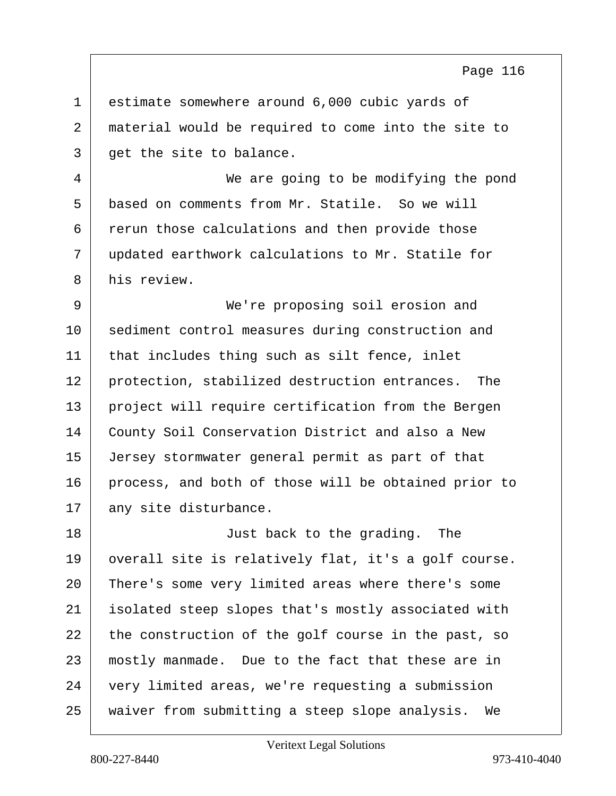1 estimate somewhere around 6,000 cubic yards of 2 material would be required to come into the site to 3 get the site to balance.

4 We are going to be modifying the pond 5 based on comments from Mr. Statile. So we will 6 rerun those calculations and then provide those 7 updated earthwork calculations to Mr. Statile for 8 his review.

9 We're proposing soil erosion and 10 sediment control measures during construction and 11 that includes thing such as silt fence, inlet 12 protection, stabilized destruction entrances. The 13 project will require certification from the Bergen 14 County Soil Conservation District and also a New 15 Jersey stormwater general permit as part of that 16 process, and both of those will be obtained prior to 17 any site disturbance.

18 Just back to the grading. The 19 overall site is relatively flat, it's a golf course. There's some very limited areas where there's some isolated steep slopes that's mostly associated with the construction of the golf course in the past, so mostly manmade. Due to the fact that these are in very limited areas, we're requesting a submission waiver from submitting a steep slope analysis. We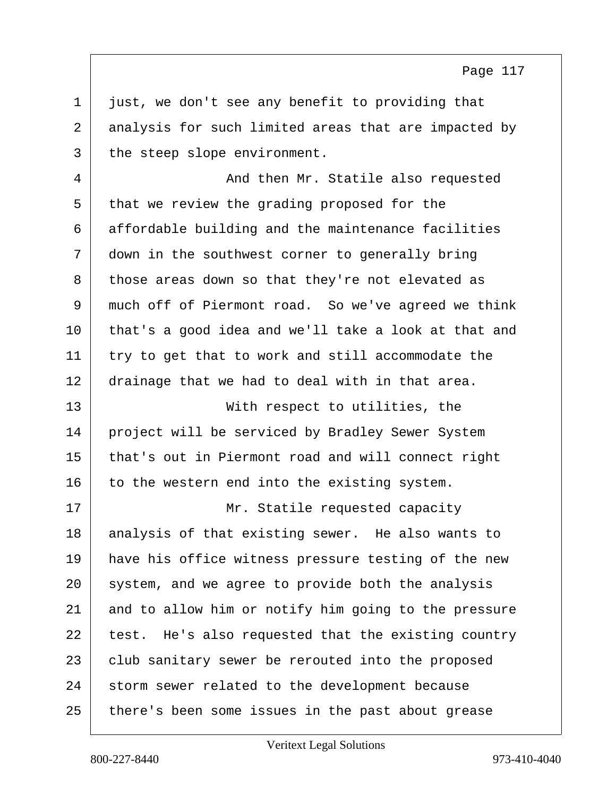$1$  just, we don't see any benefit to providing that 2 analysis for such limited areas that are impacted by 3 the steep slope environment.

4 And then Mr. Statile also requested 5 that we review the grading proposed for the 6 affordable building and the maintenance facilities 7 down in the southwest corner to generally bring 8 those areas down so that they're not elevated as 9 much off of Piermont road. So we've agreed we think 10 that's a good idea and we'll take a look at that and 11 try to get that to work and still accommodate the 12 drainage that we had to deal with in that area.

13 With respect to utilities, the project will be serviced by Bradley Sewer System that's out in Piermont road and will connect right to the western end into the existing system.

17 | Mr. Statile requested capacity 18 analysis of that existing sewer. He also wants to 19 have his office witness pressure testing of the new 20 system, and we agree to provide both the analysis 21 and to allow him or notify him going to the pressure  $22$  test. He's also requested that the existing country 23 club sanitary sewer be rerouted into the proposed 24 storm sewer related to the development because 25 there's been some issues in the past about grease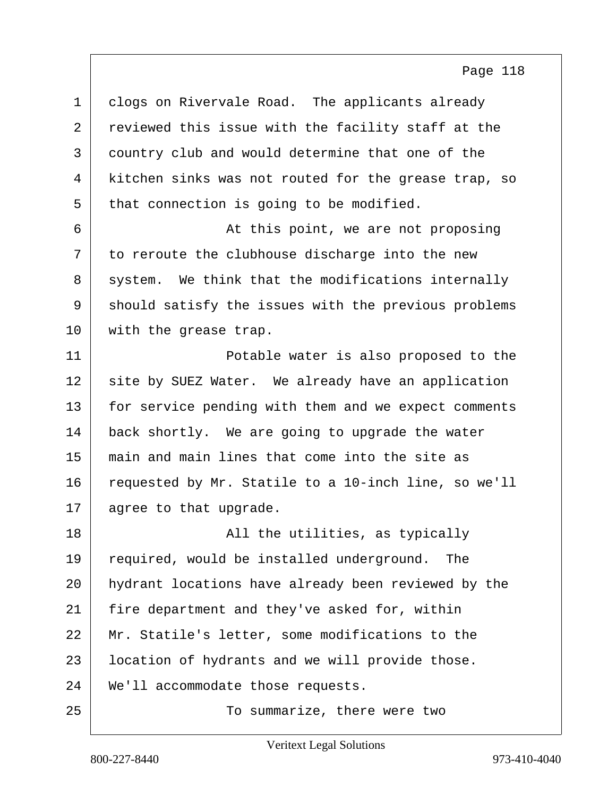1 clogs on Rivervale Road. The applicants already 2 reviewed this issue with the facility staff at the 3 country club and would determine that one of the 4 kitchen sinks was not routed for the grease trap, so  $5$  that connection is going to be modified.

6 At this point, we are not proposing  $7$  to reroute the clubhouse discharge into the new 8 system. We think that the modifications internally 9 should satisfy the issues with the previous problems 10 | with the grease trap.

11 Potable water is also proposed to the 12 site by SUEZ Water. We already have an application 13 | for service pending with them and we expect comments 14 back shortly. We are going to upgrade the water 15 main and main lines that come into the site as 16 requested by Mr. Statile to a 10-inch line, so we'll 17 agree to that upgrade.

18 | The utilities, as typically 19 required, would be installed underground. The 20 hydrant locations have already been reviewed by the 21 fire department and they've asked for, within 22 Mr. Statile's letter, some modifications to the 23 | location of hydrants and we will provide those. 24 We'll accommodate those requests. 25 To summarize, there were two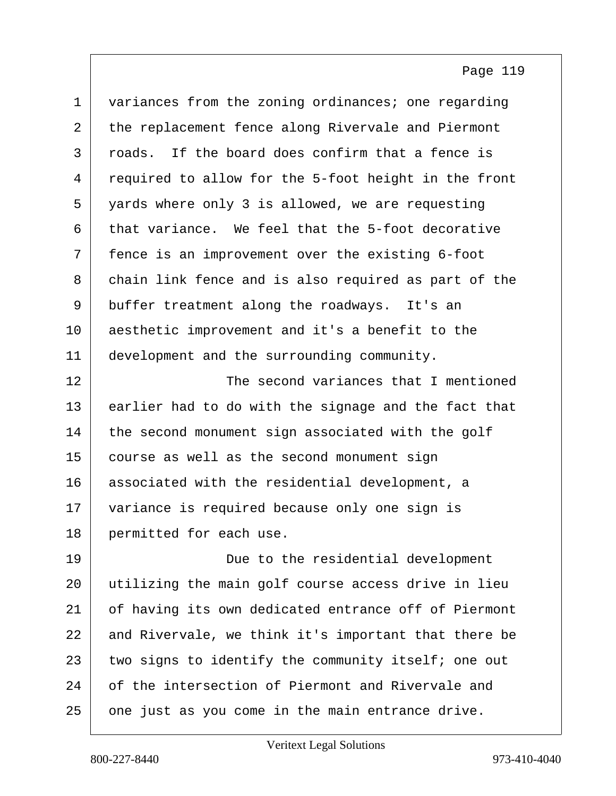| $\mathbf 1$    | variances from the zoning ordinances; one regarding  |
|----------------|------------------------------------------------------|
| $\overline{2}$ | the replacement fence along Rivervale and Piermont   |
| 3              | If the board does confirm that a fence is<br>roads.  |
| 4              | required to allow for the 5-foot height in the front |
| 5              | yards where only 3 is allowed, we are requesting     |
| 6              | that variance. We feel that the 5-foot decorative    |
| 7              | fence is an improvement over the existing 6-foot     |
| 8              | chain link fence and is also required as part of the |
| 9              | buffer treatment along the roadways. It's an         |
| 10             | aesthetic improvement and it's a benefit to the      |
| 11             | development and the surrounding community.           |
| 12             | The second variances that I mentioned                |
| 13             | earlier had to do with the signage and the fact that |
| 14             | the second monument sign associated with the golf    |
| 15             | course as well as the second monument sign           |
| 16             | associated with the residential development, a       |
| 17             | variance is required because only one sign is        |
| 18             | permitted for each use.                              |
| 19             | Due to the residential development                   |
| 20             | utilizing the main golf course access drive in lieu  |
| 21             | of having its own dedicated entrance off of Piermont |
| 22             | and Rivervale, we think it's important that there be |
| 23             | two signs to identify the community itself; one out  |
| 24             | of the intersection of Piermont and Rivervale and    |
| 25             | one just as you come in the main entrance drive.     |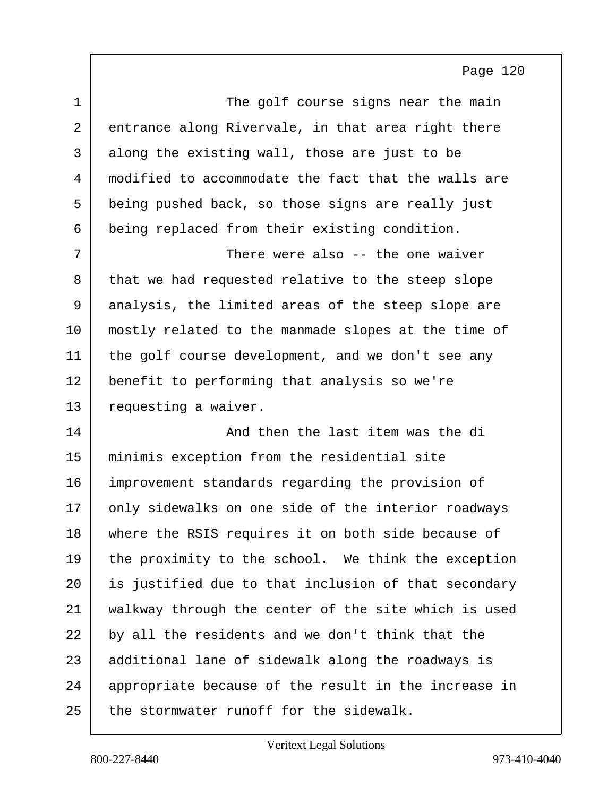| $\mathbf 1$ | The golf course signs near the main                  |
|-------------|------------------------------------------------------|
| 2           | entrance along Rivervale, in that area right there   |
| 3           | along the existing wall, those are just to be        |
| 4           | modified to accommodate the fact that the walls are  |
| 5           | being pushed back, so those signs are really just    |
| 6           | being replaced from their existing condition.        |
| 7           | There were also -- the one waiver                    |
| 8           | that we had requested relative to the steep slope    |
| 9           | analysis, the limited areas of the steep slope are   |
| 10          | mostly related to the manmade slopes at the time of  |
| 11          | the golf course development, and we don't see any    |
| 12          | benefit to performing that analysis so we're         |
| 13          | requesting a waiver.                                 |
| 14          | And then the last item was the di                    |
| 15          | minimis exception from the residential site          |
| 16          | improvement standards regarding the provision of     |
| 17          | only sidewalks on one side of the interior roadways  |
| 18          | where the RSIS requires it on both side because of   |
| 19          | the proximity to the school. We think the exception  |
| 20          | is justified due to that inclusion of that secondary |
| 21          | walkway through the center of the site which is used |
| 22          | by all the residents and we don't think that the     |
| 23          | additional lane of sidewalk along the roadways is    |
| 24          | appropriate because of the result in the increase in |
| 25          | the stormwater runoff for the sidewalk.              |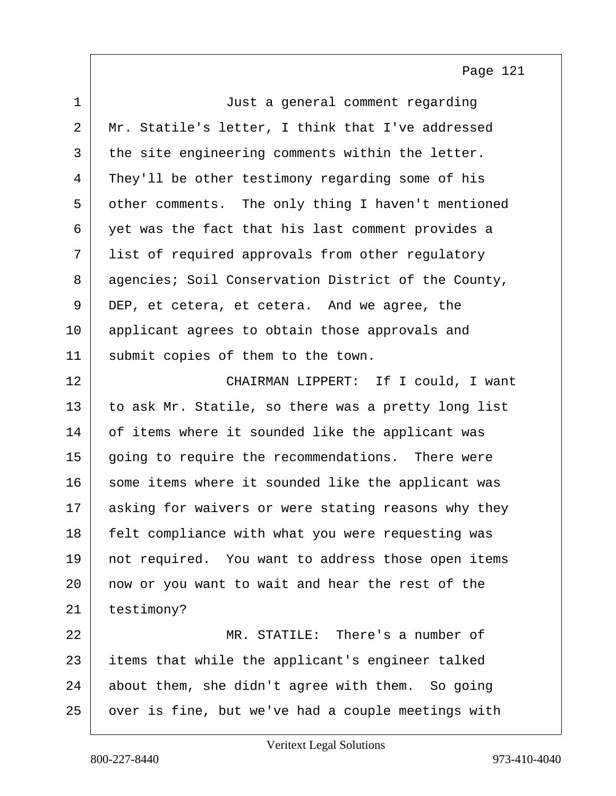| $\mathbf 1$ | Just a general comment regarding                    |
|-------------|-----------------------------------------------------|
| 2           | Mr. Statile's letter, I think that I've addressed   |
| 3           | the site engineering comments within the letter.    |
| 4           | They'll be other testimony regarding some of his    |
| 5           | other comments. The only thing I haven't mentioned  |
| 6           | yet was the fact that his last comment provides a   |
| 7           | list of required approvals from other regulatory    |
| 8           | agencies; Soil Conservation District of the County, |
| 9           | DEP, et cetera, et cetera. And we agree, the        |
| 10          | applicant agrees to obtain those approvals and      |
| 11          | submit copies of them to the town.                  |
| 12          | CHAIRMAN LIPPERT: If I could, I want                |
| 13          | to ask Mr. Statile, so there was a pretty long list |
| 14          | of items where it sounded like the applicant was    |
| 15          | going to require the recommendations. There were    |
| 16          | some items where it sounded like the applicant was  |
| 17          | asking for waivers or were stating reasons why they |
| 18          | felt compliance with what you were requesting was   |
| 19          | not required. You want to address those open items  |
| 20          | now or you want to wait and hear the rest of the    |
| 21          | testimony?                                          |
| 22          | MR. STATILE: There's a number of                    |
| 23          | items that while the applicant's engineer talked    |
| 24          | about them, she didn't agree with them. So going    |
| 25          | over is fine, but we've had a couple meetings with  |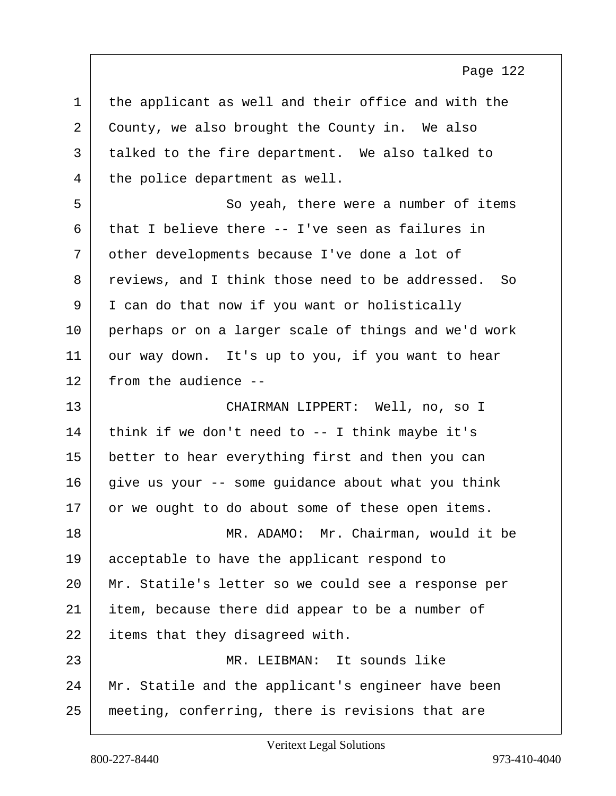| $\mathbf 1$ | the applicant as well and their office and with the    |
|-------------|--------------------------------------------------------|
| 2           | County, we also brought the County in. We also         |
| 3           | talked to the fire department. We also talked to       |
| 4           | the police department as well.                         |
| 5           | So yeah, there were a number of items                  |
| 6           | that I believe there -- I've seen as failures in       |
| 7           | other developments because I've done a lot of          |
| 8           | reviews, and I think those need to be addressed.<br>So |
| 9           | I can do that now if you want or holistically          |
| 10          | perhaps or on a larger scale of things and we'd work   |
| 11          | our way down. It's up to you, if you want to hear      |
| 12          | from the audience --                                   |
| 13          | CHAIRMAN LIPPERT: Well, no, so I                       |
| 14          | think if we don't need to $-$ - I think maybe it's     |
| 15          | better to hear everything first and then you can       |
| 16          | give us your -- some guidance about what you think     |
| 17          | or we ought to do about some of these open items.      |
| 18          | MR. ADAMO: Mr. Chairman, would it be                   |
| 19          | acceptable to have the applicant respond to            |
| 20          | Mr. Statile's letter so we could see a response per    |
| 21          | item, because there did appear to be a number of       |
| 22          | items that they disagreed with.                        |
| 23          | MR. LEIBMAN: It sounds like                            |
| 24          | Mr. Statile and the applicant's engineer have been     |
| 25          | meeting, conferring, there is revisions that are       |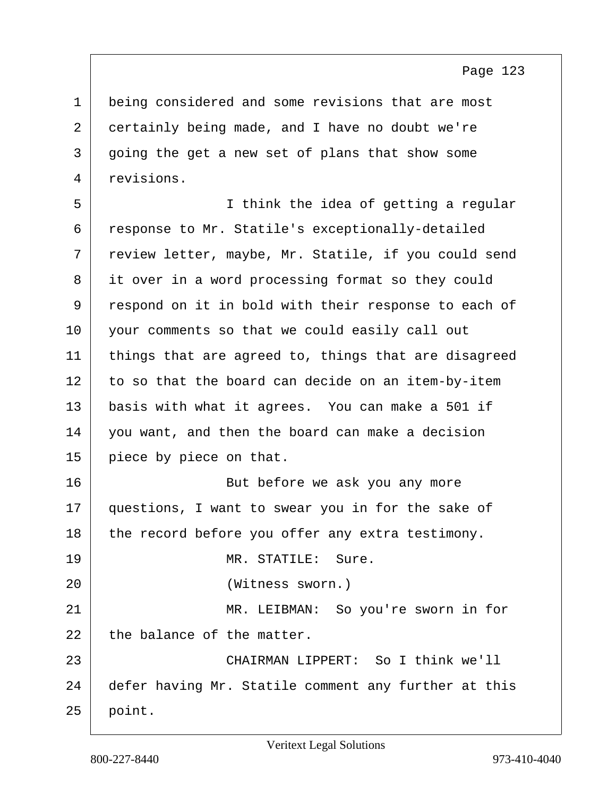1 being considered and some revisions that are most 2 certainly being made, and I have no doubt we're 3 going the get a new set of plans that show some 4 revisions.

5 I think the idea of getting a regular 6 response to Mr. Statile's exceptionally-detailed 7 review letter, maybe, Mr. Statile, if you could send 8 it over in a word processing format so they could 9 respond on it in bold with their response to each of 10 your comments so that we could easily call out 11 things that are agreed to, things that are disagreed 12 to so that the board can decide on an item-by-item 13 basis with what it agrees. You can make a 501 if 14 you want, and then the board can make a decision 15 piece by piece on that. 16 | Rut before we ask you any more 17 questions, I want to swear you in for the sake of  $18$  the record before you offer any extra testimony. 19 MR. STATILE: Sure. 20 (Witness sworn.) 21 MR. LEIBMAN: So you're sworn in for  $22$  the balance of the matter. 23 CHAIRMAN LIPPERT: So I think we'll 24 defer having Mr. Statile comment any further at this  $25$  point.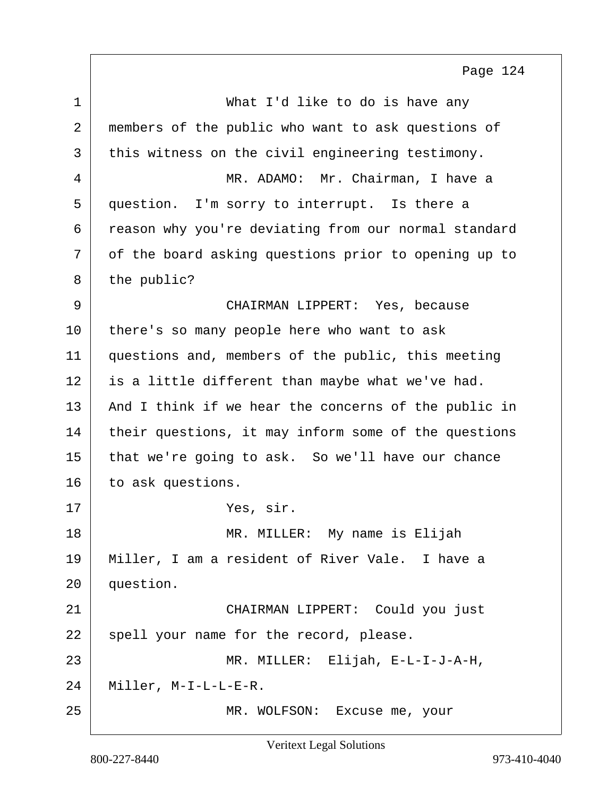| $\mathbf 1$ | What I'd like to do is have any                      |
|-------------|------------------------------------------------------|
| 2           | members of the public who want to ask questions of   |
| 3           | this witness on the civil engineering testimony.     |
| 4           | MR. ADAMO: Mr. Chairman, I have a                    |
| 5           | question. I'm sorry to interrupt. Is there a         |
| 6           | reason why you're deviating from our normal standard |
| 7           | of the board asking questions prior to opening up to |
| 8           | the public?                                          |
| 9           | CHAIRMAN LIPPERT: Yes, because                       |
| 10          | there's so many people here who want to ask          |
| 11          | questions and, members of the public, this meeting   |
| 12          | is a little different than maybe what we've had.     |
| 13          | And I think if we hear the concerns of the public in |
| 14          | their questions, it may inform some of the questions |
| 15          | that we're going to ask. So we'll have our chance    |
| 16          | to ask questions.                                    |
| 17          | Yes, sir.                                            |
| 18          | MR. MILLER:<br>My name is Elijah                     |
| 19          | Miller, I am a resident of River Vale. I have a      |
| 20          | question.                                            |
| 21          | CHAIRMAN LIPPERT: Could you just                     |
| 22          | spell your name for the record, please.              |
| 23          | MR. MILLER: Elijah, E-L-I-J-A-H,                     |
| 24          | Miller, M-I-L-L-E-R.                                 |
| 25          | MR. WOLFSON: Excuse me, your                         |

Veritext Legal Solutions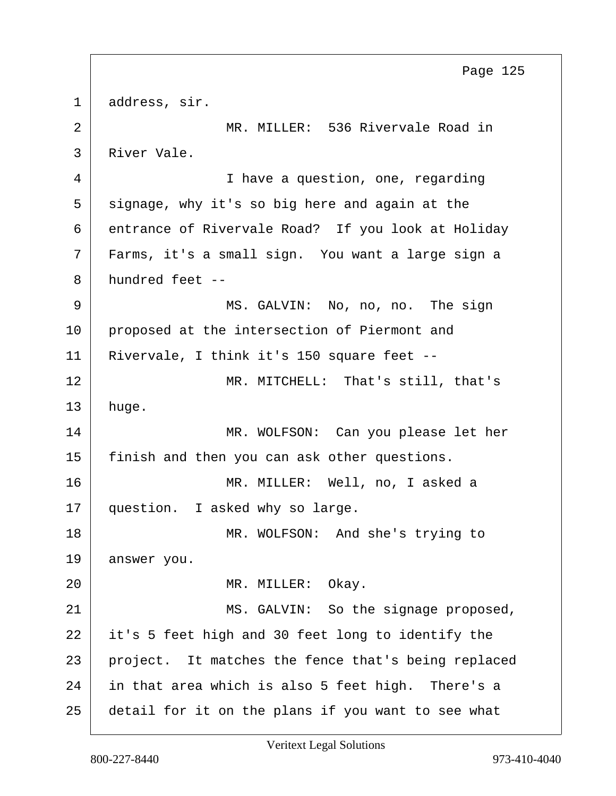1 address, sir. 2 | MR. MILLER: 536 Rivervale Road in 3 River Vale. 4 I have a question, one, regarding  $5$  signage, why it's so big here and again at the 6 entrance of Rivervale Road? If you look at Holiday 7 Farms, it's a small sign. You want a large sign a 8 hundred feet -- 9 MS. GALVIN: No, no, no. The sign 10 proposed at the intersection of Piermont and 11 Rivervale, I think it's 150 square feet -- 12 MR. MITCHELL: That's still, that's 13 huge. 14 MR. WOLFSON: Can you please let her 15 finish and then you can ask other questions. 16 MR. MILLER: Well, no, I asked a 17 question. I asked why so large. 18 MR. WOLFSON: And she's trying to 19 answer you. 20 | MR. MILLER: Okay. 21 MS. GALVIN: So the signage proposed, 22 it's 5 feet high and 30 feet long to identify the 23 project. It matches the fence that's being replaced 24 in that area which is also 5 feet high. There's a 25 detail for it on the plans if you want to see what Page 125

Veritext Legal Solutions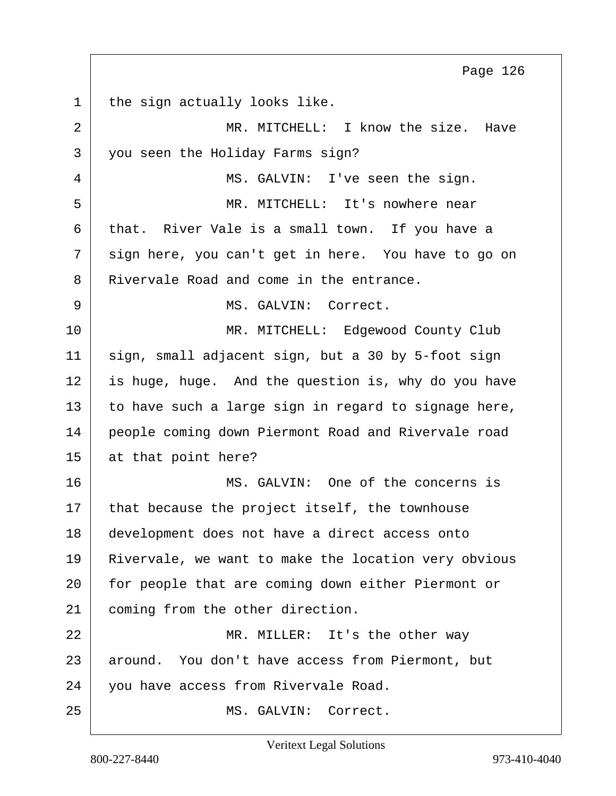1 the sign actually looks like. 2 MR. MITCHELL: I know the size. Have 3 you seen the Holiday Farms sign? 4 MS. GALVIN: I've seen the sign. 5 MR. MITCHELL: It's nowhere near 6 that. River Vale is a small town. If you have a 7 sign here, you can't get in here. You have to go on 8 Rivervale Road and come in the entrance. 9 MS. GALVIN: Correct. 10 | MR. MITCHELL: Edgewood County Club 11 | sign, small adjacent sign, but a 30 by 5-foot sign  $12$  is huge, huge. And the question is, why do you have  $13$  to have such a large sign in regard to signage here, 14 people coming down Piermont Road and Rivervale road 15 at that point here? 16 MS. GALVIN: One of the concerns is  $17$  that because the project itself, the townhouse 18 development does not have a direct access onto 19 Rivervale, we want to make the location very obvious 20 | for people that are coming down either Piermont or 21 coming from the other direction. 22 MR. MILLER: It's the other way 23 around. You don't have access from Piermont, but 24 vou have access from Rivervale Road. 25 MS. GALVIN: Correct. Page 126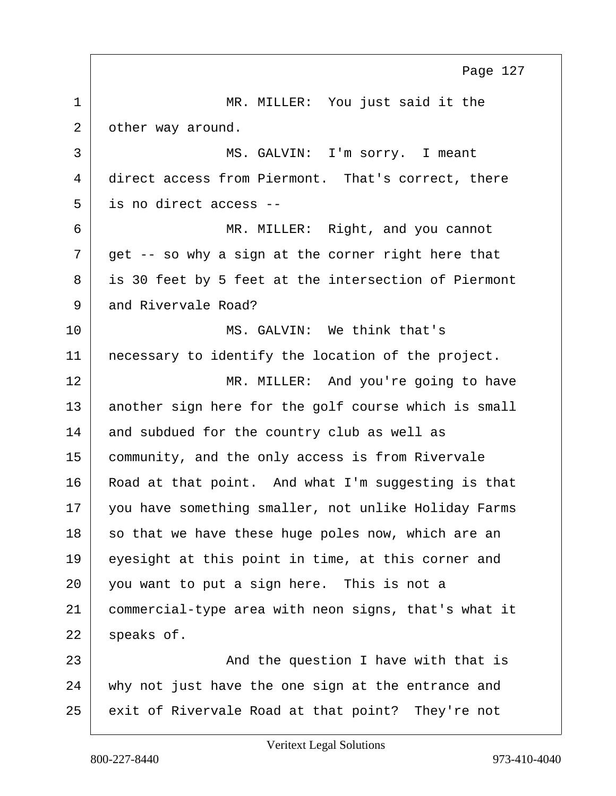1 MR. MILLER: You just said it the 2 other way around. 3 MS. GALVIN: I'm sorry. I meant 4 direct access from Piermont. That's correct, there 5 is no direct access -- 6 MR. MILLER: Right, and you cannot  $7$  get -- so why a sign at the corner right here that 8 is 30 feet by 5 feet at the intersection of Piermont 9 and Rivervale Road? 10 MS. GALVIN: We think that's 11 | necessary to identify the location of the project. 12 MR. MILLER: And you're going to have 13 another sign here for the golf course which is small 14 and subdued for the country club as well as 15 community, and the only access is from Rivervale 16 Road at that point. And what I'm suggesting is that 17 you have something smaller, not unlike Holiday Farms 18 so that we have these huge poles now, which are an 19 eyesight at this point in time, at this corner and 20 you want to put a sign here. This is not a 21 commercial-type area with neon signs, that's what it  $22$  speaks of. 23 and the question I have with that is 24 why not just have the one sign at the entrance and 25 exit of Rivervale Road at that point? They're not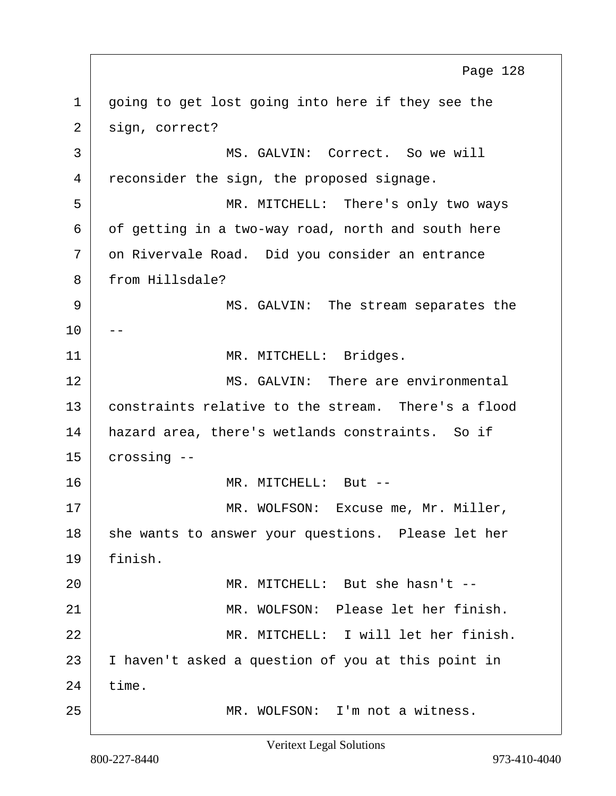1 | going to get lost going into here if they see the 2 sign, correct? 3 MS. GALVIN: Correct. So we will 4 reconsider the sign, the proposed signage. 5 MR. MITCHELL: There's only two ways  $6$  of getting in a two-way road, north and south here  $7$  on Rivervale Road. Did you consider an entrance 8 from Hillsdale? 9 MS. GALVIN: The stream separates the  $10$ 11 | MR. MITCHELL: Bridges. 12 MS. GALVIN: There are environmental 13 constraints relative to the stream. There's a flood 14 | hazard area, there's wetlands constraints. So if  $15$  crossing  $-$ 16 MR. MITCHELL: But -- 17 | MR. WOLFSON: Excuse me, Mr. Miller, 18 she wants to answer your questions. Please let her 19 finish. 20 MR. MITCHELL: But she hasn't -- 21 MR. WOLFSON: Please let her finish. 22 MR. MITCHELL: I will let her finish. 23 I haven't asked a question of you at this point in  $24$  time. 25 MR. WOLFSON: I'm not a witness. Page 128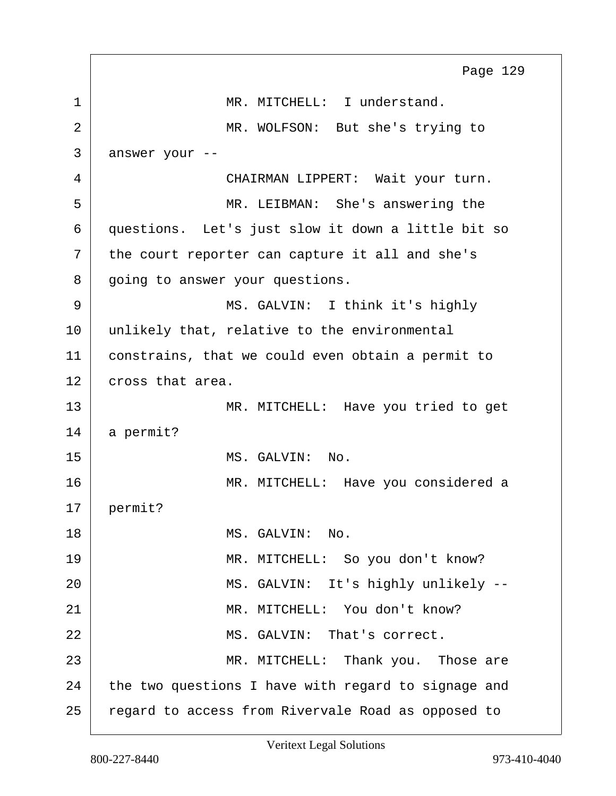1 MR. MITCHELL: I understand. 2 MR. WOLFSON: But she's trying to 3 answer your -- 4 CHAIRMAN LIPPERT: Wait your turn. 5 | MR. LEIBMAN: She's answering the 6 questions. Let's just slow it down a little bit so  $7$  the court reporter can capture it all and she's 8 going to answer your questions. 9 | MS. GALVIN: I think it's highly 10 unlikely that, relative to the environmental 11 constrains, that we could even obtain a permit to 12 cross that area. 13 MR. MITCHELL: Have you tried to get 14 a permit? 15 MS. GALVIN: No. 16 | MR. MITCHELL: Have you considered a 17 permit? 18 MS. GALVIN: No. 19 MR. MITCHELL: So you don't know? 20 | MS. GALVIN: It's highly unlikely --21 MR. MITCHELL: You don't know? 22 | MS. GALVIN: That's correct. 23 MR. MITCHELL: Thank you. Those are 24 the two questions I have with regard to signage and 25 regard to access from Rivervale Road as opposed to Page 129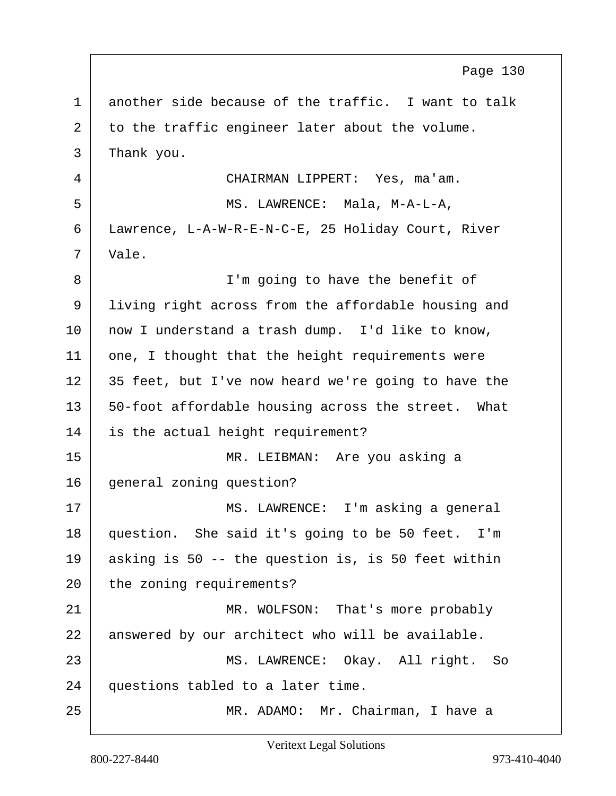1 another side because of the traffic. I want to talk 2 to the traffic engineer later about the volume. 3 Thank you. 4 CHAIRMAN LIPPERT: Yes, ma'am. 5 MS. LAWRENCE: Mala, M-A-L-A, 6 Lawrence, L-A-W-R-E-N-C-E, 25 Holiday Court, River  $7 \mid$  Vale. 8 | I'm going to have the benefit of 9 living right across from the affordable housing and 10 | now I understand a trash dump. I'd like to know,  $11$  one, I thought that the height requirements were 12 35 feet, but I've now heard we're going to have the 13 | 50-foot affordable housing across the street. What 14 is the actual height requirement? 15 MR. LEIBMAN: Are you asking a 16 general zoning question? 17 | MS. LAWRENCE: I'm asking a general 18 question. She said it's going to be 50 feet. I'm 19 asking is 50 -- the question is, is 50 feet within 20 the zoning requirements? 21 MR. WOLFSON: That's more probably 22 answered by our architect who will be available. 23 MS. LAWRENCE: Okay. All right. So 24 questions tabled to a later time. 25 | MR. ADAMO: Mr. Chairman, I have a Page 130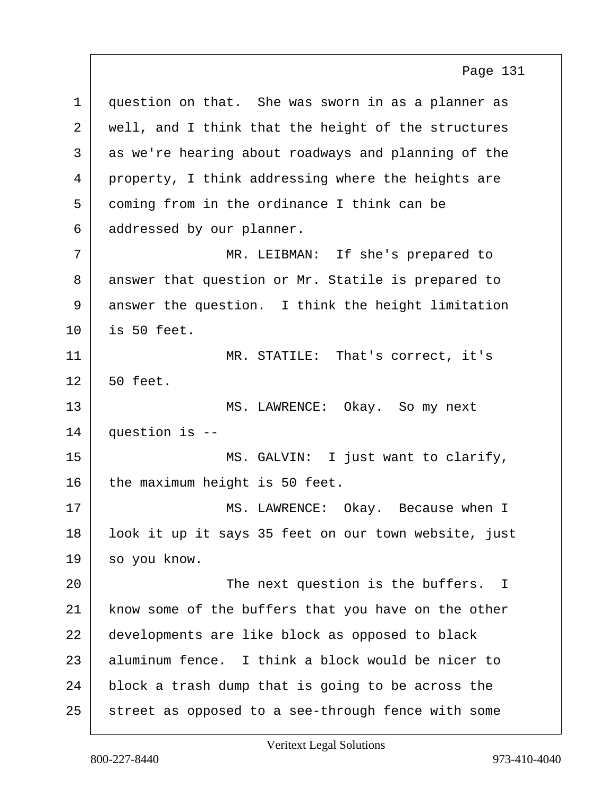1 question on that. She was sworn in as a planner as 2 | well, and I think that the height of the structures 3 as we're hearing about roadways and planning of the 4 property, I think addressing where the heights are 5 coming from in the ordinance I think can be 6 addressed by our planner. 7 MR. LEIBMAN: If she's prepared to 8 answer that question or Mr. Statile is prepared to 9 answer the question. I think the height limitation  $10$  is 50 feet. 11 MR. STATILE: That's correct, it's  $12$  50 feet. 13 MS. LAWRENCE: Okay. So my next  $14$  question is  $-$ 15 MS. GALVIN: I just want to clarify,  $16$  the maximum height is 50 feet. 17 | MS. LAWRENCE: Okay. Because when I 18 | look it up it says 35 feet on our town website, just 19 so you know. 20 | The next question is the buffers. I 21 know some of the buffers that you have on the other 22 developments are like block as opposed to black 23 aluminum fence. I think a block would be nicer to 24 block a trash dump that is going to be across the

25 street as opposed to a see-through fence with some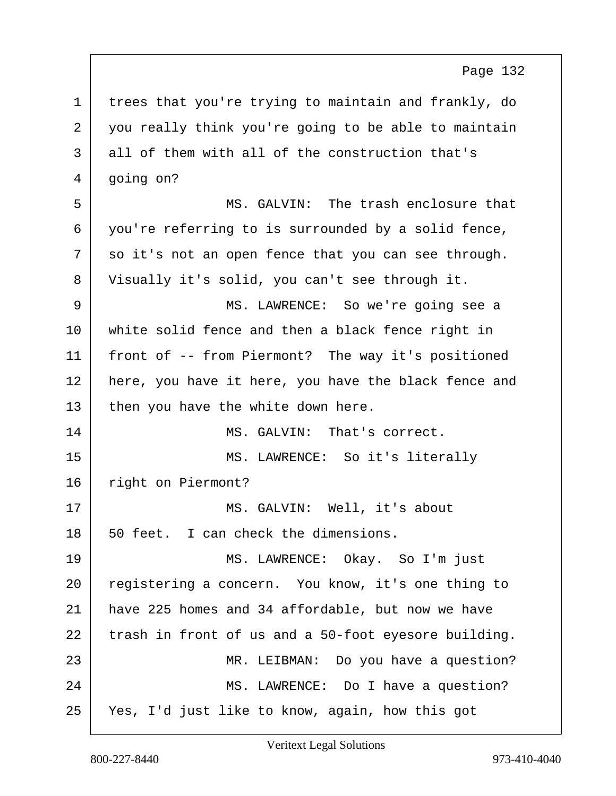1 trees that you're trying to maintain and frankly, do  $2$  you really think you're going to be able to maintain 3 all of them with all of the construction that's  $4 \mid$  going on? 5 MS. GALVIN: The trash enclosure that 6 you're referring to is surrounded by a solid fence,  $7$  so it's not an open fence that you can see through. 8 Visually it's solid, you can't see through it. 9 MS. LAWRENCE: So we're going see a 10 white solid fence and then a black fence right in 11 front of -- from Piermont? The way it's positioned 12 here, you have it here, you have the black fence and  $13$  then you have the white down here. 14 MS. GALVIN: That's correct. 15 MS. LAWRENCE: So it's literally 16 right on Piermont? 17 | MS. GALVIN: Well, it's about  $18$  50 feet. I can check the dimensions. 19 MS. LAWRENCE: Okay. So I'm just 20 registering a concern. You know, it's one thing to 21 have 225 homes and 34 affordable, but now we have  $22$  trash in front of us and a 50-foot eyesore building. 23 | MR. LEIBMAN: Do you have a question? 24 MS. LAWRENCE: Do I have a question? 25 Yes, I'd just like to know, again, how this got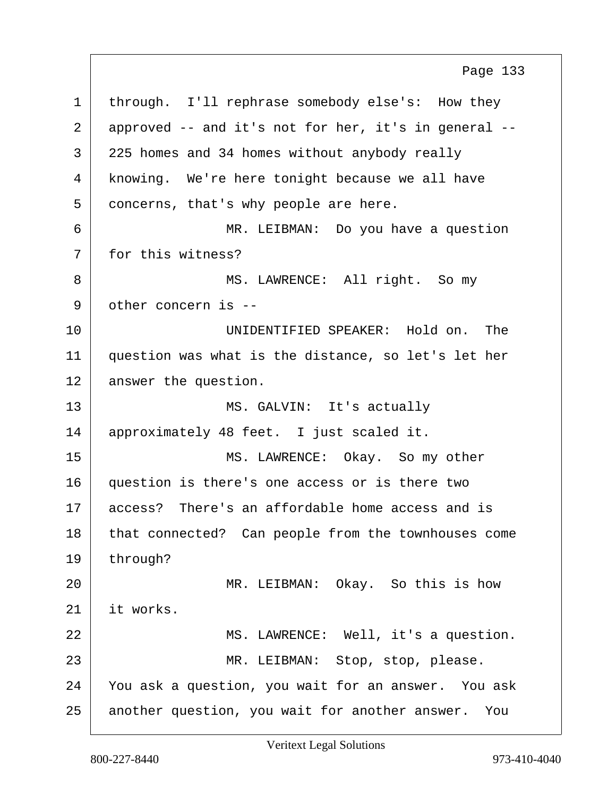1 through. I'll rephrase somebody else's: How they 2 approved -- and it's not for her, it's in general -- 3 | 225 homes and 34 homes without anybody really 4 knowing. We're here tonight because we all have 5 concerns, that's why people are here. 6 MR. LEIBMAN: Do you have a question 7 for this witness? 8 | MS. LAWRENCE: All right. So my 9 other concern is -- 10 UNIDENTIFIED SPEAKER: Hold on. The 11 question was what is the distance, so let's let her 12 answer the question. 13 MS. GALVIN: It's actually 14 | approximately 48 feet. I just scaled it. 15 MS. LAWRENCE: Okay. So my other 16 question is there's one access or is there two 17 access? There's an affordable home access and is 18 that connected? Can people from the townhouses come 19 through? 20 MR. LEIBMAN: Okay. So this is how 21 it works. 22 | MS. LAWRENCE: Well, it's a question. 23 | MR. LEIBMAN: Stop, stop, please. 24 You ask a question, you wait for an answer. You ask 25 another question, you wait for another answer. You Page 133

Veritext Legal Solutions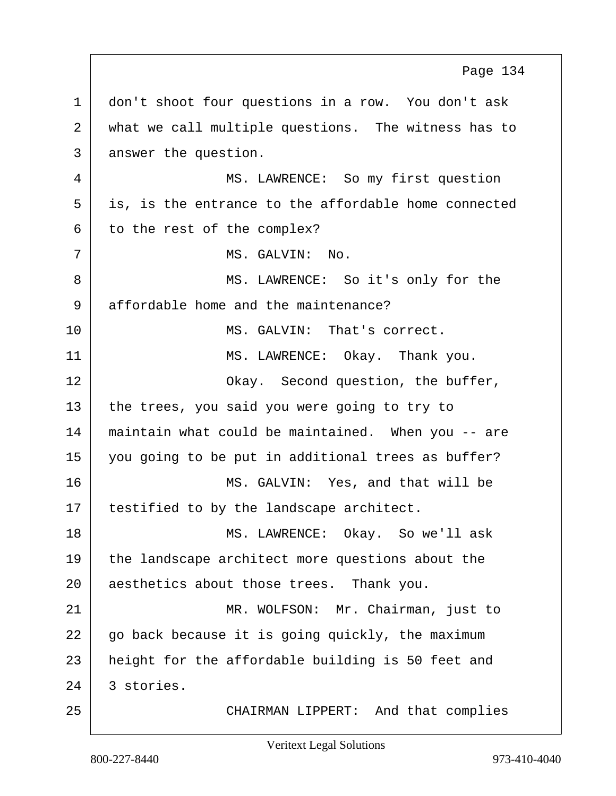1 don't shoot four questions in a row. You don't ask 2 what we call multiple questions. The witness has to 3 answer the question. 4 MS. LAWRENCE: So my first question  $5$  is, is the entrance to the affordable home connected  $6$  to the rest of the complex? 7 MS. GALVIN: No. 8 | MS. LAWRENCE: So it's only for the 9 affordable home and the maintenance? 10 MS. GALVIN: That's correct. 11 MS. LAWRENCE: Okay. Thank you. 12 Okay. Second question, the buffer,  $13$  the trees, you said you were going to try to 14 maintain what could be maintained. When you -- are 15 you going to be put in additional trees as buffer? 16 MS. GALVIN: Yes, and that will be 17 | testified to by the landscape architect. 18 MS. LAWRENCE: Okay. So we'll ask 19 the landscape architect more questions about the 20 aesthetics about those trees. Thank you. 21 MR. WOLFSON: Mr. Chairman, just to  $22$  go back because it is going quickly, the maximum 23 | height for the affordable building is 50 feet and  $24$  3 stories. 25 CHAIRMAN LIPPERT: And that complies Page 134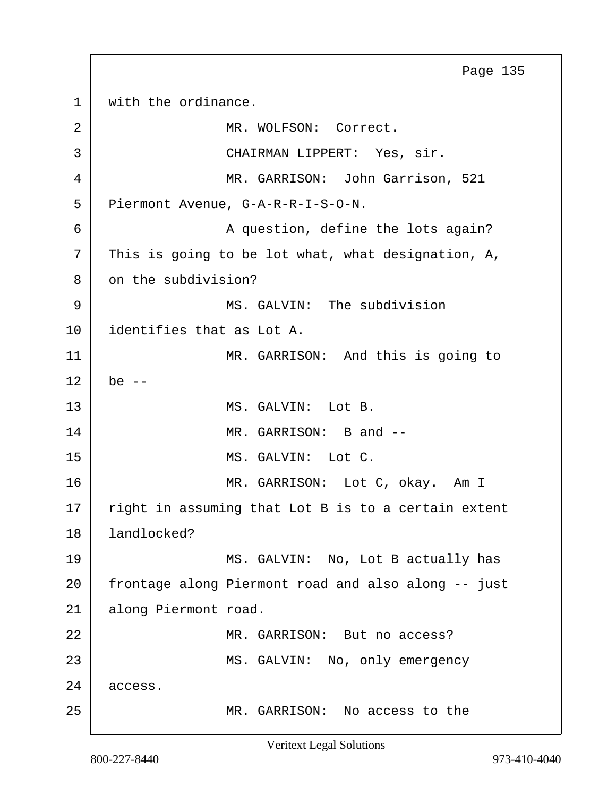1 with the ordinance. 2 MR. WOLFSON: Correct. 3 CHAIRMAN LIPPERT: Yes, sir. 4 MR. GARRISON: John Garrison, 521 5 Piermont Avenue, G-A-R-R-I-S-O-N. 6 A question, define the lots again?  $7$  This is going to be lot what, what designation, A, 8 on the subdivision? 9 | MS. GALVIN: The subdivision 10 identifies that as Lot A. 11 MR. GARRISON: And this is going to  $12$  be  $-$ 13 MS. GALVIN: Lot B. 14 MR. GARRISON: B and --15 MS. GALVIN: Lot C. 16 MR. GARRISON: Lot C, okay. Am I  $17$  right in assuming that Lot B is to a certain extent 18 landlocked? 19 MS. GALVIN: No, Lot B actually has 20 frontage along Piermont road and also along -- just 21 along Piermont road. 22 MR. GARRISON: But no access? 23 MS. GALVIN: No, only emergency 24 access. 25 MR. GARRISON: No access to the Page 135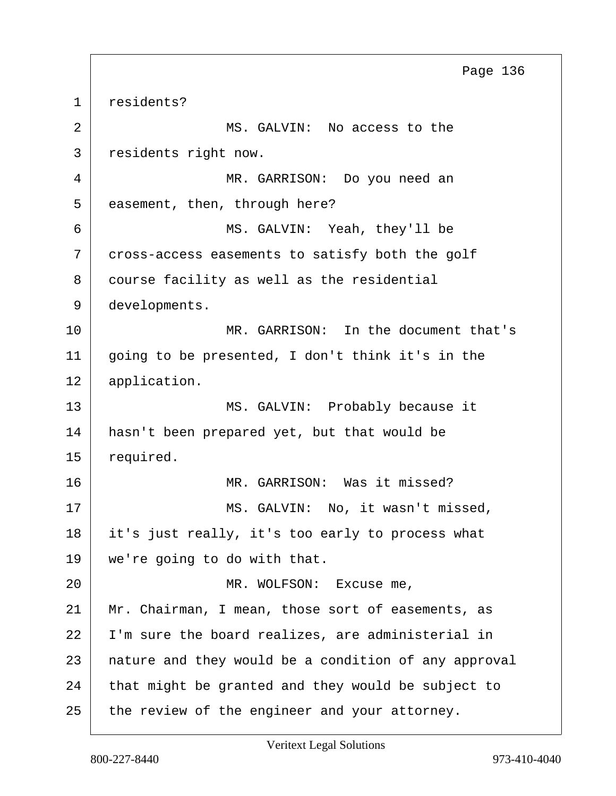1 residents? 2 MS. GALVIN: No access to the 3 residents right now. 4 MR. GARRISON: Do you need an 5 easement, then, through here? 6 MS. GALVIN: Yeah, they'll be 7 cross-access easements to satisfy both the golf 8 course facility as well as the residential 9 developments. 10 MR. GARRISON: In the document that's 11 going to be presented, I don't think it's in the 12 application. 13 MS. GALVIN: Probably because it 14 hasn't been prepared yet, but that would be 15 required. 16 MR. GARRISON: Was it missed? 17 | MS. GALVIN: No, it wasn't missed, 18 it's just really, it's too early to process what 19 we're going to do with that. 20 | MR. WOLFSON: Excuse me, 21 Mr. Chairman, I mean, those sort of easements, as 22 I'm sure the board realizes, are administerial in 23 | nature and they would be a condition of any approval 24 that might be granted and they would be subject to 25 the review of the engineer and your attorney. Page 136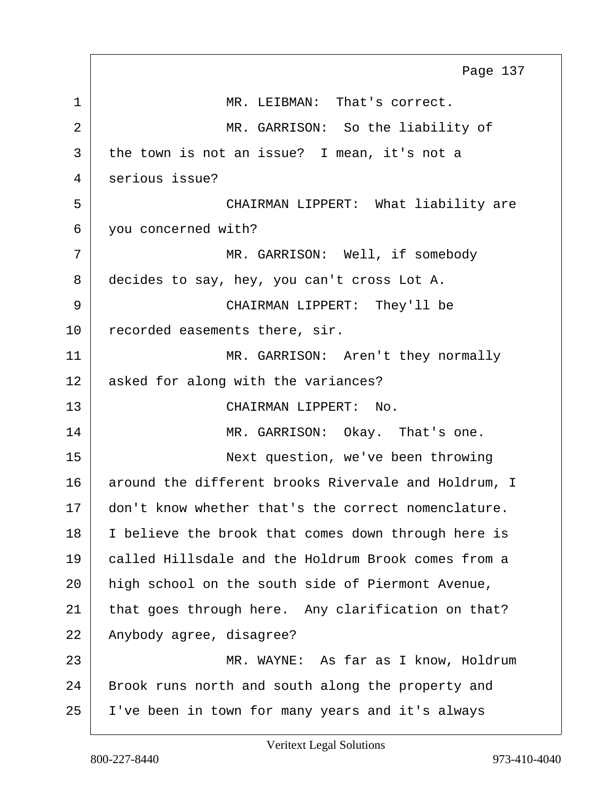|    | Page 137                                             |
|----|------------------------------------------------------|
| 1  | MR. LEIBMAN: That's correct.                         |
| 2  | MR. GARRISON: So the liability of                    |
| 3  | the town is not an issue? I mean, it's not a         |
| 4  | serious issue?                                       |
| 5  | CHAIRMAN LIPPERT: What liability are                 |
| 6  | you concerned with?                                  |
| 7  | MR. GARRISON: Well, if somebody                      |
| 8  | decides to say, hey, you can't cross Lot A.          |
| 9  | CHAIRMAN LIPPERT: They'll be                         |
| 10 | recorded easements there, sir.                       |
| 11 | MR. GARRISON: Aren't they normally                   |
| 12 | asked for along with the variances?                  |
| 13 | CHAIRMAN LIPPERT: No.                                |
| 14 | MR. GARRISON: Okay. That's one.                      |
| 15 | Next question, we've been throwing                   |
| 16 | around the different brooks Rivervale and Holdrum, I |
| 17 | don't know whether that's the correct nomenclature.  |
| 18 | I believe the brook that comes down through here is  |
| 19 | called Hillsdale and the Holdrum Brook comes from a  |
| 20 | high school on the south side of Piermont Avenue,    |
| 21 | that goes through here. Any clarification on that?   |
| 22 | Anybody agree, disagree?                             |
| 23 | MR. WAYNE: As far as I know, Holdrum                 |
| 24 | Brook runs north and south along the property and    |
| 25 | I've been in town for many years and it's always     |

 $\Gamma$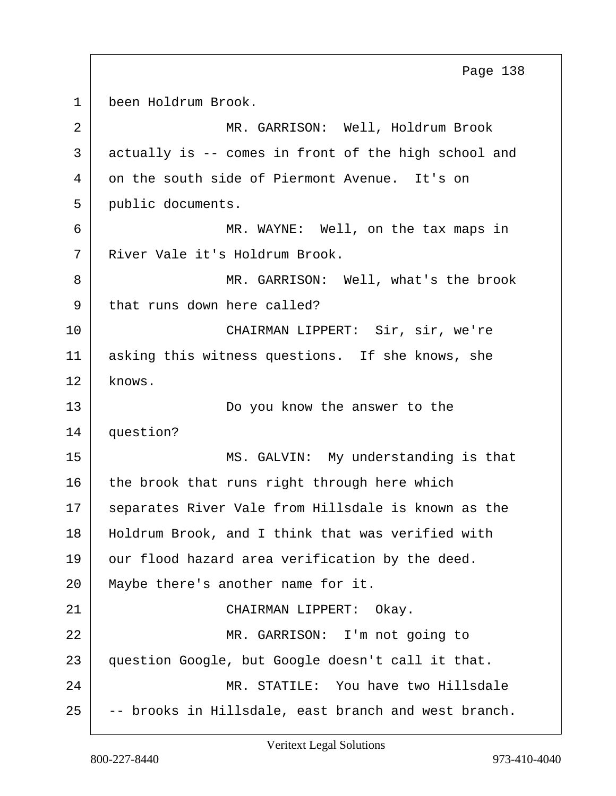1 been Holdrum Brook. 2 MR. GARRISON: Well, Holdrum Brook 3 actually is -- comes in front of the high school and 4 on the south side of Piermont Avenue. It's on 5 public documents. 6 MR. WAYNE: Well, on the tax maps in 7 River Vale it's Holdrum Brook. 8 MR. GARRISON: Well, what's the brook 9 that runs down here called? 10 CHAIRMAN LIPPERT: Sir, sir, we're 11 asking this witness questions. If she knows, she 12 knows. 13 Do you know the answer to the 14 question? 15 MS. GALVIN: My understanding is that  $16$  the brook that runs right through here which 17 | separates River Vale from Hillsdale is known as the 18 | Holdrum Brook, and I think that was verified with 19 our flood hazard area verification by the deed. 20 | Maybe there's another name for it. 21 CHAIRMAN LIPPERT: Okay. 22 | MR. GARRISON: I'm not going to 23 question Google, but Google doesn't call it that. 24 MR. STATILE: You have two Hillsdale  $25$  -- brooks in Hillsdale, east branch and west branch. Page 138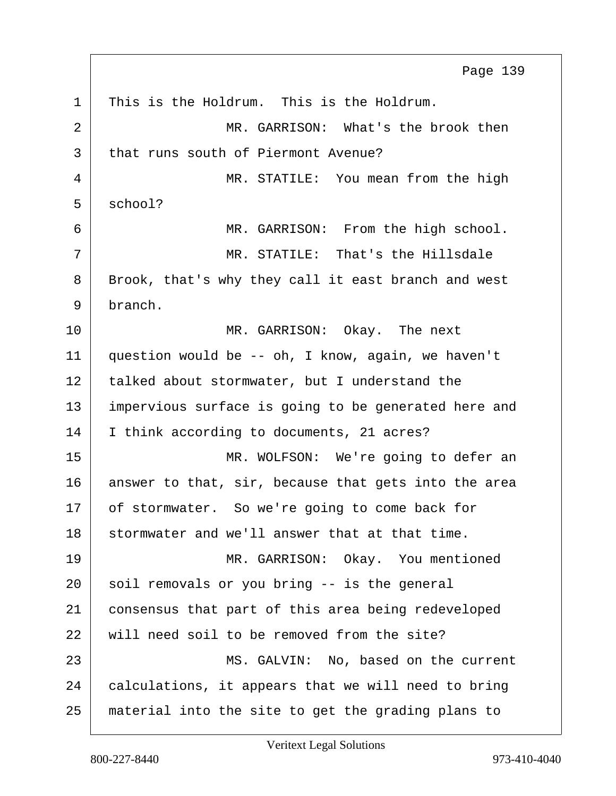1 This is the Holdrum. This is the Holdrum. 2 MR. GARRISON: What's the brook then 3 that runs south of Piermont Avenue? 4 MR. STATILE: You mean from the high  $5 \mid$  school? 6 MR. GARRISON: From the high school.  $7$   $\parallel$   $\texttt{MR. STATE:}$  That's the Hillsdale 8 | Brook, that's why they call it east branch and west 9 branch. 10 MR. GARRISON: Okay. The next 11 question would be -- oh, I know, again, we haven't 12 | talked about stormwater, but I understand the 13 | impervious surface is going to be generated here and 14 I think according to documents, 21 acres? 15 MR. WOLFSON: We're going to defer an 16 answer to that, sir, because that gets into the area 17 of stormwater. So we're going to come back for 18 stormwater and we'll answer that at that time. 19 MR. GARRISON: Okay. You mentioned  $20$  soil removals or you bring  $-$  is the general 21 consensus that part of this area being redeveloped 22 will need soil to be removed from the site? 23 MS. GALVIN: No, based on the current 24 calculations, it appears that we will need to bring 25 material into the site to get the grading plans to Page 139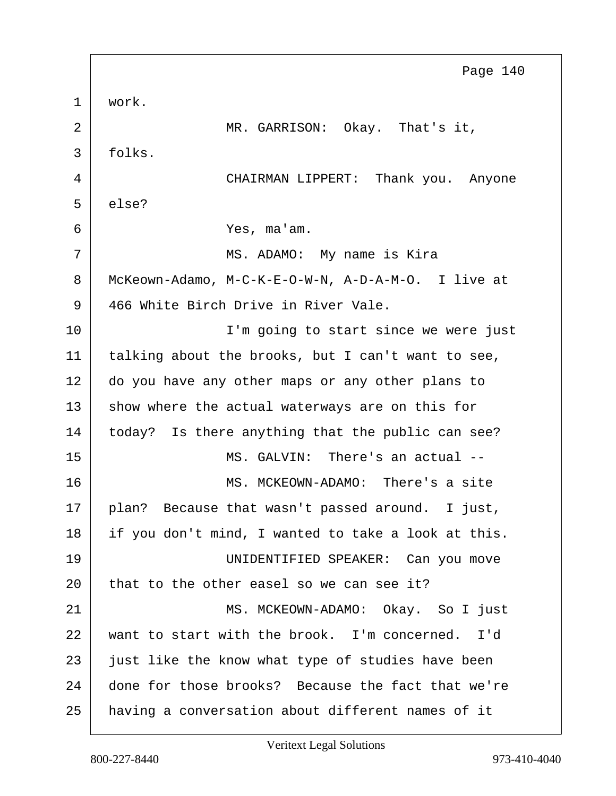1 work. 2 MR. GARRISON: Okay. That's it, 3 folks. 4 CHAIRMAN LIPPERT: Thank you. Anyone 5 else? 6 Yes, ma'am. 7 | MS. ADAMO: My name is Kira 8 McKeown-Adamo, M-C-K-E-O-W-N, A-D-A-M-O. I live at 9 466 White Birch Drive in River Vale. 10 | T'm going to start since we were just 11 | talking about the brooks, but I can't want to see, 12 do you have any other maps or any other plans to 13 show where the actual waterways are on this for 14 today? Is there anything that the public can see? 15 MS. GALVIN: There's an actual -- 16 MS. MCKEOWN-ADAMO: There's a site 17 | plan? Because that wasn't passed around. I just, 18 if you don't mind, I wanted to take a look at this. 19 UNIDENTIFIED SPEAKER: Can you move 20 that to the other easel so we can see it? 21 MS. MCKEOWN-ADAMO: Okay. So I just 22 want to start with the brook. I'm concerned. I'd 23 just like the know what type of studies have been 24 done for those brooks? Because the fact that we're 25 having a conversation about different names of it Page 140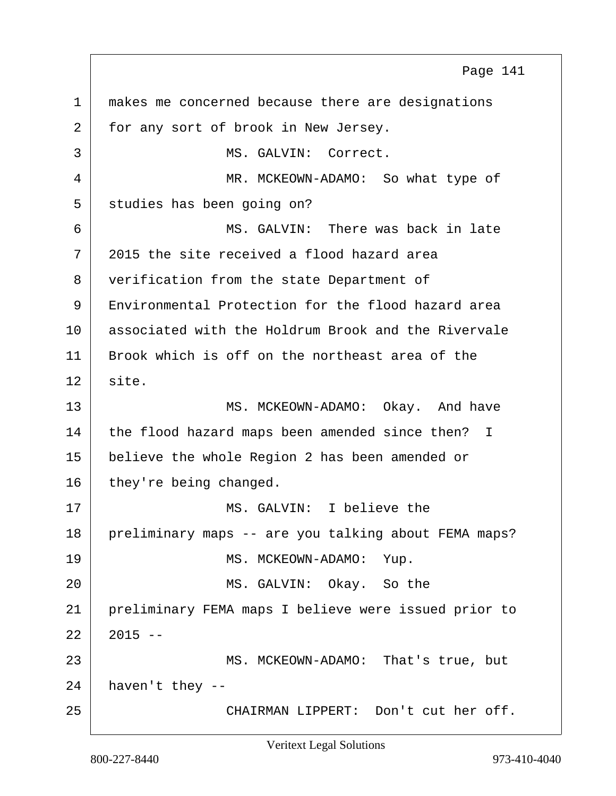1 makes me concerned because there are designations 2 for any sort of brook in New Jersey. 3 | MS. GALVIN: Correct. 4 MR. MCKEOWN-ADAMO: So what type of 5 studies has been going on? 6 MS. GALVIN: There was back in late 7 2015 the site received a flood hazard area 8 verification from the state Department of 9 Environmental Protection for the flood hazard area 10 associated with the Holdrum Brook and the Rivervale 11 Brook which is off on the northeast area of the  $12$  site. 13 MS. MCKEOWN-ADAMO: Okay. And have 14 the flood hazard maps been amended since then? I 15 believe the whole Region 2 has been amended or 16 they're being changed. 17 MS. GALVIN: I believe the 18 preliminary maps -- are you talking about FEMA maps? 19 MS. MCKEOWN-ADAMO: Yup. 20 MS. GALVIN: Okay. So the 21 preliminary FEMA maps I believe were issued prior to  $22 \mid 2015 \sim$ 23 MS. MCKEOWN-ADAMO: That's true, but  $24$  haven't they --25 | CHAIRMAN LIPPERT: Don't cut her off. Page 141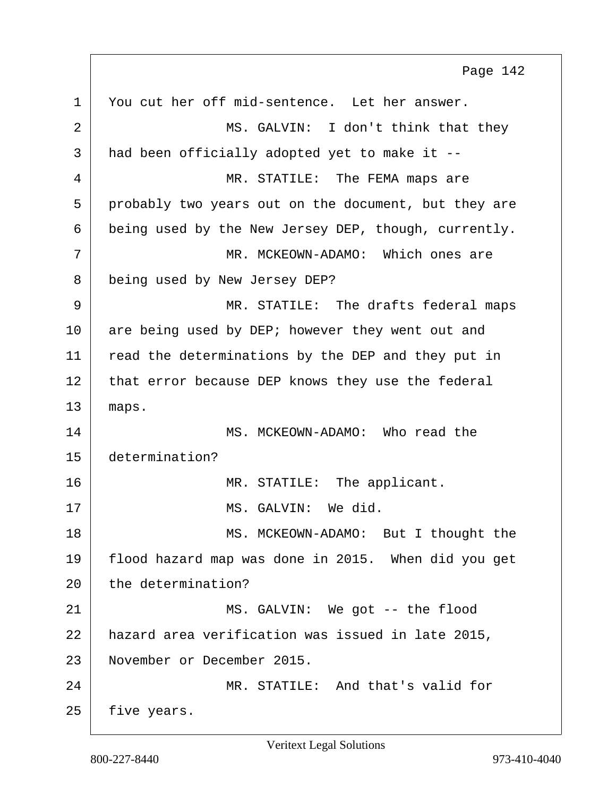1 You cut her off mid-sentence. Let her answer. 2 MS. GALVIN: I don't think that they 3 had been officially adopted yet to make it -- 4 MR. STATILE: The FEMA maps are 5 probably two years out on the document, but they are 6 being used by the New Jersey DEP, though, currently. 7 MR. MCKEOWN-ADAMO: Which ones are 8 being used by New Jersey DEP? 9 MR. STATILE: The drafts federal maps 10 are being used by DEP; however they went out and 11 | read the determinations by the DEP and they put in 12 that error because DEP knows they use the federal 13 maps. 14 MS. MCKEOWN-ADAMO: Who read the 15 determination? 16 | MR. STATILE: The applicant. 17 MS. GALVIN: We did. 18 MS. MCKEOWN-ADAMO: But I thought the 19 flood hazard map was done in 2015. When did you get 20 the determination? 21 MS. GALVIN: We got -- the flood 22 hazard area verification was issued in late 2015, 23 November or December 2015. 24 MR. STATILE: And that's valid for  $25$  five years. Page 142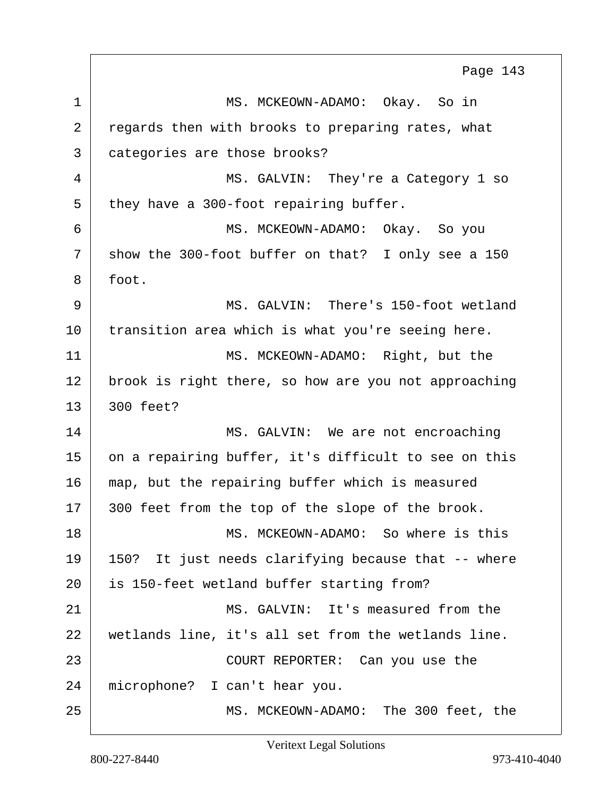1 MS. MCKEOWN-ADAMO: Okay. So in 2 regards then with brooks to preparing rates, what 3 categories are those brooks? 4 MS. GALVIN: They're a Category 1 so  $5$  they have a 300-foot repairing buffer. 6 MS. MCKEOWN-ADAMO: Okay. So you  $7$  show the 300-foot buffer on that? I only see a 150 8 foot. 9 MS. GALVIN: There's 150-foot wetland 10 transition area which is what you're seeing here. 11 MS. MCKEOWN-ADAMO: Right, but the 12 brook is right there, so how are you not approaching  $13 \mid 300$  feet? 14 MS. GALVIN: We are not encroaching 15 on a repairing buffer, it's difficult to see on this 16 map, but the repairing buffer which is measured 17 | 300 feet from the top of the slope of the brook. 18 MS. MCKEOWN-ADAMO: So where is this 19 150? It just needs clarifying because that -- where 20 is 150-feet wetland buffer starting from? 21 MS. GALVIN: It's measured from the 22 wetlands line, it's all set from the wetlands line. 23 COURT REPORTER: Can you use the 24 microphone? I can't hear you. 25 MS. MCKEOWN-ADAMO: The 300 feet, the Page 143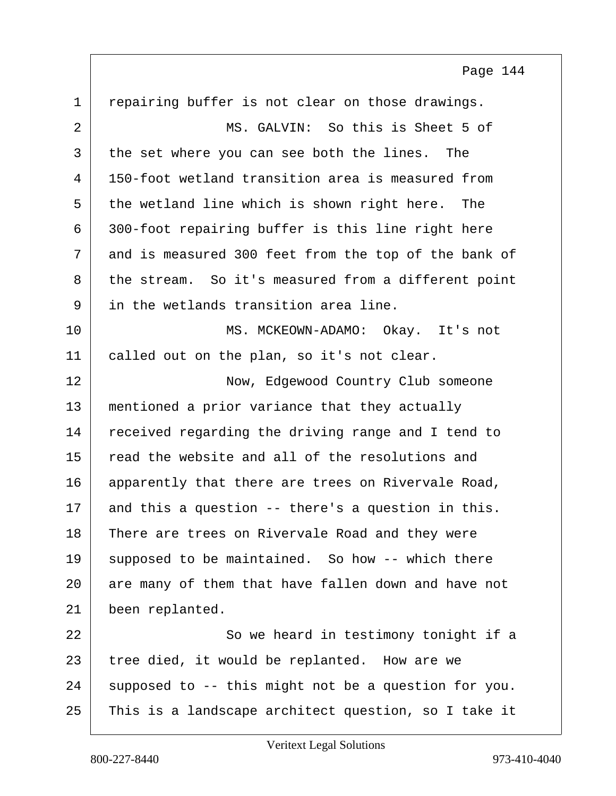1 repairing buffer is not clear on those drawings. 2 MS. GALVIN: So this is Sheet 5 of 3 the set where you can see both the lines. The 4 150-foot wetland transition area is measured from  $5$  the wetland line which is shown right here. The 6 300-foot repairing buffer is this line right here 7 and is measured 300 feet from the top of the bank of 8 the stream. So it's measured from a different point 9 in the wetlands transition area line. 10 MS. MCKEOWN-ADAMO: Okay. It's not 11 | called out on the plan, so it's not clear. 12 Now, Edgewood Country Club someone 13 | mentioned a prior variance that they actually 14 received regarding the driving range and I tend to 15 read the website and all of the resolutions and 16 apparently that there are trees on Rivervale Road, 17 and this a question -- there's a question in this. 18 There are trees on Rivervale Road and they were 19 | supposed to be maintained. So how  $-$ - which there 20 are many of them that have fallen down and have not 21 been replanted. 22 | So we heard in testimony tonight if a 23 | tree died, it would be replanted. How are we  $24$  supposed to -- this might not be a question for you.

25 This is a landscape architect question, so I take it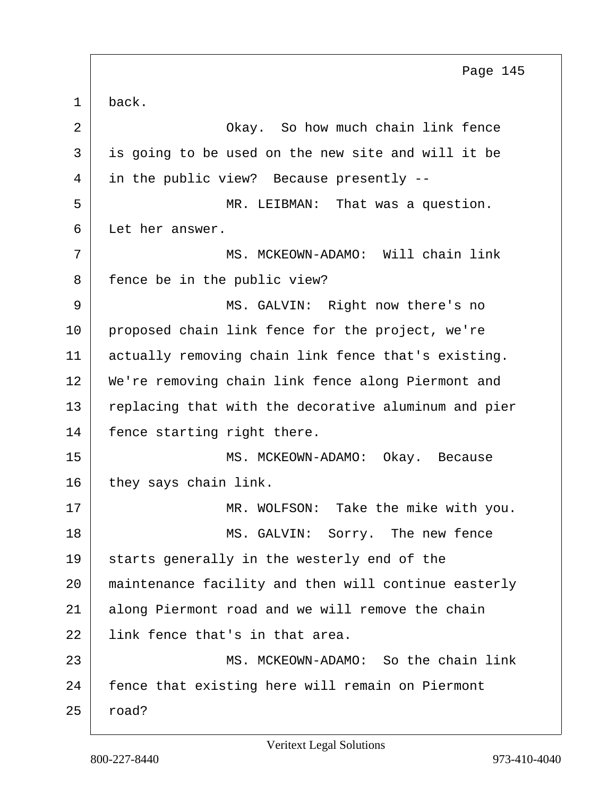<span id="page-144-0"></span>1 back. 2 **Okay.** So how much chain link fence 3 is going to be used on the new site and will it be 4 in the public view? Because presently -- 5 | MR. LEIBMAN: That was a question. 6 Let her answer. 7 | MS. MCKEOWN-ADAMO: Will chain link 8 | fence be in the public view? 9 MS. GALVIN: Right now there's no 10 proposed chain link fence for the project, we're 11 | actually removing chain link fence that's existing. 12 We're removing chain link fence along Piermont and 13 replacing that with the decorative aluminum and pier 14 | fence starting right there. 15 MS. MCKEOWN-ADAMO: Okay. Because 16 they says chain link. 17 | MR. WOLFSON: Take the mike with you. 18 MS. GALVIN: Sorry. The new fence 19 starts generally in the westerly end of the 20 maintenance facility and then will continue easterly 21 along Piermont road and we will remove the chain 22 I link fence that's in that area. 23 MS. MCKEOWN-ADAMO: So the chain link 24 fence that existing here will remain on Piermont  $25$  road? Page 145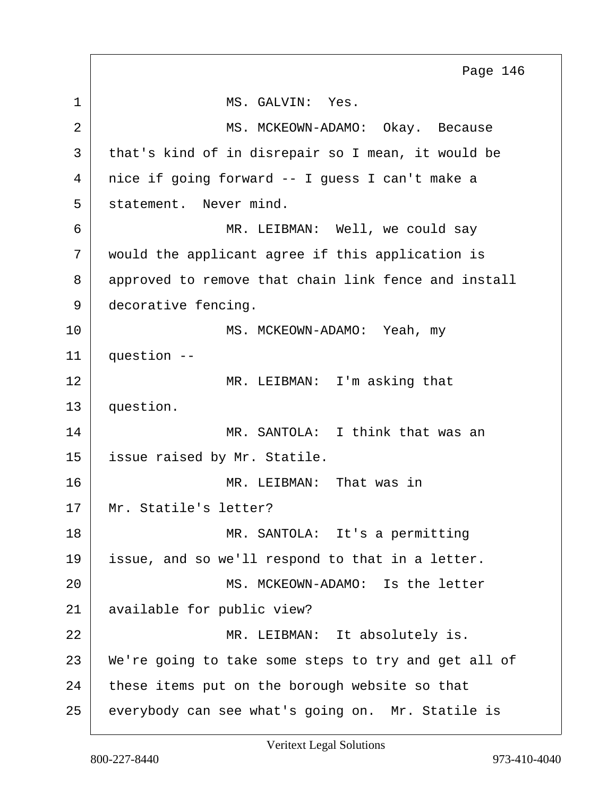<span id="page-145-0"></span>1 MS. GALVIN: Yes. 2 MS. MCKEOWN-ADAMO: Okay. Because 3 that's kind of in disrepair so I mean, it would be 4 nice if going forward -- I guess I can't make a 5 statement. Never mind. 6 MR. LEIBMAN: Well, we could say 7 would the applicant agree if this application is 8 approved to remove that chain link fence and install 9 decorative fencing. 10 MS. MCKEOWN-ADAMO: Yeah, my  $11$  question  $-$ 12 MR. LEIBMAN: I'm asking that 13 question. 14 MR. SANTOLA: I think that was an 15 issue raised by Mr. Statile. 16 MR. LEIBMAN: That was in 17 | Mr. Statile's letter? 18 MR. SANTOLA: It's a permitting 19 issue, and so we'll respond to that in a letter. 20 MS. MCKEOWN-ADAMO: Is the letter 21 available for public view? 22 | MR. LEIBMAN: It absolutely is. 23 We're going to take some steps to try and get all of  $24$  these items put on the borough website so that 25 everybody can see what's going on. Mr. Statile is Page 146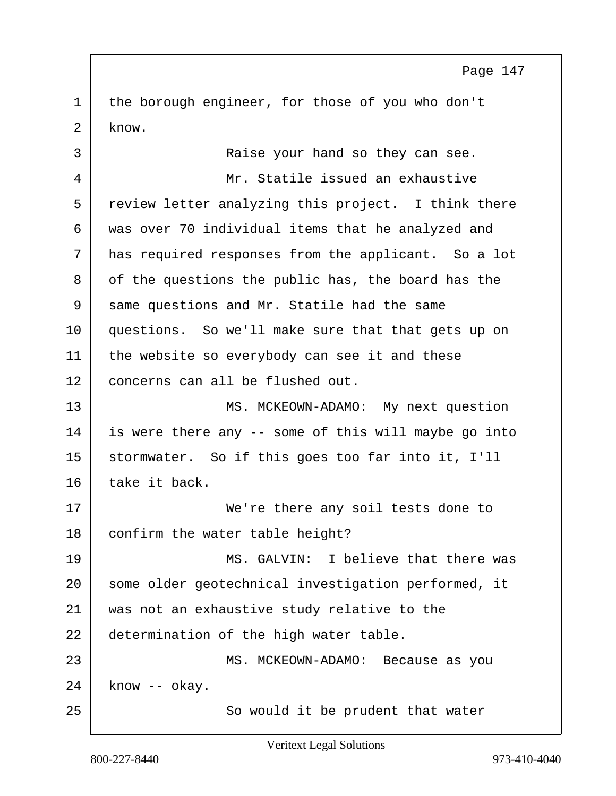<span id="page-146-0"></span>1 the borough engineer, for those of you who don't 2 know.

3 Raise your hand so they can see. 4 Mr. Statile issued an exhaustive 5 review letter analyzing this project. I think there 6 was over 70 individual items that he analyzed and 7 | has required responses from the applicant. So a lot 8 | of the questions the public has, the board has the 9 same questions and Mr. Statile had the same 10 questions. So we'll make sure that that gets up on 11 the website so everybody can see it and these 12 concerns can all be flushed out. 13 MS. MCKEOWN-ADAMO: My next question 14 is were there any -- some of this will maybe go into 15 stormwater. So if this goes too far into it, I'll 16 take it back. 17 | We're there any soil tests done to 18 confirm the water table height? 19 MS. GALVIN: I believe that there was 20 some older geotechnical investigation performed, it 21 was not an exhaustive study relative to the 22 determination of the high water table.

23 MS. MCKEOWN-ADAMO: Because as you  $24$  know  $-$  okay. 25 | So would it be prudent that water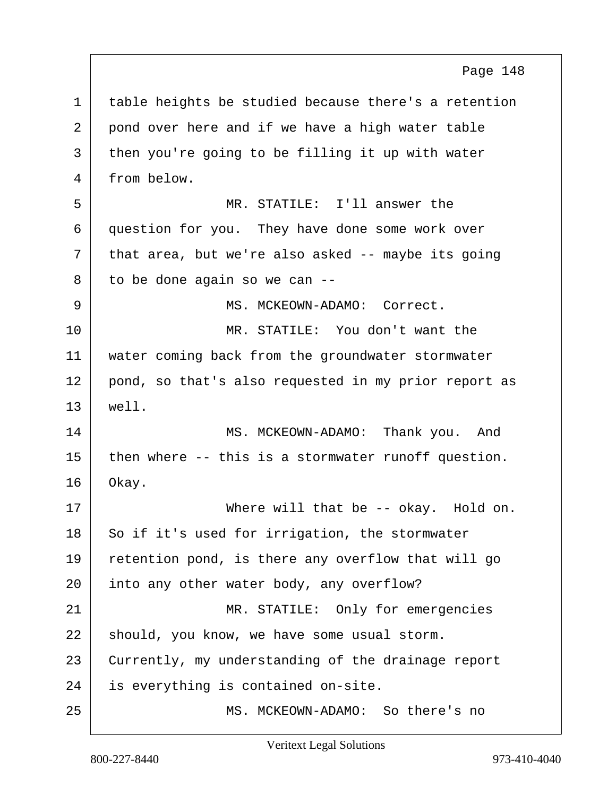<span id="page-147-0"></span>1 table heights be studied because there's a retention 2 pond over here and if we have a high water table 3 then you're going to be filling it up with water 4 from below. 5 MR. STATILE: I'll answer the 6 question for you. They have done some work over  $7$  that area, but we're also asked -- maybe its going  $8$  to be done again so we can  $-$ 9 MS. MCKEOWN-ADAMO: Correct. 10 MR. STATILE: You don't want the 11 water coming back from the groundwater stormwater 12 pond, so that's also requested in my prior report as 13 well. 14 MS. MCKEOWN-ADAMO: Thank you. And  $15$  then where -- this is a stormwater runoff question. 16 Okay. 17 Where will that be -- okay. Hold on.  $18$  So if it's used for irrigation, the stormwater 19 retention pond, is there any overflow that will go 20 into any other water body, any overflow? 21 MR. STATILE: Only for emergencies  $22$  should, you know, we have some usual storm. 23 Currently, my understanding of the drainage report 24 is everything is contained on-site. 25 MS. MCKEOWN-ADAMO: So there's no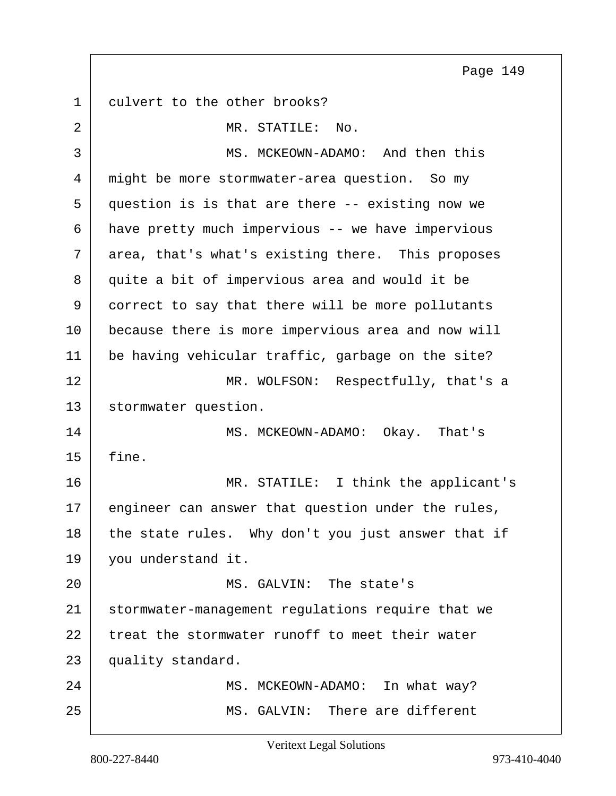<span id="page-148-0"></span>1 culvert to the other brooks? 2 MR. STATILE: No. 3 MS. MCKEOWN-ADAMO: And then this 4 might be more stormwater-area question. So my 5 question is is that are there -- existing now we 6 have pretty much impervious -- we have impervious 7 area, that's what's existing there. This proposes 8 quite a bit of impervious area and would it be 9 correct to say that there will be more pollutants 10 because there is more impervious area and now will 11 be having vehicular traffic, garbage on the site?

Page 149

12 MR. WOLFSON: Respectfully, that's a 13 | stormwater question.

14 MS. MCKEOWN-ADAMO: Okay. That's 15 fine.

16 MR. STATILE: I think the applicant's 17 engineer can answer that question under the rules, 18 the state rules. Why don't you just answer that if 19 vou understand it.

20 MS. GALVIN: The state's 21 stormwater-management regulations require that we 22 treat the stormwater runoff to meet their water 23 quality standard. 24 MS. MCKEOWN-ADAMO: In what way?

25 MS. GALVIN: There are different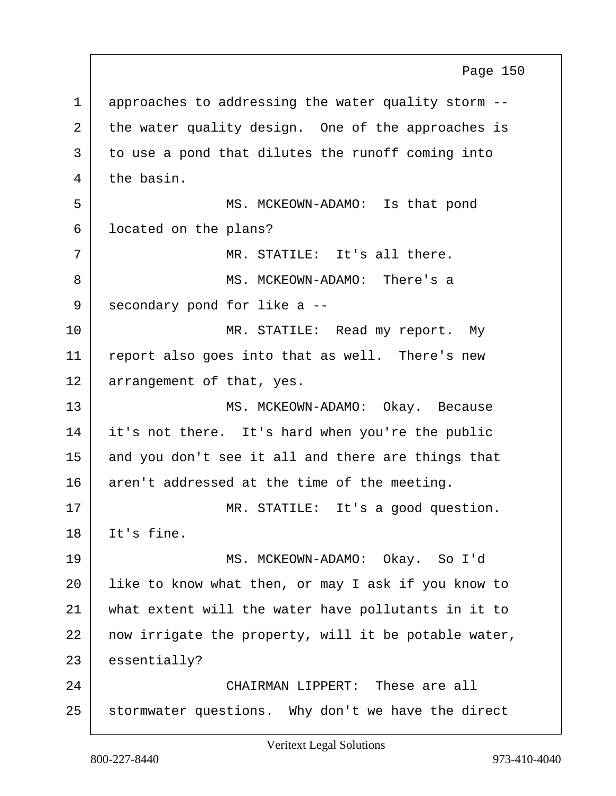<span id="page-149-0"></span>1 approaches to addressing the water quality storm --2 the water quality design. One of the approaches is 3 to use a pond that dilutes the runoff coming into  $4$  the basin. 5 MS. MCKEOWN-ADAMO: Is that pond 6 | located on the plans?  $7$   $\parallel$  MR. STATILE: It's all there. 8 MS. MCKEOWN-ADAMO: There's a 9 secondary pond for like a --10 | MR. STATILE: Read my report. My 11 | report also goes into that as well. There's new 12 arrangement of that, yes. 13 | MS. MCKEOWN-ADAMO: Okay. Because 14 it's not there. It's hard when you're the public 15 and you don't see it all and there are things that  $16$  aren't addressed at the time of the meeting. 17 | MR. STATILE: It's a good question.  $18$  Tt's fine. 19 MS. MCKEOWN-ADAMO: Okay. So I'd 20 like to know what then, or may I ask if you know to 21 what extent will the water have pollutants in it to  $22$  now irrigate the property, will it be potable water, 23 essentially? 24 CHAIRMAN LIPPERT: These are all 25 stormwater questions. Why don't we have the direct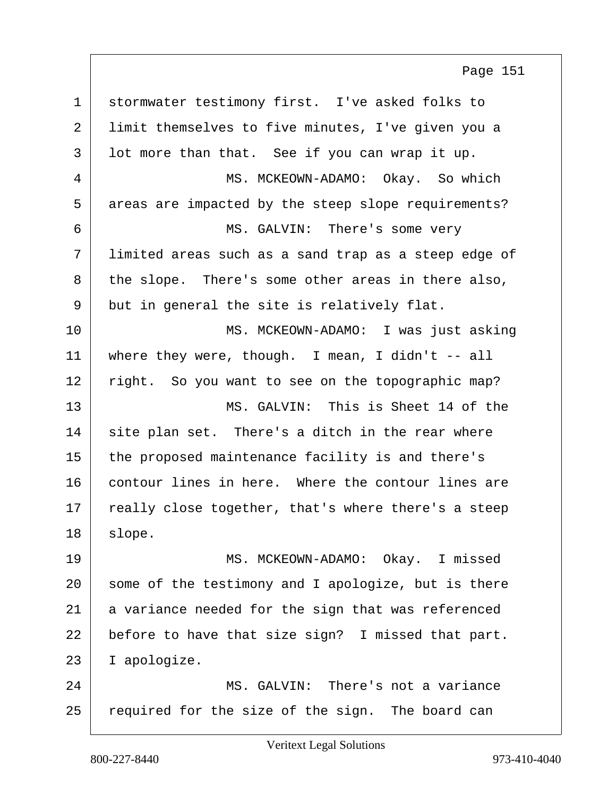<span id="page-150-0"></span>

| $\mathbf 1$ | stormwater testimony first. I've asked folks to      |
|-------------|------------------------------------------------------|
| 2           | limit themselves to five minutes, I've given you a   |
| 3           | lot more than that. See if you can wrap it up.       |
| 4           | MS. MCKEOWN-ADAMO: Okay. So which                    |
| 5           | areas are impacted by the steep slope requirements?  |
| 6           | MS. GALVIN: There's some very                        |
| 7           | limited areas such as a sand trap as a steep edge of |
| 8           | the slope. There's some other areas in there also,   |
| 9           | but in general the site is relatively flat.          |
| 10          | MS. MCKEOWN-ADAMO: I was just asking                 |
| 11          | where they were, though. I mean, I didn't $-$ all    |
| 12          | right. So you want to see on the topographic map?    |
| 13          | MS. GALVIN: This is Sheet 14 of the                  |
| 14          | site plan set. There's a ditch in the rear where     |
| 15          | the proposed maintenance facility is and there's     |
| 16          | contour lines in here. Where the contour lines are   |
| 17          | really close together, that's where there's a steep  |
| 18          | slope.                                               |
| 19          | MS. MCKEOWN-ADAMO: Okay. I missed                    |
| 20          | some of the testimony and I apologize, but is there  |
| 21          | a variance needed for the sign that was referenced   |
| 22          | before to have that size sign? I missed that part.   |
| 23          | I apologize.                                         |
| 24          | MS. GALVIN: There's not a variance                   |
| 25          | required for the size of the sign. The board can     |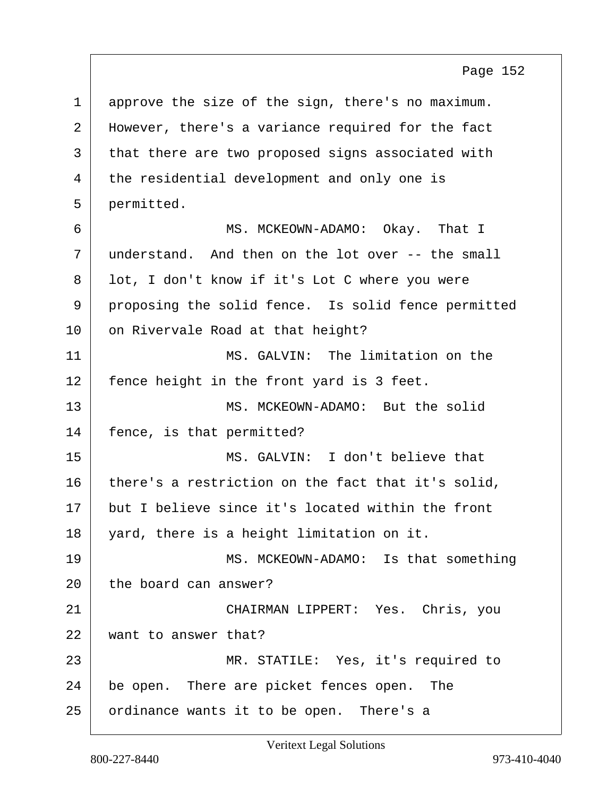<span id="page-151-0"></span>1 approve the size of the sign, there's no maximum. 2 | However, there's a variance required for the fact 3 that there are two proposed signs associated with 4 the residential development and only one is 5 permitted. 6 MS. MCKEOWN-ADAMO: Okay. That I 7 understand. And then on the lot over -- the small 8 | lot, I don't know if it's Lot C where you were 9 proposing the solid fence. Is solid fence permitted 10 on Rivervale Road at that height? 11 MS. GALVIN: The limitation on the 12 fence height in the front yard is 3 feet. 13 MS. MCKEOWN-ADAMO: But the solid 14 | fence, is that permitted? 15 MS. GALVIN: I don't believe that 16 there's a restriction on the fact that it's solid, 17 but I believe since it's located within the front 18 yard, there is a height limitation on it. 19 MS. MCKEOWN-ADAMO: Is that something 20 the board can answer? 21 CHAIRMAN LIPPERT: Yes. Chris, you 22 want to answer that? 23 MR. STATILE: Yes, it's required to 24 be open. There are picket fences open. The 25 ordinance wants it to be open. There's a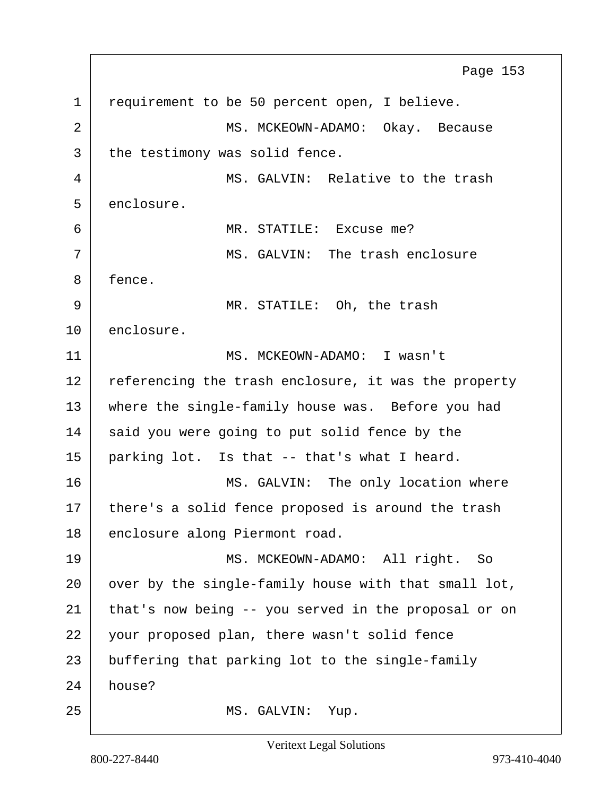<span id="page-152-0"></span>1 requirement to be 50 percent open, I believe. 2 MS. MCKEOWN-ADAMO: Okay. Because 3 the testimony was solid fence. 4 MS. GALVIN: Relative to the trash 5 enclosure. 6 MR. STATILE: Excuse me? 7 MS. GALVIN: The trash enclosure 8 fence. 9 MR. STATILE: Oh, the trash 10 enclosure. 11 MS. MCKEOWN-ADAMO: I wasn't 12 referencing the trash enclosure, it was the property 13 where the single-family house was. Before you had 14 said you were going to put solid fence by the 15 parking lot. Is that -- that's what I heard. 16 | MS. GALVIN: The only location where 17 | there's a solid fence proposed is around the trash 18 enclosure along Piermont road. 19 MS. MCKEOWN-ADAMO: All right. So 20 over by the single-family house with that small lot, 21 | that's now being -- you served in the proposal or on 22 your proposed plan, there wasn't solid fence 23 buffering that parking lot to the single-family 24 house? 25 MS. GALVIN: Yup. Page 153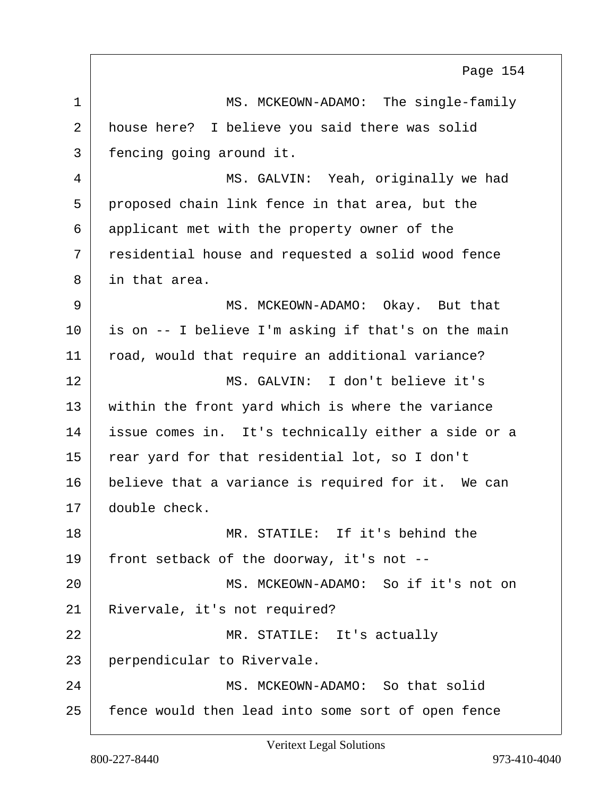<span id="page-153-0"></span>1 MS. MCKEOWN-ADAMO: The single-family 2 house here? I believe you said there was solid 3 fencing going around it. 4 MS. GALVIN: Yeah, originally we had 5 proposed chain link fence in that area, but the 6 applicant met with the property owner of the 7 residential house and requested a solid wood fence 8 in that area. 9 MS. MCKEOWN-ADAMO: Okay. But that 10 is on -- I believe I'm asking if that's on the main 11 | road, would that require an additional variance? 12 MS. GALVIN: I don't believe it's 13 | within the front yard which is where the variance 14 issue comes in. It's technically either a side or a 15 rear yard for that residential lot, so I don't 16 believe that a variance is required for it. We can 17 double check. 18 MR. STATILE: If it's behind the 19 front setback of the doorway, it's not -- 20 MS. MCKEOWN-ADAMO: So if it's not on 21 Rivervale, it's not required? 22 MR. STATILE: It's actually 23 perpendicular to Rivervale. 24 MS. MCKEOWN-ADAMO: So that solid 25 fence would then lead into some sort of open fence Page 154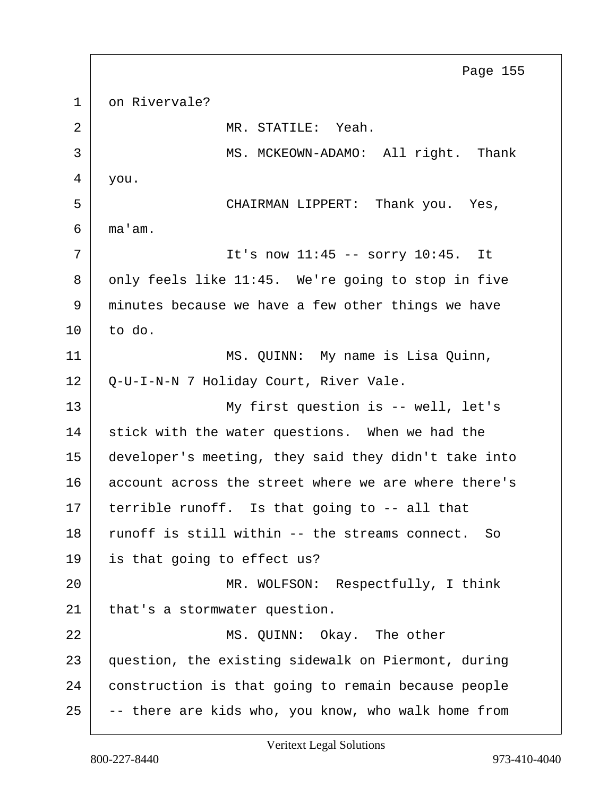<span id="page-154-0"></span>1 on Rivervale? 2 MR. STATILE: Yeah. 3 MS. MCKEOWN-ADAMO: All right. Thank 4 you. 5 CHAIRMAN LIPPERT: Thank you. Yes,  $6 \mid$  ma'am.  $7$  | The sound in the sorth  $11:45$  -- sorty  $10:45$ . It 8 | only feels like 11:45. We're going to stop in five 9 minutes because we have a few other things we have  $10$  to do. 11 MS. QUINN: My name is Lisa Quinn, 12 Q-U-I-N-N 7 Holiday Court, River Vale. 13 | My first question is -- well, let's 14 stick with the water questions. When we had the 15 developer's meeting, they said they didn't take into 16 account across the street where we are where there's  $17$  terrible runoff. Is that going to  $-$  all that 18 runoff is still within -- the streams connect. So 19 is that going to effect us? 20 | MR. WOLFSON: Respectfully, I think 21 that's a stormwater question. 22 MS. QUINN: Okay. The other 23 question, the existing sidewalk on Piermont, during 24 construction is that going to remain because people  $25$  -- there are kids who, you know, who walk home from Page 155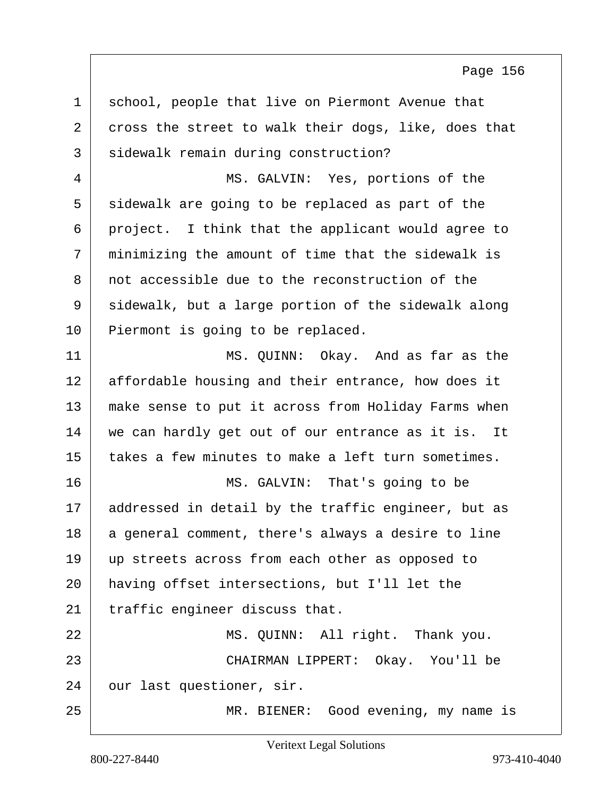<span id="page-155-0"></span>1 school, people that live on Piermont Avenue that 2 cross the street to walk their dogs, like, does that 3 | sidewalk remain during construction? 4 MS. GALVIN: Yes, portions of the 5 sidewalk are going to be replaced as part of the 6 project. I think that the applicant would agree to 7 minimizing the amount of time that the sidewalk is 8 not accessible due to the reconstruction of the 9 sidewalk, but a large portion of the sidewalk along 10 Piermont is going to be replaced. 11 MS. QUINN: Okay. And as far as the 12 affordable housing and their entrance, how does it 13 make sense to put it across from Holiday Farms when 14 we can hardly get out of our entrance as it is. It 15 takes a few minutes to make a left turn sometimes. 16 | MS. GALVIN: That's going to be 17 | addressed in detail by the traffic engineer, but as 18 a general comment, there's always a desire to line 19 up streets across from each other as opposed to 20 having offset intersections, but I'll let the  $21$  traffic engineer discuss that. 22 | MS. QUINN: All right. Thank you. 23 CHAIRMAN LIPPERT: Okay. You'll be 24 our last questioner, sir. 25 MR. BIENER: Good evening, my name is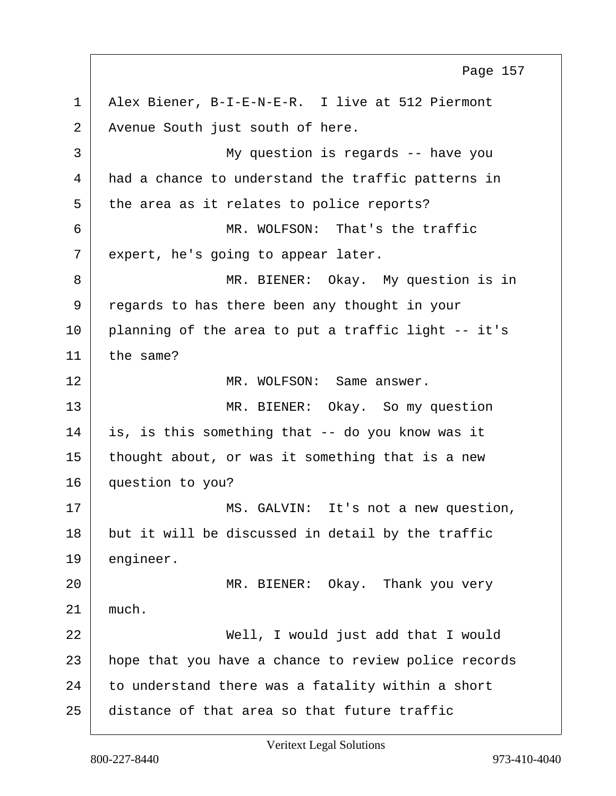<span id="page-156-0"></span>1 Alex Biener, B-I-E-N-E-R. I live at 512 Piermont 2 Avenue South just south of here. 3 My question is regards -- have you 4 had a chance to understand the traffic patterns in 5 the area as it relates to police reports? 6 MR. WOLFSON: That's the traffic  $7$  expert, he's going to appear later. 8 MR. BIENER: Okay. My question is in 9 regards to has there been any thought in your  $10$  planning of the area to put a traffic light  $-$  it's  $11$  the same? 12 MR. WOLFSON: Same answer. 13 MR. BIENER: Okay. So my question 14 is, is this something that -- do you know was it  $15$  thought about, or was it something that is a new 16 question to you? 17 | MS. GALVIN: It's not a new question, 18 but it will be discussed in detail by the traffic 19 engineer. 20 | MR. BIENER: Okay. Thank you very  $21$  much. 22 Well, I would just add that I would 23 | hope that you have a chance to review police records  $24$  to understand there was a fatality within a short  $25$  distance of that area so that future traffic Page 157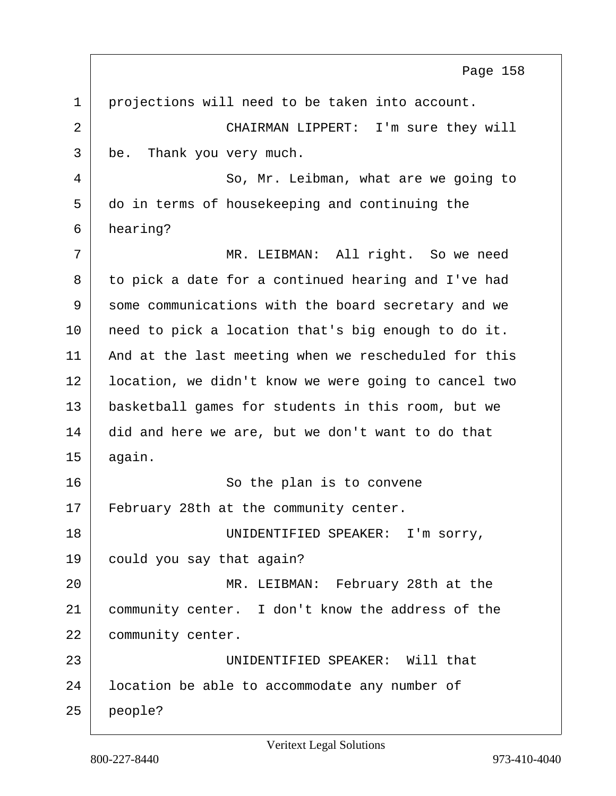<span id="page-157-0"></span>

| $\mathbf{1}$ | projections will need to be taken into account.      |
|--------------|------------------------------------------------------|
| 2            | CHAIRMAN LIPPERT: I'm sure they will                 |
| 3            | be.<br>Thank you very much.                          |
| 4            | So, Mr. Leibman, what are we going to                |
| 5            | do in terms of housekeeping and continuing the       |
| 6            | hearing?                                             |
| 7            | MR. LEIBMAN: All right. So we need                   |
| 8            | to pick a date for a continued hearing and I've had  |
| 9            | some communications with the board secretary and we  |
| 10           | need to pick a location that's big enough to do it.  |
| 11           | And at the last meeting when we rescheduled for this |
| 12           | location, we didn't know we were going to cancel two |
| 13           | basketball games for students in this room, but we   |
| 14           | did and here we are, but we don't want to do that    |
| 15           | again.                                               |
| 16           | So the plan is to convene                            |
| 17           | February 28th at the community center.               |
| 18           | UNIDENTIFIED SPEAKER:<br>I'm sorry,                  |
| 19           | could you say that again?                            |
| 20           | MR. LEIBMAN: February 28th at the                    |
| 21           | community center. I don't know the address of the    |
| 22           | community center.                                    |
| 23           | UNIDENTIFIED SPEAKER: Will that                      |
| 24           | location be able to accommodate any number of        |
| 25           | people?                                              |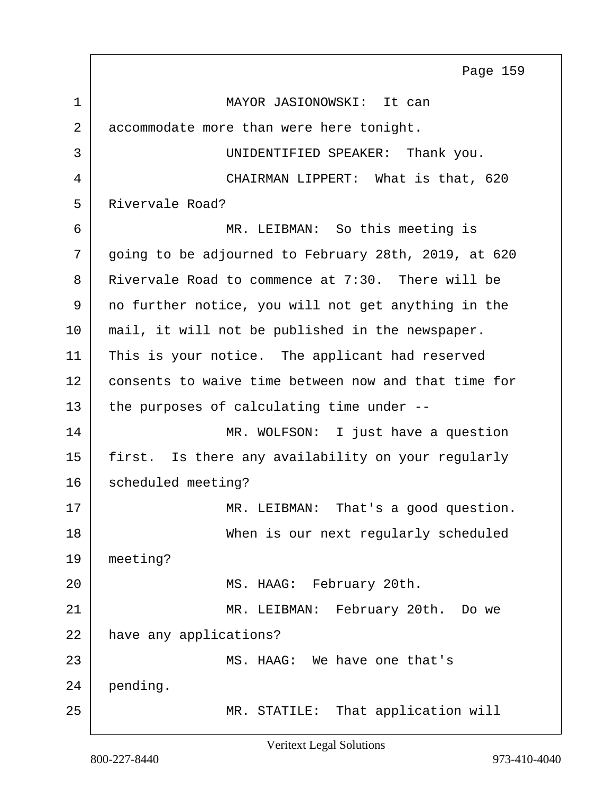<span id="page-158-0"></span>1 MAYOR JASIONOWSKI: It can 2 accommodate more than were here tonight. 3 UNIDENTIFIED SPEAKER: Thank you. 4 CHAIRMAN LIPPERT: What is that, 620 5 Rivervale Road? 6 MR. LEIBMAN: So this meeting is 7 going to be adjourned to February 28th, 2019, at 620 8 Rivervale Road to commence at 7:30. There will be 9 no further notice, you will not get anything in the 10 | mail, it will not be published in the newspaper. 11 | This is your notice. The applicant had reserved 12 consents to waive time between now and that time for 13 the purposes of calculating time under --14 MR. WOLFSON: I just have a question 15 first. Is there any availability on your regularly 16 scheduled meeting? 17 MR. LEIBMAN: That's a good question. 18 When is our next regularly scheduled 19 meeting? 20 | MS. HAAG: February 20th. 21 MR. LEIBMAN: February 20th. Do we 22 have any applications? 23 MS. HAAG: We have one that's 24 pending. 25 MR. STATILE: That application will Page 159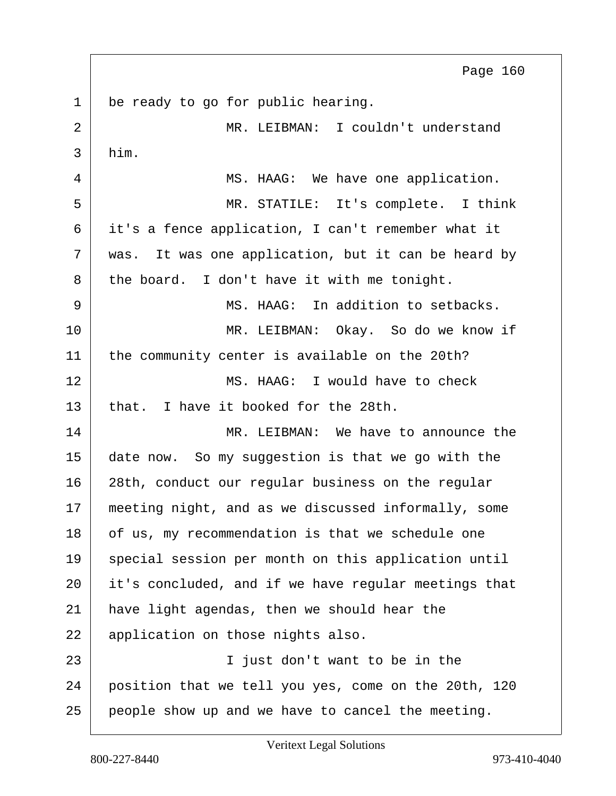<span id="page-159-0"></span>1 be ready to go for public hearing. 2 MR. LEIBMAN: I couldn't understand  $3$  him. 4 MS. HAAG: We have one application. 5 MR. STATILE: It's complete. I think 6 it's a fence application, I can't remember what it  $7$  was. It was one application, but it can be heard by 8 the board. I don't have it with me tonight. 9 MS. HAAG: In addition to setbacks. 10 MR. LEIBMAN: Okay. So do we know if 11 the community center is available on the 20th? 12 MS. HAAG: I would have to check  $13$  that. I have it booked for the 28th. 14 MR. LEIBMAN: We have to announce the 15 date now. So my suggestion is that we go with the 16 28th, conduct our regular business on the regular 17 | meeting night, and as we discussed informally, some 18 of us, my recommendation is that we schedule one 19 special session per month on this application until 20 it's concluded, and if we have regular meetings that 21 have light agendas, then we should hear the 22 | application on those nights also. 23 I just don't want to be in the 24 position that we tell you yes, come on the 20th, 120 25 people show up and we have to cancel the meeting. Page 160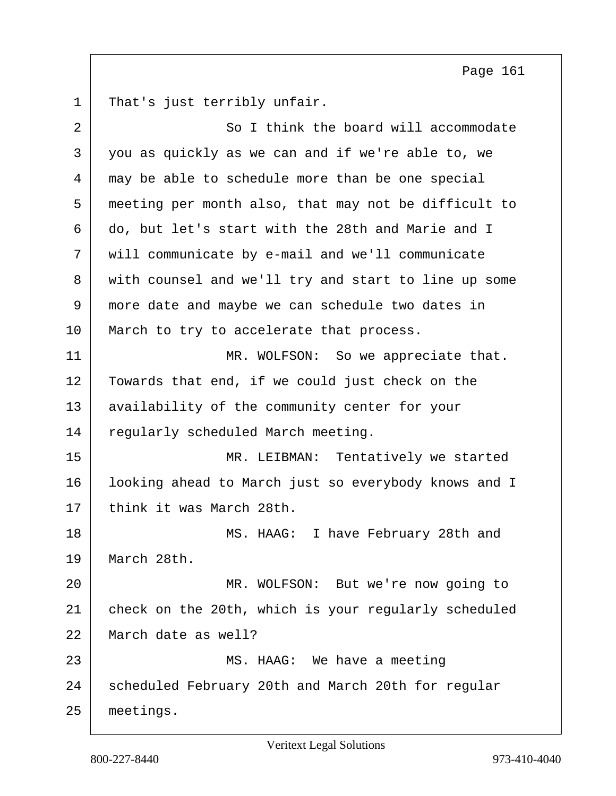<span id="page-160-0"></span>1 That's just terribly unfair.

| 2  | So I think the board will accommodate                |
|----|------------------------------------------------------|
| 3  | you as quickly as we can and if we're able to, we    |
| 4  | may be able to schedule more than be one special     |
| 5  | meeting per month also, that may not be difficult to |
| 6  | do, but let's start with the 28th and Marie and I    |
| 7  | will communicate by e-mail and we'll communicate     |
| 8  | with counsel and we'll try and start to line up some |
| 9  | more date and maybe we can schedule two dates in     |
| 10 | March to try to accelerate that process.             |
| 11 | MR. WOLFSON: So we appreciate that.                  |
| 12 | Towards that end, if we could just check on the      |
| 13 | availability of the community center for your        |
| 14 | regularly scheduled March meeting.                   |
| 15 | MR. LEIBMAN: Tentatively we started                  |
| 16 | looking ahead to March just so everybody knows and I |
| 17 | think it was March 28th.                             |
| 18 | MS. HAAG: I have February 28th and                   |
| 19 | March 28th.                                          |
| 20 | MR. WOLFSON: But we're now going to                  |
| 21 | check on the 20th, which is your regularly scheduled |
| 22 | March date as well?                                  |
| 23 | MS. HAAG: We have a meeting                          |
| 24 | scheduled February 20th and March 20th for regular   |
| 25 | meetings.                                            |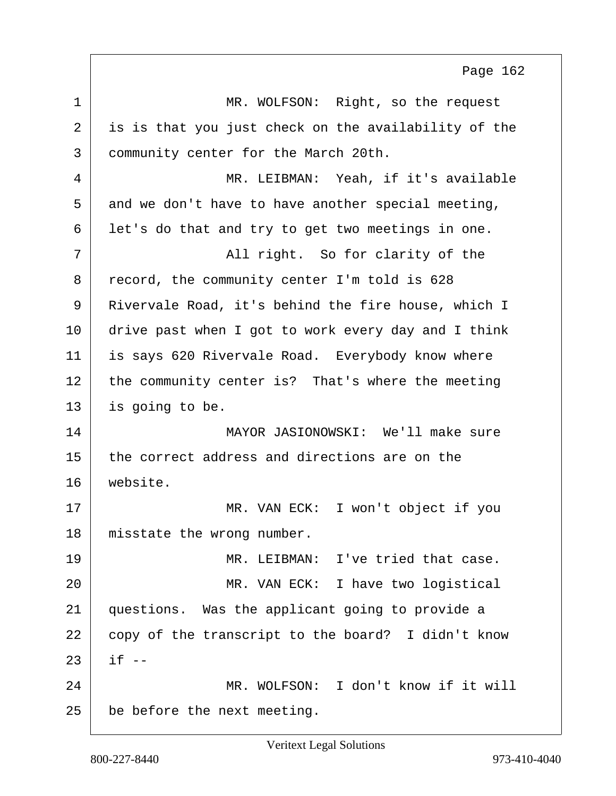<span id="page-161-0"></span>1 MR. WOLFSON: Right, so the request 2 is is that you just check on the availability of the 3 community center for the March 20th. 4 MR. LEIBMAN: Yeah, if it's available  $5$  and we don't have to have another special meeting, 6 | let's do that and try to get two meetings in one. 7 All right. So for clarity of the 8 record, the community center I'm told is 628 9 Rivervale Road, it's behind the fire house, which I 10 drive past when I got to work every day and I think 11 is says 620 Rivervale Road. Everybody know where 12 the community center is? That's where the meeting 13 is going to be. 14 MAYOR JASIONOWSKI: We'll make sure  $15$  the correct address and directions are on the 16 website. 17 | MR. VAN ECK: I won't object if you 18 misstate the wrong number. 19 MR. LEIBMAN: I've tried that case. 20 MR. VAN ECK: I have two logistical 21 questions. Was the applicant going to provide a 22 copy of the transcript to the board? I didn't know  $23$  if  $-$ 24 MR. WOLFSON: I don't know if it will  $25$  be before the next meeting. Page 162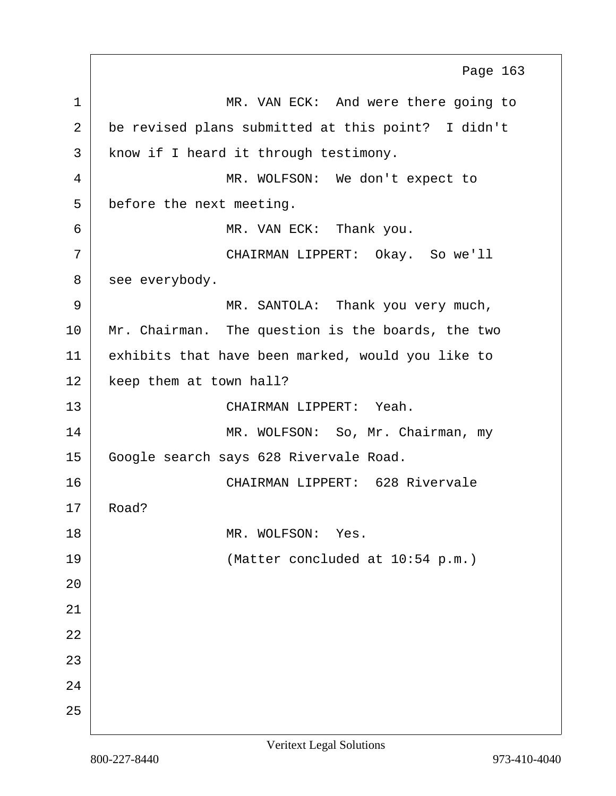<span id="page-162-0"></span>1 MR. VAN ECK: And were there going to 2 be revised plans submitted at this point? I didn't 3 | know if I heard it through testimony. 4 MR. WOLFSON: We don't expect to 5 before the next meeting. 6 MR. VAN ECK: Thank you. 7 CHAIRMAN LIPPERT: Okay. So we'll 8 | see everybody. 9 | MR. SANTOLA: Thank you very much, 10 Mr. Chairman. The question is the boards, the two 11 exhibits that have been marked, would you like to 12 | keep them at town hall? 13 CHAIRMAN LIPPERT: Yeah. 14 MR. WOLFSON: So, Mr. Chairman, my 15 Google search says 628 Rivervale Road. 16 CHAIRMAN LIPPERT: 628 Rivervale 17 Road? 18 MR. WOLFSON: Yes. 19 (Matter concluded at 10:54 p.m.) 20 21 22 23 24 25 Page 163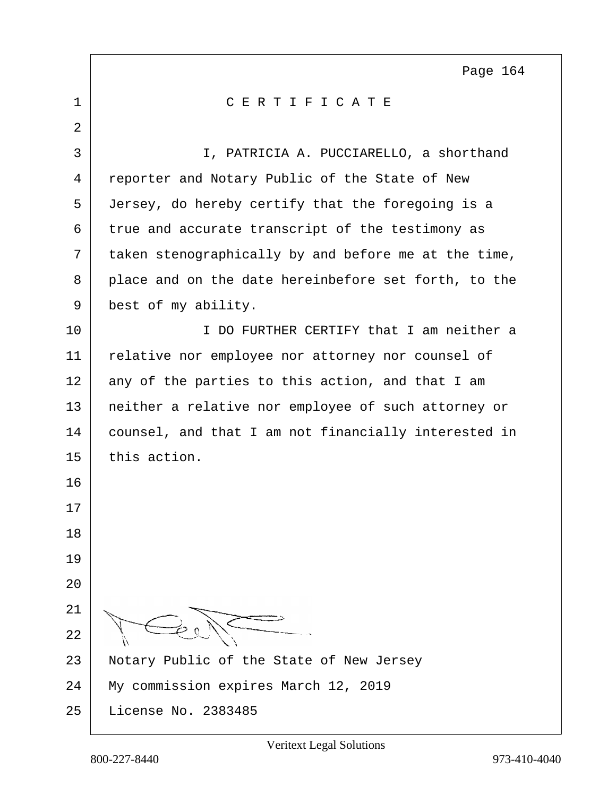<span id="page-163-0"></span>

| $\mathbf 1$    | CERTIFICATE                                          |
|----------------|------------------------------------------------------|
| $\overline{2}$ |                                                      |
| 3              | I, PATRICIA A. PUCCIARELLO, a shorthand              |
| 4              | reporter and Notary Public of the State of New       |
| 5              | Jersey, do hereby certify that the foregoing is a    |
| 6              | true and accurate transcript of the testimony as     |
| 7              | taken stenographically by and before me at the time, |
| 8              | place and on the date hereinbefore set forth, to the |
| 9              | best of my ability.                                  |
| 10             | I DO FURTHER CERTIFY that I am neither a             |
| 11             | relative nor employee nor attorney nor counsel of    |
| 12             | any of the parties to this action, and that I am     |
| 13             | neither a relative nor employee of such attorney or  |
| 14             | counsel, and that I am not financially interested in |
| 15             | this action.                                         |
| 16             |                                                      |
| 17             |                                                      |
| 18             |                                                      |
| 19             |                                                      |
| 20             |                                                      |
| 21             |                                                      |
| 22             |                                                      |
| 23             | Notary Public of the State of New Jersey             |
| 24             | My commission expires March 12, 2019                 |
| 25             | License No. 2383485                                  |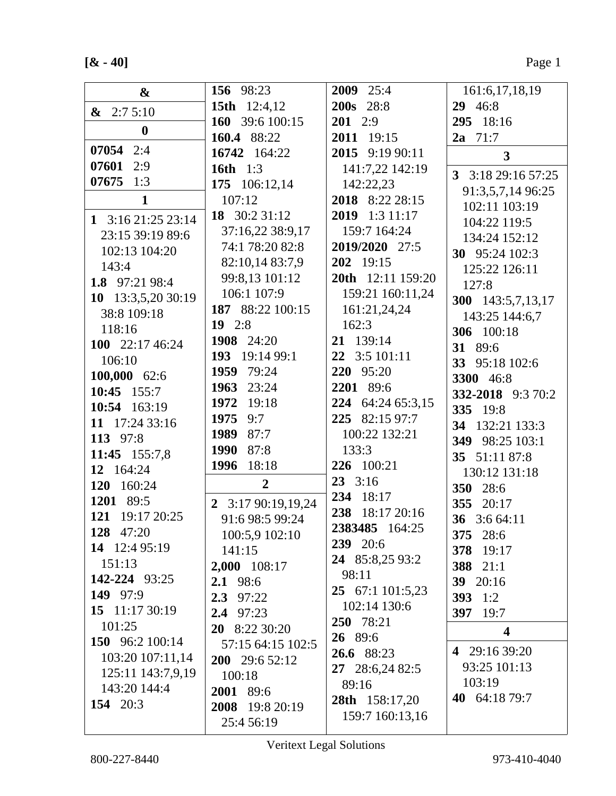$[& -40]$ 

| &                            | 156 98:23           | 2009 25:4                        | 161:6,17,18,19          |
|------------------------------|---------------------|----------------------------------|-------------------------|
| $\& 2:75:10$                 | <b>15th</b> 12:4,12 | <b>200s</b> 28:8                 | 29 46:8                 |
| $\boldsymbol{0}$             | 160 39:6 100:15     | $201$ 2:9                        | 295 18:16               |
|                              | 160.4 88:22         | 2011 19:15                       | $2a$ 71:7               |
| 07054 2:4                    | 16742 164:22        | 2015 9:19 90:11                  | $\overline{\mathbf{3}}$ |
| 07601<br>2:9                 | 16th $1:3$          | 141:7,22 142:19                  | 3 3:18 29:16 57:25      |
| $07675$ 1:3                  | 175 106:12,14       | 142:22,23                        | 91:3,5,7,14 96:25       |
| $\mathbf{1}$                 | 107:12              | 2018 8:22 28:15                  | 102:11 103:19           |
| 1 $3:1621:2523:14$           | 18 30:2 31:12       | 2019 1:3 11:17                   | 104:22 119:5            |
| 23:15 39:19 89:6             | 37:16,22 38:9,17    | 159:7 164:24                     | 134:24 152:12           |
| 102:13 104:20                | 74:1 78:20 82:8     | 2019/2020 27:5                   | 30 95:24 102:3          |
| 143:4                        | 82:10,14 83:7,9     | 202 19:15                        | 125:22 126:11           |
| 1.8 97:21 98:4               | 99:8,13 101:12      | 20th 12:11 159:20                | 127:8                   |
| 13:3,5,20 30:19<br><b>10</b> | 106:1 107:9         | 159:21 160:11,24                 | 300 143:5,7,13,17       |
| 38:8 109:18                  | 187 88:22 100:15    | 161:21,24,24                     | 143:25 144:6,7          |
| 118:16                       | $19$ 2:8            | 162:3                            | 306 100:18              |
| 100 22:17 46:24              | 1908 24:20          | 21 139:14                        | 31 89:6                 |
| 106:10                       | 193 19:14 99:1      | 22 3:5 101:11                    | 33 95:18 102:6          |
| 100,000 62:6                 | 1959<br>79:24       | 220 95:20                        | <b>3300</b> 46:8        |
| 10:45 $155:7$                | 1963<br>23:24       | 2201 89:6                        | 332-2018 9:3 70:2       |
| 10:54 163:19                 | 1972<br>19:18       | 224 64:24 65:3,15                | 335 19:8                |
| 11 17:24 33:16               | 1975<br>9:7         | 225 82:15 97:7                   | 34 132:21 133:3         |
| 113 97:8                     | 87:7<br>1989        | 100:22 132:21                    | 349 98:25 103:1         |
| 11:45 155:7,8                | 1990<br>87:8        | 133:3                            | 35 51:11 87:8           |
| 12 164:24                    | 1996<br>18:18       | 226 100:21                       | 130:12 131:18           |
| 120 160:24                   | $\overline{2}$      | $23 \quad 3:16$                  | 350 28:6                |
| 1201 89:5                    | 2 3:17 90:19,19,24  | 234 18:17                        | 355 20:17               |
| 121 19:17 20:25              | 91:6 98:5 99:24     | 238 18:17 20:16                  | 36 3:6 64:11            |
| 128 47:20                    | 100:5,9 102:10      | 2383485 164:25                   | 375 28:6                |
| 14 12:4 95:19                | 141:15              | 239 20:6                         | 378 19:17               |
| 151:13                       | 2,000 108:17        | 24 85:8,25 93:2<br>98:11         | 388 21:1                |
| 142-224 93:25                | 2.1 98:6            |                                  | 39 20:16                |
| 149 97:9                     | $2.3$ 97:22         | 25 67:1 101:5,23<br>102:14 130:6 | 393 $1:2$               |
| 15 $11:1730:19$              | $2.4$ 97:23         | 250 78:21                        | 397 19:7                |
| 101:25                       | 20 8:22 30:20       | 26 89:6                          | $\overline{\mathbf{4}}$ |
| 150 96:2 100:14              | 57:15 64:15 102:5   | 26.6 88:23                       | 4 29:16 39:20           |
| 103:20 107:11,14             | 200 29:6 52:12      | 27 28:6,24 82:5                  | 93:25 101:13            |
| 125:11 143:7,9,19            | 100:18              | 89:16                            | 103:19                  |
| 143:20 144:4                 | 2001 89:6           | 28th 158:17,20                   | 40 64:18 79:7           |
| 154 20:3                     | 2008 19:8 20:19     | 159:7 160:13,16                  |                         |
|                              | 25:4 56:19          |                                  |                         |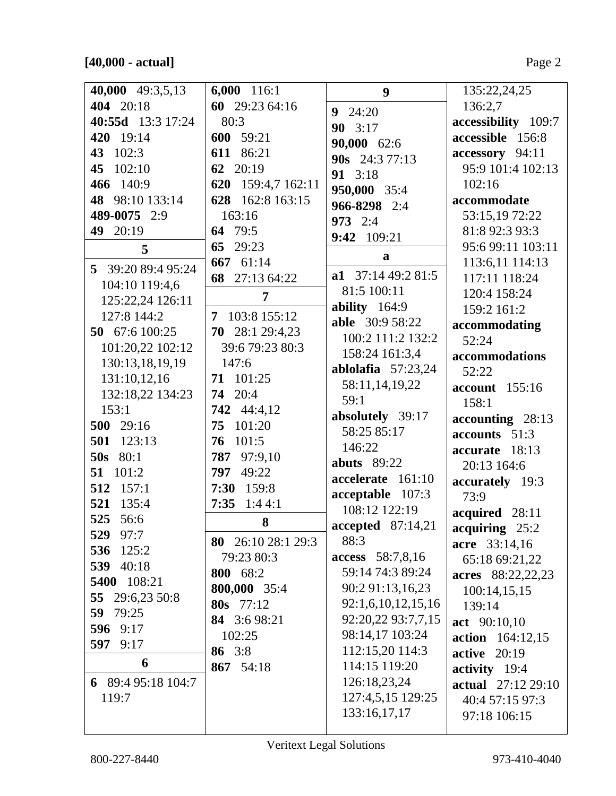$[40,000 - actual]$ 

| 40,000 49:3,5,13   | 6,000 116:1           | 9                        | 135:22,24,25        |
|--------------------|-----------------------|--------------------------|---------------------|
| 404 20:18          | 60 29:23 64:16        | $9 \t24:20$              | 136:2,7             |
| 40:55d 13:3 17:24  | 80:3                  | 90 3:17                  | accessibility 109:7 |
| 420 19:14          | 600 59:21             | 90,000 62:6              | accessible 156:8    |
| 43 102:3           | 611 86:21             | 90s 24:3 77:13           | accessory 94:11     |
| 45 102:10          | 62 20:19              | 91 3:18                  | 95:9 101:4 102:13   |
| 466 140:9          | 620<br>159:4,7 162:11 | 950,000 35:4             | 102:16              |
| 48 98:10 133:14    | 162:8 163:15<br>628   | 966-8298 2:4             | accommodate         |
| 489-0075 2:9       | 163:16                | <b>973</b> 2:4           | 53:15,19 72:22      |
| 49 20:19           | 64 79:5               | 9:42 109:21              | 81:8 92:3 93:3      |
| 5                  | 65<br>29:23           |                          | 95:6 99:11 103:11   |
|                    | 667 61:14             | $\mathbf{a}$             | 113:6,11 114:13     |
| 5 39:20 89:4 95:24 | 68 27:13 64:22        | a1 $37:1449:281:5$       | 117:11 118:24       |
| 104:10 119:4,6     | 7                     | 81:5 100:11              | 120:4 158:24        |
| 125:22,24 126:11   |                       | ability 164:9            | 159:2 161:2         |
| 127:8 144:2        | 7 103:8 155:12        | <b>able</b> 30:9 58:22   | accommodating       |
| 50 67:6 100:25     | 70 28:1 29:4,23       | 100:2 111:2 132:2        | 52:24               |
| 101:20,22 102:12   | 39:6 79:23 80:3       | 158:24 161:3,4           | accommodations      |
| 130:13,18,19,19    | 147:6                 | ablolafia $57:23,24$     | 52:22               |
| 131:10,12,16       | 71 101:25             | 58:11,14,19,22           | account 155:16      |
| 132:18,22 134:23   | 20:4<br>74            | 59:1                     | 158:1               |
| 153:1              | 742 44:4,12           | absolutely 39:17         | $accounding$ 28:13  |
| 500 29:16          | 75<br>101:20          | 58:25 85:17              | accounts 51:3       |
| 501 123:13         | 101:5<br>76           | 146:22                   | accurate 18:13      |
| <b>50s</b> 80:1    | 787 97:9,10           | <b>abuts</b> 89:22       | 20:13 164:6         |
| 51 101:2           | 797<br>49:22          | accelerate 161:10        | accurately 19:3     |
| 512 157:1          | 7:30 159:8            | acceptable 107:3         | 73:9                |
| 521 135:4          | 7:35<br>1:44:1        | 108:12 122:19            | acquired 28:11      |
| 525 56:6           | 8                     | <b>accepted</b> 87:14,21 | acquiring 25:2      |
| 529 97:7           | 80 26:10 28:1 29:3    | 88:3                     | acre 33:14,16       |
| 536 125:2          | 79:23 80:3            | access 58:7,8,16         | 65:18 69:21,22      |
| 539 40:18          | 800 68:2              | 59:14 74:3 89:24         | acres 88:22,22,23   |
| 5400 108:21        | 800,000 35:4          | 90:2 91:13,16,23         | 100:14,15,15        |
| 55 29:6,23 50:8    | 80s 77:12             | 92:1,6,10,12,15,16       | 139:14              |
| 59 79:25           | 84 3:6 98:21          | 92:20,22 93:7,7,15       | act 90:10,10        |
| 596 9:17           | 102:25                | 98:14,17 103:24          | action 164:12,15    |
| 597 9:17           | 86 3:8                | 112:15,20 114:3          | <b>active</b> 20:19 |
| 6                  | 867 54:18             | 114:15 119:20            | activity 19:4       |
| 6 89:4 95:18 104:7 |                       | 126:18,23,24             | actual 27:12 29:10  |
| 119:7              |                       | 127:4,5,15 129:25        | 40:4 57:15 97:3     |
|                    |                       | 133:16,17,17             | 97:18 106:15        |
|                    |                       |                          |                     |

 $\overline{\phantom{a}}$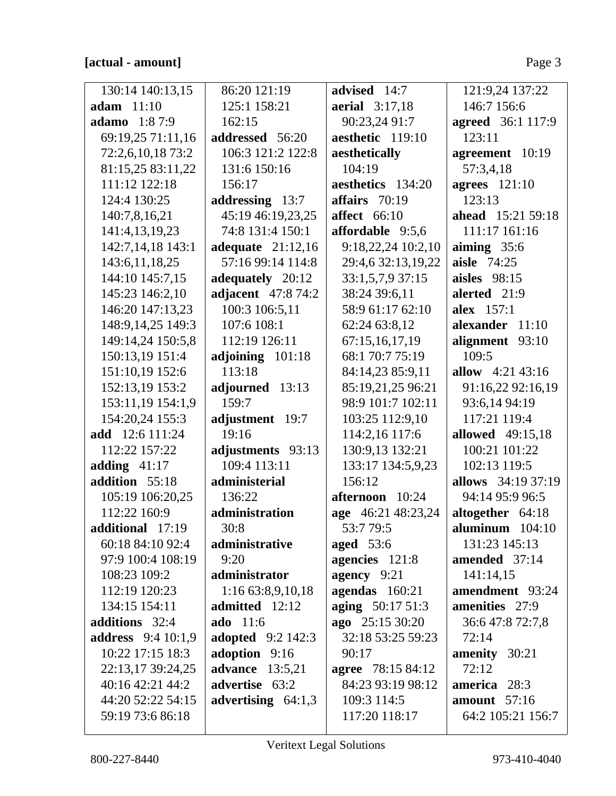| 130:14 140:13,15          | 86:20 121:19             | advised 14:7             | 121:9,24 137:22           |
|---------------------------|--------------------------|--------------------------|---------------------------|
| adam $11:10$              | 125:1 158:21             | <b>aerial</b> 3:17,18    | 146:7 156:6               |
| <b>adamo</b> 1:87:9       | 162:15                   | 90:23,24 91:7            | <b>agreed</b> 36:1 117:9  |
| 69:19,25 71:11,16         | addressed 56:20          | aesthetic 119:10         | 123:11                    |
| 72:2,6,10,18 73:2         | 106:3 121:2 122:8        | aesthetically            | agreement 10:19           |
| 81:15,25 83:11,22         | 131:6 150:16             | 104:19                   | 57:3,4,18                 |
| 111:12 122:18             | 156:17                   | aesthetics 134:20        | <b>agrees</b> 121:10      |
| 124:4 130:25              | addressing 13:7          | affairs $70:19$          | 123:13                    |
| 140:7,8,16,21             | 45:19 46:19,23,25        | affect $66:10$           | <b>ahead</b> 15:21 59:18  |
| 141:4,13,19,23            | 74:8 131:4 150:1         | affordable 9:5,6         | 111:17 161:16             |
| 142:7,14,18 143:1         | adequate $21:12,16$      | 9:18,22,24 10:2,10       | aiming $35:6$             |
| 143:6, 11, 18, 25         | 57:16 99:14 114:8        | 29:4,6 32:13,19,22       | <b>aisle</b> 74:25        |
| 144:10 145:7,15           | adequately 20:12         | 33:1,5,7,9 37:15         | aisles $98:15$            |
| 145:23 146:2,10           | adjacent 47:8 74:2       | 38:24 39:6,11            | alerted 21:9              |
| 146:20 147:13,23          | 100:3 106:5,11           | 58:9 61:17 62:10         | alex 157:1                |
| 148:9,14,25 149:3         | 107:6 108:1              | 62:24 63:8,12            | alexander 11:10           |
| 149:14,24 150:5,8         | 112:19 126:11            | 67:15,16,17,19           | alignment 93:10           |
| 150:13,19 151:4           | adjoining 101:18         | 68:1 70:7 75:19          | 109:5                     |
| 151:10,19 152:6           | 113:18                   | 84:14,23 85:9,11         | allow $4:21\,43:16$       |
| 152:13,19 153:2           | adjourned 13:13          | 85:19,21,25 96:21        | 91:16,22 92:16,19         |
| 153:11,19 154:1,9         | 159:7                    | 98:9 101:7 102:11        | 93:6,14 94:19             |
| 154:20,24 155:3           | adjustment 19:7          | 103:25 112:9,10          | 117:21 119:4              |
| <b>add</b> 12:6 111:24    | 19:16                    | 114:2,16 117:6           | <b>allowed</b> 49:15,18   |
| 112:22 157:22             | adjustments 93:13        | 130:9,13 132:21          | 100:21 101:22             |
| adding $41:17$            | 109:4 113:11             | 133:17 134:5,9,23        | 102:13 119:5              |
| addition 55:18            | administerial            | 156:12                   | <b>allows</b> 34:19 37:19 |
| 105:19 106:20,25          | 136:22                   | afternoon 10:24          | 94:14 95:9 96:5           |
| 112:22 160:9              | administration           | age 46:21 48:23,24       | altogether 64:18          |
| additional 17:19          | 30:8                     | 53:7 79:5                | aluminum $104:10$         |
| 60:18 84:10 92:4          | administrative           | aged $53:6$              | 131:23 145:13             |
| 97:9 100:4 108:19         | 9:20                     | agencies 121:8           | amended 37:14             |
| 108:23 109:2              | administrator            | agency 9:21              | 141:14,15                 |
| 112:19 120:23             | 1:16 63:8,9,10,18        | agendas 160:21           | amendment 93:24           |
| 134:15 154:11             | admitted 12:12           | aging 50:17 51:3         | amenities 27:9            |
| additions 32:4            | <b>ado</b> 11:6          | ago 25:15 30:20          | 36:647:872:7,8            |
| <b>address</b> 9:4 10:1,9 | <b>adopted</b> 9:2 142:3 | 32:18 53:25 59:23        | 72:14                     |
| 10:22 17:15 18:3          | adoption 9:16            | 90:17                    | amenity 30:21             |
| 22:13,17 39:24,25         | <b>advance</b> 13:5,21   | <b>agree</b> 78:15 84:12 | 72:12                     |
| 40:16 42:21 44:2          | advertise 63:2           | 84:23 93:19 98:12        | america 28:3              |
| 44:20 52:22 54:15         | advertising $64:1,3$     | 109:3 114:5              | amount $57:16$            |
| 59:19 73:6 86:18          |                          | 117:20 118:17            | 64:2 105:21 156:7         |
|                           |                          |                          |                           |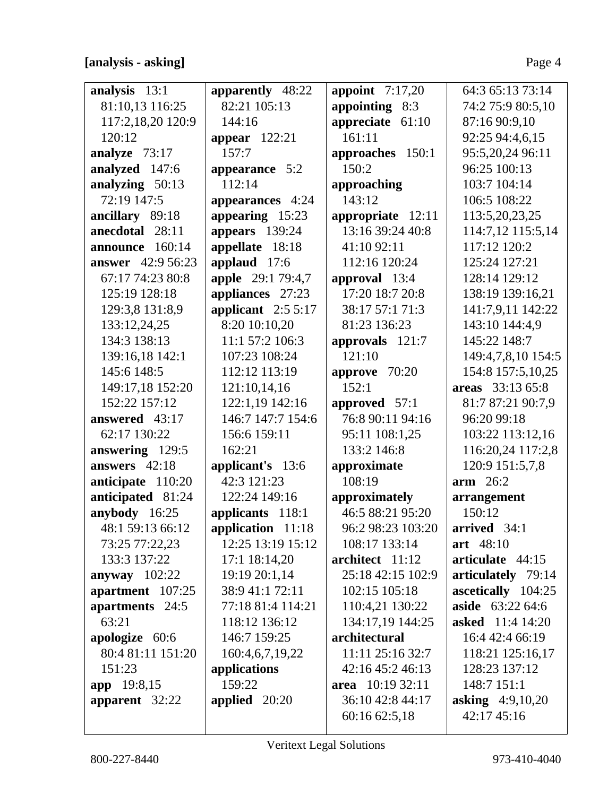### **[analysis - asking]** Page 4

| analysis 13:1            | apparently 48:22    | appoint $7:17,20$ | 64:3 65:13 73:14        |
|--------------------------|---------------------|-------------------|-------------------------|
| 81:10,13 116:25          | 82:21 105:13        | appointing 8:3    | 74:2 75:9 80:5,10       |
| 117:2,18,20 120:9        | 144:16              | appreciate 61:10  | 87:16 90:9,10           |
| 120:12                   | appear $122:21$     | 161:11            | 92:25 94:4,6,15         |
| analyze 73:17            | 157:7               | approaches 150:1  | 95:5,20,24 96:11        |
| analyzed 147:6           | appearance 5:2      | 150:2             | 96:25 100:13            |
| analyzing 50:13          | 112:14              | approaching       | 103:7 104:14            |
| 72:19 147:5              | appearances 4:24    | 143:12            | 106:5 108:22            |
| ancillary 89:18          | appearing 15:23     | appropriate 12:11 | 113:5,20,23,25          |
| anecdotal 28:11          | appears 139:24      | 13:16 39:24 40:8  | 114:7,12 115:5,14       |
| announce 160:14          | appellate 18:18     | 41:10 92:11       | 117:12 120:2            |
| <b>answer</b> 42:9 56:23 | applaud 17:6        | 112:16 120:24     | 125:24 127:21           |
| 67:17 74:23 80:8         | apple 29:1 79:4,7   | approval 13:4     | 128:14 129:12           |
| 125:19 128:18            | appliances 27:23    | 17:20 18:7 20:8   | 138:19 139:16,21        |
| 129:3,8 131:8,9          | applicant $2:55:17$ | 38:17 57:1 71:3   | 141:7,9,11 142:22       |
| 133:12,24,25             | 8:20 10:10,20       | 81:23 136:23      | 143:10 144:4,9          |
| 134:3 138:13             | 11:1 57:2 106:3     | approvals 121:7   | 145:22 148:7            |
| 139:16,18 142:1          | 107:23 108:24       | 121:10            | 149:4,7,8,10 154:5      |
| 145:6 148:5              | 112:12 113:19       | approve 70:20     | 154:8 157:5,10,25       |
| 149:17,18 152:20         | 121:10,14,16        | 152:1             | areas 33:13 65:8        |
| 152:22 157:12            | 122:1,19 142:16     | approved 57:1     | 81:7 87:21 90:7,9       |
| answered 43:17           | 146:7 147:7 154:6   | 76:8 90:11 94:16  | 96:20 99:18             |
| 62:17 130:22             | 156:6 159:11        | 95:11 108:1,25    | 103:22 113:12,16        |
| answering 129:5          | 162:21              | 133:2 146:8       | 116:20,24 117:2,8       |
| answers $42:18$          | applicant's 13:6    | approximate       | 120:9 151:5,7,8         |
| anticipate 110:20        | 42:3 121:23         | 108:19            | $arm$ 26:2              |
| anticipated 81:24        | 122:24 149:16       | approximately     | arrangement             |
| anybody 16:25            | applicants 118:1    | 46:5 88:21 95:20  | 150:12                  |
| 48:1 59:13 66:12         | application 11:18   | 96:2 98:23 103:20 | arrived $34:1$          |
| 73:25 77:22,23           | 12:25 13:19 15:12   | 108:17 133:14     | art 48:10               |
| 133:3 137:22             | 17:1 18:14,20       | architect 11:12   | articulate 44:15        |
| anyway $102:22$          | 19:19 20:1,14       | 25:18 42:15 102:9 | articulately 79:14      |
| apartment 107:25         | 38:9 41:1 72:11     | 102:15 105:18     | ascetically 104:25      |
| apartments 24:5          | 77:18 81:4 114:21   | 110:4,21 130:22   | aside 63:22 64:6        |
| 63:21                    | 118:12 136:12       | 134:17,19 144:25  | <b>asked</b> 11:4 14:20 |
| apologize 60:6           | 146:7 159:25        | architectural     | 16:4 42:4 66:19         |
| 80:4 81:11 151:20        | 160:4,6,7,19,22     | 11:11 25:16 32:7  | 118:21 125:16,17        |
| 151:23                   | applications        | 42:16 45:2 46:13  | 128:23 137:12           |
| app 19:8,15              | 159:22              | area $10:1932:11$ | 148:7 151:1             |
| apparent 32:22           | applied $20:20$     | 36:10 42:8 44:17  | <b>asking</b> 4:9,10,20 |
|                          |                     | 60:16 62:5,18     | 42:17 45:16             |
|                          |                     |                   |                         |

 $\perp$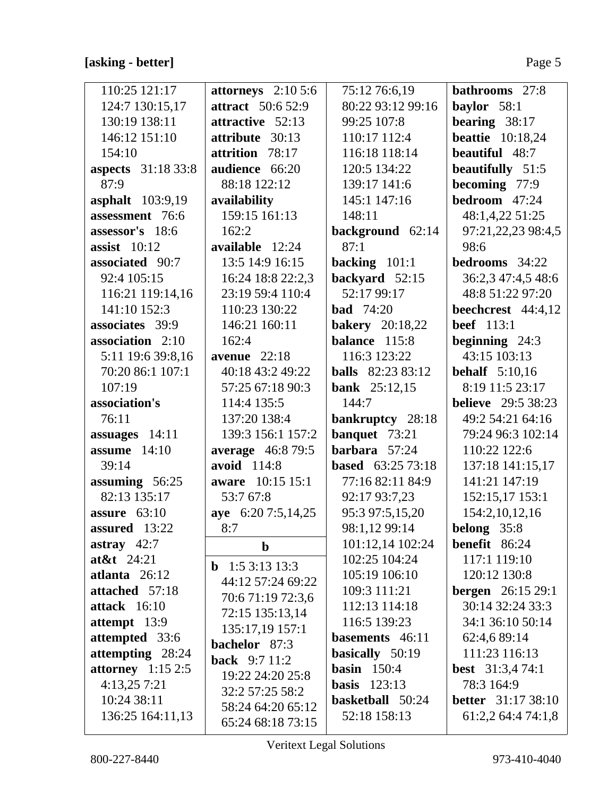# **[asking - better]** Page 5

| 110:25 121:17             | attorneys $2:105:6$      | 75:12 76:6,19            | <b>bathrooms</b> 27:8     |
|---------------------------|--------------------------|--------------------------|---------------------------|
| 124:7 130:15,17           | <b>attract</b> 50:6 52:9 | 80:22 93:12 99:16        | baylor $58:1$             |
| 130:19 138:11             | attractive 52:13         | 99:25 107:8              | bearing $38:17$           |
| 146:12 151:10             | attribute 30:13          | 110:17 112:4             | <b>beattie</b> 10:18,24   |
| 154:10                    | attrition 78:17          | 116:18 118:14            | beautiful 48:7            |
| <b>aspects</b> 31:18 33:8 | audience 66:20           | 120:5 134:22             | <b>beautifully</b> 51:5   |
| 87:9                      | 88:18 122:12             | 139:17 141:6             | becoming 77:9             |
| asphalt 103:9,19          | availability             | 145:1 147:16             | bedroom 47:24             |
| assessment 76:6           | 159:15 161:13            | 148:11                   | 48:1,4,22 51:25           |
| assessor's 18:6           | 162:2                    | background 62:14         | 97:21,22,23 98:4,5        |
| assist $10:12$            | available 12:24          | 87:1                     | 98:6                      |
| associated 90:7           | 13:5 14:9 16:15          | backing $101:1$          | bedrooms 34:22            |
| 92:4 105:15               | 16:24 18:8 22:2,3        | backyard 52:15           | 36:2,3 47:4,5 48:6        |
| 116:21 119:14,16          | 23:19 59:4 110:4         | 52:17 99:17              | 48:8 51:22 97:20          |
| 141:10 152:3              | 110:23 130:22            | <b>bad</b> 74:20         | beechcrest 44:4,12        |
| associates 39:9           | 146:21 160:11            | <b>bakery</b> 20:18,22   | <b>beef</b> 113:1         |
| association 2:10          | 162:4                    | balance 115:8            | beginning $24:3$          |
| 5:11 19:6 39:8,16         | avenue $22:18$           | 116:3 123:22             | 43:15 103:13              |
| 70:20 86:1 107:1          | 40:18 43:2 49:22         | <b>balls</b> 82:23 83:12 | <b>behalf</b> 5:10,16     |
| 107:19                    | 57:25 67:18 90:3         | <b>bank</b> $25:12,15$   | 8:19 11:5 23:17           |
| association's             | 114:4 135:5              | 144:7                    | <b>believe</b> 29:5 38:23 |
| 76:11                     | 137:20 138:4             | bankruptcy 28:18         | 49:2 54:21 64:16          |
| assuages 14:11            | 139:3 156:1 157:2        | banquet 73:21            | 79:24 96:3 102:14         |
| assume $14:10$            | average 46:8 79:5        | barbara 57:24            | 110:22 122:6              |
| 39:14                     | avoid 114:8              | <b>based</b> 63:25 73:18 | 137:18 141:15,17          |
| assuming 56:25            | aware 10:15 15:1         | 77:16 82:11 84:9         | 141:21 147:19             |
| 82:13 135:17              | 53:7 67:8                | 92:17 93:7,23            | 152:15,17 153:1           |
| assure $63:10$            | aye 6:20 7:5,14,25       | 95:3 97:5,15,20          | 154:2,10,12,16            |
| assured 13:22             | 8:7                      | 98:1,12 99:14            | belong 35:8               |
| astray $42:7$             | $\mathbf b$              | 101:12,14 102:24         | benefit 86:24             |
| $at\&t$ 24:21             | <b>b</b> 1:5 3:13 13:3   | 102:25 104:24            | 117:1 119:10              |
| atlanta 26:12             | 44:12 57:24 69:22        | 105:19 106:10            | 120:12 130:8              |
| attached 57:18            | 70:6 71:19 72:3,6        | 109:3 111:21             | <b>bergen</b> 26:15 29:1  |
| attack 16:10              | 72:15 135:13,14          | 112:13 114:18            | 30:14 32:24 33:3          |
| attempt 13:9              | 135:17,19 157:1          | 116:5 139:23             | 34:1 36:10 50:14          |
| attempted 33:6            | bachelor 87:3            | basements 46:11          | 62:4,6 89:14              |
| attempting 28:24          | <b>back</b> $9:711:2$    | basically 50:19          | 111:23 116:13             |
| attorney $1:152:5$        | 19:22 24:20 25:8         | basin $150:4$            | <b>best</b> $31:3,474:1$  |
| 4:13,257:21               | 32:2 57:25 58:2          | basis $123:13$           | 78:3 164:9                |
| 10:24 38:11               | 58:24 64:20 65:12        | basketball 50:24         | <b>better</b> 31:17 38:10 |
| 136:25 164:11,13          | 65:24 68:18 73:15        | 52:18 158:13             | 61:2,2 64:4 74:1,8        |

Veritext Legal Solutions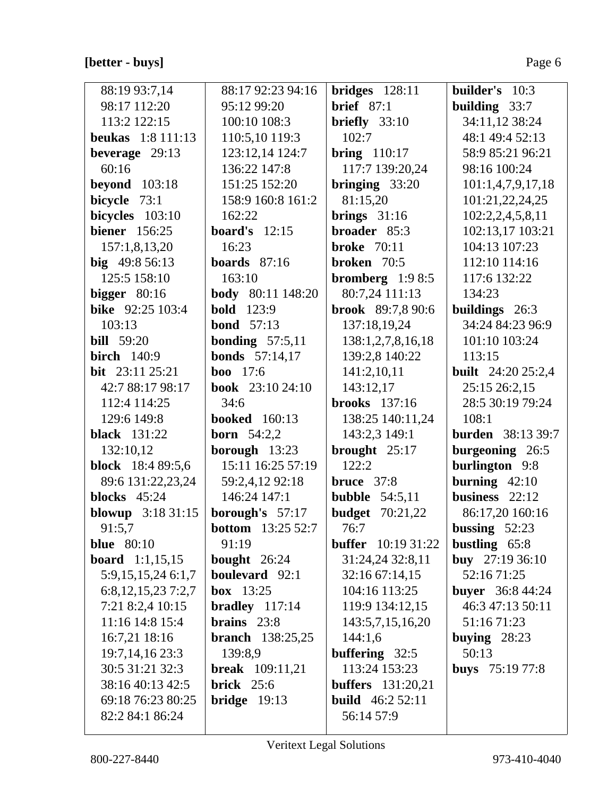### **[better - buys]** Page 6

| 88:19 93:7,14            | 88:17 92:23 94:16        | $bridges$ 128:11          | <b>builder's</b> 10:3     |
|--------------------------|--------------------------|---------------------------|---------------------------|
| 98:17 112:20             | 95:12 99:20              | brief $87:1$              | building $33:7$           |
| 113:2 122:15             | 100:10 108:3             | briefly $33:10$           | 34:11,12 38:24            |
| <b>beukas</b> 1:8 111:13 | 110:5,10 119:3           | 102:7                     | 48:1 49:4 52:13           |
| beverage 29:13           | 123:12,14 124:7          | <b>bring</b> 110:17       | 58:9 85:21 96:21          |
| 60:16                    | 136:22 147:8             | 117:7 139:20,24           | 98:16 100:24              |
| <b>beyond</b> 103:18     | 151:25 152:20            | bringing $33:20$          | 101:1,4,7,9,17,18         |
| bicycle 73:1             | 158:9 160:8 161:2        | 81:15,20                  | 101:21,22,24,25           |
| bicycles 103:10          | 162:22                   | brings $31:16$            | 102:2,2,4,5,8,11          |
| <b>biener</b> 156:25     | <b>board's</b> $12:15$   | broader 85:3              | 102:13,17 103:21          |
| 157:1,8,13,20            | 16:23                    | <b>broke</b> 70:11        | 104:13 107:23             |
| big $49:856:13$          | boards $87:16$           | <b>broken</b> 70:5        | 112:10 114:16             |
| 125:5 158:10             | 163:10                   | bromberg $1:98:5$         | 117:6 132:22              |
| bigger $80:16$           | <b>body</b> 80:11 148:20 | 80:7,24 111:13            | 134:23                    |
| bike 92:25 103:4         | <b>bold</b> 123:9        | <b>brook</b> 89:7,8 90:6  | buildings 26:3            |
| 103:13                   | <b>bond</b> 57:13        | 137:18,19,24              | 34:24 84:23 96:9          |
| <b>bill</b> 59:20        | <b>bonding</b> $57:5,11$ | 138:1,2,7,8,16,18         | 101:10 103:24             |
| <b>birch</b> 140:9       | <b>bonds</b> 57:14,17    | 139:2,8 140:22            | 113:15                    |
| bit 23:11 25:21          | <b>boo</b> 17:6          | 141:2,10,11               | <b>built</b> 24:20 25:2,4 |
| 42:7 88:17 98:17         | <b>book</b> 23:10 24:10  | 143:12,17                 | 25:15 26:2,15             |
| 112:4 114:25             | 34:6                     | <b>brooks</b> 137:16      | 28:5 30:19 79:24          |
| 129:6 149:8              | <b>booked</b> 160:13     | 138:25 140:11,24          | 108:1                     |
| <b>black</b> 131:22      | <b>born</b> $54:2,2$     | 143:2,3 149:1             | <b>burden</b> 38:13 39:7  |
| 132:10,12                | borough 13:23            | brought $25:17$           | burgeoning 26:5           |
| <b>block</b> 18:4 89:5,6 | 15:11 16:25 57:19        | 122:2                     | <b>burlington</b> 9:8     |
| 89:6 131:22,23,24        | 59:2,4,12 92:18          | <b>bruce</b> 37:8         | burning $42:10$           |
| blocks $45:24$           | 146:24 147:1             | bubble $54:5,11$          | business $22:12$          |
| blowup 3:18 31:15        | borough's 57:17          | <b>budget</b> 70:21,22    | 86:17,20 160:16           |
| 91:5,7                   | <b>bottom</b> 13:25 52:7 | 76:7                      | bussing $52:23$           |
| <b>blue</b> 80:10        | 91:19                    | <b>buffer</b> 10:19 31:22 | bustling 65:8             |
| <b>board</b> 1:1,15,15   | <b>bought</b> $26:24$    | 31:24,24 32:8,11          | buy $27:1936:10$          |
| 5:9, 15, 15, 24 6:1, 7   | boulevard 92:1           | 32:16 67:14,15            | 52:16 71:25               |
| 6:8,12,15,237:2,7        | box $13:25$              | 104:16 113:25             | <b>buyer</b> 36:8 44:24   |
| 7:21 8:2,4 10:15         | bradley $117:14$         | 119:9 134:12,15           | 46:3 47:13 50:11          |
| 11:16 14:8 15:4          | brains $23:8$            | 143:5,7,15,16,20          | 51:16 71:23               |
| 16:7,21 18:16            | <b>branch</b> 138:25,25  | 144:1,6                   | buying $28:23$            |
| 19:7, 14, 16 23:3        | 139:8,9                  | buffering 32:5            | 50:13                     |
| 30:5 31:21 32:3          | <b>break</b> 109:11,21   | 113:24 153:23             | <b>buys</b> $75:197:7:8$  |
| 38:16 40:13 42:5         | brick $25:6$             | <b>buffers</b> 131:20,21  |                           |
| 69:18 76:23 80:25        | $bridge$ 19:13           | <b>build</b> $46:252:11$  |                           |
| 82:2 84:1 86:24          |                          | 56:14 57:9                |                           |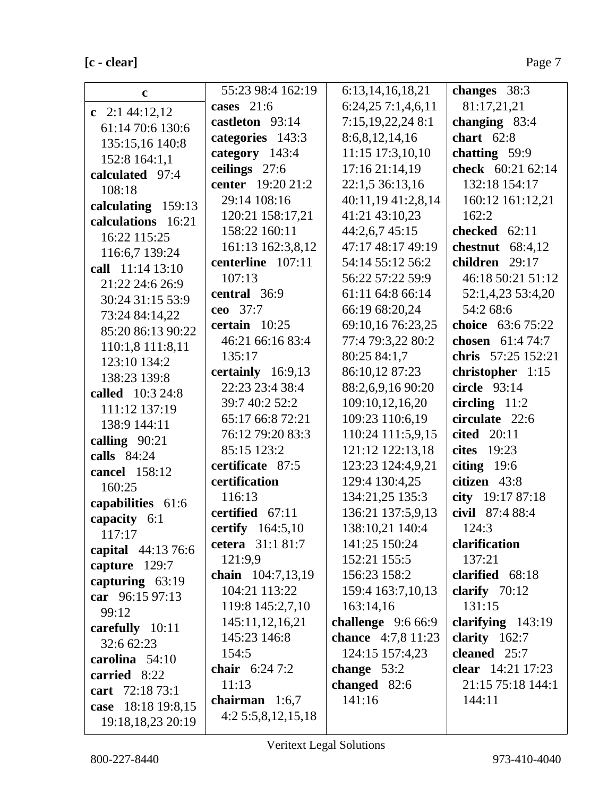## $[**c** - **clear**]$

| $\mathbf c$                         | 55:23 98:4 162:19   | 6:13, 14, 16, 18, 21 | changes 38:3             |
|-------------------------------------|---------------------|----------------------|--------------------------|
|                                     | cases $21:6$        | 6:24,257:1,4,6,11    | 81:17,21,21              |
| c $2:144:12,12$                     | castleton 93:14     | 7:15,19,22,24 8:1    | changing 83:4            |
| 61:14 70:6 130:6                    | categories 143:3    | 8:6,8,12,14,16       | chart $62:8$             |
| 135:15,16 140:8                     | category 143:4      | 11:15 17:3,10,10     | chatting 59:9            |
| 152:8 164:1,1                       | ceilings 27:6       | 17:16 21:14,19       | check 60:21 62:14        |
| calculated 97:4                     | center 19:20 21:2   | 22:1,5 36:13,16      | 132:18 154:17            |
| 108:18                              | 29:14 108:16        | 40:11,19 41:2,8,14   | 160:12 161:12,21         |
| calculating 159:13                  | 120:21 158:17,21    | 41:21 43:10,23       | 162:2                    |
| calculations 16:21                  | 158:22 160:11       | 44:2,6,7 45:15       | checked 62:11            |
| 16:22 115:25                        | 161:13 162:3,8,12   | 47:17 48:17 49:19    | chestnut $68:4,12$       |
| 116:6,7 139:24                      | centerline 107:11   | 54:14 55:12 56:2     | children 29:17           |
| call 11:14 13:10                    | 107:13              | 56:22 57:22 59:9     | 46:18 50:21 51:12        |
| 21:22 24:6 26:9                     | central 36:9        | 61:11 64:8 66:14     | 52:1,4,23 53:4,20        |
| 30:24 31:15 53:9                    | ceo 37:7            | 66:19 68:20,24       | 54:2 68:6                |
| 73:24 84:14,22<br>85:20 86:13 90:22 | certain $10:25$     | 69:10,16 76:23,25    | choice 63:6 75:22        |
|                                     | 46:21 66:16 83:4    | 77:4 79:3,22 80:2    | chosen 61:4 74:7         |
| 110:1,8 111:8,11                    | 135:17              | 80:25 84:1.7         | chris 57:25 152:21       |
| 123:10 134:2<br>138:23 139:8        | certainly $16:9,13$ | 86:10,12 87:23       | christopher 1:15         |
| called 10:3 24:8                    | 22:23 23:4 38:4     | 88:2,6,9,16 90:20    | circle 93:14             |
| 111:12 137:19                       | 39:7 40:2 52:2      | 109:10,12,16,20      | circling $11:2$          |
| 138:9 144:11                        | 65:17 66:8 72:21    | 109:23 110:6,19      | circulate 22:6           |
| calling $90:21$                     | 76:12 79:20 83:3    | 110:24 111:5,9,15    | cited 20:11              |
| calls 84:24                         | 85:15 123:2         | 121:12 122:13,18     | cites $19:23$            |
| cancel 158:12                       | certificate 87:5    | 123:23 124:4,9,21    | citing $19:6$            |
| 160:25                              | certification       | 129:4 130:4,25       | citizen 43:8             |
| capabilities 61:6                   | 116:13              | 134:21,25 135:3      | city 19:17 87:18         |
| capacity 6:1                        | certified 67:11     | 136:21 137:5,9,13    | civil 87:4 88:4          |
| 117:17                              | certify $164:5,10$  | 138:10,21 140:4      | 124:3                    |
| capital 44:13 76:6                  | cetera 31:1 81:7    | 141:25 150:24        | clarification            |
| capture 129:7                       | 121:9,9             | 152:21 155:5         | 137:21                   |
| capturing $63:19$                   | chain 104:7,13,19   | 156:23 158:2         | clarified 68:18          |
| car 96:15 97:13                     | 104:21 113:22       | 159:4 163:7,10,13    | clarify $70:12$          |
| 99:12                               | 119:8 145:2,7,10    | 163:14,16            | 131:15                   |
| carefully 10:11                     | 145:11,12,16,21     | challenge $9:666:9$  | clarifying $143:19$      |
| 32:6 62:23                          | 145:23 146:8        | chance 4:7,8 11:23   | clarity $162:7$          |
| carolina 54:10                      | 154:5               | 124:15 157:4,23      | cleaned 25:7             |
| carried 8:22                        | chair $6:247:2$     | change $53:2$        | <b>clear</b> 14:21 17:23 |
| cart 72:18 73:1                     | 11:13               | changed $82:6$       | 21:15 75:18 144:1        |
| case 18:18 19:8,15                  | chairman $1:6,7$    | 141:16               | 144:11                   |
| 19:18,18,23 20:19                   | 4:25:5,8,12,15,18   |                      |                          |
|                                     |                     |                      |                          |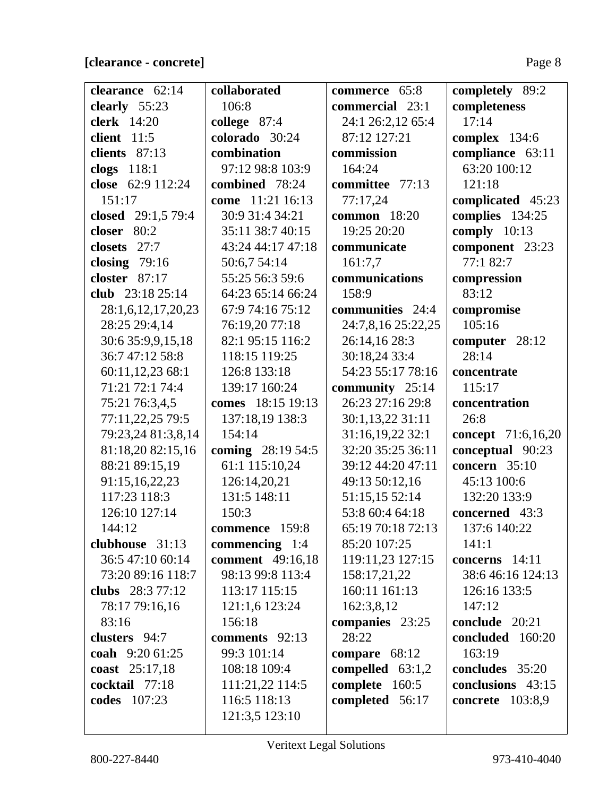| clearance 62:14     | collaborated            | commerce 65:8       | completely 89:2           |
|---------------------|-------------------------|---------------------|---------------------------|
| clearly 55:23       | 106:8                   | commercial 23:1     | completeness              |
| <b>clerk</b> 14:20  | college 87:4            | 24:1 26:2,12 65:4   | 17:14                     |
| client 11:5         | colorado 30:24          | 87:12 127:21        | complex 134:6             |
| clients 87:13       | combination             | commission          | compliance 63:11          |
| clogs 118:1         | 97:12 98:8 103:9        | 164:24              | 63:20 100:12              |
| close 62:9 112:24   | combined 78:24          | committee 77:13     | 121:18                    |
| 151:17              | come 11:21 16:13        | 77:17,24            | complicated 45:23         |
| closed 29:1,5 79:4  | 30:9 31:4 34:21         | <b>common</b> 18:20 | complies 134:25           |
| closer $80:2$       | 35:11 38:7 40:15        | 19:25 20:20         | comply $10:13$            |
| 27:7<br>closets     | 43:24 44:17 47:18       | communicate         | component 23:23           |
| closing $79:16$     | 50:6,7 54:14            | 161:7,7             | 77:1 82:7                 |
| closter $87:17$     | 55:25 56:3 59:6         | communications      | compression               |
| club 23:18 25:14    | 64:23 65:14 66:24       | 158:9               | 83:12                     |
| 28:1,6,12,17,20,23  | 67:9 74:16 75:12        | communities 24:4    | compromise                |
| 28:25 29:4,14       | 76:19,20 77:18          | 24:7,8,16 25:22,25  | 105:16                    |
| 30:6 35:9,9,15,18   | 82:1 95:15 116:2        | 26:14,16 28:3       | computer 28:12            |
| 36:7 47:12 58:8     | 118:15 119:25           | 30:18,24 33:4       | 28:14                     |
| 60:11,12,23 68:1    | 126:8 133:18            | 54:23 55:17 78:16   | concentrate               |
| 71:21 72:1 74:4     | 139:17 160:24           | community 25:14     | 115:17                    |
| 75:21 76:3,4,5      | comes 18:15 19:13       | 26:23 27:16 29:8    | concentration             |
| 77:11,22,25 79:5    | 137:18,19 138:3         | 30:1,13,22 31:11    | 26:8                      |
| 79:23,24 81:3,8,14  | 154:14                  | 31:16,19,22 32:1    | <b>concept</b> 71:6,16,20 |
| 81:18,20 82:15,16   | coming 28:19 54:5       | 32:20 35:25 36:11   | conceptual 90:23          |
| 88:21 89:15,19      | 61:1 115:10,24          | 39:12 44:20 47:11   | concern 35:10             |
| 91:15,16,22,23      | 126:14,20,21            | 49:13 50:12,16      | 45:13 100:6               |
| 117:23 118:3        | 131:5 148:11            | 51:15,15 52:14      | 132:20 133:9              |
| 126:10 127:14       | 150:3                   | 53:8 60:4 64:18     | concerned 43:3            |
| 144:12              | commence 159:8          | 65:19 70:18 72:13   | 137:6 140:22              |
| clubhouse 31:13     | commencing $1:4$        | 85:20 107:25        | 141:1                     |
| 36:5 47:10 60:14    | <b>comment</b> 49:16,18 | 119:11,23 127:15    | concerns 14:11            |
| 73:20 89:16 118:7   | 98:13 99:8 113:4        | 158:17,21,22        | 38:6 46:16 124:13         |
| clubs 28:3 77:12    | 113:17 115:15           | 160:11 161:13       | 126:16 133:5              |
| 78:17 79:16,16      | 121:1,6 123:24          | 162:3,8,12          | 147:12                    |
| 83:16               | 156:18                  | companies 23:25     | conclude 20:21            |
| clusters 94:7       | comments 92:13          | 28:22               | concluded 160:20          |
| coah 9:20 61:25     | 99:3 101:14             | compare $68:12$     | 163:19                    |
| coast 25:17,18      | 108:18 109:4            | compelled $63:1,2$  | concludes 35:20           |
| cocktail 77:18      | 111:21,22 114:5         | complete 160:5      | conclusions 43:15         |
| <b>codes</b> 107:23 | 116:5 118:13            | completed 56:17     | <b>concrete</b> 103:8,9   |
|                     | 121:3,5 123:10          |                     |                           |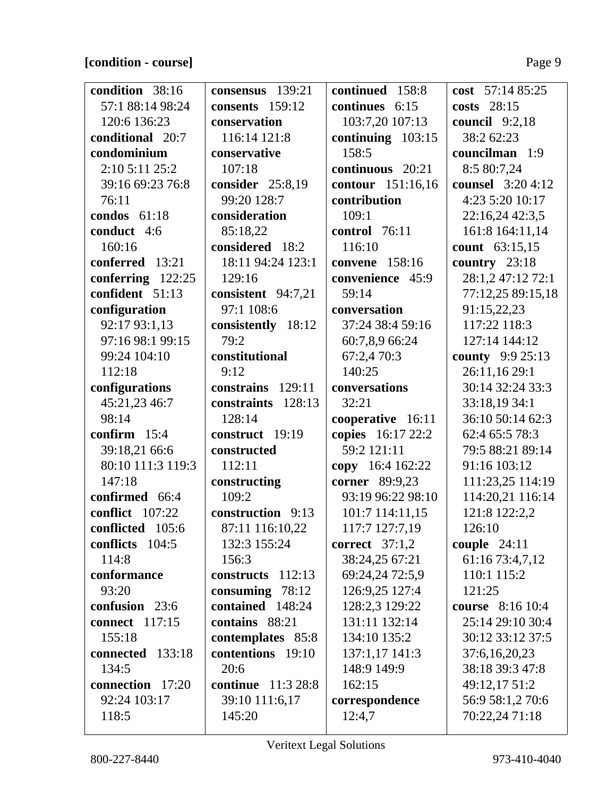### **[condition - course]** Page 9

| condition 38:16       | consensus 139:21          | continued 158:8     | cost $57:1485:25$        |
|-----------------------|---------------------------|---------------------|--------------------------|
| 57:1 88:14 98:24      | consents 159:12           | continues 6:15      | costs 28:15              |
| 120:6 136:23          | conservation              | 103:7,20 107:13     | council $9:2,18$         |
| conditional 20:7      | 116:14 121:8              | continuing $103:15$ | 38:2 62:23               |
| condominium           | conservative              | 158:5               | councilman 1:9           |
| 2:10 5:11 25:2        | 107:18                    | continuous 20:21    | 8:5 80:7,24              |
| 39:16 69:23 76:8      | consider 25:8,19          | contour 151:16,16   | <b>counsel</b> 3:20 4:12 |
| 76:11                 | 99:20 128:7               | contribution        | 4:23 5:20 10:17          |
| condos $61:18$        | consideration             | 109:1               | 22:16,24 42:3,5          |
| conduct 4:6           | 85:18,22                  | control 76:11       | 161:8 164:11,14          |
| 160:16                | considered 18:2           | 116:10              | count 63:15,15           |
| conferred 13:21       | 18:11 94:24 123:1         | convene 158:16      | country $23:18$          |
| conferring 122:25     | 129:16                    | convenience 45:9    | 28:1,2 47:12 72:1        |
| confident 51:13       | consistent 94:7,21        | 59:14               | 77:12,25 89:15,18        |
| configuration         | 97:1 108:6                | conversation        | 91:15,22,23              |
| 92:17 93:1,13         | consistently 18:12        | 37:24 38:4 59:16    | 117:22 118:3             |
| 97:16 98:1 99:15      | 79:2                      | 60:7,8,9 66:24      | 127:14 144:12            |
| 99:24 104:10          | constitutional            | 67:2,4 70:3         | county 9:9 25:13         |
| 112:18                | 9:12                      | 140:25              | 26:11,16 29:1            |
| configurations        | constrains 129:11         | conversations       | 30:14 32:24 33:3         |
| 45:21,23 46:7         | constraints 128:13        | 32:21               | 33:18,19 34:1            |
| 98:14                 | 128:14                    | cooperative 16:11   | 36:10 50:14 62:3         |
| confirm $15:4$        | construct 19:19           | copies 16:17 22:2   | 62:4 65:5 78:3           |
| 39:18,21 66:6         | constructed               | 59:2 121:11         | 79:5 88:21 89:14         |
| 80:10 111:3 119:3     | 112:11                    | copy 16:4 162:22    | 91:16 103:12             |
| 147:18                | constructing              | corner 89:9,23      | 111:23,25 114:19         |
| confirmed 66:4        | 109:2                     | 93:19 96:22 98:10   | 114:20,21 116:14         |
| conflict 107:22       | construction 9:13         | 101:7 114:11,15     | 121:8 122:2,2            |
| conflicted 105:6      | 87:11 116:10,22           | 117:7 127:7,19      | 126:10                   |
| conflicts 104:5       | 132:3 155:24              | correct $37:1,2$    | couple $24:11$           |
| 114:8                 | 156:3                     | 38:24,25 67:21      | 61:16 73:4,7,12          |
| conformance           | constructs 112:13         | 69:24,24 72:5,9     | 110:1 115:2              |
| 93:20                 | consuming $78:12$         | 126:9,25 127:4      | 121:25                   |
| confusion 23:6        | contained 148:24          | 128:2,3 129:22      | course 8:16 10:4         |
| <b>connect</b> 117:15 | contains 88:21            | 131:11 132:14       | 25:14 29:10 30:4         |
| 155:18                | contemplates 85:8         | 134:10 135:2        | 30:12 33:12 37:5         |
| connected 133:18      | contentions 19:10         | 137:1,17 141:3      | 37:6,16,20,23            |
| 134:5                 | 20:6                      | 148:9 149:9         | 38:18 39:3 47:8          |
| connection 17:20      | <b>continue</b> 11:3 28:8 | 162:15              | 49:12,17 51:2            |
| 92:24 103:17          | 39:10 111:6,17            | correspondence      | 56:9 58:1,2 70:6         |
| 118:5                 | 145:20                    | 12:4,7              | 70:22,24 71:18           |
|                       |                           |                     |                          |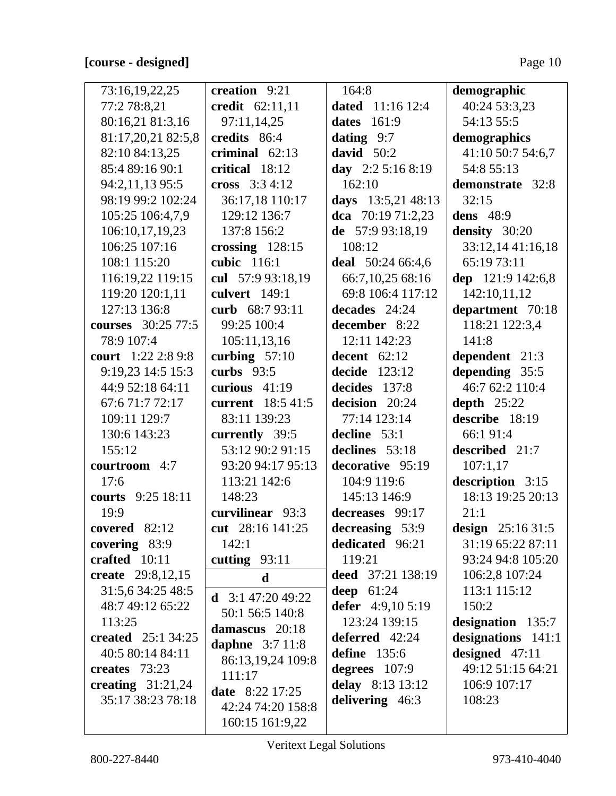### [course - designed]

| 73:16,19,22,25            | creation 9:21            | 164:8               | demographic        |
|---------------------------|--------------------------|---------------------|--------------------|
| 77:2 78:8,21              | credit 62:11,11          | dated $11:1612:4$   | 40:24 53:3,23      |
| 80:16,21 81:3,16          | 97:11,14,25              | 161:9<br>dates      | 54:13 55:5         |
| 81:17,20,21 82:5,8        | credits 86:4             | dating $9:7$        | demographics       |
| 82:10 84:13,25            | criminal $62:13$         | david $50:2$        | 41:10 50:7 54:6,7  |
| 85:4 89:16 90:1           | critical 18:12           | day $2:2 5:16 8:19$ | 54:8 55:13         |
| 94:2,11,13 95:5           | cross $3:34:12$          | 162:10              | demonstrate 32:8   |
| 98:19 99:2 102:24         | 36:17,18 110:17          | days 13:5,21 48:13  | 32:15              |
| 105:25 106:4,7,9          | 129:12 136:7             | dca $70:1971:2,23$  | <b>dens</b> 48:9   |
| 106:10,17,19,23           | 137:8 156:2              | de $57:993:18,19$   | density 30:20      |
| 106:25 107:16             | crossing $128:15$        | 108:12              | 33:12,14 41:16,18  |
| 108:1 115:20              | cubic 116:1              | deal 50:24 66:4,6   | 65:19 73:11        |
| 116:19,22 119:15          | cul 57:9 93:18,19        | 66:7,10,25 68:16    | dep 121:9 142:6,8  |
| 119:20 120:1,11           | culvert 149:1            | 69:8 106:4 117:12   | 142:10,11,12       |
| 127:13 136:8              | curb 68:7 93:11          | decades $24:24$     | department 70:18   |
| courses 30:25 77:5        | 99:25 100:4              | december 8:22       | 118:21 122:3,4     |
| 78:9 107:4                | 105:11,13,16             | 12:11 142:23        | 141:8              |
| court 1:22 2:8 9:8        | curbing $57:10$          | decent $62:12$      | dependent 21:3     |
| 9:19,23 14:5 15:3         | curbs $93:5$             | decide $123:12$     | depending 35:5     |
| 44:9 52:18 64:11          | curious $41:19$          | decides 137:8       | 46:7 62:2 110:4    |
| 67:671:772:17             | current 18:5 41:5        | decision 20:24      | depth $25:22$      |
| 109:11 129:7              | 83:11 139:23             | 77:14 123:14        | describe 18:19     |
| 130:6 143:23              | currently 39:5           | decline 53:1        | 66:1 91:4          |
| 155:12                    | 53:12 90:2 91:15         | declines 53:18      | described 21:7     |
| courtroom 4:7             | 93:20 94:17 95:13        | decorative 95:19    | 107:1,17           |
| 17:6                      | 113:21 142:6             | 104:9 119:6         | description 3:15   |
| courts 9:25 18:11         | 148:23                   | 145:13 146:9        | 18:13 19:25 20:13  |
| 19:9                      | curvilinear 93:3         | decreases 99:17     | 21:1               |
| covered 82:12             | cut 28:16 141:25         | decreasing 53:9     | design $25:1631:5$ |
| covering 83:9             | 142:1                    | dedicated 96:21     | 31:19 65:22 87:11  |
| crafted 10:11             | cutting $93:11$          | 119:21              | 93:24 94:8 105:20  |
| create 29:8,12,15         | $\mathbf d$              | deed 37:21 138:19   | 106:2,8 107:24     |
| 31:5,6 34:25 48:5         | <b>d</b> $3:147:2049:22$ | deep $61:24$        | 113:1 115:12       |
| 48:7 49:12 65:22          | 50:1 56:5 140:8          | defer 4:9,10 5:19   | 150:2              |
| 113:25                    | damascus 20:18           | 123:24 139:15       | designation 135:7  |
| <b>created</b> 25:1 34:25 | daphne $3:711:8$         | deferred 42:24      | designations 141:1 |
| 40:5 80:14 84:11          | 86:13,19,24 109:8        | <b>define</b> 135:6 | designed $47:11$   |
| creates 73:23             | 111:17                   | degrees $107:9$     | 49:12 51:15 64:21  |
| creating $31:21,24$       | <b>date</b> 8:22 17:25   | delay 8:13 13:12    | 106:9 107:17       |
| 35:17 38:23 78:18         | 42:24 74:20 158:8        | delivering 46:3     | 108:23             |
|                           | 160:15 161:9,22          |                     |                    |
|                           |                          |                     |                    |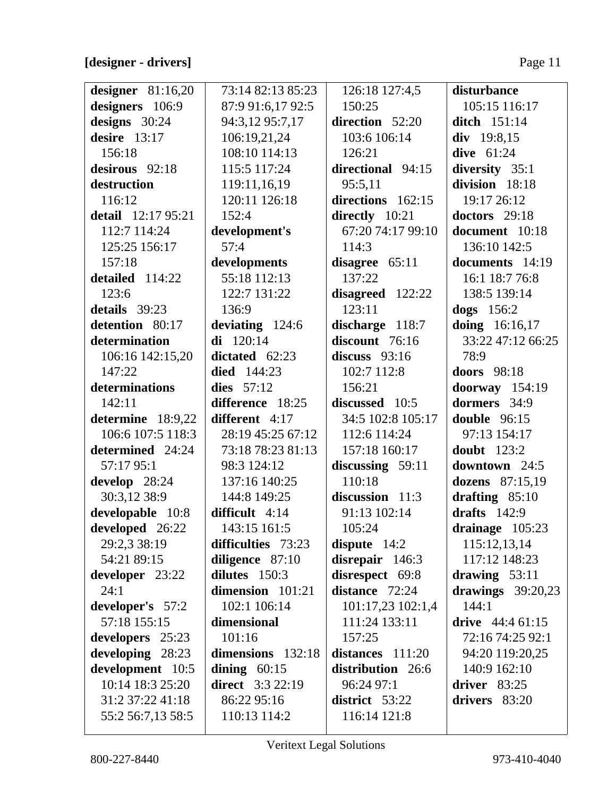### **[designer - drivers]** Page 11

| designer $81:16,20$ | 73:14 82:13 85:23  | 126:18 127:4,5     | disturbance                   |
|---------------------|--------------------|--------------------|-------------------------------|
| designers 106:9     | 87:9 91:6,17 92:5  | 150:25             | 105:15 116:17                 |
| designs $30:24$     | 94:3,12 95:7,17    | direction 52:20    | <b>ditch</b> 151:14           |
| desire $13:17$      | 106:19,21,24       | 103:6 106:14       | div 19:8,15                   |
| 156:18              | 108:10 114:13      | 126:21             | dive $61:24$                  |
| desirous 92:18      | 115:5 117:24       | directional 94:15  | diversity 35:1                |
| destruction         | 119:11,16,19       | 95:5,11            | division 18:18                |
| 116:12              | 120:11 126:18      | directions 162:15  | 19:17 26:12                   |
| detail 12:17 95:21  | 152:4              | directly 10:21     | doctors 29:18                 |
| 112:7 114:24        | development's      | 67:20 74:17 99:10  | document 10:18                |
| 125:25 156:17       | 57:4               | 114:3              | 136:10 142:5                  |
| 157:18              | developments       | disagree $65:11$   | documents 14:19               |
| detailed 114:22     | 55:18 112:13       | 137:22             | 16:1 18:7 76:8                |
| 123:6               | 122:7 131:22       | disagreed 122:22   | 138:5 139:14                  |
| details 39:23       | 136:9              | 123:11             | $\text{dogs}$ 156:2           |
| detention 80:17     | deviating 124:6    | discharge 118:7    | doing 16:16,17                |
| determination       | $di$ 120:14        | discount 76:16     | 33:22 47:12 66:25             |
| 106:16 142:15,20    | dictated $62:23$   | discuss $93:16$    | 78:9                          |
| 147:22              | <b>died</b> 144:23 | 102:7 112:8        | doors 98:18                   |
| determinations      | dies $57:12$       | 156:21             | doorway $154:19$              |
| 142:11              | difference 18:25   | discussed 10:5     | dormers 34:9                  |
| determine 18:9,22   | different 4:17     | 34:5 102:8 105:17  | double $96:15$                |
| 106:6 107:5 118:3   | 28:19 45:25 67:12  | 112:6 114:24       | 97:13 154:17                  |
| determined 24:24    | 73:18 78:23 81:13  | 157:18 160:17      | doubt $123:2$                 |
| 57:17 95:1          | 98:3 124:12        | discussing $59:11$ | downtown 24:5                 |
| develop 28:24       | 137:16 140:25      | 110:18             | dozens 87:15,19               |
| 30:3,12 38:9        | 144:8 149:25       | discussion 11:3    | drafting 85:10                |
| developable 10:8    | difficult 4:14     | 91:13 102:14       | drafts $142:9$                |
| developed 26:22     | 143:15 161:5       | 105:24             | drainage 105:23               |
| 29:2,3 38:19        | difficulties 73:23 | dispute $14:2$     | 115:12,13,14                  |
| 54:21 89:15         | diligence 87:10    | disrepair 146:3    | 117:12 148:23                 |
| developer 23:22     | dilutes 150:3      | disrespect 69:8    | drawing $53:11$               |
| 24:1                | dimension 101:21   | distance 72:24     | drawings $39:20,23$           |
| developer's 57:2    | 102:1 106:14       | 101:17,23 102:1,4  | 144:1                         |
| 57:18 155:15        | dimensional        | 111:24 133:11      | drive $44:461:15$             |
| developers 25:23    | 101:16             | 157:25             | 72:16 74:25 92:1              |
| developing 28:23    | dimensions 132:18  | distances $111:20$ | 94:20 119:20,25               |
| development 10:5    | dining $60:15$     | distribution 26:6  | 140:9 162:10                  |
| 10:14 18:3 25:20    | direct $3:322:19$  | 96:24 97:1         | $\textbf{driver} \quad 83:25$ |
| 31:2 37:22 41:18    | 86:22 95:16        | district 53:22     | drivers 83:20                 |
| 55:2 56:7,13 58:5   | 110:13 114:2       | 116:14 121:8       |                               |
|                     |                    |                    |                               |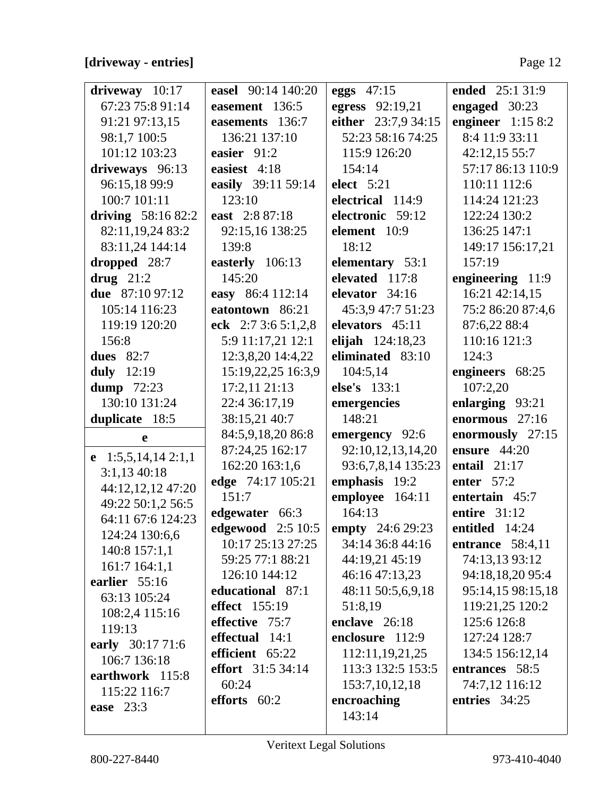### [driveway - entries]

| $driveway$ 10:17     | easel 90:14 140:20                   | eggs 47:15          | ended 25:1 31:9    |
|----------------------|--------------------------------------|---------------------|--------------------|
| 67:23 75:8 91:14     | easement 136:5                       | egress 92:19,21     | engaged 30:23      |
| 91:21 97:13,15       | easements 136:7                      | either 23:7,9 34:15 | engineer $1:158:2$ |
| 98:1,7 100:5         | 136:21 137:10                        | 52:23 58:16 74:25   | 8:4 11:9 33:11     |
| 101:12 103:23        | easier 91:2                          | 115:9 126:20        | 42:12,15 55:7      |
| driveways 96:13      | easiest 4:18                         | 154:14              | 57:17 86:13 110:9  |
| 96:15,18 99:9        | easily 39:11 59:14                   | <b>elect</b> 5:21   | 110:11 112:6       |
| 100:7 101:11         | 123:10                               | electrical 114:9    | 114:24 121:23      |
| driving $58:1682:2$  | east 2:8 87:18                       | electronic 59:12    | 122:24 130:2       |
| 82:11,19,24 83:2     | 92:15,16 138:25                      | element 10:9        | 136:25 147:1       |
| 83:11,24 144:14      | 139:8                                | 18:12               | 149:17 156:17,21   |
| dropped 28:7         | easterly 106:13                      | elementary 53:1     | 157:19             |
| drug $21:2$          | 145:20                               | elevated 117:8      | engineering 11:9   |
| due 87:10 97:12      | easy 86:4 112:14                     | elevator 34:16      | 16:21 42:14,15     |
| 105:14 116:23        | eatontown 86:21                      | 45:3,9 47:7 51:23   | 75:2 86:20 87:4,6  |
| 119:19 120:20        | eck $2:73:65:1,2,8$                  | elevators 45:11     | 87:6,22 88:4       |
| 156:8                | 5:9 11:17,21 12:1                    | elijah 124:18,23    | 110:16 121:3       |
| <b>dues</b> 82:7     | 12:3,8,20 14:4,22                    | eliminated 83:10    | 124:3              |
| duly $12:19$         | 15:19,22,25 16:3,9                   | 104:5,14            | engineers 68:25    |
| dump $72:23$         | 17:2,1121:13                         | else's 133:1        | 107:2,20           |
| 130:10 131:24        | 22:4 36:17,19                        | emergencies         | enlarging 93:21    |
| duplicate 18:5       | 38:15,21 40:7                        | 148:21              | enormous 27:16     |
| $\mathbf e$          | 84:5,9,18,20 86:8                    | emergency 92:6      | enormously 27:15   |
| e $1:5,5,14,142:1,1$ | 87:24,25 162:17                      | 92:10,12,13,14,20   | ensure 44:20       |
| 3:1,1340:18          | 162:20 163:1,6                       | 93:6,7,8,14 135:23  | entail $21:17$     |
| 44:12,12,12 47:20    | edge 74:17 105:21                    | emphasis 19:2       | enter $57:2$       |
| 49:22 50:1,2 56:5    | 151:7                                | employee 164:11     | entertain 45:7     |
| 64:11 67:6 124:23    | edgewater 66:3                       | 164:13              | entire 31:12       |
| 124:24 130:6,6       | edgewood 2:5 10:5   empty 24:6 29:23 |                     | entitled 14:24     |
| 140:8 157:1,1        | 10:17 25:13 27:25                    | 34:14 36:8 44:16    | entrance $58:4,11$ |
| 161:7 164:1,1        | 59:25 77:1 88:21                     | 44:19,21 45:19      | 74:13,13 93:12     |
| earlier $55:16$      | 126:10 144:12                        | 46:16 47:13,23      | 94:18,18,20 95:4   |
| 63:13 105:24         | educational 87:1                     | 48:11 50:5,6,9,18   | 95:14,15 98:15,18  |
| 108:2,4 115:16       | effect 155:19                        | 51:8,19             | 119:21,25 120:2    |
| 119:13               | effective 75:7                       | enclave 26:18       | 125:6 126:8        |
| early 30:17 71:6     | effectual 14:1                       | enclosure 112:9     | 127:24 128:7       |
| 106:7 136:18         | efficient 65:22                      | 112:11,19,21,25     | 134:5 156:12,14    |
| earthwork 115:8      | <b>effort</b> 31:5 34:14             | 113:3 132:5 153:5   | entrances 58:5     |
| 115:22 116:7         | 60:24                                | 153:7, 10, 12, 18   | 74:7,12 116:12     |
| <b>ease</b> 23:3     | efforts 60:2                         | encroaching         | entries 34:25      |
|                      |                                      | 143:14              |                    |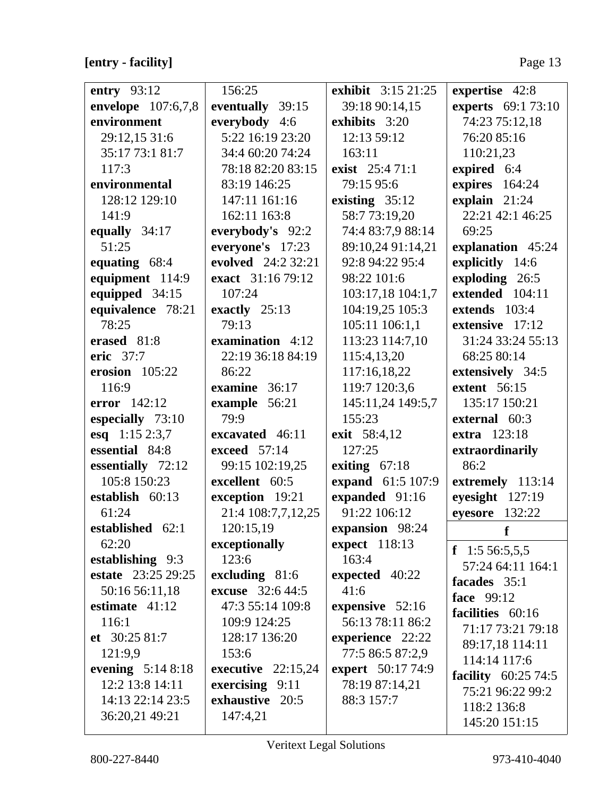### [entry - facility]

| entry 93:12        | 156:25                  | exhibit 3:15 21:25  | expertise 42:8             |
|--------------------|-------------------------|---------------------|----------------------------|
| envelope 107:6,7,8 | eventually 39:15        | 39:18 90:14,15      | <b>experts</b> 69:1 73:10  |
| environment        | everybody 4:6           | exhibits 3:20       | 74:23 75:12,18             |
| 29:12,15 31:6      | 5:22 16:19 23:20        | 12:13 59:12         | 76:20 85:16                |
| 35:17 73:1 81:7    | 34:4 60:20 74:24        | 163:11              | 110:21,23                  |
| 117:3              | 78:18 82:20 83:15       | exist 25:471:1      | expired 6:4                |
| environmental      | 83:19 146:25            | 79:15 95:6          | expires 164:24             |
| 128:12 129:10      | 147:11 161:16           | existing $35:12$    | explain 21:24              |
| 141:9              | 162:11 163:8            | 58:7 73:19,20       | 22:21 42:1 46:25           |
| equally 34:17      | everybody's 92:2        | 74:4 83:7,9 88:14   | 69:25                      |
| 51:25              | everyone's 17:23        | 89:10,24 91:14,21   | explanation 45:24          |
| equating 68:4      | evolved 24:2 32:21      | 92:8 94:22 95:4     | explicitly 14:6            |
| equipment 114:9    | exact 31:16 79:12       | 98:22 101:6         | exploding 26:5             |
| equipped 34:15     | 107:24                  | 103:17,18 104:1,7   | extended 104:11            |
| equivalence 78:21  | exactly $25:13$         | 104:19,25 105:3     | extends 103:4              |
| 78:25              | 79:13                   | 105:11 106:1,1      | extensive 17:12            |
| erased 81:8        | examination 4:12        | 113:23 114:7,10     | 31:24 33:24 55:13          |
| eric 37:7          | 22:19 36:18 84:19       | 115:4,13,20         | 68:25 80:14                |
| erosion $105:22$   | 86:22                   | 117:16,18,22        | extensively 34:5           |
| 116:9              | examine 36:17           | 119:7 120:3,6       | <b>extent</b> 56:15        |
| error $142:12$     | example 56:21           | 145:11,24 149:5,7   | 135:17 150:21              |
| especially 73:10   | 79:9                    | 155:23              | external 60:3              |
| esq 1:15 2:3,7     | excavated 46:11         | <b>exit</b> 58:4,12 | <b>extra</b> 123:18        |
| essential 84:8     | exceed 57:14            | 127:25              | extraordinarily            |
| essentially 72:12  | 99:15 102:19,25         | exiting $67:18$     | 86:2                       |
| 105:8 150:23       | excellent 60:5          | expand 61:5 107:9   | extremely 113:14           |
| establish 60:13    | exception 19:21         | expanded 91:16      | eyesight $127:19$          |
| 61:24              | 21:4 108:7,7,12,25      | 91:22 106:12        | eyesore $132:22$           |
| established 62:1   | 120:15,19               | expansion 98:24     | f                          |
| 62:20              | exceptionally           | expect 118:13       | f $1:556:5,5,5$            |
| establishing 9:3   | 123:6                   | 163:4               | 57:24 64:11 164:1          |
| estate 23:25 29:25 | excluding 81:6          | expected 40:22      | facades 35:1               |
| 50:16 56:11,18     | <b>excuse</b> 32:6 44:5 | 41:6                | face 99:12                 |
| estimate $41:12$   | 47:3 55:14 109:8        | expensive $52:16$   | facilities 60:16           |
| 116:1              | 109:9 124:25            | 56:13 78:11 86:2    | 71:17 73:21 79:18          |
| et $30:2581:7$     | 128:17 136:20           | experience 22:22    | 89:17,18 114:11            |
| 121:9,9            | 153:6                   | 77:5 86:5 87:2,9    | 114:14 117:6               |
| evening $5:148:18$ | executive $22:15,24$    | expert 50:17 74:9   | <b>facility</b> 60:25 74:5 |
| 12:2 13:8 14:11    | exercising $9:11$       | 78:19 87:14,21      | 75:21 96:22 99:2           |
| 14:13 22:14 23:5   | exhaustive 20:5         | 88:3 157:7          | 118:2 136:8                |
| 36:20,21 49:21     | 147:4,21                |                     | 145:20 151:15              |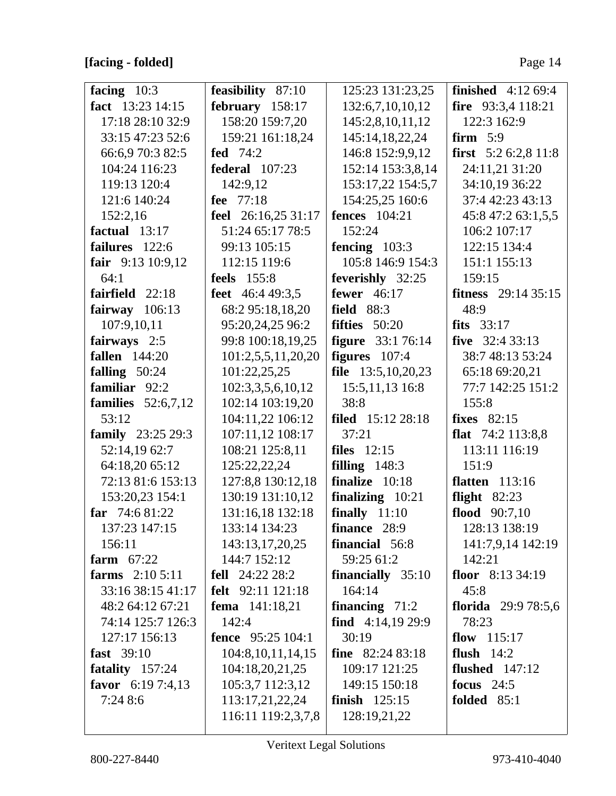### [facing - folded]

| facing $10:3$               | feasibility 87:10        | 125:23 131:23,25         | <b>finished</b> 4:12 69:4   |
|-----------------------------|--------------------------|--------------------------|-----------------------------|
| fact 13:23 14:15            | february 158:17          | 132:6,7,10,10,12         | fire 93:3,4 118:21          |
| 17:18 28:10 32:9            | 158:20 159:7,20          | 145:2,8,10,11,12         | 122:3 162:9                 |
| 33:15 47:23 52:6            | 159:21 161:18,24         | 145:14,18,22,24          | firm $5:9$                  |
| 66:6,9 70:3 82:5            | fed $74:2$               | 146:8 152:9,9,12         | first 5:2 6:2,8 11:8        |
| 104:24 116:23               | <b>federal</b> 107:23    | 152:14 153:3,8,14        | 24:11,21 31:20              |
| 119:13 120:4                | 142:9,12                 | 153:17,22 154:5,7        | 34:10,19 36:22              |
| 121:6 140:24                | fee 77:18                | 154:25,25 160:6          | 37:4 42:23 43:13            |
| 152:2,16                    | feel 26:16,25 31:17      | <b>fences</b> 104:21     | 45:8 47:2 63:1,5,5          |
| factual $13:17$             | 51:24 65:17 78:5         | 152:24                   | 106:2 107:17                |
| failures 122:6              | 99:13 105:15             | fencing $103:3$          | 122:15 134:4                |
| fair 9:13 10:9,12           | 112:15 119:6             | 105:8 146:9 154:3        | 151:1 155:13                |
| 64:1                        | <b>feels</b> 155:8       | feverishly 32:25         | 159:15                      |
| fairfield 22:18             | feet 46:4 49:3.5         | fewer $46:17$            | <b>fitness</b> $29:1435:15$ |
| fairway 106:13              | 68:2 95:18,18,20         | <b>field</b> 88:3        | 48:9                        |
| 107:9,10,11                 | 95:20,24,25 96:2         | fifties $50:20$          | fits $33:17$                |
| fairways 2:5                | 99:8 100:18,19,25        | <b>figure</b> 33:1 76:14 | five $32:433:13$            |
| <b>fallen</b> 144:20        | 101:2,5,5,11,20,20       | figures $107:4$          | 38:7 48:13 53:24            |
| falling $50:24$             | 101:22,25,25             | file $13:5,10,20,23$     | 65:18 69:20,21              |
| familiar 92:2               | 102:3,3,5,6,10,12        | 15:5, 11, 13 16:8        | 77:7 142:25 151:2           |
| families $52:6,7,12$        | 102:14 103:19,20         | 38:8                     | 155:8                       |
| 53:12                       | 104:11,22 106:12         | <b>filed</b> 15:12 28:18 | <b>fixes</b> 82:15          |
| <b>family</b> $23:25\,29:3$ | 107:11,12 108:17         | 37:21                    | flat $74:2$ 113:8,8         |
| 52:14,19 62:7               | 108:21 125:8,11          | files $12:15$            | 113:11 116:19               |
| 64:18,20 65:12              | 125:22,22,24             | filling $148:3$          | 151:9                       |
| 72:13 81:6 153:13           | 127:8,8 130:12,18        | finalize $10:18$         | <b>flatten</b> 113:16       |
| 153:20,23 154:1             | 130:19 131:10,12         | finalizing 10:21         | flight $82:23$              |
| far $74:681:22$             | 131:16,18 132:18         | finally $11:10$          | flood $90:7,10$             |
| 137:23 147:15               | 133:14 134:23            | finance 28:9             | 128:13 138:19               |
| 156:11                      | 143:13,17,20,25          | financial 56:8           | 141:7,9,14 142:19           |
| farm $67:22$                | 144:7 152:12             | 59:25 61:2               | 142:21                      |
| farms $2:105:11$            | fell $24:2223:2$         | financially 35:10        | floor $8:133:4:19$          |
| 33:16 38:15 41:17           | felt 92:11 121:18        | 164:14                   | 45:8                        |
| 48:2 64:12 67:21            | <b>fema</b> $141:18,21$  | financing $71:2$         | florida $29:978:5,6$        |
| 74:14 125:7 126:3           | 142:4                    | find $4:14,1929:9$       | 78:23                       |
| 127:17 156:13               | <b>fence</b> 95:25 104:1 | 30:19                    | flow $115:17$               |
| fast 39:10                  | 104:8, 10, 11, 14, 15    | <b>fine</b> $82:2483:18$ | flush $14:2$                |
| fatality 157:24             | 104:18,20,21,25          | 109:17 121:25            | flushed $147:12$            |
| favor $6:197:4,13$          | 105:3,7 112:3,12         | 149:15 150:18            | focus $24:5$                |
| 7:24 8:6                    | 113:17,21,22,24          | finish $125:15$          | <b>folded</b> 85:1          |
|                             | 116:11 119:2,3,7,8       | 128:19,21,22             |                             |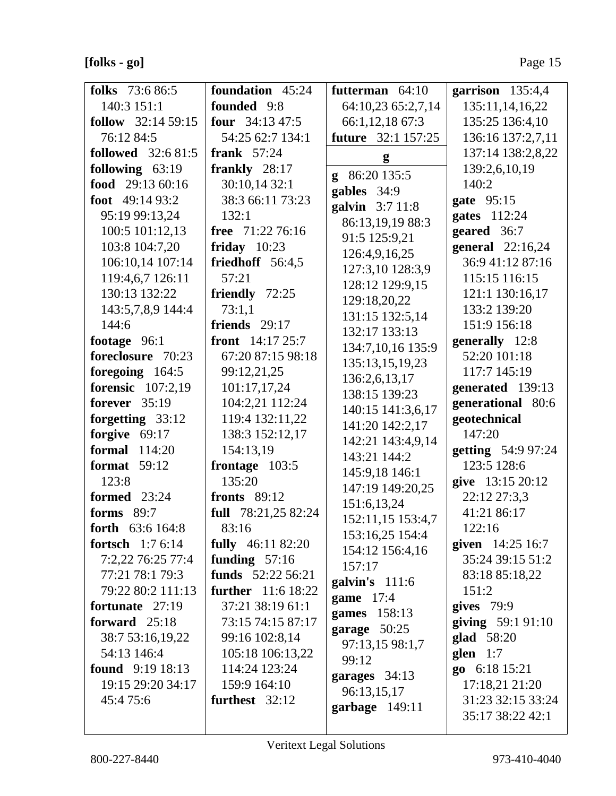### $[folk s - go] % \begin{minipage}[c]{0.5\linewidth} \centering \centerline{\includegraphics[width=0.5\linewidth]{images/0.5in1.jpg}} \centerline{\includegraphics[width=0.5\linewidth]{images/0.5in1.jpg}} \centerline{\includegraphics[width=0.5\linewidth]{images/0.5in1.jpg}} \centerline{\includegraphics[width=0.5\linewidth]{images/0.5in1.jpg}} \centerline{\includegraphics[width=0.5\linewidth]{images/0.5in1.jpg}} \centerline{\includegraphics[width=0.5\linewidth]{images/0.5in1.jpg}} \centerline{\includegraphics[width=0.5\linewidth]{images/0.5in1.jpg}} \centerline{\includegraphics[width=0.5\linewidth]{images/0.5in1.jpg}} \centerline$

| <b>folks</b> 73:6 86:5    | foundation 45:24           | futterman $64:10$         | garrison $135:4,4$  |
|---------------------------|----------------------------|---------------------------|---------------------|
| 140:3 151:1               | founded 9:8                | 64:10,23 65:2,7,14        | 135:11,14,16,22     |
| follow $32:1459:15$       | <b>four</b> $34:1347:5$    | 66:1,12,18 67:3           | 135:25 136:4,10     |
| 76:12 84:5                | 54:25 62:7 134:1           | <b>future</b> 32:1 157:25 | 136:16 137:2,7,11   |
| <b>followed</b> 32:6 81:5 | frank $57:24$              | g                         | 137:14 138:2,8,22   |
| following 63:19           | frankly 28:17              | 86:20 135:5<br>g          | 139:2,6,10,19       |
| food 29:13 60:16          | 30:10,14 32:1              | gables 34:9               | 140:2               |
| foot $49:1493:2$          | 38:3 66:11 73:23           | galvin 3:7 11:8           | gate 95:15          |
| 95:19 99:13,24            | 132:1                      | 86:13,19,19 88:3          | gates 112:24        |
| 100:5 101:12,13           | free $71:2276:16$          | 91:5 125:9,21             | geared 36:7         |
| 103:8 104:7,20            | friday $10:23$             | 126:4,9,16,25             | general 22:16,24    |
| 106:10,14 107:14          | friedhoff 56:4,5           | 127:3,10 128:3,9          | 36:9 41:12 87:16    |
| 119:4,6,7 126:11          | 57:21                      | 128:12 129:9,15           | 115:15 116:15       |
| 130:13 132:22             | friendly 72:25             | 129:18,20,22              | 121:1 130:16,17     |
| 143:5,7,8,9 144:4         | 73:1,1                     | 131:15 132:5,14           | 133:2 139:20        |
| 144:6                     | friends 29:17              | 132:17 133:13             | 151:9 156:18        |
| footage 96:1              | <b>front</b> $14:17\,25:7$ | 134:7,10,16 135:9         | generally 12:8      |
| foreclosure 70:23         | 67:20 87:15 98:18          | 135:13,15,19,23           | 52:20 101:18        |
| foregoing $164:5$         | 99:12,21,25                | 136:2,6,13,17             | 117:7 145:19        |
| <b>forensic</b> 107:2,19  | 101:17,17,24               | 138:15 139:23             | generated 139:13    |
| forever $35:19$           | 104:2,21 112:24            | 140:15 141:3,6,17         | generational 80:6   |
| forgetting 33:12          | 119:4 132:11,22            | 141:20 142:2,17           | geotechnical        |
| forgive 69:17             | 138:3 152:12,17            | 142:21 143:4,9,14         | 147:20              |
| <b>formal</b> 114:20      | 154:13,19                  | 143:21 144:2              | getting 54:9 97:24  |
| <b>format</b> 59:12       | frontage $103:5$           | 145:9,18 146:1            | 123:5 128:6         |
| 123:8                     | 135:20                     | 147:19 149:20,25          | give 13:15 20:12    |
| <b>formed</b> 23:24       | <b>fronts</b> 89:12        | 151:6,13,24               | 22:12 27:3,3        |
| forms 89:7                | full 78:21,25 82:24        | 152:11,15 153:4,7         | 41:21 86:17         |
| forth 63:6 164:8          | 83:16                      | 153:16,25 154:4           | 122:16              |
| <b>fortsch</b> $1:76:14$  | <b>fully</b> 46:11 82:20   | 154:12 156:4,16           | given $14:25\,16:7$ |
| 7:2,22 76:25 77:4         | funding $57:16$            | 157:17                    | 35:24 39:15 51:2    |
| 77:21 78:1 79:3           | funds 52:22 56:21          | galvin's 111:6            | 83:18 85:18,22      |
| 79:22 80:2 111:13         | <b>further</b> 11:6 18:22  | game 17:4                 | 151:2               |
| fortunate 27:19           | 37:21 38:19 61:1           | games 158:13              | gives $79:9$        |
| forward $25:18$           | 73:15 74:15 87:17          | garage $50:25$            | giving 59:1 91:10   |
| 38:7 53:16,19,22          | 99:16 102:8,14             | 97:13,15 98:1,7           | glad 58:20          |
| 54:13 146:4               | 105:18 106:13,22           | 99:12                     | glen $1:7$          |
| <b>found</b> $9:1918:13$  | 114:24 123:24              | garages 34:13             | go 6:18 15:21       |
| 19:15 29:20 34:17         | 159:9 164:10               | 96:13,15,17               | 17:18,21 21:20      |
| 45:475:6                  | furthest $32:12$           | garbage 149:11            | 31:23 32:15 33:24   |
|                           |                            |                           | 35:17 38:22 42:1    |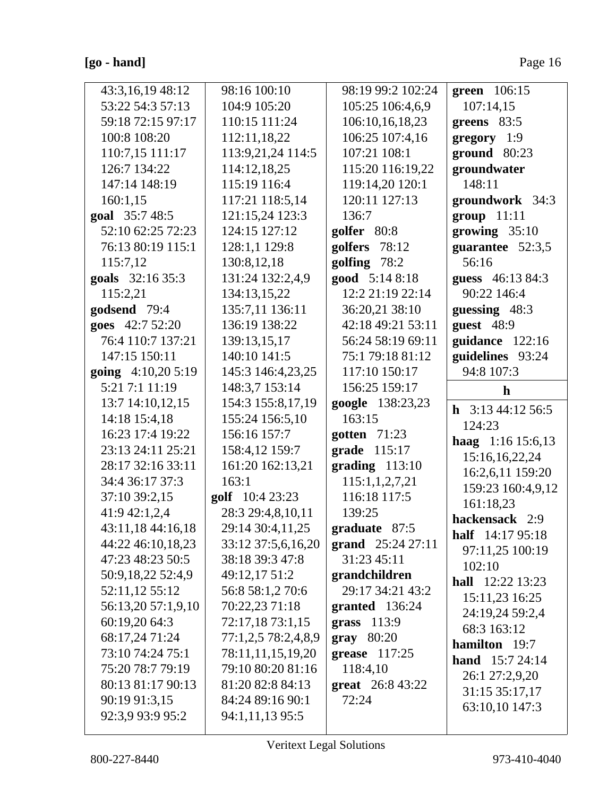### **[go - hand]** Page 16

| 43:3,16,19 48:12<br>53:22 54:3 57:13<br>59:18 72:15 97:17<br>100:8 108:20<br>110:7,15 111:17<br>126:7 134:22<br>147:14 148:19<br>160:1,15<br>goal 35:7 48:5<br>52:10 62:25 72:23<br>76:13 80:19 115:1<br>115:7,12<br>goals 32:16 35:3<br>115:2,21<br>godsend 79:4<br>goes 42:7 52:20<br>76:4 110:7 137:21<br>147:15 150:11<br>going $4:10,205:19$<br>5:21 7:1 11:19<br>13:7 14:10,12,15<br>14:18 15:4,18<br>16:23 17:4 19:22<br>23:13 24:11 25:21<br>28:17 32:16 33:11<br>34:4 36:17 37:3<br>37:10 39:2,15<br>41:9 42:1,2,4<br>43:11,18 44:16,18<br>44:22 46:10,18,23<br>47:23 48:23 50:5<br>50:9,18,22 52:4,9<br>52:11,12 55:12<br>56:13,20 57:1,9,10<br>60:19,20 64:3<br>68:17,24 71:24 | 98:16 100:10<br>104:9 105:20<br>110:15 111:24<br>112:11,18,22<br>113:9,21,24 114:5<br>114:12,18,25<br>115:19 116:4<br>117:21 118:5,14<br>121:15,24 123:3<br>124:15 127:12<br>128:1,1 129:8<br>130:8, 12, 18<br>131:24 132:2,4,9<br>134:13,15,22<br>135:7,11 136:11<br>136:19 138:22<br>139:13,15,17<br>140:10 141:5<br>145:3 146:4,23,25<br>148:3,7 153:14<br>154:3 155:8,17,19<br>155:24 156:5,10<br>156:16 157:7<br>158:4,12 159:7<br>161:20 162:13,21<br>163:1<br>golf 10:4 23:23<br>28:3 29:4,8,10,11<br>29:14 30:4,11,25<br>33:12 37:5,6,16,20<br>38:18 39:3 47:8<br>49:12,17 51:2<br>56:8 58:1,2 70:6<br>70:22,23 71:18<br>72:17,18 73:1,15<br>77:1,2,5 78:2,4,8,9 | 98:19 99:2 102:24<br>105:25 106:4,6,9<br>106:10,16,18,23<br>106:25 107:4,16<br>107:21 108:1<br>115:20 116:19,22<br>119:14,20 120:1<br>120:11 127:13<br>136:7<br>golfer 80:8<br>golfers 78:12<br>golfing 78:2<br>good 5:14 8:18<br>12:2 21:19 22:14<br>36:20,21 38:10<br>42:18 49:21 53:11<br>56:24 58:19 69:11<br>75:1 79:18 81:12<br>117:10 150:17<br>156:25 159:17<br>google 138:23,23<br>163:15<br>gotten 71:23<br>grade 115:17<br>$grading$ 113:10<br>115:1,1,2,7,21<br>116:18 117:5<br>139:25<br>graduate 87:5<br>grand $25:2427:11$<br>31:23 45:11<br>grandchildren<br>29:17 34:21 43:2<br>granted 136:24<br>grass $113:9$<br>gray 80:20 | green 106:15<br>107:14,15<br>greens 83:5<br>$gregory$ 1:9<br>ground 80:23<br>groundwater<br>148:11<br>groundwork 34:3<br>$group$ 11:11<br>growing $35:10$<br>guarantee 52:3,5<br>56:16<br>guess 46:13 84:3<br>90:22 146:4<br>guessing 48:3<br>guest 48:9<br>guidance 122:16<br>guidelines 93:24<br>94:8 107:3<br>$\mathbf h$<br><b>h</b> $3:1344:1256:5$<br>124:23<br>haag 1:16 15:6,13<br>15:16,16,22,24<br>16:2,6,11 159:20<br>159:23 160:4,9,12<br>161:18,23<br>hackensack 2:9<br>half $14:1795:18$<br>97:11,25 100:19<br>102:10<br><b>hall</b> $12:22$ 13:23<br>15:11,23 16:25<br>24:19,24 59:2,4<br>68:3 163:12<br>hamilton 19:7 |
|-------------------------------------------------------------------------------------------------------------------------------------------------------------------------------------------------------------------------------------------------------------------------------------------------------------------------------------------------------------------------------------------------------------------------------------------------------------------------------------------------------------------------------------------------------------------------------------------------------------------------------------------------------------------------------------------|--------------------------------------------------------------------------------------------------------------------------------------------------------------------------------------------------------------------------------------------------------------------------------------------------------------------------------------------------------------------------------------------------------------------------------------------------------------------------------------------------------------------------------------------------------------------------------------------------------------------------------------------------------------------------|------------------------------------------------------------------------------------------------------------------------------------------------------------------------------------------------------------------------------------------------------------------------------------------------------------------------------------------------------------------------------------------------------------------------------------------------------------------------------------------------------------------------------------------------------------------------------------------------------------------------------------------------|---------------------------------------------------------------------------------------------------------------------------------------------------------------------------------------------------------------------------------------------------------------------------------------------------------------------------------------------------------------------------------------------------------------------------------------------------------------------------------------------------------------------------------------------------------------------------------------------------------------------------------------|
| 73:10 74:24 75:1<br>75:20 78:7 79:19<br>80:13 81:17 90:13<br>90:19 91:3,15                                                                                                                                                                                                                                                                                                                                                                                                                                                                                                                                                                                                                | 78:11,11,15,19,20<br>79:10 80:20 81:16<br>81:20 82:8 84:13<br>84:24 89:16 90:1                                                                                                                                                                                                                                                                                                                                                                                                                                                                                                                                                                                           | grease 117:25<br>118:4,10<br>great 26:8 43:22<br>72:24                                                                                                                                                                                                                                                                                                                                                                                                                                                                                                                                                                                         | <b>hand</b> $15:724:14$<br>26:1 27:2,9,20<br>31:15 35:17,17                                                                                                                                                                                                                                                                                                                                                                                                                                                                                                                                                                           |
| 92:3,9 93:9 95:2                                                                                                                                                                                                                                                                                                                                                                                                                                                                                                                                                                                                                                                                          | 94:1,11,13 95:5                                                                                                                                                                                                                                                                                                                                                                                                                                                                                                                                                                                                                                                          |                                                                                                                                                                                                                                                                                                                                                                                                                                                                                                                                                                                                                                                | 63:10,10 147:3                                                                                                                                                                                                                                                                                                                                                                                                                                                                                                                                                                                                                        |

 $\overline{\mathsf{I}}$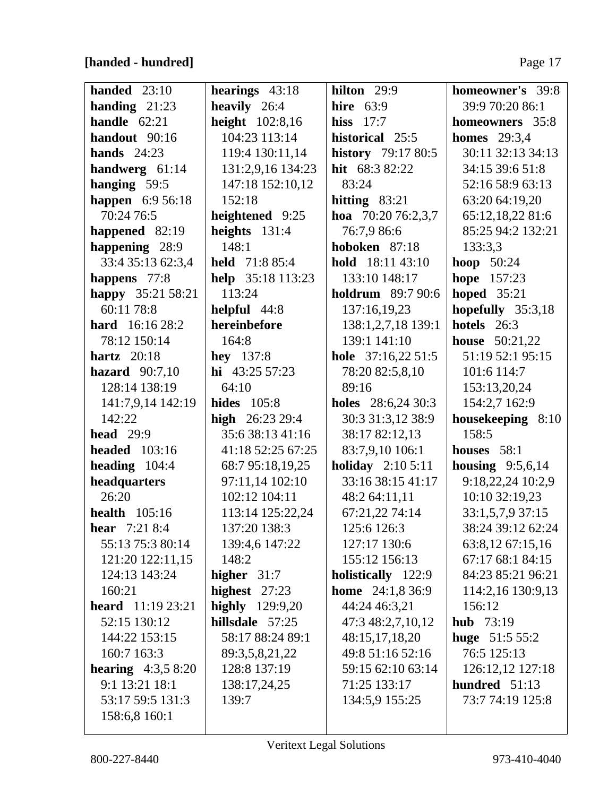## [handed - hundred]

| handed $23:10$             | hearings $43:18$   | hilton $29:9$             | homeowner's 39:8      |
|----------------------------|--------------------|---------------------------|-----------------------|
| handing $21:23$            | heavily 26:4       | hire $63:9$               | 39:9 70:20 86:1       |
| handle $62:21$             | height 102:8,16    | hiss $17:7$               | homeowners 35:8       |
| handout 90:16              | 104:23 113:14      | historical 25:5           | <b>homes</b> 29:3,4   |
| hands $24:23$              | 119:4 130:11,14    | <b>history</b> 79:17 80:5 | 30:11 32:13 34:13     |
| handwerg $61:14$           | 131:2,9,16 134:23  | hit 68:3 82:22            | 34:15 39:6 51:8       |
| hanging 59:5               | 147:18 152:10,12   | 83:24                     | 52:16 58:9 63:13      |
| happen 6:9 56:18           | 152:18             | hitting $83:21$           | 63:20 64:19,20        |
| 70:24 76:5                 | heightened 9:25    | hoa $70:2076:2,3,7$       | 65:12,18,22 81:6      |
| happened 82:19             | heights $131:4$    | 76:7,9 86:6               | 85:25 94:2 132:21     |
| happening 28:9             | 148:1              | hoboken 87:18             | 133:3,3               |
| 33:4 35:13 62:3,4          | held 71:8 85:4     | hold 18:11 43:10          | <b>hoop</b> 50:24     |
| happens 77:8               | help 35:18 113:23  | 133:10 148:17             | hope 157:23           |
| happy 35:21 58:21          | 113:24             | <b>holdrum</b> 89:7 90:6  | hoped $35:21$         |
| 60:11 78:8                 | helpful 44:8       | 137:16,19,23              | hopefully 35:3,18     |
| <b>hard</b> $16:16\,28:2$  | hereinbefore       | 138:1,2,7,18 139:1        | hotels 26:3           |
| 78:12 150:14               | 164:8              | 139:1 141:10              | <b>house</b> 50:21,22 |
| hartz $20:18$              | <b>hey</b> $137:8$ | hole $37:16,2251:5$       | 51:19 52:1 95:15      |
| hazard $90:7,10$           | hi $43:25\,57:23$  | 78:20 82:5,8,10           | 101:6 114:7           |
| 128:14 138:19              | 64:10              | 89:16                     | 153:13,20,24          |
| 141:7,9,14 142:19          | <b>hides</b> 105:8 | holes $28:6,2430:3$       | 154:2,7 162:9         |
| 142:22                     | high $26:2329:4$   | 30:3 31:3,12 38:9         | housekeeping 8:10     |
| head $29:9$                | 35:6 38:13 41:16   | 38:17 82:12,13            | 158:5                 |
| <b>headed</b> 103:16       | 41:18 52:25 67:25  | 83:7,9,10 106:1           | houses 58:1           |
| heading $104:4$            | 68:7 95:18,19,25   | <b>holiday</b> $2:105:11$ | housing $9:5,6,14$    |
| headquarters               | 97:11,14 102:10    | 33:16 38:15 41:17         | 9:18,22,24 10:2,9     |
| 26:20                      | 102:12 104:11      | 48:2 64:11,11             | 10:10 32:19,23        |
| <b>health</b> 105:16       | 113:14 125:22,24   | 67:21,22 74:14            | 33:1,5,7,9 37:15      |
| <b>hear</b> $7:218:4$      | 137:20 138:3       | 125:6 126:3               | 38:24 39:12 62:24     |
| 55:13 75:3 80:14           | 139:4,6 147:22     | 127:17 130:6              | 63:8,12 67:15,16      |
| 121:20 122:11,15           | 148:2              | 155:12 156:13             | 67:17 68:1 84:15      |
| 124:13 143:24              | higher $31:7$      | holistically 122:9        | 84:23 85:21 96:21     |
| 160:21                     | highest $27:23$    | <b>home</b> 24:1,8 36:9   | 114:2,16 130:9,13     |
| <b>heard</b> $11:1923:21$  | highly 129:9,20    | 44:24 46:3,21             | 156:12                |
| 52:15 130:12               | hillsdale 57:25    | 47:3 48:2,7,10,12         | <b>hub</b> $73:19$    |
| 144:22 153:15              | 58:17 88:24 89:1   | 48:15,17,18,20            | huge $51:55:2$        |
| 160:7 163:3                | 89:3,5,8,21,22     | 49:8 51:16 52:16          | 76:5 125:13           |
| <b>hearing</b> $4:3,58:20$ | 128:8 137:19       | 59:15 62:10 63:14         | 126:12,12 127:18      |
| 9:1 13:21 18:1             | 138:17,24,25       | 71:25 133:17              | hundred $51:13$       |
| 53:17 59:5 131:3           | 139:7              | 134:5,9 155:25            | 73:7 74:19 125:8      |
| 158:6,8 160:1              |                    |                           |                       |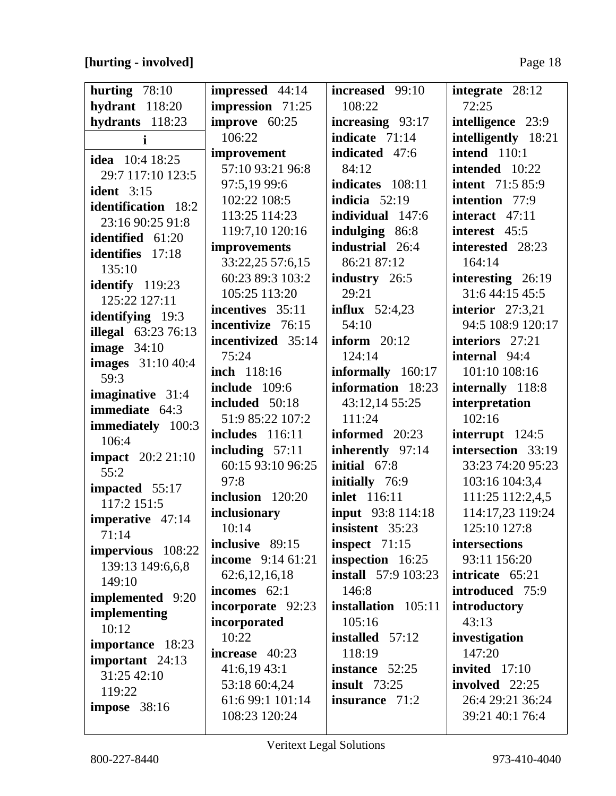## **[hurting - involved]** Page 18

| hurting $78:10$                           | impressed 44:14                   | increased 99:10<br>108:22            | integrate 28:12<br>72:25                 |
|-------------------------------------------|-----------------------------------|--------------------------------------|------------------------------------------|
| hydrant 118:20<br>hydrants 118:23         | impression 71:25<br>improve 60:25 |                                      |                                          |
|                                           | 106:22                            | increasing 93:17<br>indicate $71:14$ | intelligence 23:9<br>intelligently 18:21 |
| i                                         | improvement                       | indicated 47:6                       | intend $110:1$                           |
| <b>idea</b> 10:4 18:25                    | 57:10 93:21 96:8                  | 84:12                                | intended 10:22                           |
| 29:7 117:10 123:5                         | 97:5,19 99:6                      | indicates 108:11                     | <b>intent</b> 71:5 85:9                  |
| <b>ident</b> 3:15                         | 102:22 108:5                      | indicia $52:19$                      | intention 77:9                           |
| <b>identification</b> 18:2                | 113:25 114:23                     | individual 147:6                     | interact 47:11                           |
| 23:16 90:25 91:8                          | 119:7,10 120:16                   | indulging 86:8                       | interest 45:5                            |
| identified 61:20                          | improvements                      | industrial 26:4                      | interested 28:23                         |
| <b>identifies</b> 17:18                   | 33:22,25 57:6,15                  | 86:21 87:12                          | 164:14                                   |
| 135:10                                    | 60:23 89:3 103:2                  | industry 26:5                        | interesting 26:19                        |
| identify 119:23                           | 105:25 113:20                     | 29:21                                | 31:6 44:15 45:5                          |
| 125:22 127:11                             | incentives 35:11                  | influx $52:4,23$                     | interior $27:3,21$                       |
| <b>identifying</b> 19:3                   | incentivize 76:15                 | 54:10                                | 94:5 108:9 120:17                        |
| <b>illegal</b> 63:23 76:13                | incentivized 35:14                | inform $20:12$                       | interiors 27:21                          |
| image $34:10$                             | 75:24                             | 124:14                               | internal 94:4                            |
| <b>images</b> 31:10 40:4                  | inch 118:16                       | informally 160:17                    | 101:10 108:16                            |
| 59:3                                      | <b>include</b> 109:6              | information 18:23                    | internally 118:8                         |
| imaginative 31:4<br><b>immediate</b> 64:3 | included 50:18                    | 43:12,14 55:25                       | interpretation                           |
|                                           | 51:9 85:22 107:2                  | 111:24                               | 102:16                                   |
| immediately 100:3<br>106:4                | includes 116:11                   | informed 20:23                       | interrupt 124:5                          |
|                                           | including $57:11$                 | inherently 97:14                     | intersection 33:19                       |
| <b>impact</b> 20:2 21:10<br>55:2          | 60:15 93:10 96:25                 | initial 67:8                         | 33:23 74:20 95:23                        |
| impacted 55:17                            | 97:8                              | initially 76:9                       | 103:16 104:3,4                           |
| 117:2 151:5                               | inclusion 120:20                  | <b>inlet</b> 116:11                  | 111:25 112:2,4,5                         |
| imperative 47:14                          | inclusionary                      | input 93:8 114:18                    | 114:17,23 119:24                         |
| 71:14                                     | 10:14                             | insistent 35:23                      | 125:10 127:8                             |
| impervious 108:22                         | inclusive 89:15                   | inspect $71:15$                      | intersections                            |
| 139:13 149:6,6,8                          | <b>income</b> $9:1461:21$         | inspection 16:25                     | 93:11 156:20                             |
| 149:10                                    | 62:6,12,16,18                     | <b>install</b> 57:9 103:23           | intricate 65:21                          |
| <b>implemented</b> 9:20                   | incomes $62:1$                    | 146:8                                | introduced 75:9                          |
| implementing                              | incorporate 92:23                 | installation 105:11                  | introductory                             |
| 10:12                                     | incorporated                      | 105:16                               | 43:13                                    |
| importance 18:23                          | 10:22                             | <b>installed</b> 57:12               | investigation                            |
| important 24:13                           | increase 40:23                    | 118:19                               | 147:20                                   |
| 31:25 42:10                               | 41:6,1943:1                       | instance 52:25                       | invited $17:10$                          |
| 119:22                                    | 53:18 60:4,24                     | insult $73:25$                       | involved 22:25                           |
| <b>impose</b> 38:16                       | 61:6 99:1 101:14                  | insurance 71:2                       | 26:4 29:21 36:24                         |
|                                           | 108:23 120:24                     |                                      | 39:21 40:1 76:4                          |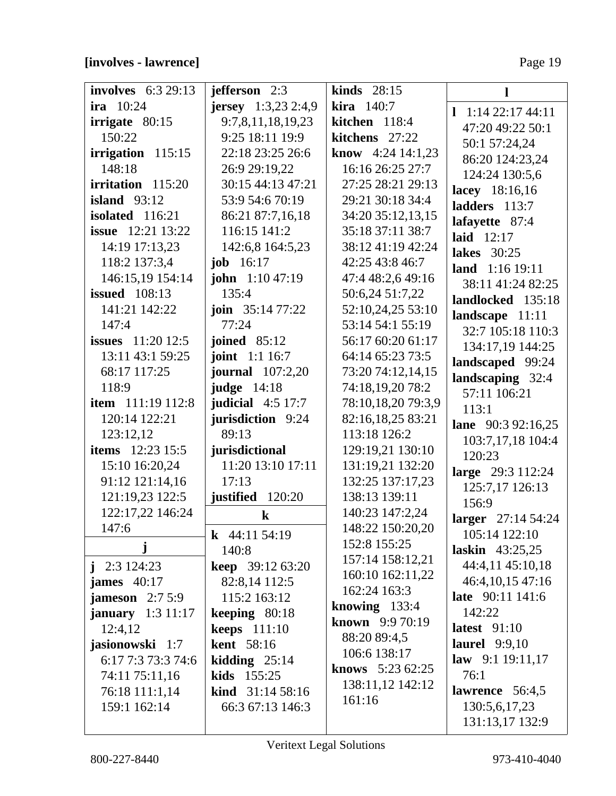## [involves - lawrence]

Page 19

| <b>involves</b> 6:3 29:13  | jefferson 2:3                | kinds $28:15$            | Ш                      |
|----------------------------|------------------------------|--------------------------|------------------------|
| ira $10:24$                | <b>jersey</b> $1:3,23$ 2:4,9 | kira 140:7               | $1 \t1:14$ 22:17 44:11 |
| irrigate 80:15             | 9:7,8,11,18,19,23            | kitchen 118:4            | 47:20 49:22 50:1       |
| 150:22                     | 9:25 18:11 19:9              | kitchens 27:22           | 50:1 57:24,24          |
| irrigation $115:15$        | 22:18 23:25 26:6             | <b>know</b> 4:24 14:1,23 | 86:20 124:23,24        |
| 148:18                     | 26:9 29:19,22                | 16:16 26:25 27:7         | 124:24 130:5,6         |
| irritation 115:20          | 30:15 44:13 47:21            | 27:25 28:21 29:13        | lacey 18:16,16         |
| island $93:12$             | 53:9 54:6 70:19              | 29:21 30:18 34:4         | ladders 113:7          |
| isolated 116:21            | 86:21 87:7,16,18             | 34:20 35:12,13,15        | lafayette 87:4         |
| <b>issue</b> 12:21 13:22   | 116:15 141:2                 | 35:18 37:11 38:7         | laid $12:17$           |
| 14:19 17:13,23             | 142:6,8 164:5,23             | 38:12 41:19 42:24        | <b>lakes</b> 30:25     |
| 118:2 137:3,4              | <b>job</b> $16:17$           | 42:25 43:8 46:7          | land 1:16 19:11        |
| 146:15,19 154:14           | <b>john</b> $1:1047:19$      | 47:4 48:2,6 49:16        | 38:11 41:24 82:25      |
| issued $108:13$            | 135:4                        | 50:6,24 51:7,22          | landlocked 135:18      |
| 141:21 142:22              | <b>join</b> $35:1477:22$     | 52:10,24,25 53:10        | landscape $11:11$      |
| 147:4                      | 77:24                        | 53:14 54:1 55:19         | 32:7 105:18 110:3      |
| <b>issues</b> $11:20 12:5$ | joined $85:12$               | 56:17 60:20 61:17        | 134:17,19 144:25       |
| 13:11 43:1 59:25           | <b>joint</b> 1:1 16:7        | 64:14 65:23 73:5         | landscaped 99:24       |
| 68:17 117:25               | <b>journal</b> 107:2,20      | 73:20 74:12,14,15        | landscaping 32:4       |
| 118:9                      | judge $14:18$                | 74:18,19,20 78:2         | 57:11 106:21           |
| <b>item</b> 111:19 112:8   | judicial $4:5$ 17:7          | 78:10,18,20 79:3,9       | 113:1                  |
| 120:14 122:21              | <b>jurisdiction</b> 9:24     | 82:16,18,25 83:21        | lane 90:3 92:16,25     |
| 123:12,12                  | 89:13                        | 113:18 126:2             | 103:7,17,18 104:4      |
| <b>items</b> 12:23 15:5    | jurisdictional               | 129:19,21 130:10         | 120:23                 |
| 15:10 16:20,24             | 11:20 13:10 17:11            | 131:19,21 132:20         | large 29:3 112:24      |
| 91:12 121:14,16            | 17:13                        | 132:25 137:17,23         | 125:7,17 126:13        |
| 121:19,23 122:5            | justified 120:20             | 138:13 139:11            | 156:9                  |
| 122:17,22 146:24           | $\bf k$                      | 140:23 147:2,24          | larger 27:14 54:24     |
| 147:6                      | <b>k</b> 44:11 54:19         | 148:22 150:20,20         | 105:14 122:10          |
| j                          | 140:8                        | 152:8 155:25             | laskin $43:25,25$      |
| $j$ 2:3 124:23             | <b>keep</b> $39:1263:20$     | 157:14 158:12,21         | 44:4,11 45:10,18       |
| james $40:17$              | 82:8,14 112:5                | 160:10 162:11,22         | 46:4,10,15 47:16       |
| jameson $2:75:9$           | 115:2 163:12                 | 162:24 163:3             | late 90:11 141:6       |
| <b>january</b> $1:3 11:17$ | keeping $80:18$              | knowing $133:4$          | 142:22                 |
| 12:4,12                    | keeps $111:10$               | known 9:9 70:19          | latest $91:10$         |
| jasionowski 1:7            | <b>kent</b> 58:16            | 88:20 89:4,5             | <b>laurel</b> 9:9,10   |
| 6:17 7:3 73:3 74:6         | kidding $25:14$              | 106:6 138:17             | law $9:119:11,17$      |
| 74:11 75:11,16             | kids 155:25                  | <b>knows</b> $5:2362:25$ | 76:1                   |
| 76:18 111:1,14             | <b>kind</b> $31:1458:16$     | 138:11,12 142:12         | lawrence 56:4,5        |
| 159:1 162:14               | 66:3 67:13 146:3             | 161:16                   | 130:5,6,17,23          |
|                            |                              |                          | 131:13,17 132:9        |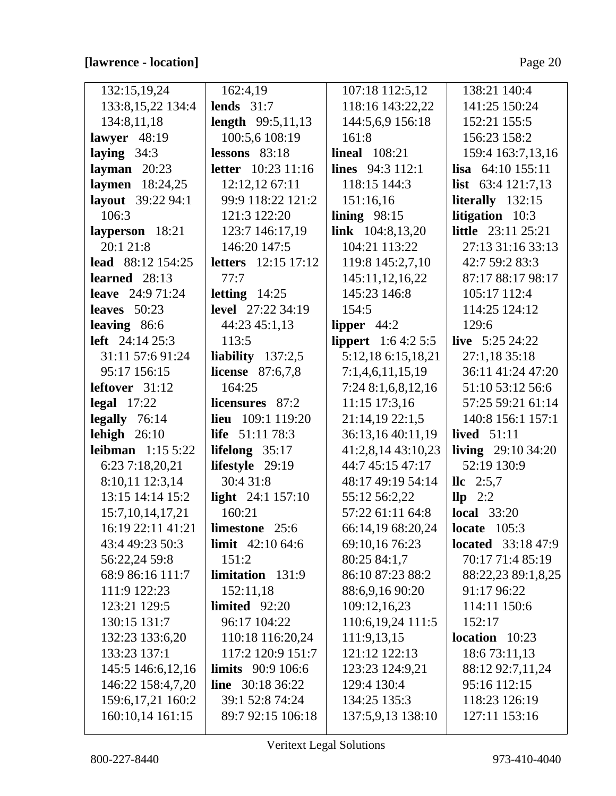## **[lawrence - location]** Page 20

| 132:15,19,24              | 162:4,19                   | 107:18 112:5,12            | 138:21 140:4               |
|---------------------------|----------------------------|----------------------------|----------------------------|
| 133:8, 15, 22 134:4       | lends $31:7$               | 118:16 143:22,22           | 141:25 150:24              |
| 134:8,11,18               | <b>length</b> 99:5,11,13   | 144:5,6,9 156:18           | 152:21 155:5               |
| lawyer $48:19$            | 100:5,6 108:19             | 161:8                      | 156:23 158:2               |
| laying $34:3$             | lessons $83:18$            | <b>lineal</b> 108:21       | 159:4 163:7,13,16          |
| layman $20:23$            | <b>letter</b> 10:23 11:16  | <b>lines</b> 94:3 112:1    | <b>lisa</b> $64:10$ 155:11 |
| laymen 18:24,25           | 12:12,12 67:11             | 118:15 144:3               | <b>list</b> 63:4 121:7,13  |
| layout 39:22 94:1         | 99:9 118:22 121:2          | 151:16,16                  | literally $132:15$         |
| 106:3                     | 121:3 122:20               | lining $98:15$             | <b>litigation</b> 10:3     |
| layperson 18:21           | 123:7 146:17,19            | link $104:8,13,20$         | little 23:11 25:21         |
| 20:1 21:8                 | 146:20 147:5               | 104:21 113:22              | 27:13 31:16 33:13          |
| lead 88:12 154:25         | <b>letters</b> 12:15 17:12 | 119:8 145:2,7,10           | 42:7 59:2 83:3             |
| learned $28:13$           | 77:7                       | 145:11,12,16,22            | 87:17 88:17 98:17          |
| <b>leave</b> $24:971:24$  | letting $14:25$            | 145:23 146:8               | 105:17 112:4               |
| leaves $50:23$            | <b>level</b> 27:22 34:19   | 154:5                      | 114:25 124:12              |
| leaving 86:6              | 44:23 45:1,13              | lipper $44:2$              | 129:6                      |
| <b>left</b> $24:14\,25:3$ | 113:5                      | <b>lippert</b> $1:64:25:5$ | live $5:25\,24:22$         |
| 31:11 57:6 91:24          | liability $137:2,5$        | 5:12,18 6:15,18,21         | 27:1,18 35:18              |
| 95:17 156:15              | <b>license</b> $87:6,7,8$  | 7:1,4,6,11,15,19           | 36:11 41:24 47:20          |
| leftover $31:12$          | 164:25                     | 7:24 8:1,6,8,12,16         | 51:10 53:12 56:6           |
| $\text{legal } 17:22$     | licensures 87:2            | 11:15 17:3,16              | 57:25 59:21 61:14          |
| legally $76:14$           | <b>lieu</b> 109:1 119:20   | 21:14,19 22:1,5            | 140:8 156:1 157:1          |
| lehigh $26:10$            | <b>life</b> 51:11 78:3     | 36:13,16 40:11,19          | lived $51:11$              |
| <b>leibman</b> $1:155:22$ | lifelong $35:17$           | 41:2,8,14 43:10,23         | living $29:1034:20$        |
| 6:23 7:18,20,21           | lifestyle 29:19            | 44:7 45:15 47:17           | 52:19 130:9                |
| 8:10,11 12:3,14           | 30:4 31:8                  | 48:17 49:19 54:14          | $\text{llc}$ 2:5,7         |
| 13:15 14:14 15:2          | light 24:1 157:10          | 55:12 56:2,22              | $\mathbf{llp}$ 2:2         |
| 15:7, 10, 14, 17, 21      | 160:21                     | 57:22 61:11 64:8           | <b>local</b> 33:20         |
| 16:19 22:11 41:21         | limestone 25:6             | 66:14,19 68:20,24          | locate $105:3$             |
| 43:4 49:23 50:3           | limit $42:1064:6$          | 69:10,16 76:23             | <b>located</b> 33:18 47:9  |
| 56:22,24 59:8             | 151:2                      | 80:25 84:1,7               | 70:17 71:4 85:19           |
| 68:9 86:16 111:7          | limitation 131:9           | 86:10 87:23 88:2           | 88:22,23 89:1,8,25         |
| 111:9 122:23              | 152:11,18                  | 88:6,9,16 90:20            | 91:17 96:22                |
| 123:21 129:5              | limited 92:20              | 109:12,16,23               | 114:11 150:6               |
| 130:15 131:7              | 96:17 104:22               | 110:6,19,24 111:5          | 152:17                     |
| 132:23 133:6,20           | 110:18 116:20,24           | 111:9,13,15                | $location$ 10:23           |
| 133:23 137:1              | 117:2 120:9 151:7          | 121:12 122:13              | 18:6 73:11,13              |
| 145:5 146:6,12,16         | <b>limits</b> 90:9 106:6   | 123:23 124:9,21            | 88:12 92:7,11,24           |
| 146:22 158:4,7,20         | <b>line</b> $30:1836:22$   | 129:4 130:4                | 95:16 112:15               |
| 159:6, 17, 21 160: 2      | 39:1 52:8 74:24            | 134:25 135:3               | 118:23 126:19              |
| 160:10,14 161:15          | 89:7 92:15 106:18          | 137:5,9,13 138:10          | 127:11 153:16              |
|                           |                            |                            |                            |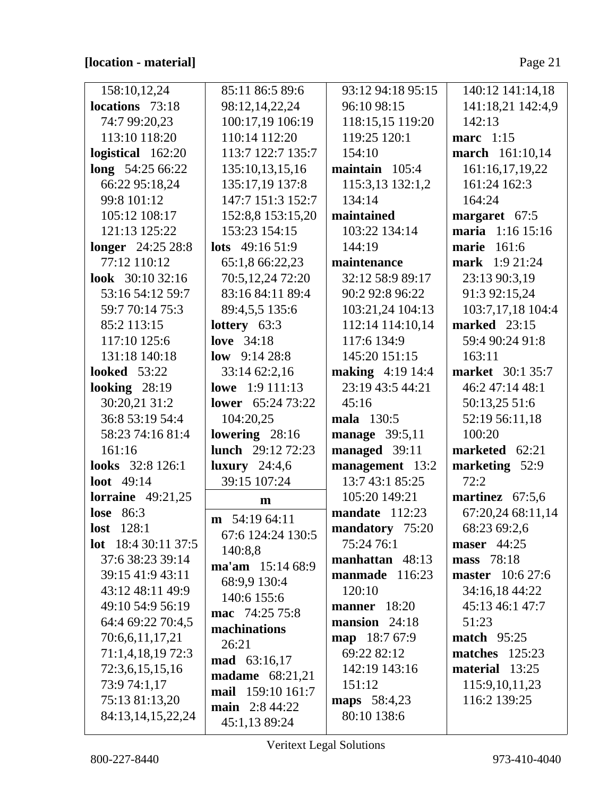| 158:10,12,24               | 85:11 86:5 89:6          | 93:12 94:18 95:15       | 140:12 141:14,18        |
|----------------------------|--------------------------|-------------------------|-------------------------|
| locations 73:18            | 98:12,14,22,24           | 96:10 98:15             | 141:18,21 142:4,9       |
| 74:7 99:20,23              | 100:17,19 106:19         | 118:15,15 119:20        | 142:13                  |
| 113:10 118:20              | 110:14 112:20            | 119:25 120:1            | marc 1:15               |
| logistical 162:20          | 113:7 122:7 135:7        | 154:10                  | march 161:10,14         |
| long 54:25 66:22           | 135:10,13,15,16          | maintain $105:4$        | 161:16,17,19,22         |
| 66:22 95:18,24             | 135:17,19 137:8          | 115:3,13 132:1,2        | 161:24 162:3            |
| 99:8 101:12                | 147:7 151:3 152:7        | 134:14                  | 164:24                  |
| 105:12 108:17              | 152:8,8 153:15,20        | maintained              | margaret 67:5           |
| 121:13 125:22              | 153:23 154:15            | 103:22 134:14           | maria 1:16 15:16        |
| longer 24:25 28:8          | lots 49:16 51:9          | 144:19                  | 161:6<br>marie          |
| 77:12 110:12               | 65:1,8 66:22,23          | maintenance             | mark 1:9 21:24          |
| look $30:1032:16$          | 70:5,12,24 72:20         | 32:12 58:9 89:17        | 23:13 90:3,19           |
| 53:16 54:12 59:7           | 83:16 84:11 89:4         | 90:2 92:8 96:22         | 91:3 92:15,24           |
| 59:7 70:14 75:3            | 89:4,5,5 135:6           | 103:21,24 104:13        | 103:7,17,18 104:4       |
| 85:2 113:15                | lottery $63:3$           | 112:14 114:10,14        | marked $23:15$          |
| 117:10 125:6               | love $34:18$             | 117:6 134:9             | 59:4 90:24 91:8         |
| 131:18 140:18              | <b>low</b> $9:1428:8$    | 145:20 151:15           | 163:11                  |
| <b>looked</b> 53:22        | 33:14 62:2,16            | <b>making</b> 4:19 14:4 | <b>market</b> 30:1 35:7 |
| looking $28:19$            | lowe 1:9 111:13          | 23:19 43:5 44:21        | 46:2 47:14 48:1         |
| 30:20,21 31:2              | <b>lower</b> 65:24 73:22 | 45:16                   | 50:13,25 51:6           |
| 36:8 53:19 54:4            | 104:20,25                | mala 130:5              | 52:19 56:11,18          |
| 58:23 74:16 81:4           | lowering 28:16           | manage 39:5,11          | 100:20                  |
| 161:16                     | <b>lunch</b> 29:12 72:23 | managed 39:11           | marketed 62:21          |
| looks 32:8 126:1           | luxury $24:4,6$          | management 13:2         | marketing 52:9          |
| <b>loot</b> 49:14          | 39:15 107:24             | 13:7 43:1 85:25         | 72:2                    |
| lorraine $49:21,25$        | $\mathbf{m}$             | 105:20 149:21           | martinez 67:5,6         |
| <b>lose</b> 86:3           | $m$ 54:19 64:11          | mandate 112:23          | 67:20,24 68:11,14       |
| <b>lost</b> 128:1          | 67:6 124:24 130:5        | mandatory 75:20         | 68:23 69:2,6            |
| <b>lot</b> 18:4 30:11 37:5 | 140:8,8                  | 75:24 76:1              | maser $44:25$           |
| 37:6 38:23 39:14           | ma'am 15:14 68:9         | manhattan 48:13         | mass 78:18              |
| 39:15 41:9 43:11           | 68:9,9 130:4             | manmade 116:23          | <b>master</b> 10:6 27:6 |
| 43:12 48:11 49:9           | 140:6 155:6              | 120:10                  | 34:16,18 44:22          |
| 49:10 54:9 56:19           | mac 74:25 75:8           | manner 18:20            | 45:13 46:1 47:7         |
| 64:4 69:22 70:4,5          | machinations             | mansion $24:18$         | 51:23                   |
| 70:6,6,11,17,21            | 26:21                    | map 18:7 67:9           | <b>match</b> 95:25      |
| 71:1,4,18,19 72:3          | mad 63:16,17             | 69:22 82:12             | <b>matches</b> 125:23   |
| 72:3,6,15,15,16            | madame 68:21,21          | 142:19 143:16           | material 13:25          |
| 73:9 74:1,17               | mail 159:10 161:7        | 151:12                  | 115:9, 10, 11, 23       |
| 75:13 81:13,20             | <b>main</b> 2:8 44:22    | maps 58:4,23            | 116:2 139:25            |
| 84:13,14,15,22,24          |                          | 80:10 138:6             |                         |
|                            | 45:1,13 89:24            |                         |                         |

Veritext Legal Solutions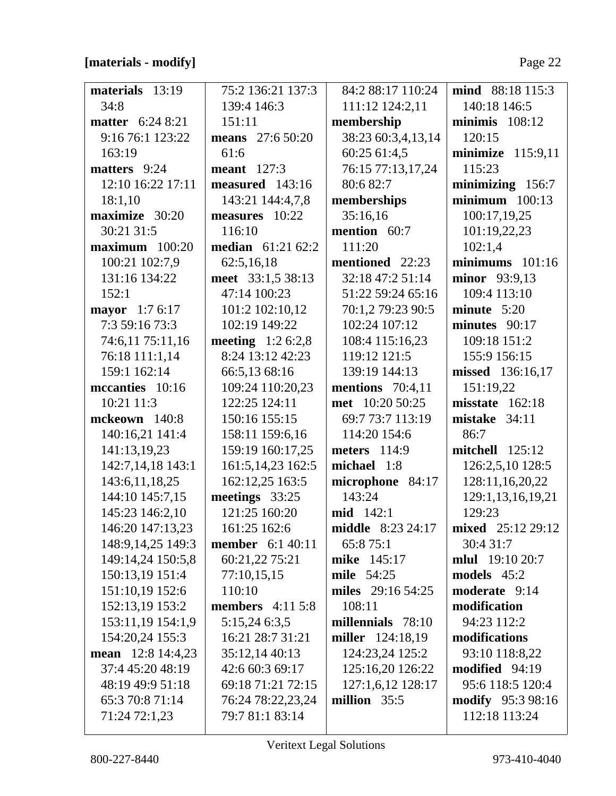## [materials - modify]

| materials 13:19         | 75:2 136:21 137:3         | 84:2 88:17 110:24        | mind 88:18 115:3         |
|-------------------------|---------------------------|--------------------------|--------------------------|
| 34:8                    | 139:4 146:3               | 111:12 124:2,11          | 140:18 146:5             |
| <b>matter</b> 6:24 8:21 | 151:11                    | membership               | minimis $108:12$         |
| 9:16 76:1 123:22        | <b>means</b> 27:6 50:20   | 38:23 60:3,4,13,14       | 120:15                   |
| 163:19                  | 61:6                      | 60:25 61:4,5             | minimize $115:9,11$      |
| matters 9:24            | <b>meant</b> 127:3        | 76:15 77:13,17,24        | 115:23                   |
| 12:10 16:22 17:11       | measured 143:16           | 80:6 82:7                | minimizing 156:7         |
| 18:1,10                 | 143:21 144:4,7,8          | memberships              | $minimum$ 100:13         |
| maximize 30:20          | measures 10:22            | 35:16,16                 | 100:17,19,25             |
| 30:21 31:5              | 116:10                    | mention 60:7             | 101:19,22,23             |
| $maximum$ 100:20        | <b>median</b> 61:21 62:2  | 111:20                   | 102:1,4                  |
| 100:21 102:7,9          | 62:5,16,18                | mentioned 22:23          | $minimums 101:16$        |
| 131:16 134:22           | meet 33:1,5 38:13         | 32:18 47:2 51:14         | minor 93:9,13            |
| 152:1                   | 47:14 100:23              | 51:22 59:24 65:16        | 109:4 113:10             |
| mayor 1:7 6:17          | 101:2 102:10,12           | 70:1,2 79:23 90:5        | minute $5:20$            |
| 7:3 59:16 73:3          | 102:19 149:22             | 102:24 107:12            | minutes $90:17$          |
| 74:6,11 75:11,16        | <b>meeting</b> $1:26:2,8$ | 108:4 115:16,23          | 109:18 151:2             |
| 76:18 111:1,14          | 8:24 13:12 42:23          | 119:12 121:5             | 155:9 156:15             |
| 159:1 162:14            | 66:5,13 68:16             | 139:19 144:13            | missed 136:16,17         |
| mccanties 10:16         | 109:24 110:20,23          | mentions $70:4,11$       | 151:19,22                |
| 10:21 11:3              | 122:25 124:11             | met 10:20 50:25          | misstate 162:18          |
| mckeown 140:8           | 150:16 155:15             | 69:7 73:7 113:19         | mistake 34:11            |
| 140:16,21 141:4         | 158:11 159:6,16           | 114:20 154:6             | 86:7                     |
| 141:13,19,23            | 159:19 160:17,25          | <b>meters</b> 114:9      | $\text{mitchell}$ 125:12 |
| 142:7,14,18 143:1       | 161:5, 14, 23 162:5       | michael 1:8              | 126:2,5,10 128:5         |
| 143:6, 11, 18, 25       | 162:12,25 163:5           | microphone 84:17         | 128:11,16,20,22          |
| 144:10 145:7,15         | meetings 33:25            | 143:24                   | 129:1,13,16,19,21        |
| 145:23 146:2,10         | 121:25 160:20             | mid 142:1                | 129:23                   |
| 146:20 147:13,23        | 161:25 162:6              | <b>middle</b> 8:23 24:17 | <b>mixed</b> 25:12 29:12 |
| 148:9, 14, 25 149: 3    | <b>member</b> 6:1 40:11   | 65:8 75:1                | 30:4 31:7                |
| 149:14,24 150:5,8       | 60:21,22 75:21            | mike 145:17              | <b>mlul</b> 19:10 20:7   |
| 150:13,19 151:4         | 77:10,15,15               | mile 54:25               | models $45:2$            |
| 151:10,19 152:6         | 110:10                    | miles 29:16 54:25        | moderate 9:14            |
| 152:13,19 153:2         | members $4:115:8$         | 108:11                   | modification             |
| 153:11,19 154:1,9       | 5:15,24 6:3,5             | millennials 78:10        | 94:23 112:2              |
| 154:20,24 155:3         | 16:21 28:7 31:21          | miller 124:18,19         | modifications            |
| mean 12:8 14:4,23       | 35:12,14 40:13            | 124:23,24 125:2          | 93:10 118:8,22           |
| 37:4 45:20 48:19        | 42:6 60:3 69:17           | 125:16,20 126:22         | modified 94:19           |
| 48:19 49:9 51:18        | 69:18 71:21 72:15         | 127:1,6,12 128:17        | 95:6 118:5 120:4         |
| 65:3 70:8 71:14         | 76:24 78:22,23,24         | million $35:5$           | <b>modify</b> 95:3 98:16 |
| 71:24 72:1,23           | 79:7 81:1 83:14           |                          | 112:18 113:24            |
|                         |                           |                          |                          |

 $\perp$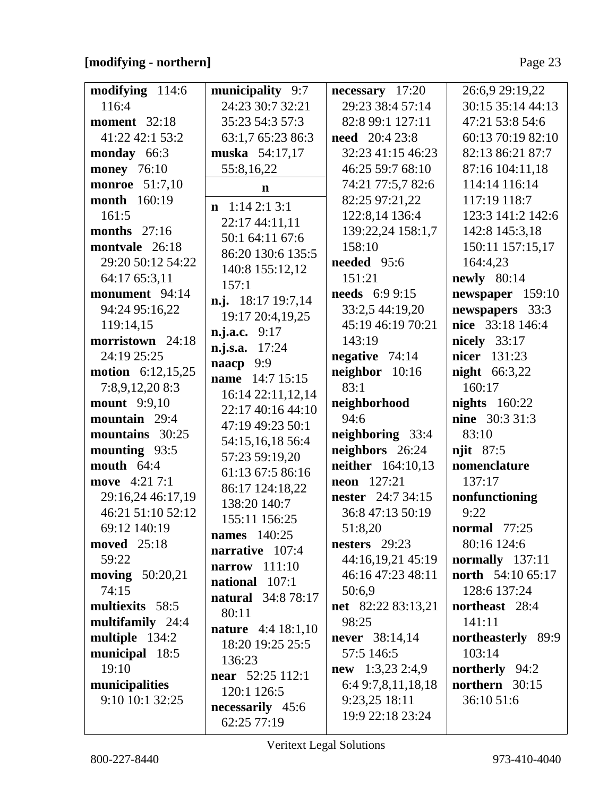## [modifying - northern]

| modifying 114:6            | municipality 9:7          | necessary 17:20          | 26:6,9 29:19,22       |
|----------------------------|---------------------------|--------------------------|-----------------------|
| 116:4                      | 24:23 30:7 32:21          | 29:23 38:4 57:14         | 30:15 35:14 44:13     |
|                            |                           |                          |                       |
| <b>moment</b> 32:18        | 35:23 54:3 57:3           | 82:8 99:1 127:11         | 47:21 53:8 54:6       |
| 41:22 42:1 53:2            | 63:1,7 65:23 86:3         | <b>need</b> 20:4 23:8    | 60:13 70:19 82:10     |
| monday 66:3                | muska 54:17,17            | 32:23 41:15 46:23        | 82:13 86:21 87:7      |
| <b>money</b> 76:10         | 55:8,16,22                | 46:25 59:7 68:10         | 87:16 104:11,18       |
| <b>monroe</b> 51:7,10      | $\mathbf n$               | 74:21 77:5,7 82:6        | 114:14 116:14         |
| <b>month</b> 160:19        |                           | 82:25 97:21,22           | 117:19 118:7          |
|                            | $n \quad 1:14\;2:1\;3:1$  |                          |                       |
| 161:5                      | 22:17 44:11,11            | 122:8,14 136:4           | 123:3 141:2 142:6     |
| <b>months</b> 27:16        | 50:1 64:11 67:6           | 139:22,24 158:1,7        | 142:8 145:3,18        |
| montvale 26:18             | 86:20 130:6 135:5         | 158:10                   | 150:11 157:15,17      |
| 29:20 50:12 54:22          |                           | needed 95:6              | 164:4,23              |
| 64:17 65:3,11              | 140:8 155:12,12           | 151:21                   | newly 80:14           |
| monument 94:14             | 157:1                     | <b>needs</b> 6:9 9:15    | newspaper 159:10      |
| 94:24 95:16,22             | n.j. 18:17 19:7,14        | 33:2,5 44:19,20          | newspapers 33:3       |
|                            | 19:17 20:4,19,25          |                          |                       |
| 119:14,15                  | n.j.a.c. 9:17             | 45:19 46:19 70:21        | nice 33:18 146:4      |
| morristown 24:18           | n.j.s.a. 17:24            | 143:19                   | <b>nicely</b> 33:17   |
| 24:19 25:25                | naacp 9:9                 | negative $74:14$         | nicer 131:23          |
| <b>motion</b> $6:12,15,25$ | name 14:7 15:15           | neighbor 10:16           | <b>night</b> 66:3,22  |
| 7:8,9,12,20 8:3            |                           | 83:1                     | 160:17                |
| <b>mount</b> 9:9,10        | 16:14 22:11,12,14         | neighborhood             | nights $160:22$       |
| mountain 29:4              | 22:17 40:16 44:10         | 94:6                     | <b>nine</b> 30:3 31:3 |
|                            | 47:19 49:23 50:1          |                          |                       |
| mountains 30:25            | 54:15,16,18 56:4          | neighboring 33:4         | 83:10                 |
| mounting 93:5              | 57:23 59:19,20            | neighbors 26:24          | njit 87:5             |
| mouth $64:4$               | 61:13 67:5 86:16          | neither 164:10,13        | nomenclature          |
| move 4:21 7:1              |                           | <b>neon</b> $127:21$     | 137:17                |
| 29:16,24 46:17,19          | 86:17 124:18,22           | <b>nester</b> 24:7 34:15 | nonfunctioning        |
| 46:21 51:10 52:12          | 138:20 140:7              | 36:8 47:13 50:19         | 9:22                  |
| 69:12 140:19               | 155:11 156:25             | 51:8,20                  | <b>normal</b> 77:25   |
|                            | <b>names</b> 140:25       |                          |                       |
| moved 25:18                | narrative 107:4           | nesters $29:23$          | 80:16 124:6           |
| 59:22                      | narrow $111:10$           | 44:16,19,21 45:19        | normally $137:11$     |
| moving 50:20,21            | national 107:1            | 46:16 47:23 48:11        | north 54:10 65:17     |
| 74:15                      | <b>natural</b> 34:8 78:17 | 50:6,9                   | 128:6 137:24          |
| multiexits 58:5            |                           | net 82:22 83:13,21       | northeast 28:4        |
| multifamily 24:4           | 80:11                     | 98:25                    | 141:11                |
|                            | <b>nature</b> 4:4 18:1,10 |                          | northeasterly 89:9    |
| multiple 134:2             | 18:20 19:25 25:5          | never 38:14,14           |                       |
| municipal 18:5             | 136:23                    | 57:5 146:5               | 103:14                |
| 19:10                      | near 52:25 112:1          | $new$ 1:3,23 2:4,9       | <b>northerly</b> 94:2 |
| municipalities             | 120:1 126:5               | 6:4 9:7,8,11,18,18       | northern 30:15        |
| 9:10 10:1 32:25            |                           | 9:23,25 18:11            | 36:10 51:6            |
|                            | necessarily 45:6          | 19:9 22:18 23:24         |                       |
|                            | 62:25 77:19               |                          |                       |

Veritext Legal Solutions

 $\lfloor$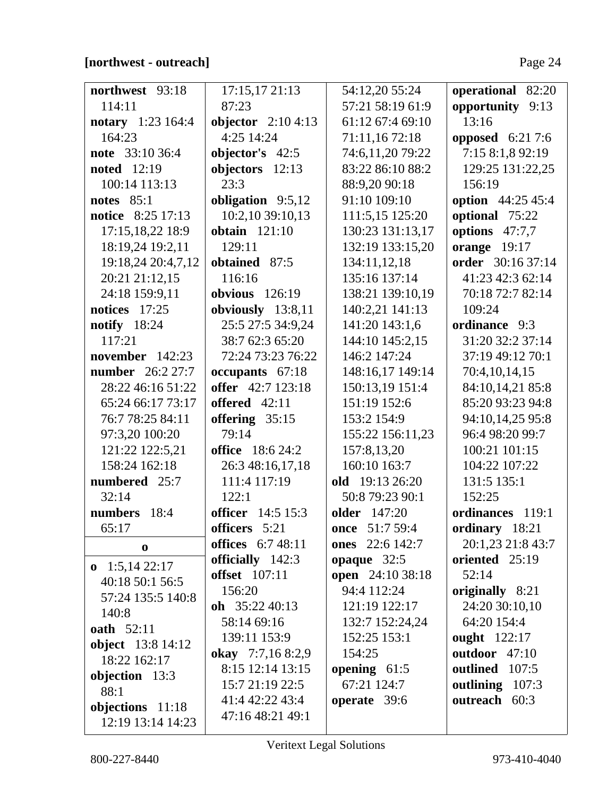## **[northwest - outreach]** Page 24

| northwest 93:18                       | 17:15,17 21:13                           | 54:12,20 55:24                  | operational 82:20        |
|---------------------------------------|------------------------------------------|---------------------------------|--------------------------|
| 114:11                                | 87:23                                    | 57:21 58:19 61:9                | opportunity 9:13         |
| notary 1:23 164:4                     | objector $2:104:13$                      | 61:12 67:4 69:10                | 13:16                    |
| 164:23                                | 4:25 14:24                               | 71:11,16 72:18                  | <b>opposed</b> 6:21 7:6  |
| note 33:10 36:4                       | objector's 42:5                          | 74:6,11,20 79:22                | 7:15 8:1,8 92:19         |
| <b>noted</b> 12:19                    | objectors $12:13$                        | 83:22 86:10 88:2                | 129:25 131:22,25         |
| 100:14 113:13                         | 23:3                                     | 88:9,20 90:18                   | 156:19                   |
| notes $85:1$                          | obligation 9:5,12                        | 91:10 109:10                    | <b>option</b> 44:25 45:4 |
| notice 8:25 17:13                     | 10:2,10 39:10,13                         | 111:5,15 125:20                 | optional 75:22           |
| 17:15,18,22 18:9                      | obtain $121:10$                          | 130:23 131:13,17                | options 47:7,7           |
| 18:19,24 19:2,11                      | 129:11                                   | 132:19 133:15,20                | orange $19:17$           |
| 19:18,24 20:4,7,12                    | obtained 87:5                            | 134:11,12,18                    | order 30:16 37:14        |
| 20:21 21:12,15                        | 116:16                                   | 135:16 137:14                   | 41:23 42:3 62:14         |
| 24:18 159:9,11                        | obvious $126:19$                         | 138:21 139:10,19                | 70:18 72:7 82:14         |
| notices $17:25$                       | obviously 13:8,11                        | 140:2,21 141:13                 | 109:24                   |
| notify $18:24$                        | 25:5 27:5 34:9,24                        | 141:20 143:1,6                  | ordinance 9:3            |
| 117:21                                | 38:7 62:3 65:20                          | 144:10 145:2,15                 | 31:20 32:2 37:14         |
| november 142:23                       | 72:24 73:23 76:22                        | 146:2 147:24                    | 37:19 49:12 70:1         |
| <b>number</b> 26:2 27:7               | occupants 67:18                          | 148:16,17 149:14                | 70:4,10,14,15            |
| 28:22 46:16 51:22                     | offer 42:7 123:18                        | 150:13,19 151:4                 | 84:10,14,21 85:8         |
| 65:24 66:17 73:17                     | offered 42:11                            | 151:19 152:6                    | 85:20 93:23 94:8         |
| 76:7 78:25 84:11                      | offering $35:15$                         | 153:2 154:9                     | 94:10,14,25 95:8         |
| 97:3,20 100:20                        | 79:14                                    | 155:22 156:11,23                | 96:4 98:20 99:7          |
| 121:22 122:5,21                       | <b>office</b> 18:6 24:2                  | 157:8,13,20                     | 100:21 101:15            |
| 158:24 162:18                         | 26:3 48:16,17,18                         | 160:10 163:7                    | 104:22 107:22            |
| numbered 25:7                         | 111:4 117:19                             | old 19:13 26:20                 | 131:5 135:1              |
| 32:14                                 | 122:1                                    | 50:8 79:23 90:1                 | 152:25                   |
| numbers 18:4                          | <b>officer</b> 14:5 15:3                 | older 147:20                    | ordinances 119:1         |
| 65:17                                 | officers 5:21                            | once 51:7 59:4                  | ordinary 18:21           |
| $\bf{0}$                              | <b>offices</b> 6:7 48:11                 | ones 22:6 142:7                 | 20:1,23 21:8 43:7        |
| $\mathbf{0}$ 1:5,14 22:17             | officially 142:3<br><b>offset</b> 107:11 | opaque 32:5                     | oriented 25:19<br>52:14  |
| 40:18 50:1 56:5                       | 156:20                                   | open 24:10 38:18<br>94:4 112:24 | originally 8:21          |
| 57:24 135:5 140:8                     | oh $35:2240:13$                          | 121:19 122:17                   | 24:20 30:10,10           |
| 140:8                                 | 58:14 69:16                              | 132:7 152:24,24                 | 64:20 154:4              |
| <b>oath</b> 52:11                     | 139:11 153:9                             | 152:25 153:1                    | <b>ought</b> 122:17      |
| <b>object</b> 13:8 14:12              | okay 7:7,168:2,9                         | 154:25                          | outdoor 47:10            |
| 18:22 162:17                          | 8:15 12:14 13:15                         | opening $61:5$                  | outlined 107:5           |
| objection 13:3                        | 15:7 21:19 22:5                          | 67:21 124:7                     | outlining 107:3          |
| 88:1                                  | 41:4 42:22 43:4                          | operate 39:6                    | outreach 60:3            |
| objections 11:18<br>12:19 13:14 14:23 | 47:16 48:21 49:1                         |                                 |                          |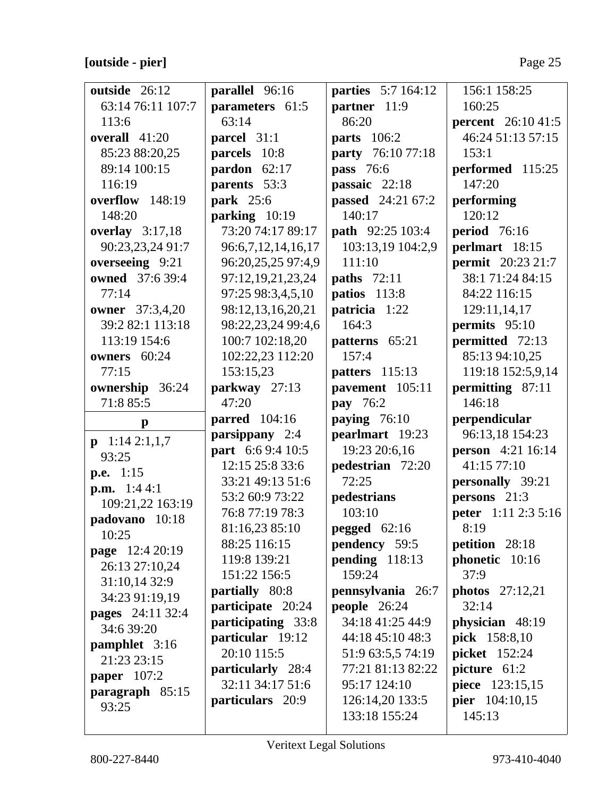# **[outside - pier]** Page 25

| outside 26:12            | parallel 96:16       | <b>parties</b> 5:7 164:12 | 156:1 158:25               |
|--------------------------|----------------------|---------------------------|----------------------------|
| 63:14 76:11 107:7        | parameters 61:5      | partner 11:9              | 160:25                     |
| 113:6                    | 63:14                | 86:20                     | <b>percent</b> 26:10 41:5  |
| overall 41:20            | parcel 31:1          | <b>parts</b> 106:2        | 46:24 51:13 57:15          |
| 85:23 88:20,25           | parcels 10:8         | <b>party</b> 76:10 77:18  | 153:1                      |
| 89:14 100:15             | pardon $62:17$       | pass 76:6                 | performed 115:25           |
| 116:19                   | parents 53:3         | passaic 22:18             | 147:20                     |
| overflow 148:19          | <b>park</b> 25:6     | <b>passed</b> 24:21 67:2  | performing                 |
| 148:20                   | parking 10:19        | 140:17                    | 120:12                     |
| overlay $3:17,18$        | 73:20 74:17 89:17    | <b>path</b> 92:25 103:4   | <b>period</b> 76:16        |
| 90:23,23,24 91:7         | 96:6,7,12,14,16,17   | 103:13,19 104:2,9         | perlmart 18:15             |
| overseeing 9:21          | 96:20,25,25 97:4,9   | 111:10                    | <b>permit</b> 20:23 21:7   |
| owned 37:6 39:4          | 97:12,19,21,23,24    | <b>paths</b> 72:11        | 38:1 71:24 84:15           |
| 77:14                    | 97:25 98:3,4,5,10    | patios 113:8              | 84:22 116:15               |
| owner 37:3,4,20          | 98:12,13,16,20,21    | patricia 1:22             | 129:11,14,17               |
| 39:2 82:1 113:18         | 98:22,23,24 99:4,6   | 164:3                     | permits 95:10              |
| 113:19 154:6             | 100:7 102:18,20      | patterns 65:21            | permitted 72:13            |
| owners 60:24             | 102:22,23 112:20     | 157:4                     | 85:13 94:10,25             |
| 77:15                    | 153:15,23            | patters 115:13            | 119:18 152:5,9,14          |
| ownership 36:24          | parkway 27:13        | pavement 105:11           | permitting 87:11           |
| 71:8 85:5                | 47:20                | pay 76:2                  | 146:18                     |
|                          |                      |                           |                            |
|                          | <b>parred</b> 104:16 | paying 76:10              | perpendicular              |
| $\mathbf{p}$             | parsippany 2:4       | pearlmart 19:23           | 96:13,18 154:23            |
| $p \quad 1:14\; 2:1,1,7$ | part 6:6 9:4 10:5    | 19:23 20:6,16             | <b>person</b> 4:21 16:14   |
| 93:25                    | 12:15 25:8 33:6      | pedestrian 72:20          | 41:15 77:10                |
| p.e. $1:15$              | 33:21 49:13 51:6     | 72:25                     | personally 39:21           |
| <b>p.m.</b> $1:44:1$     | 53:2 60:9 73:22      | pedestrians               | persons 21:3               |
| 109:21,22 163:19         | 76:8 77:19 78:3      | 103:10                    | <b>peter</b> 1:11 2:3 5:16 |
| padovano 10:18           | 81:16,23 85:10       | pegged 62:16              | 8:19                       |
| 10:25                    | 88:25 116:15         | <b>pendency</b> 59:5      | petition 28:18             |
| page 12:4 20:19          | 119:8 139:21         | pending 118:13            | phonetic 10:16             |
| 26:13 27:10,24           | 151:22 156:5         | 159:24                    | 37:9                       |
| 31:10,14 32:9            | partially 80:8       | pennsylvania 26:7         | photos $27:12,21$          |
| 34:23 91:19,19           | participate 20:24    | people $26:24$            | 32:14                      |
| pages 24:11 32:4         | participating 33:8   | 34:18 41:25 44:9          | physician 48:19            |
| 34:6 39:20               | particular 19:12     | 44:18 45:10 48:3          | pick 158:8,10              |
| pamphlet 3:16            | 20:10 115:5          | 51:9 63:5,5 74:19         | <b>picket</b> 152:24       |
| 21:23 23:15              | particularly 28:4    | 77:21 81:13 82:22         | picture 61:2               |
| <b>paper</b> 107:2       | 32:11 34:17 51:6     | 95:17 124:10              | piece 123:15,15            |
| paragraph $85:15$        | particulars 20:9     | 126:14,20 133:5           | pier 104:10,15             |
| 93:25                    |                      | 133:18 155:24             | 145:13                     |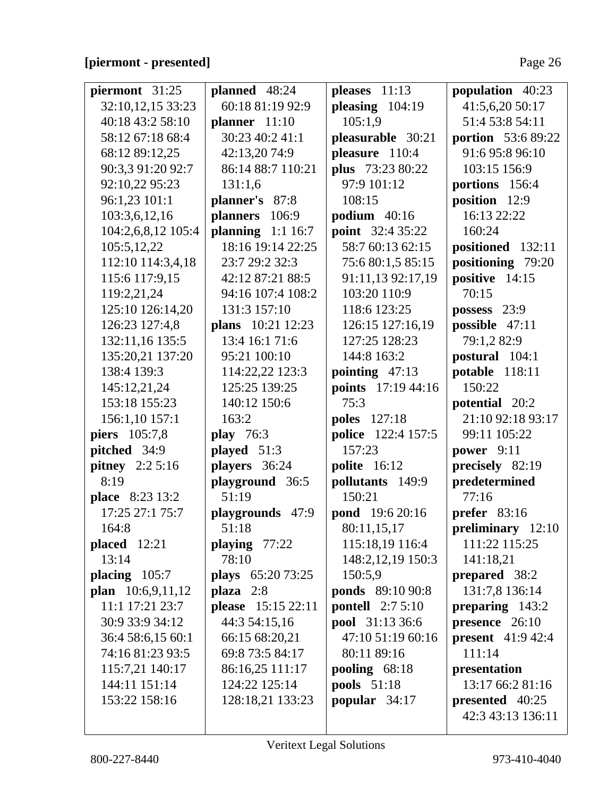### [piermont - presented]

| piermont 31:25         | planned 48:24      | pleases 11:13           | population 40:23          |
|------------------------|--------------------|-------------------------|---------------------------|
| 32:10,12,15 33:23      | 60:18 81:19 92:9   | pleasing $104:19$       | 41:5,6,20 50:17           |
| 40:18 43:2 58:10       | planner $11:10$    | 105:1,9                 | 51:4 53:8 54:11           |
| 58:12 67:18 68:4       | 30:23 40:2 41:1    | pleasurable 30:21       | portion 53:6 89:22        |
| 68:12 89:12,25         | 42:13,20 74:9      | pleasure 110:4          | 91:6 95:8 96:10           |
| 90:3,3 91:20 92:7      | 86:14 88:7 110:21  | plus 73:23 80:22        | 103:15 156:9              |
| 92:10,22 95:23         | 131:1,6            | 97:9 101:12             | portions 156:4            |
| 96:1,23 101:1          | planner's 87:8     | 108:15                  | position 12:9             |
| 103:3,6,12,16          | planners 106:9     | podium $40:16$          | 16:13 22:22               |
| 104:2,6,8,12 105:4     | planning $1:116:7$ | <b>point</b> 32:4 35:22 | 160:24                    |
| 105:5,12,22            | 18:16 19:14 22:25  | 58:7 60:13 62:15        | positioned 132:11         |
| 112:10 114:3,4,18      | 23:7 29:2 32:3     | 75:6 80:1,5 85:15       | positioning 79:20         |
| 115:6 117:9,15         | 42:12 87:21 88:5   | 91:11,13 92:17,19       | positive 14:15            |
| 119:2,21,24            | 94:16 107:4 108:2  | 103:20 110:9            | 70:15                     |
| 125:10 126:14,20       | 131:3 157:10       | 118:6 123:25            | possess $23:9$            |
| 126:23 127:4,8         | plans 10:21 12:23  | 126:15 127:16,19        | possible 47:11            |
| 132:11,16 135:5        | 13:4 16:1 71:6     | 127:25 128:23           | 79:1,282:9                |
| 135:20,21 137:20       | 95:21 100:10       | 144:8 163:2             | postural 104:1            |
| 138:4 139:3            | 114:22,22 123:3    | pointing $47:13$        | potable 118:11            |
| 145:12,21,24           | 125:25 139:25      | points 17:19 44:16      | 150:22                    |
| 153:18 155:23          | 140:12 150:6       | 75:3                    | potential 20:2            |
| 156:1,10 157:1         | 163:2              | <b>poles</b> 127:18     | 21:10 92:18 93:17         |
| piers 105:7,8          | <b>play</b> 76:3   | police 122:4 157:5      | 99:11 105:22              |
| pitched 34:9           | played 51:3        | 157:23                  | power $9:11$              |
| <b>pitney</b> 2:2 5:16 | players 36:24      | polite 16:12            | precisely 82:19           |
| 8:19                   | playground 36:5    | pollutants 149:9        | predetermined             |
| place 8:23 13:2        | 51:19              | 150:21                  | 77:16                     |
| 17:25 27:1 75:7        | playgrounds 47:9   | pond 19:6 20:16         | prefer $83:16$            |
| 164:8                  | 51:18              | 80:11,15,17             | preliminary 12:10         |
| $placed$ 12:21         | playing $77:22$    | 115:18,19 116:4         | 111:22 115:25             |
| 13:14                  | 78:10              | 148:2, 12, 19 150:3     | 141:18,21                 |
| placing 105:7          | plays 65:20 73:25  | 150:5,9                 | prepared 38:2             |
| plan 10:6,9,11,12      | $plaza$ 2:8        | <b>ponds</b> 89:10 90:8 | 131:7,8 136:14            |
| 11:1 17:21 23:7        | please 15:15 22:11 | <b>pontell</b> 2:7 5:10 | preparing 143:2           |
| 30:9 33:9 34:12        | 44:3 54:15,16      | pool 31:13 36:6         | presence 26:10            |
| 36:4 58:6,15 60:1      | 66:15 68:20,21     | 47:10 51:19 60:16       | <b>present</b> $41:942:4$ |
| 74:16 81:23 93:5       | 69:8 73:5 84:17    | 80:11 89:16             | 111:14                    |
| 115:7,21 140:17        | 86:16,25 111:17    | pooling $68:18$         | presentation              |
| 144:11 151:14          | 124:22 125:14      | <b>pools</b> 51:18      | 13:17 66:2 81:16          |
| 153:22 158:16          | 128:18,21 133:23   | popular 34:17           | presented 40:25           |
|                        |                    |                         | 42:3 43:13 136:11         |
|                        |                    |                         |                           |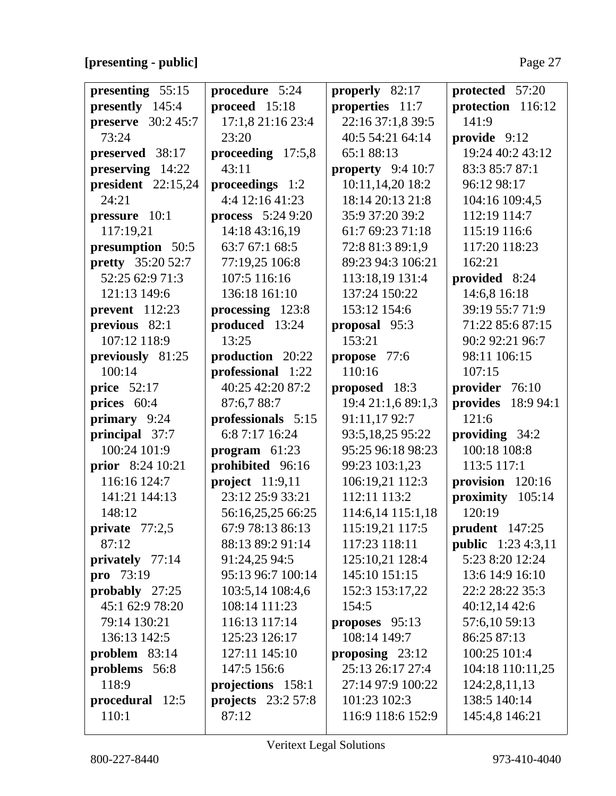## **[presenting - public]** Page 27

| presenting 55:15           | procedure 5:24            | properly 82:17     | protected 57:20           |
|----------------------------|---------------------------|--------------------|---------------------------|
| presently 145:4            | proceed 15:18             | properties 11:7    | protection 116:12         |
| <b>preserve</b> $30:245:7$ | 17:1,8 21:16 23:4         | 22:16 37:1,8 39:5  | 141:9                     |
| 73:24                      | 23:20                     | 40:5 54:21 64:14   | provide 9:12              |
| preserved 38:17            | proceeding 17:5,8         | 65:188:13          | 19:24 40:2 43:12          |
| preserving 14:22           | 43:11                     | property $9:410:7$ | 83:3 85:7 87:1            |
| president 22:15,24         | proceedings 1:2           | 10:11,14,20 18:2   | 96:12 98:17               |
| 24:21                      | 4:4 12:16 41:23           | 18:14 20:13 21:8   | 104:16 109:4,5            |
| pressure 10:1              | <b>process</b> $5:249:20$ | 35:9 37:20 39:2    | 112:19 114:7              |
| 117:19,21                  | 14:18 43:16,19            | 61:7 69:23 71:18   | 115:19 116:6              |
| presumption 50:5           | 63:7 67:1 68:5            | 72:8 81:3 89:1,9   | 117:20 118:23             |
| <b>pretty</b> 35:20 52:7   | 77:19,25 106:8            | 89:23 94:3 106:21  | 162:21                    |
| 52:25 62:9 71:3            | 107:5 116:16              | 113:18,19 131:4    | provided 8:24             |
| 121:13 149:6               | 136:18 161:10             | 137:24 150:22      | 14:6,8 16:18              |
| prevent $112:23$           | processing 123:8          | 153:12 154:6       | 39:19 55:7 71:9           |
| previous 82:1              | produced 13:24            | proposal 95:3      | 71:22 85:6 87:15          |
| 107:12 118:9               | 13:25                     | 153:21             | 90:2 92:21 96:7           |
| previously 81:25           | production 20:22          | propose 77:6       | 98:11 106:15              |
| 100:14                     | professional 1:22         | 110:16             | 107:15                    |
| <b>price</b> 52:17         | 40:25 42:20 87:2          | proposed 18:3      | provider 76:10            |
| prices 60:4                | 87:6,7 88:7               | 19:4 21:1,6 89:1,3 | provides 18:9 94:1        |
| primary 9:24               | professionals 5:15        | 91:11,17 92:7      | 121:6                     |
| principal 37:7             | 6:8 7:17 16:24            | 93:5,18,25 95:22   | providing 34:2            |
| 100:24 101:9               | program $61:23$           | 95:25 96:18 98:23  | 100:18 108:8              |
| prior 8:24 10:21           | prohibited 96:16          | 99:23 103:1,23     | 113:5 117:1               |
| 116:16 124:7               | project $11:9,11$         | 106:19,21 112:3    | provision 120:16          |
| 141:21 144:13              | 23:12 25:9 33:21          | 112:11 113:2       | proximity 105:14          |
| 148:12                     | 56:16,25,25 66:25         | 114:6,14 115:1,18  | 120:19                    |
| private $77:2,5$           | 67:9 78:13 86:13          | 115:19,21 117:5    | <b>prudent</b> 147:25     |
| 87:12                      | 88:13 89:2 91:14          | 117:23 118:11      | <b>public</b> 1:23 4:3,11 |
| privately 77:14            | 91:24,25 94:5             | 125:10,21 128:4    | 5:23 8:20 12:24           |
| pro 73:19                  | 95:13 96:7 100:14         | 145:10 151:15      | 13:6 14:9 16:10           |
| probably $27:25$           | 103:5,14 108:4,6          | 152:3 153:17,22    | 22:2 28:22 35:3           |
| 45:1 62:9 78:20            | 108:14 111:23             | 154:5              | 40:12,14 42:6             |
| 79:14 130:21               | 116:13 117:14             | proposes 95:13     | 57:6,10 59:13             |
| 136:13 142:5               | 125:23 126:17             | 108:14 149:7       | 86:25 87:13               |
| problem $83:14$            | 127:11 145:10             | proposing $23:12$  | 100:25 101:4              |
| problems 56:8              | 147:5 156:6               | 25:13 26:17 27:4   | 104:18 110:11,25          |
| 118:9                      | projections 158:1         | 27:14 97:9 100:22  | 124:2,8,11,13             |
| procedural 12:5            | projects $23:257:8$       | 101:23 102:3       | 138:5 140:14              |
| 110:1                      | 87:12                     | 116:9 118:6 152:9  | 145:4,8 146:21            |
|                            |                           |                    |                           |

 $\overline{\phantom{a}}$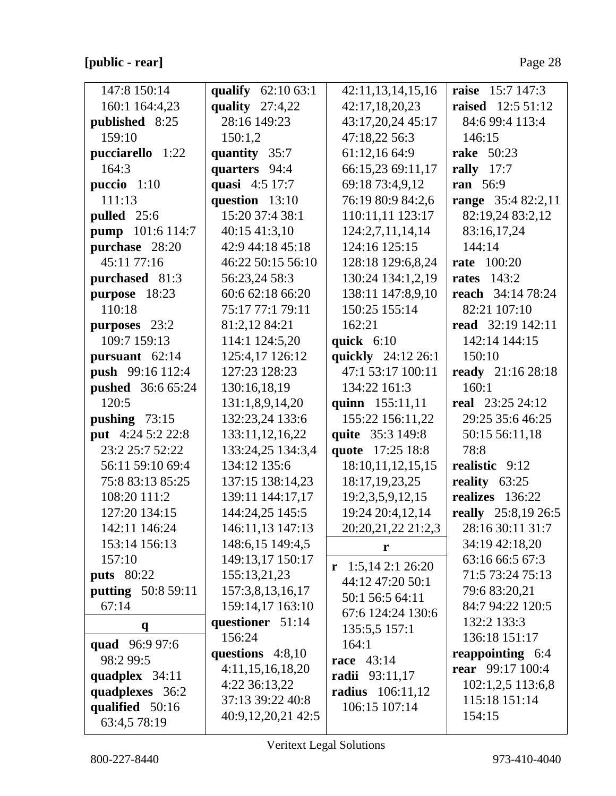## [public - rear]

| 147:8 150:14              | qualify 62:10 63:1 | 42:11,13,14,15,16       | raise 15:7 147:3         |
|---------------------------|--------------------|-------------------------|--------------------------|
| 160:1 164:4,23            | quality $27:4,22$  | 42:17,18,20,23          | <b>raised</b> 12:5 51:12 |
| published 8:25            | 28:16 149:23       | 43:17,20,24 45:17       | 84:6 99:4 113:4          |
| 159:10                    | 150:1,2            | 47:18,22 56:3           | 146:15                   |
| pucciarello 1:22          | quantity 35:7      | 61:12,16 64:9           | <b>rake</b> 50:23        |
| 164:3                     | quarters 94:4      | 66:15,23 69:11,17       | rally $17:7$             |
| puccio $1:10$             | quasi 4:5 17:7     | 69:18 73:4,9,12         | ran 56:9                 |
| 111:13                    | question 13:10     | 76:19 80:9 84:2,6       | range 35:4 82:2,11       |
| pulled 25:6               | 15:20 37:4 38:1    | 110:11,11 123:17        | 82:19,24 83:2,12         |
| pump 101:6 114:7          | 40:15 41:3,10      | 124:2,7,11,14,14        | 83:16,17,24              |
| purchase 28:20            | 42:9 44:18 45:18   | 124:16 125:15           | 144:14                   |
| 45:11 77:16               | 46:22 50:15 56:10  | 128:18 129:6,8,24       | <b>rate</b> 100:20       |
| purchased 81:3            | 56:23,24 58:3      | 130:24 134:1,2,19       | <b>rates</b> 143:2       |
| purpose 18:23             | 60:6 62:18 66:20   | 138:11 147:8,9,10       | reach 34:14 78:24        |
| 110:18                    | 75:17 77:1 79:11   | 150:25 155:14           | 82:21 107:10             |
| purposes 23:2             | 81:2,12 84:21      | 162:21                  | read 32:19 142:11        |
| 109:7 159:13              | 114:1 124:5,20     | quick 6:10              | 142:14 144:15            |
| pursuant 62:14            | 125:4,17 126:12    | quickly 24:12 26:1      | 150:10                   |
| push 99:16 112:4          | 127:23 128:23      | 47:1 53:17 100:11       | ready 21:16 28:18        |
| <b>pushed</b> 36:6 65:24  | 130:16,18,19       | 134:22 161:3            | 160:1                    |
| 120:5                     | 131:1,8,9,14,20    | quinn 155:11,11         | <b>real</b> 23:25 24:12  |
| pushing $73:15$           | 132:23,24 133:6    | 155:22 156:11,22        | 29:25 35:6 46:25         |
| put 4:24 5:2 22:8         | 133:11,12,16,22    | quite 35:3 149:8        | 50:15 56:11,18           |
| 23:2 25:7 52:22           | 133:24,25 134:3,4  | quote 17:25 18:8        | 78:8                     |
| 56:11 59:10 69:4          | 134:12 135:6       | 18:10,11,12,15,15       | realistic 9:12           |
| 75:8 83:13 85:25          | 137:15 138:14,23   | 18:17, 19, 23, 25       | reality 63:25            |
| 108:20 111:2              | 139:11 144:17,17   | 19:2,3,5,9,12,15        | realizes 136:22          |
| 127:20 134:15             | 144:24,25 145:5    | 19:24 20:4,12,14        | really 25:8,19 26:5      |
| 142:11 146:24             | 146:11,13 147:13   | 20:20,21,22 21:2,3      | 28:16 30:11 31:7         |
| 153:14 156:13             | 148:6,15 149:4,5   | r                       | 34:19 42:18,20           |
| 157:10                    | 149:13,17 150:17   | $r$ 1:5,14 2:1 26:20    | 63:16 66:5 67:3          |
| <b>puts</b> 80:22         | 155:13,21,23       | 44:12 47:20 50:1        | 71:5 73:24 75:13         |
| <b>putting</b> 50:8 59:11 | 157:3,8,13,16,17   | 50:1 56:5 64:11         | 79:6 83:20,21            |
| 67:14                     | 159:14,17 163:10   | 67:6 124:24 130:6       | 84:7 94:22 120:5         |
| $\mathbf{q}$              | questioner 51:14   | 135:5,5 157:1           | 132:2 133:3              |
| quad 96:9 97:6            | 156:24             | 164:1                   | 136:18 151:17            |
| 98:2 99:5                 | questions $4:8,10$ | <b>race</b> 43:14       | reappointing 6:4         |
| quadplex 34:11            | 4:11,15,16,18,20   | radii 93:11,17          | <b>rear</b> 99:17 100:4  |
| quadplexes 36:2           | 4:22 36:13,22      | <b>radius</b> 106:11,12 | 102:1,2,5 113:6,8        |
| qualified 50:16           | 37:13 39:22 40:8   | 106:15 107:14           | 115:18 151:14            |
| 63:4,5 78:19              | 40:9,12,20,21 42:5 |                         | 154:15                   |
|                           |                    |                         |                          |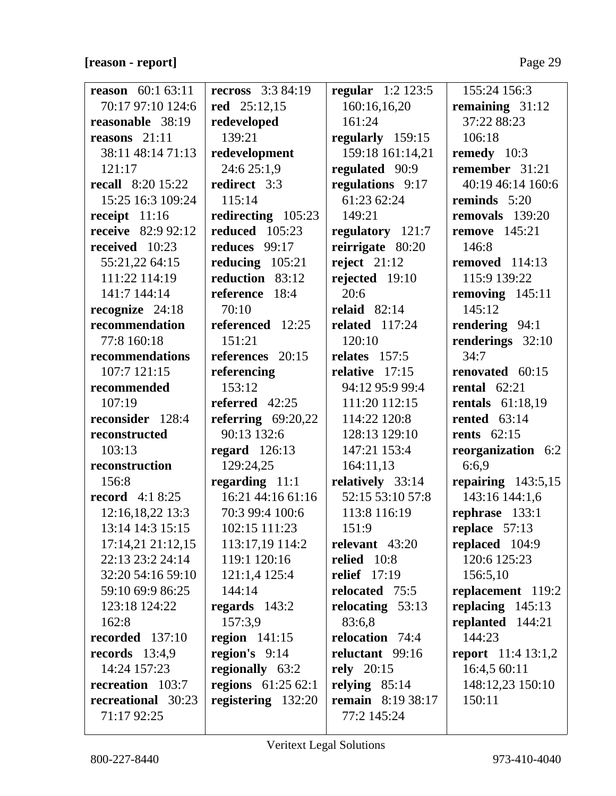## **[reason - report]** Page 29

| <b>reason</b> $60:163:11$ | <b>recross</b> 3:3 84:19   | regular $1:2 123:5$      | 155:24 156:3                |
|---------------------------|----------------------------|--------------------------|-----------------------------|
| 70:17 97:10 124:6         | red 25:12,15               | 160:16,16,20             | remaining $31:12$           |
| reasonable 38:19          | redeveloped                | 161:24                   | 37:22 88:23                 |
| reasons $21:11$           | 139:21                     | regularly 159:15         | 106:18                      |
| 38:11 48:14 71:13         | redevelopment              | 159:18 161:14,21         | remedy 10:3                 |
| 121:17                    | 24:6 25:1,9                | regulated 90:9           | remember 31:21              |
| <b>recall</b> 8:20 15:22  | redirect 3:3               | regulations 9:17         | 40:19 46:14 160:6           |
| 15:25 16:3 109:24         | 115:14                     | 61:23 62:24              | reminds 5:20                |
| receipt 11:16             | redirecting $105:23$       | 149:21                   | removals 139:20             |
| <b>receive</b> 82:9 92:12 | <b>reduced</b> 105:23      | regulatory 121:7         | remove $145:21$             |
| received 10:23            | reduces 99:17              | reirrigate 80:20         | 146:8                       |
| 55:21,22 64:15            | reducing $105:21$          | reject $21:12$           | removed $114:13$            |
| 111:22 114:19             | reduction 83:12            | rejected $19:10$         | 115:9 139:22                |
| 141:7 144:14              | reference 18:4             | 20:6                     | removing $145:11$           |
| recognize 24:18           | 70:10                      | relaid $82:14$           | 145:12                      |
| recommendation            | referenced 12:25           | related $117:24$         | rendering 94:1              |
| 77:8 160:18               | 151:21                     | 120:10                   | renderings 32:10            |
| recommendations           | references 20:15           | relates $157:5$          | 34:7                        |
| 107:7 121:15              | referencing                | relative $17:15$         | renovated 60:15             |
| recommended               | 153:12                     | 94:12 95:9 99:4          | rental $62:21$              |
| 107:19                    | referred 42:25             | 111:20 112:15            | <b>rentals</b> 61:18,19     |
| reconsider 128:4          | referring $69:20,22$       | 114:22 120:8             | rented $63:14$              |
| reconstructed             | 90:13 132:6                | 128:13 129:10            | <b>rents</b> 62:15          |
| 103:13                    | regard $126:13$            | 147:21 153:4             | reorganization 6:2          |
| reconstruction            | 129:24,25                  | 164:11,13                | 6:6,9                       |
| 156:8                     | regarding 11:1             | relatively 33:14         | repairing $143:5,15$        |
| <b>record</b> 4:1 8:25    | 16:21 44:16 61:16          | 52:15 53:10 57:8         | 143:16 144:1,6              |
| 12:16,18,22 13:3          | 70:3 99:4 100:6            | 113:8 116:19             | rephrase 133:1              |
| 13:14 14:3 15:15          | 102:15 111:23              | 151:9                    | replace 57:13               |
| 17:14,21 21:12,15         | 113:17,19 114:2            | relevant $43:20$         | replaced 104:9              |
| 22:13 23:2 24:14          | 119:1 120:16               | relied $10:8$            | 120:6 125:23                |
| 32:20 54:16 59:10         | 121:1,4 125:4              | <b>relief</b> 17:19      | 156:5,10                    |
| 59:10 69:9 86:25          | 144:14                     | relocated 75:5           | replacement 119:2           |
| 123:18 124:22             | regards $143:2$            | relocating $53:13$       | replacing $145:13$          |
| 162:8                     | 157:3,9                    | 83:6,8                   | replanted 144:21            |
| recorded 137:10           | region $141:15$            | relocation 74:4          | 144:23                      |
| records $13:4,9$          | region's $9:14$            | reluctant 99:16          | <b>report</b> $11:4 13:1,2$ |
| 14:24 157:23              | regionally 63:2            | rely $20:15$             | 16:4,5 60:11                |
| recreation 103:7          | <b>regions</b> $61:2562:1$ | relying $85:14$          | 148:12,23 150:10            |
| recreational 30:23        | registering 132:20         | <b>remain</b> 8:19 38:17 | 150:11                      |
| 71:17 92:25               |                            | 77:2 145:24              |                             |
|                           |                            |                          |                             |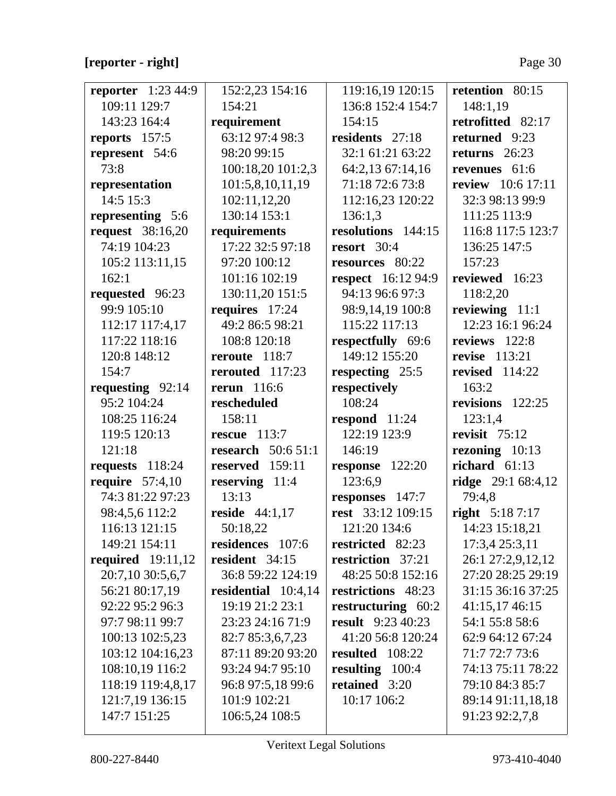# **[reporter - right]** Page 30

| <b>reporter</b> $1:23,44:9$ | 152:2,23 154:16       | 119:16,19 120:15         | retention 80:15          |
|-----------------------------|-----------------------|--------------------------|--------------------------|
| 109:11 129:7                | 154:21                | 136:8 152:4 154:7        | 148:1,19                 |
| 143:23 164:4                | requirement           | 154:15                   | retrofitted 82:17        |
| reports 157:5               | 63:12 97:4 98:3       | residents 27:18          | returned 9:23            |
| represent 54:6              | 98:20 99:15           | 32:1 61:21 63:22         | returns $26:23$          |
| 73:8                        | 100:18,20 101:2,3     | 64:2,13 67:14,16         | revenues 61:6            |
| representation              | 101:5,8,10,11,19      | 71:18 72:6 73:8          | <b>review</b> 10:6 17:11 |
| 14:5 15:3                   | 102:11,12,20          | 112:16,23 120:22         | 32:3 98:13 99:9          |
| representing 5:6            | 130:14 153:1          | 136:1,3                  | 111:25 113:9             |
| <b>request</b> 38:16,20     | requirements          | resolutions 144:15       | 116:8 117:5 123:7        |
| 74:19 104:23                | 17:22 32:5 97:18      | resort 30:4              | 136:25 147:5             |
| 105:2 113:11,15             | 97:20 100:12          | resources 80:22          | 157:23                   |
| 162:1                       | 101:16 102:19         | respect 16:12 94:9       | reviewed 16:23           |
| requested 96:23             | 130:11,20 151:5       | 94:13 96:6 97:3          | 118:2,20                 |
| 99:9 105:10                 | requires 17:24        | 98:9,14,19 100:8         | reviewing 11:1           |
| 112:17 117:4,17             | 49:2 86:5 98:21       | 115:22 117:13            | 12:23 16:1 96:24         |
| 117:22 118:16               | 108:8 120:18          | respectfully 69:6        | reviews 122:8            |
| 120:8 148:12                | reroute 118:7         | 149:12 155:20            | revise 113:21            |
| 154:7                       | rerouted 117:23       | respecting 25:5          | revised $114:22$         |
| requesting 92:14            | rerun $116:6$         | respectively             | 163:2                    |
| 95:2 104:24                 | rescheduled           | 108:24                   | revisions 122:25         |
| 108:25 116:24               | 158:11                | respond $11:24$          | 123:1,4                  |
| 119:5 120:13                | rescue $113:7$        | 122:19 123:9             | revisit $75:12$          |
| 121:18                      | research $50:651:1$   | 146:19                   | rezoning $10:13$         |
| requests $118:24$           | reserved 159:11       | response $122:20$        | richard $61:13$          |
| require $57:4,10$           | reserving 11:4        | 123:6,9                  | ridge 29:1 68:4,12       |
| 74:3 81:22 97:23            | 13:13                 | responses 147:7          | 79:4,8                   |
| 98:4,5,6 112:2              | reside $44:1,17$      | rest 33:12 109:15        | right 5:18 7:17          |
| 116:13 121:15               | 50:18,22              | 121:20 134:6             | 14:23 15:18,21           |
| 149:21 154:11               | residences 107:6      | restricted 82:23         | 17:3,4 25:3,11           |
| <b>required</b> 19:11,12    | resident 34:15        | restriction 37:21        | 26:1 27:2,9,12,12        |
| 20:7,10 30:5,6,7            | 36:8 59:22 124:19     | 48:25 50:8 152:16        | 27:20 28:25 29:19        |
| 56:21 80:17,19              | residential $10:4,14$ | restrictions 48:23       | 31:15 36:16 37:25        |
| 92:22 95:2 96:3             | 19:19 21:2 23:1       | restructuring 60:2       | 41:15,17 46:15           |
| 97:7 98:11 99:7             | 23:23 24:16 71:9      | <b>result</b> 9:23 40:23 | 54:1 55:8 58:6           |
| 100:13 102:5,23             | 82:7 85:3,6,7,23      | 41:20 56:8 120:24        | 62:9 64:12 67:24         |
| 103:12 104:16,23            | 87:11 89:20 93:20     | resulted 108:22          | 71:7 72:7 73:6           |
| 108:10,19 116:2             | 93:24 94:7 95:10      | resulting $100:4$        | 74:13 75:11 78:22        |
| 118:19 119:4,8,17           | 96:8 97:5,18 99:6     | retained 3:20            | 79:10 84:3 85:7          |
| 121:7,19 136:15             | 101:9 102:21          | 10:17 106:2              | 89:14 91:11,18,18        |
| 147:7 151:25                | 106:5,24 108:5        |                          | 91:23 92:2,7,8           |
|                             |                       |                          |                          |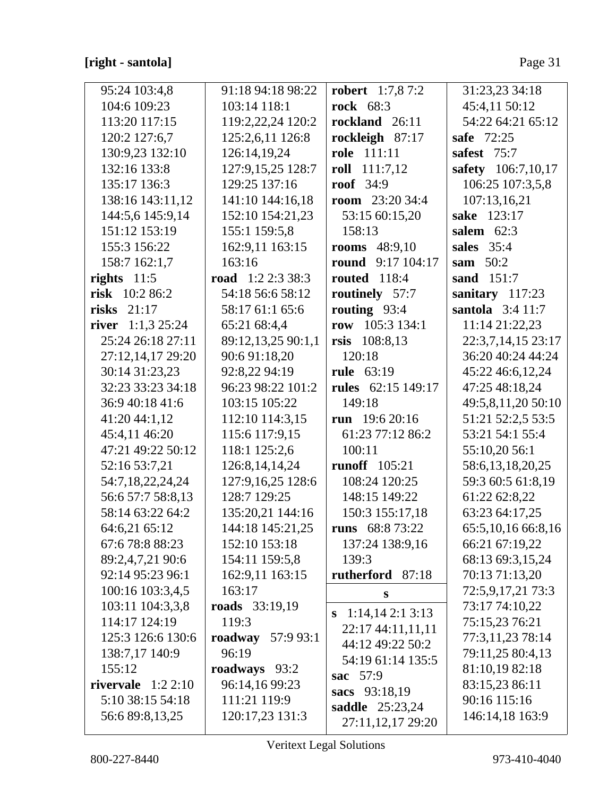| 95:24 103:4,8       | 91:18 94:18 98:22    | <b>robert</b> 1:7,8 7:2  | 31:23,23 34:18        |
|---------------------|----------------------|--------------------------|-----------------------|
| 104:6 109:23        | 103:14 118:1         | <b>rock</b> 68:3         | 45:4,11 50:12         |
| 113:20 117:15       | 119:2,22,24 120:2    | rockland 26:11           | 54:22 64:21 65:12     |
| 120:2 127:6,7       | 125:2,6,11 126:8     | rockleigh 87:17          | safe 72:25            |
| 130:9,23 132:10     | 126:14,19,24         | <b>role</b> 111:11       | safest $75:7$         |
| 132:16 133:8        | 127:9,15,25 128:7    | roll $111:7,12$          | safety 106:7,10,17    |
| 135:17 136:3        | 129:25 137:16        | roof $34:9$              | 106:25 107:3,5,8      |
| 138:16 143:11,12    | 141:10 144:16,18     | <b>room</b> $23:2034:4$  | 107:13,16,21          |
| 144:5,6 145:9,14    | 152:10 154:21,23     | 53:15 60:15,20           | sake 123:17           |
| 151:12 153:19       | 155:1 159:5,8        | 158:13                   | salem $62:3$          |
| 155:3 156:22        | 162:9,11 163:15      | <b>rooms</b> 48:9,10     | sales 35:4            |
| 158:7 162:1,7       | 163:16               | <b>round</b> 9:17 104:17 | sam $50:2$            |
| rights $11:5$       | road $1:2 2:3 38:3$  | <b>routed</b> 118:4      | sand $151:7$          |
| risk $10:286:2$     | 54:18 56:6 58:12     | routinely 57:7           | sanitary 117:23       |
| risks $21:17$       | 58:17 61:1 65:6      | routing $93:4$           | santola $3:4$ 11:7    |
| river $1:1,3$ 25:24 | 65:21 68:4,4         | row $105:3 134:1$        | 11:14 21:22,23        |
| 25:24 26:18 27:11   | 89:12,13,25 90:1,1   | rsis $108:8,13$          | 22:3,7,14,15 23:17    |
| 27:12,14,17 29:20   | 90:6 91:18,20        | 120:18                   | 36:20 40:24 44:24     |
| 30:14 31:23,23      | 92:8,22 94:19        | <b>rule</b> 63:19        | 45:22 46:6,12,24      |
| 32:23 33:23 34:18   | 96:23 98:22 101:2    | rules 62:15 149:17       | 47:25 48:18,24        |
| 36:9 40:18 41:6     | 103:15 105:22        | 149:18                   | 49:5,8,11,20 50:10    |
| 41:20 44:1,12       | 112:10 114:3,15      | run 19:6 20:16           | 51:21 52:2,5 53:5     |
| 45:4,11 46:20       | 115:6 117:9,15       | 61:23 77:12 86:2         | 53:21 54:1 55:4       |
| 47:21 49:22 50:12   | 118:1 125:2,6        | 100:11                   | 55:10,20 56:1         |
| 52:16 53:7,21       | 126:8, 14, 14, 24    | <b>runoff</b> 105:21     | 58:6,13,18,20,25      |
| 54:7,18,22,24,24    | 127:9,16,25 128:6    | 108:24 120:25            | 59:3 60:5 61:8,19     |
| 56:6 57:7 58:8,13   | 128:7 129:25         | 148:15 149:22            | 61:22 62:8,22         |
| 58:14 63:22 64:2    | 135:20,21 144:16     | 150:3 155:17,18          | 63:23 64:17,25        |
| 64:6,21 65:12       | 144:18 145:21,25     | runs 68:8 73:22          | 65:5, 10, 16 66:8, 16 |
| 67:6 78:8 88:23     | 152:10 153:18        | 137:24 138:9,16          | 66:21 67:19,22        |
| 89:2,4,7,21 90:6    | 154:11 159:5,8       | 139:3                    | 68:13 69:3,15,24      |
| 92:14 95:23 96:1    | 162:9,11 163:15      | rutherford 87:18         | 70:13 71:13,20        |
| 100:16 103:3,4,5    | 163:17               | $\mathbf S$              | 72:5,9,17,21 73:3     |
| 103:11 104:3,3,8    | roads 33:19,19       | 1:14,142:13:13<br>S      | 73:17 74:10,22        |
| 114:17 124:19       | 119:3                | 22:17 44:11,11,11        | 75:15,23 76:21        |
| 125:3 126:6 130:6   | roadway<br>57:9 93:1 | 44:12 49:22 50:2         | 77:3,11,23 78:14      |
| 138:7,17 140:9      | 96:19                | 54:19 61:14 135:5        | 79:11,25 80:4,13      |
| 155:12              | roadways 93:2        | 57:9<br>sac              | 81:10,19 82:18        |
| rivervale $1:22:10$ | 96:14,16 99:23       | sacs 93:18,19            | 83:15,23 86:11        |
| 5:10 38:15 54:18    | 111:21 119:9         | <b>saddle</b> 25:23,24   | 90:16 115:16          |
| 56:6 89:8,13,25     | 120:17,23 131:3      | 27:11,12,17 29:20        | 146:14,18 163:9       |
|                     |                      |                          |                       |

 $\overline{\mathsf{I}}$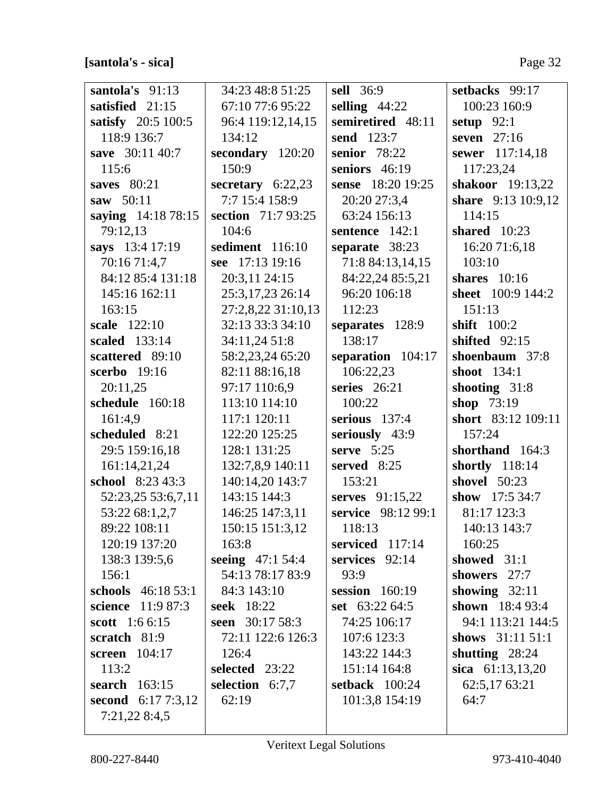## [santola's - sica]

| santola's 91:13        | 34:23 48:8 51:25    | <b>sell</b> 36:9    | setbacks 99:17      |
|------------------------|---------------------|---------------------|---------------------|
| satisfied 21:15        | 67:10 77:6 95:22    | selling $44:22$     | 100:23 160:9        |
| satisfy 20:5 100:5     | 96:4 119:12,14,15   | semiretired 48:11   | setup $92:1$        |
| 118:9 136:7            | 134:12              | send 123:7          | seven $27:16$       |
| save 30:11 40:7        | secondary 120:20    | <b>senior</b> 78:22 | sewer 117:14,18     |
| 115:6                  | 150:9               | seniors 46:19       | 117:23,24           |
| saves $80:21$          | secretary $6:22,23$ | sense 18:20 19:25   | shakoor 19:13,22    |
| saw 50:11              | 7:7 15:4 158:9      | 20:20 27:3,4        | share 9:13 10:9,12  |
| saying 14:18 78:15     | section 71:7 93:25  | 63:24 156:13        | 114:15              |
| 79:12,13               | 104:6               | sentence 142:1      | shared $10:23$      |
| says 13:4 17:19        | sediment 116:10     | separate 38:23      | 16:20 71:6,18       |
| 70:16 71:4,7           | see 17:13 19:16     | 71:8 84:13,14,15    | 103:10              |
| 84:12 85:4 131:18      | 20:3,11 24:15       | 84:22,24 85:5,21    | shares $10:16$      |
| 145:16 162:11          | 25:3,17,23 26:14    | 96:20 106:18        | sheet 100:9 144:2   |
| 163:15                 | 27:2,8,22 31:10,13  | 112:23              | 151:13              |
| scale 122:10           | 32:13 33:3 34:10    | separates 128:9     | shift 100:2         |
| scaled 133:14          | 34:11,24 51:8       | 138:17              | shifted $92:15$     |
| scattered 89:10        | 58:2,23,24 65:20    | separation 104:17   | shoenbaum 37:8      |
| scerbo 19:16           | 82:11 88:16,18      | 106:22,23           | shoot $134:1$       |
| 20:11,25               | 97:17 110:6,9       | series $26:21$      | shooting $31:8$     |
| schedule 160:18        | 113:10 114:10       | 100:22              | shop 73:19          |
| 161:4,9                | 117:1 120:11        | serious $137:4$     | short 83:12 109:11  |
| scheduled 8:21         | 122:20 125:25       | seriously 43:9      | 157:24              |
| 29:5 159:16,18         | 128:1 131:25        | serve $5:25$        | shorthand 164:3     |
| 161:14,21,24           | 132:7,8,9 140:11    | served 8:25         | shortly 118:14      |
| school 8:23 43:3       | 140:14,20 143:7     | 153:21              | shovel 50:23        |
| 52:23,25 53:6,7,11     | 143:15 144:3        | serves 91:15,22     | show $17:534:7$     |
| 53:22 68:1,2,7         | 146:25 147:3,11     | service 98:12 99:1  | 81:17 123:3         |
| 89:22 108:11           | 150:15 151:3,12     | 118:13              | 140:13 143:7        |
| 120:19 137:20          | 163:8               | serviced 117:14     | 160:25              |
| 138:3 139:5,6          | seeing $47:154:4$   | services $92:14$    | showed 31:1         |
| 156:1                  | 54:13 78:17 83:9    | 93:9                | showers 27:7        |
| schools 46:18 53:1     | 84:3 143:10         | session $160:19$    | showing $32:11$     |
| science 11:9 87:3      | seek 18:22          | set 63:22 64:5      | shown 18:4 93:4     |
| <b>scott</b> $1:66:15$ | seen 30:17 58:3     | 74:25 106:17        | 94:1 113:21 144:5   |
| scratch 81:9           | 72:11 122:6 126:3   | 107:6 123:3         | shows $31:11\ 51:1$ |
| screen 104:17          | 126:4               | 143:22 144:3        | shutting $28:24$    |
| 113:2                  | selected 23:22      | 151:14 164:8        | sica 61:13,13,20    |
| <b>search</b> 163:15   | selection 6:7,7     | setback 100:24      | 62:5,17 63:21       |
| second $6:177:3,12$    | 62:19               | 101:3,8 154:19      | 64:7                |
| 7:21,22 8:4,5          |                     |                     |                     |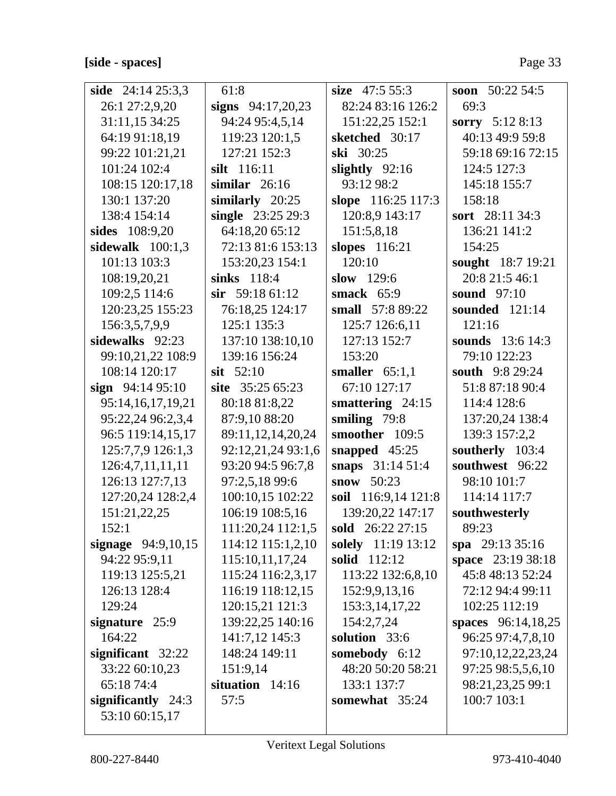| side $24:1425:3,3$   | 61:8                | size $47:555:3$     | soon $50:2254:5$   |
|----------------------|---------------------|---------------------|--------------------|
| 26:1 27:2,9,20       | signs $94:17,20,23$ | 82:24 83:16 126:2   | 69:3               |
| 31:11,15 34:25       | 94:24 95:4,5,14     | 151:22,25 152:1     | sorry 5:12 8:13    |
| 64:19 91:18,19       | 119:23 120:1,5      | sketched 30:17      | 40:13 49:9 59:8    |
| 99:22 101:21,21      | 127:21 152:3        | ski 30:25           | 59:18 69:16 72:15  |
| 101:24 102:4         | silt 116:11         | slightly $92:16$    | 124:5 127:3        |
| 108:15 120:17,18     | similar $26:16$     | 93:12 98:2          | 145:18 155:7       |
| 130:1 137:20         | similarly 20:25     | slope 116:25 117:3  | 158:18             |
| 138:4 154:14         | single 23:25 29:3   | 120:8,9 143:17      | sort 28:11 34:3    |
| sides 108:9,20       | 64:18,20 65:12      | 151:5,8,18          | 136:21 141:2       |
| sidewalk $100:1,3$   | 72:13 81:6 153:13   | slopes 116:21       | 154:25             |
| 101:13 103:3         | 153:20,23 154:1     | 120:10              | sought 18:7 19:21  |
| 108:19,20,21         | sinks 118:4         | slow $129:6$        | 20:8 21:5 46:1     |
| 109:2,5 114:6        | $\sin$ 59:18 61:12  | smack $65:9$        | sound $97:10$      |
| 120:23,25 155:23     | 76:18,25 124:17     | small 57:8 89:22    | sounded $121:14$   |
| 156:3,5,7,9,9        | 125:1 135:3         | 125:7 126:6,11      | 121:16             |
| sidewalks 92:23      | 137:10 138:10,10    | 127:13 152:7        | sounds 13:6 14:3   |
| 99:10,21,22 108:9    | 139:16 156:24       | 153:20              | 79:10 122:23       |
| 108:14 120:17        | $s$ <b>it</b> 52:10 | smaller $65:1,1$    | south 9:8 29:24    |
| sign $94:1495:10$    | site 35:25 65:23    | 67:10 127:17        | 51:8 87:18 90:4    |
| 95:14,16,17,19,21    | 80:18 81:8,22       | smattering $24:15$  | 114:4 128:6        |
| 95:22,24 96:2,3,4    | 87:9,10 88:20       | smiling 79:8        | 137:20,24 138:4    |
| 96:5 119:14,15,17    | 89:11,12,14,20,24   | smoother 109:5      | 139:3 157:2,2      |
| 125:7,7,9 126:1,3    | 92:12,21,24 93:1,6  | snapped $45:25$     | southerly 103:4    |
| 126:4,7,11,11,11     | 93:20 94:5 96:7,8   | snaps 31:14 51:4    | southwest 96:22    |
| 126:13 127:7,13      | 97:2,5,18 99:6      | snow 50:23          | 98:10 101:7        |
| 127:20,24 128:2,4    | 100:10,15 102:22    | soil 116:9,14 121:8 | 114:14 117:7       |
| 151:21,22,25         | 106:19 108:5,16     | 139:20,22 147:17    | southwesterly      |
| 152:1                | 111:20,24 112:1,5   | sold 26:22 27:15    | 89:23              |
| signage 94:9,10,15   | 114:12 115:1,2,10   | solely 11:19 13:12  | spa $29:1335:16$   |
| 94:22 95:9,11        | 115:10,11,17,24     | <b>solid</b> 112:12 | space 23:19 38:18  |
| 119:13 125:5,21      | 115:24 116:2,3,17   | 113:22 132:6,8,10   | 45:8 48:13 52:24   |
| 126:13 128:4         | 116:19 118:12,15    | 152:9,9,13,16       | 72:12 94:4 99:11   |
| 129:24               | 120:15,21 121:3     | 153:3, 14, 17, 22   | 102:25 112:19      |
| signature $25:9$     | 139:22,25 140:16    | 154:2,7,24          | spaces 96:14,18,25 |
| 164:22               | 141:7,12 145:3      | solution 33:6       | 96:25 97:4,7,8,10  |
| significant 32:22    | 148:24 149:11       | somebody 6:12       | 97:10,12,22,23,24  |
| 33:22 60:10,23       | 151:9,14            | 48:20 50:20 58:21   | 97:25 98:5,5,6,10  |
| 65:18 74:4           | situation $14:16$   | 133:1 137:7         | 98:21,23,25 99:1   |
| significantly $24:3$ | 57:5                | somewhat 35:24      | 100:7 103:1        |
| 53:10 60:15,17       |                     |                     |                    |
|                      |                     |                     |                    |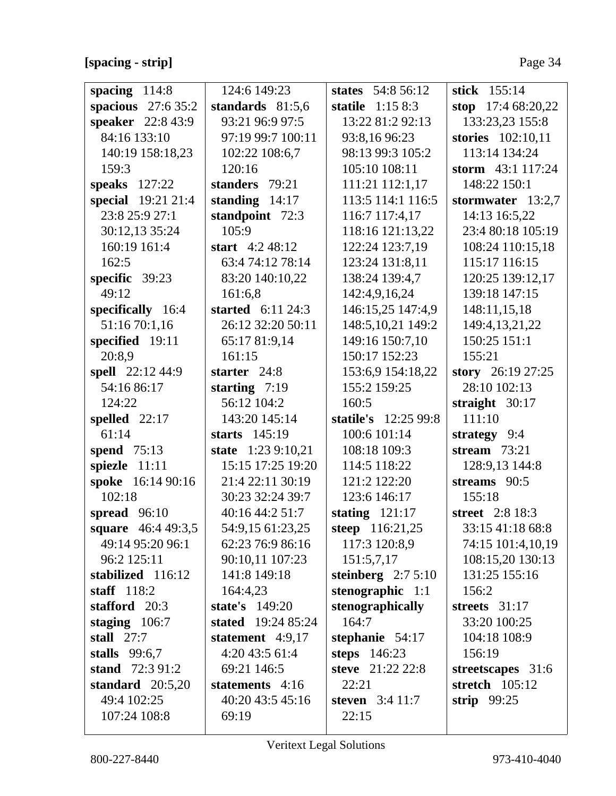## **[spacing - strip]** Page 34

| spacing $114:8$     | 124:6 149:23              | states 54:8 56:12    | stick 155:14         |
|---------------------|---------------------------|----------------------|----------------------|
| spacious $27:635:2$ | standards $81:5,6$        | statile $1:158:3$    | stop $17:468:20,22$  |
| speaker 22:8 43:9   | 93:21 96:9 97:5           | 13:22 81:2 92:13     | 133:23,23 155:8      |
| 84:16 133:10        | 97:19 99:7 100:11         | 93:8,16 96:23        | stories 102:10,11    |
| 140:19 158:18,23    | 102:22 108:6,7            | 98:13 99:3 105:2     | 113:14 134:24        |
| 159:3               | 120:16                    | 105:10 108:11        | storm 43:1 117:24    |
| speaks 127:22       | standers 79:21            | 111:21 112:1,17      | 148:22 150:1         |
| special 19:21 21:4  | standing $14:17$          | 113:5 114:1 116:5    | stormwater $13:2,7$  |
| 23:8 25:9 27:1      | standpoint 72:3           | 116:7 117:4,17       | 14:13 16:5,22        |
| 30:12,13 35:24      | 105:9                     | 118:16 121:13,22     | 23:4 80:18 105:19    |
| 160:19 161:4        | start $4:248:12$          | 122:24 123:7,19      | 108:24 110:15,18     |
| 162:5               | 63:4 74:12 78:14          | 123:24 131:8,11      | 115:17 116:15        |
| specific 39:23      | 83:20 140:10,22           | 138:24 139:4,7       | 120:25 139:12,17     |
| 49:12               | 161:6,8                   | 142:4,9,16,24        | 139:18 147:15        |
| specifically 16:4   | started $6:11\,24:3$      | 146:15,25 147:4,9    | 148:11,15,18         |
| 51:16 70:1,16       | 26:12 32:20 50:11         | 148:5,10,21 149:2    | 149:4, 13, 21, 22    |
| specified 19:11     | 65:17 81:9,14             | 149:16 150:7,10      | 150:25 151:1         |
| 20:8,9              | 161:15                    | 150:17 152:23        | 155:21               |
| spell 22:12 44:9    | starter 24:8              | 153:6,9 154:18,22    | story $26:19\,27:25$ |
| 54:16 86:17         | starting $7:19$           | 155:2 159:25         | 28:10 102:13         |
| 124:22              | 56:12 104:2               | 160:5                | straight $30:17$     |
| spelled $22:17$     | 143:20 145:14             | statile's 12:25 99:8 | 111:10               |
| 61:14               | starts $145:19$           | 100:6 101:14         | strategy 9:4         |
| spend 75:13         | state 1:23 9:10,21        | 108:18 109:3         | stream $73:21$       |
| spiezle 11:11       | 15:15 17:25 19:20         | 114:5 118:22         | 128:9,13 144:8       |
| spoke 16:14 90:16   | 21:4 22:11 30:19          | 121:2 122:20         | streams 90:5         |
| 102:18              | 30:23 32:24 39:7          | 123:6 146:17         | 155:18               |
| spread $96:10$      | 40:16 44:2 51:7           | stating $121:17$     | street 2:8 18:3      |
| square 46:4 49:3,5  | 54:9,15 61:23,25          | steep 116:21,25      | 33:15 41:18 68:8     |
| 49:14 95:20 96:1    | 62:23 76:9 86:16          | 117:3 120:8,9        | 74:15 101:4,10,19    |
| 96:2 125:11         | 90:10,11 107:23           | 151:5,7,17           | 108:15,20 130:13     |
| stabilized 116:12   | 141:8 149:18              | steinberg $2:75:10$  | 131:25 155:16        |
| staff $118:2$       | 164:4,23                  | stenographic $1:1$   | 156:2                |
| stafford 20:3       | state's 149:20            | stenographically     | streets $31:17$      |
| staging $106:7$     | <b>stated</b> 19:24 85:24 | 164:7                | 33:20 100:25         |
| stall $27:7$        | statement $4:9,17$        | stephanie $54:17$    | 104:18 108:9         |
| stalls $99:6,7$     | 4:20 43:5 61:4            | steps $146:23$       | 156:19               |
| stand 72:3 91:2     | 69:21 146:5               | steve 21:22 22:8     | streetscapes 31:6    |
| standard $20:5,20$  | statements 4:16           | 22:21                | stretch 105:12       |
| 49:4 102:25         | 40:20 43:5 45:16          | steven $3:411:7$     | strip $99:25$        |
| 107:24 108:8        | 69:19                     | 22:15                |                      |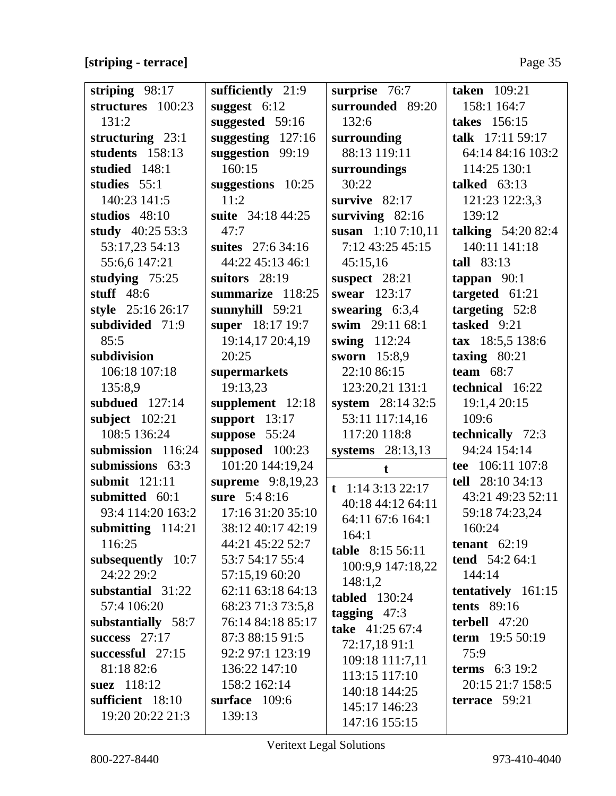## **[striping - terrace]** Page 35

| striping 98:17     | sufficiently 21:9 | surprise 76:7        | <b>taken</b> 109:21       |
|--------------------|-------------------|----------------------|---------------------------|
| structures 100:23  | suggest $6:12$    | surrounded 89:20     | 158:1 164:7               |
| 131:2              | suggested 59:16   | 132:6                | takes 156:15              |
| structuring 23:1   | suggesting 127:16 | surrounding          | talk 17:11 59:17          |
| students 158:13    | suggestion 99:19  | 88:13 119:11         | 64:14 84:16 103:2         |
| studied 148:1      | 160:15            | surroundings         | 114:25 130:1              |
| studies 55:1       | suggestions 10:25 | 30:22                | talked $63:13$            |
| 140:23 141:5       | 11:2              | survive $82:17$      | 121:23 122:3,3            |
| studios $48:10$    | suite 34:18 44:25 | surviving $82:16$    | 139:12                    |
| study 40:25 53:3   | 47:7              | susan $1:107:10,11$  | <b>talking</b> 54:20 82:4 |
| 53:17,23 54:13     | suites 27:6 34:16 | 7:12 43:25 45:15     | 140:11 141:18             |
| 55:6,6 147:21      | 44:22 45:13 46:1  | 45:15,16             | tall $83:13$              |
| studying 75:25     | suitors $28:19$   | suspect 28:21        | tappan $90:1$             |
| stuff $48:6$       | summarize 118:25  | swear 123:17         | targeted $61:21$          |
| style 25:16 26:17  | sunnyhill $59:21$ | swearing $6:3,4$     | targeting 52:8            |
| subdivided 71:9    | super 18:17 19:7  | swim 29:11 68:1      | tasked 9:21               |
| 85:5               | 19:14,17 20:4,19  | swing 112:24         | tax 18:5,5 138:6          |
| subdivision        | 20:25             | sworn 15:8,9         | taxing $80:21$            |
| 106:18 107:18      | supermarkets      | 22:10 86:15          | team $68:7$               |
| 135:8,9            | 19:13,23          | 123:20,21 131:1      | technical 16:22           |
| subdued $127:14$   | supplement 12:18  | system 28:14 32:5    | 19:1,4 20:15              |
| subject $102:21$   | support $13:17$   | 53:11 117:14,16      | 109:6                     |
| 108:5 136:24       | suppose 55:24     | 117:20 118:8         | technically 72:3          |
| submission 116:24  | supposed 100:23   | systems $28:13,13$   | 94:24 154:14              |
| submissions 63:3   | 101:20 144:19,24  | $\mathbf t$          | tee 106:11 107:8          |
| submit 121:11      | supreme 9:8,19,23 | t 1:14 3:13 22:17    | tell 28:10 34:13          |
| submitted 60:1     | sure 5:4 8:16     | 40:18 44:12 64:11    | 43:21 49:23 52:11         |
| 93:4 114:20 163:2  | 17:16 31:20 35:10 | 64:11 67:6 164:1     | 59:18 74:23,24            |
| submitting 114:21  | 38:12 40:17 42:19 | 164:1                | 160:24                    |
| 116:25             | 44:21 45:22 52:7  | table 8:15 56:11     | tenant $62:19$            |
| subsequently 10:7  | 53:7 54:17 55:4   | 100:9,9 147:18,22    | tend $54:264:1$           |
| 24:22 29:2         | 57:15,19 60:20    | 148:1,2              | 144:14                    |
| substantial 31:22  | 62:11 63:18 64:13 | <b>tabled</b> 130:24 | tentatively 161:15        |
| 57:4 106:20        | 68:23 71:3 73:5,8 | tagging $47:3$       | <b>tents</b> 89:16        |
| substantially 58:7 | 76:14 84:18 85:17 | take 41:25 67:4      | terbell $47:20$           |
| success $27:17$    | 87:3 88:15 91:5   | 72:17,18 91:1        | term $19:550:19$          |
| successful 27:15   | 92:2 97:1 123:19  | 109:18 111:7,11      | 75:9                      |
| 81:18 82:6         | 136:22 147:10     | 113:15 117:10        | <b>terms</b> $6:3 19:2$   |
| suez 118:12        | 158:2 162:14      | 140:18 144:25        | 20:15 21:7 158:5          |
| sufficient 18:10   | surface 109:6     | 145:17 146:23        | terrace 59:21             |
| 19:20 20:22 21:3   | 139:13            | 147:16 155:15        |                           |
|                    |                   |                      |                           |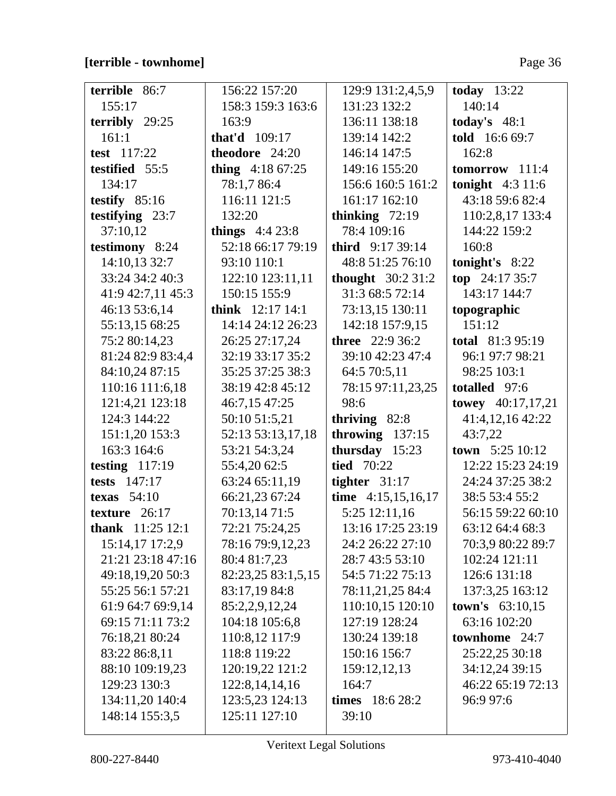## [terrible - townhome]

| terrible 86:7            | 156:22 157:20      | 129:9 131:2,4,5,9        | today $13:22$            |
|--------------------------|--------------------|--------------------------|--------------------------|
| 155:17                   | 158:3 159:3 163:6  | 131:23 132:2             | 140:14                   |
| terribly $29:25$         | 163:9              | 136:11 138:18            | today's $48:1$           |
| 161:1                    | that'd $109:17$    | 139:14 142:2             | told 16:6 69:7           |
| test 117:22              | theodore 24:20     | 146:14 147:5             | 162:8                    |
| testified 55:5           | thing $4:1867:25$  | 149:16 155:20            | $tomorrow$ 111:4         |
| 134:17                   | 78:1,7 86:4        | 156:6 160:5 161:2        | tonight $4:3$ 11:6       |
| testify $85:16$          | 116:11 121:5       | 161:17 162:10            | 43:18 59:6 82:4          |
| testifying 23:7          | 132:20             | thinking $72:19$         | 110:2,8,17 133:4         |
| 37:10,12                 | things $4:423:8$   | 78:4 109:16              | 144:22 159:2             |
| testimony 8:24           | 52:18 66:17 79:19  | <b>third</b> $9:1739:14$ | 160:8                    |
| 14:10,13 32:7            | 93:10 110:1        | 48:8 51:25 76:10         | tonight's $8:22$         |
| 33:24 34:2 40:3          | 122:10 123:11,11   | thought $30:231:2$       | top $24:1735:7$          |
| 41:9 42:7,11 45:3        | 150:15 155:9       | 31:3 68:5 72:14          | 143:17 144:7             |
| 46:13 53:6,14            | think 12:17 14:1   | 73:13,15 130:11          | topographic              |
| 55:13,15 68:25           | 14:14 24:12 26:23  | 142:18 157:9,15          | 151:12                   |
| 75:2 80:14,23            | 26:25 27:17,24     | <b>three</b> $22:936:2$  | <b>total</b> 81:3 95:19  |
| 81:24 82:9 83:4,4        | 32:19 33:17 35:2   | 39:10 42:23 47:4         | 96:1 97:7 98:21          |
| 84:10,24 87:15           | 35:25 37:25 38:3   | 64:5 70:5,11             | 98:25 103:1              |
| 110:16 111:6,18          | 38:19 42:8 45:12   | 78:15 97:11,23,25        | totalled 97:6            |
| 121:4,21 123:18          | 46:7,15 47:25      | 98:6                     | towey 40:17,17,21        |
| 124:3 144:22             | 50:10 51:5,21      | thriving 82:8            | 41:4,12,16 42:22         |
| 151:1,20 153:3           | 52:13 53:13,17,18  | throwing $137:15$        | 43:7,22                  |
| 163:3 164:6              | 53:21 54:3,24      | thursday 15:23           | <b>town</b> $5:2510:12$  |
| testing $117:19$         | 55:4,20 62:5       | <b>tied</b> 70:22        | 12:22 15:23 24:19        |
| tests $147:17$           | 63:24 65:11,19     | tighter $31:17$          | 24:24 37:25 38:2         |
| texas $54:10$            | 66:21,23 67:24     | time $4:15,15,16,17$     | 38:5 53:4 55:2           |
| texture 26:17            | 70:13,14 71:5      | 5:25 12:11,16            | 56:15 59:22 60:10        |
| <b>thank</b> $11:2512:1$ | 72:21 75:24,25     | 13:16 17:25 23:19        | 63:12 64:4 68:3          |
| 15:14,17 17:2,9          | 78:16 79:9,12,23   | 24:2 26:22 27:10         | 70:3,9 80:22 89:7        |
| 21:21 23:18 47:16        | 80:4 81:7,23       | 28:7 43:5 53:10          | 102:24 121:11            |
| 49:18,19,20 50:3         | 82:23,25 83:1,5,15 | 54:5 71:22 75:13         | 126:6 131:18             |
| 55:25 56:1 57:21         | 83:17,19 84:8      | 78:11,21,25 84:4         | 137:3,25 163:12          |
| 61:9 64:7 69:9,14        | 85:2,2,9,12,24     | 110:10,15 120:10         | <b>town's</b> $63:10,15$ |
| 69:15 71:11 73:2         | 104:18 105:6,8     | 127:19 128:24            | 63:16 102:20             |
| 76:18,21 80:24           | 110:8,12 117:9     | 130:24 139:18            | townhome 24:7            |
| 83:22 86:8,11            | 118:8 119:22       | 150:16 156:7             | 25:22,25 30:18           |
| 88:10 109:19,23          | 120:19,22 121:2    | 159:12,12,13             | 34:12,24 39:15           |
| 129:23 130:3             | 122:8, 14, 14, 16  | 164:7                    | 46:22 65:19 72:13        |
| 134:11,20 140:4          | 123:5,23 124:13    | times $18:628:2$         | 96:9 97:6                |
| 148:14 155:3,5           | 125:11 127:10      | 39:10                    |                          |
|                          |                    |                          |                          |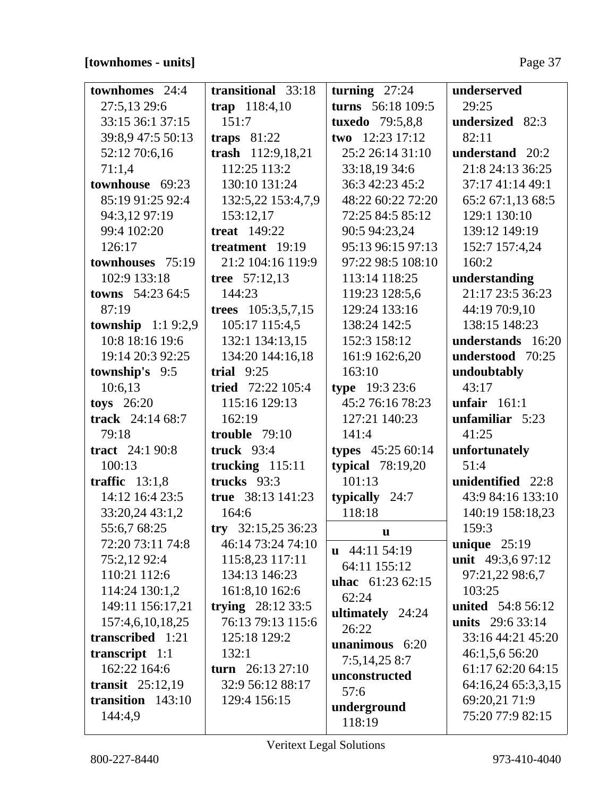# **[townhomes - units]** Page 37

| <b>townhomes</b> 24:4      | transitional 33:18       | turning $27:24$          | underserved              |
|----------------------------|--------------------------|--------------------------|--------------------------|
| 27:5,13 29:6               | trap 118:4,10            | turns 56:18 109:5        | 29:25                    |
| 33:15 36:1 37:15           | 151:7                    | <b>tuxedo</b> 79:5,8,8   | undersized 82:3          |
| 39:8,9 47:5 50:13          | traps $81:22$            | two $12:23$ 17:12        | 82:11                    |
| 52:12 70:6,16              | trash 112:9,18,21        | 25:2 26:14 31:10         | understand 20:2          |
| 71:1,4                     | 112:25 113:2             | 33:18,19 34:6            | 21:8 24:13 36:25         |
| townhouse 69:23            | 130:10 131:24            | 36:3 42:23 45:2          | 37:17 41:14 49:1         |
| 85:19 91:25 92:4           | 132:5,22 153:4,7,9       | 48:22 60:22 72:20        | 65:2 67:1,13 68:5        |
| 94:3,12 97:19              | 153:12,17                | 72:25 84:5 85:12         | 129:1 130:10             |
| 99:4 102:20                | <b>treat</b> 149:22      | 90:5 94:23,24            | 139:12 149:19            |
| 126:17                     | treatment 19:19          | 95:13 96:15 97:13        | 152:7 157:4,24           |
| townhouses 75:19           | 21:2 104:16 119:9        | 97:22 98:5 108:10        | 160:2                    |
| 102:9 133:18               | tree 57:12,13            | 113:14 118:25            | understanding            |
| <b>towns</b> $54:2364:5$   | 144:23                   | 119:23 128:5,6           | 21:17 23:5 36:23         |
| 87:19                      | trees $105:3,5,7,15$     | 129:24 133:16            | 44:19 70:9,10            |
| <b>township</b> $1:19:2,9$ | 105:17 115:4,5           | 138:24 142:5             | 138:15 148:23            |
| 10:8 18:16 19:6            | 132:1 134:13,15          | 152:3 158:12             | understands 16:20        |
| 19:14 20:3 92:25           | 134:20 144:16,18         | 161:9 162:6,20           | understood 70:25         |
| township's 9:5             | trial $9:25$             | 163:10                   | undoubtably              |
| 10:6,13                    | <b>tried</b> 72:22 105:4 | type 19:3 23:6           | 43:17                    |
| toys 26:20                 | 115:16 129:13            | 45:2 76:16 78:23         | unfair $161:1$           |
| track 24:14 68:7           | 162:19                   | 127:21 140:23            | unfamiliar 5:23          |
| 79:18                      | trouble $79:10$          | 141:4                    | 41:25                    |
| tract $24:190:8$           | truck $93:4$             | types 45:25 60:14        | unfortunately            |
| 100:13                     | trucking $115:11$        | typical $78:19,20$       | 51:4                     |
| traffic $13:1,8$           | trucks 93:3              | 101:13                   | unidentified 22:8        |
| 14:12 16:4 23:5            | true 38:13 141:23        | typically $24:7$         | 43:9 84:16 133:10        |
| 33:20,24 43:1,2            | 164:6                    | 118:18                   | 140:19 158:18,23         |
| 55:6,7 68:25               | try 32:15,25 36:23       | u                        | 159:3                    |
| 72:20 73:11 74:8           | 46:14 73:24 74:10        | $\mathbf{u}$ 44:11 54:19 | unique $25:19$           |
| 75:2,12 92:4               | 115:8,23 117:11          | 64:11 155:12             | unit 49:3,6 97:12        |
| 110:21 112:6               | 134:13 146:23            | <b>uhac</b> $61:2362:15$ | 97:21,22 98:6,7          |
| 114:24 130:1,2             | 161:8,10 162:6           | 62:24                    | 103:25                   |
| 149:11 156:17,21           | trying $28:123:5$        | ultimately 24:24         | <b>united</b> 54:8 56:12 |
| 157:4,6,10,18,25           | 76:13 79:13 115:6        | 26:22                    | <b>units</b> 29:6 33:14  |
| transcribed 1:21           | 125:18 129:2             | unanimous $6:20$         | 33:16 44:21 45:20        |
| transcript $1:1$           | 132:1                    | 7:5,14,258:7             | 46:1,5,6 56:20           |
| 162:22 164:6               | turn $26:13\,27:10$      | unconstructed            | 61:17 62:20 64:15        |
| transit $25:12,19$         | 32:9 56:12 88:17         | 57:6                     | 64:16,24 65:3,3,15       |
| transition $143:10$        | 129:4 156:15             | underground              | 69:20,21 71:9            |
| 144:4,9                    |                          | 118:19                   | 75:20 77:9 82:15         |
|                            |                          |                          |                          |

 $\overline{\mathsf{L}}$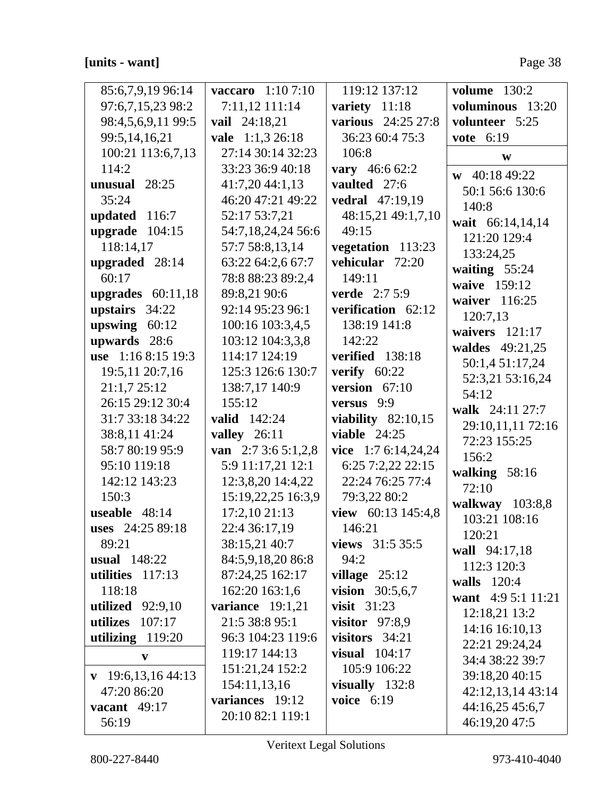### [units - want]

| 85:6,7,9,19 96:14             | vaccaro 1:10 7:10   | 119:12 137:12            | <b>volume</b> 130:2                |
|-------------------------------|---------------------|--------------------------|------------------------------------|
| 97:6,7,15,23 98:2             | 7:11,12 111:14      | variety $11:18$          | voluminous 13:20                   |
| 98:4,5,6,9,11 99:5            | vail 24:18,21       | various 24:25 27:8       | volunteer 5:25                     |
| 99:5,14,16,21                 | vale 1:1,3 26:18    | 36:23 60:4 75:3          | vote 6:19                          |
| 100:21 113:6,7,13             | 27:14 30:14 32:23   | 106:8                    | W                                  |
| 114:2                         | 33:23 36:9 40:18    | vary 46:6 62:2           |                                    |
| unusual $28:25$               | 41:7,2044:1,13      | vaulted 27:6             | $w$ 40:18 49:22                    |
| 35:24                         | 46:20 47:21 49:22   | vedral 47:19,19          | 50:1 56:6 130:6                    |
| updated 116:7                 | 52:17 53:7,21       | 48:15,21 49:1,7,10       | 140:8                              |
| upgrade $104:15$              | 54:7,18,24,24 56:6  | 49:15                    | wait 66:14,14,14                   |
| 118:14,17                     | 57:7 58:8,13,14     | vegetation 113:23        | 121:20 129:4                       |
| upgraded 28:14                | 63:22 64:2,6 67:7   | vehicular 72:20          | 133:24,25                          |
| 60:17                         | 78:8 88:23 89:2,4   | 149:11                   | waiting 55:24                      |
| upgrades $60:11,18$           | 89:8,21 90:6        | <b>verde</b> $2:75:9$    | waive 159:12                       |
| upstairs 34:22                | 92:14 95:23 96:1    | verification 62:12       | waiver 116:25                      |
| upswing $60:12$               | 100:16 103:3,4,5    | 138:19 141:8             | 120:7,13<br>waivers $121:17$       |
| upwards 28:6                  | 103:12 104:3,3,8    | 142:22                   |                                    |
| use $1:168:1519:3$            | 114:17 124:19       | verified 138:18          | waldes 49:21,25<br>50:1,4 51:17,24 |
| 19:5,11 20:7,16               | 125:3 126:6 130:7   | verify $60:22$           | 52:3,21 53:16,24                   |
| 21:1,7 25:12                  | 138:7,17 140:9      | version $67:10$          | 54:12                              |
| 26:15 29:12 30:4              | 155:12              | versus 9:9               | walk 24:11 27:7                    |
| 31:7 33:18 34:22              | <b>valid</b> 142:24 | viability $82:10,15$     | 29:10,11,11 72:16                  |
| 38:8,11 41:24                 | valley $26:11$      | viable $24:25$           | 72:23 155:25                       |
| 58:7 80:19 95:9               | van $2:73:65:1,2,8$ | vice $1:76:14,24,24$     | 156:2                              |
| 95:10 119:18                  | 5:9 11:17,21 12:1   | 6:25 7:2,22 22:15        | walking $58:16$                    |
| 142:12 143:23                 | 12:3,8,20 14:4,22   | 22:24 76:25 77:4         | 72:10                              |
| 150:3                         | 15:19,22,25 16:3,9  | 79:3,22 80:2             | walkway $103:8,8$                  |
| useable 48:14                 | 17:2,10 21:13       | view 60:13 145:4,8       | 103:21 108:16                      |
| uses 24:25 89:18              | 22:4 36:17,19       | 146:21                   | 120:21                             |
| 89:21                         | 38:15,21 40:7       | views $31:535:5$         | wall 94:17,18                      |
| <b>usual</b> 148:22           | 84:5,9,18,20 86:8   | 94:2                     | 112:3 120:3                        |
| utilities $117:13$            | 87:24,25 162:17     | village $25:12$          | walls 120:4                        |
| 118:18                        | 162:20 163:1,6      | <b>vision</b> $30:5,6,7$ | want 4:9 5:1 11:21                 |
| utilized $92:9,10$            | variance $19:1,21$  | visit $31:23$            | 12:18,21 13:2                      |
| 107:17<br>utilizes            | 21:5 38:8 95:1      | visitor $97:8,9$         | 14:16 16:10,13                     |
| utilizing 119:20              | 96:3 104:23 119:6   | visitors $34:21$         | 22:21 29:24,24                     |
| V                             | 119:17 144:13       | visual $104:17$          | 34:4 38:22 39:7                    |
| $\mathbf{v}$ 19:6,13,16 44:13 | 151:21,24 152:2     | 105:9 106:22             | 39:18,20 40:15                     |
| 47:20 86:20                   | 154:11,13,16        | visually $132:8$         | 42:12,13,14 43:14                  |
| vacant $49:17$                | variances 19:12     | voice $6:19$             | 44:16,25 45:6,7                    |
| 56:19                         | 20:10 82:1 119:1    |                          | 46:19,20 47:5                      |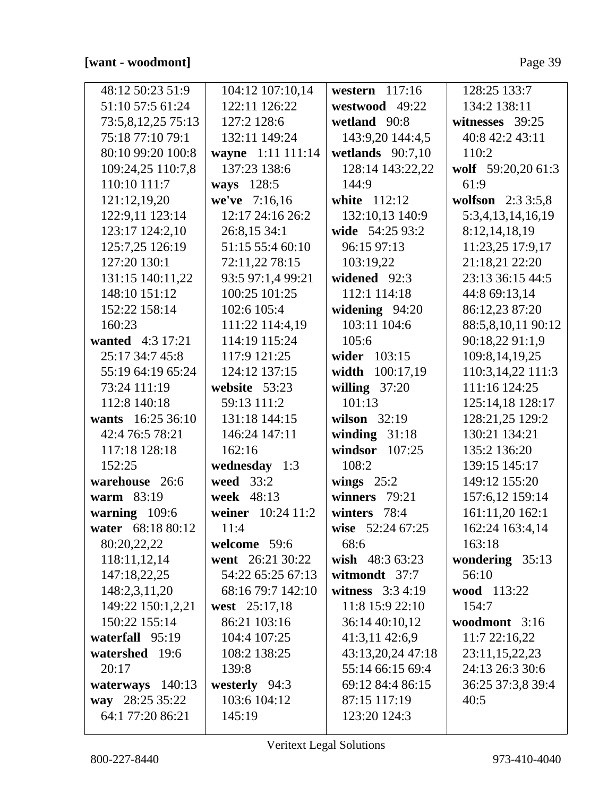| 48:12 50:23 51:9   | 104:12 107:10,14  | western $117:16$   | 128:25 133:7       |
|--------------------|-------------------|--------------------|--------------------|
| 51:10 57:5 61:24   | 122:11 126:22     | westwood 49:22     | 134:2 138:11       |
| 73:5,8,12,25 75:13 | 127:2 128:6       | wetland 90:8       | witnesses 39:25    |
| 75:18 77:10 79:1   | 132:11 149:24     | 143:9,20 144:4,5   | 40:8 42:2 43:11    |
| 80:10 99:20 100:8  | wayne 1:11 111:14 | wetlands $90:7,10$ | 110:2              |
| 109:24,25 110:7,8  | 137:23 138:6      | 128:14 143:22,22   | wolf 59:20,20 61:3 |
| 110:10 111:7       | ways 128:5        | 144:9              | 61:9               |
| 121:12,19,20       | we've 7:16,16     | white 112:12       | wolfson $2:33:5,8$ |
| 122:9,11 123:14    | 12:17 24:16 26:2  | 132:10,13 140:9    | 5:3,4,13,14,16,19  |
| 123:17 124:2,10    | 26:8,15 34:1      | wide 54:25 93:2    | 8:12,14,18,19      |
| 125:7,25 126:19    | 51:15 55:4 60:10  | 96:15 97:13        | 11:23,25 17:9,17   |
| 127:20 130:1       | 72:11,22 78:15    | 103:19,22          | 21:18,21 22:20     |
| 131:15 140:11,22   | 93:5 97:1,4 99:21 | widened 92:3       | 23:13 36:15 44:5   |
| 148:10 151:12      | 100:25 101:25     | 112:1 114:18       | 44:8 69:13,14      |
| 152:22 158:14      | 102:6 105:4       | widening $94:20$   | 86:12,23 87:20     |
| 160:23             | 111:22 114:4,19   | 103:11 104:6       | 88:5,8,10,11 90:12 |
| wanted 4:3 17:21   | 114:19 115:24     | 105:6              | 90:18,22 91:1,9    |
| 25:17 34:7 45:8    | 117:9 121:25      | wider 103:15       | 109:8,14,19,25     |
| 55:19 64:19 65:24  | 124:12 137:15     | width 100:17,19    | 110:3,14,22 111:3  |
| 73:24 111:19       | website 53:23     | willing $37:20$    | 111:16 124:25      |
| 112:8 140:18       | 59:13 111:2       | 101:13             | 125:14,18 128:17   |
| wants 16:25 36:10  | 131:18 144:15     | wilson 32:19       | 128:21,25 129:2    |
| 42:4 76:5 78:21    | 146:24 147:11     | winding $31:18$    | 130:21 134:21      |
| 117:18 128:18      | 162:16            | windsor $107:25$   | 135:2 136:20       |
| 152:25             | wednesday 1:3     | 108:2              | 139:15 145:17      |
| warehouse 26:6     | weed 33:2         | wings $25:2$       | 149:12 155:20      |
| <b>warm</b> 83:19  | week 48:13        | winners 79:21      | 157:6,12 159:14    |
| warning 109:6      | weiner 10:24 11:2 | winters 78:4       | 161:11,20 162:1    |
| water 68:18 80:12  | 11:4              | wise 52:24 67:25   | 162:24 163:4,14    |
| 80:20,22,22        | welcome 59:6      | 68:6               | 163:18             |
| 118:11,12,14       | went 26:21 30:22  | wish 48:3 63:23    | wondering 35:13    |
| 147:18,22,25       | 54:22 65:25 67:13 | witmondt 37:7      | 56:10              |
| 148:2,3,11,20      | 68:16 79:7 142:10 | witness $3:34:19$  | wood 113:22        |
| 149:22 150:1,2,21  | west 25:17,18     | 11:8 15:9 22:10    | 154:7              |
| 150:22 155:14      | 86:21 103:16      | 36:14 40:10,12     | woodmont 3:16      |
| waterfall 95:19    | 104:4 107:25      | 41:3,11 42:6,9     | 11:722:16,22       |
| watershed 19:6     | 108:2 138:25      | 43:13,20,24 47:18  | 23:11,15,22,23     |
| 20:17              | 139:8             | 55:14 66:15 69:4   | 24:13 26:3 30:6    |
| waterways 140:13   | westerly 94:3     | 69:12 84:4 86:15   | 36:25 37:3,8 39:4  |
| way 28:25 35:22    | 103:6 104:12      | 87:15 117:19       | 40:5               |
| 64:1 77:20 86:21   | 145:19            | 123:20 124:3       |                    |
|                    |                   |                    |                    |